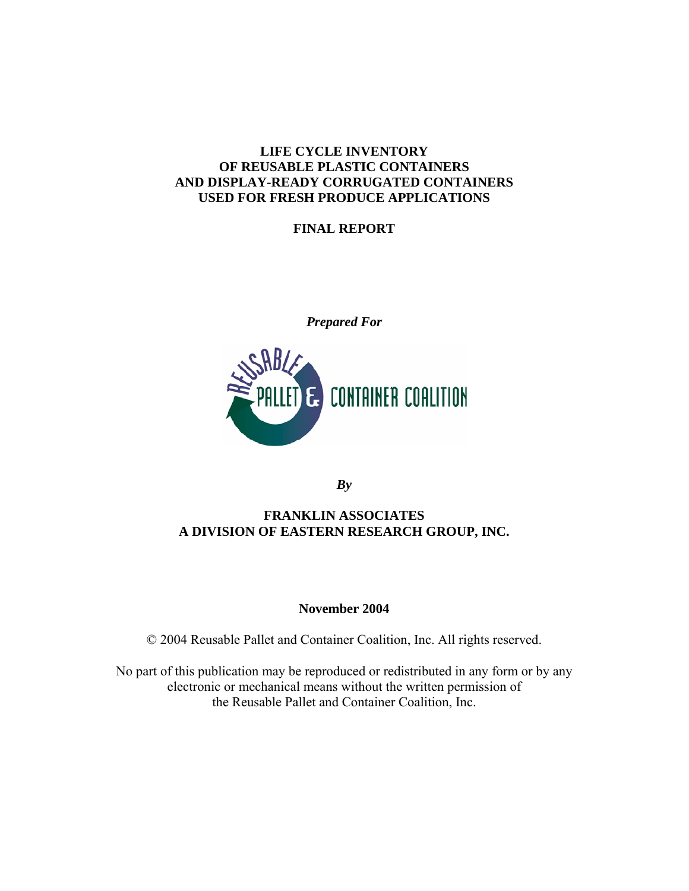### **LIFE CYCLE INVENTORY OF REUSABLE PLASTIC CONTAINERS AND DISPLAY-READY CORRUGATED CONTAINERS USED FOR FRESH PRODUCE APPLICATIONS**

## **FINAL REPORT**

*Prepared For*



*By*

## **FRANKLIN ASSOCIATES A DIVISION OF EASTERN RESEARCH GROUP, INC.**

### **November 2004**

© 2004 Reusable Pallet and Container Coalition, Inc. All rights reserved.

No part of this publication may be reproduced or redistributed in any form or by any electronic or mechanical means without the written permission of the Reusable Pallet and Container Coalition, Inc.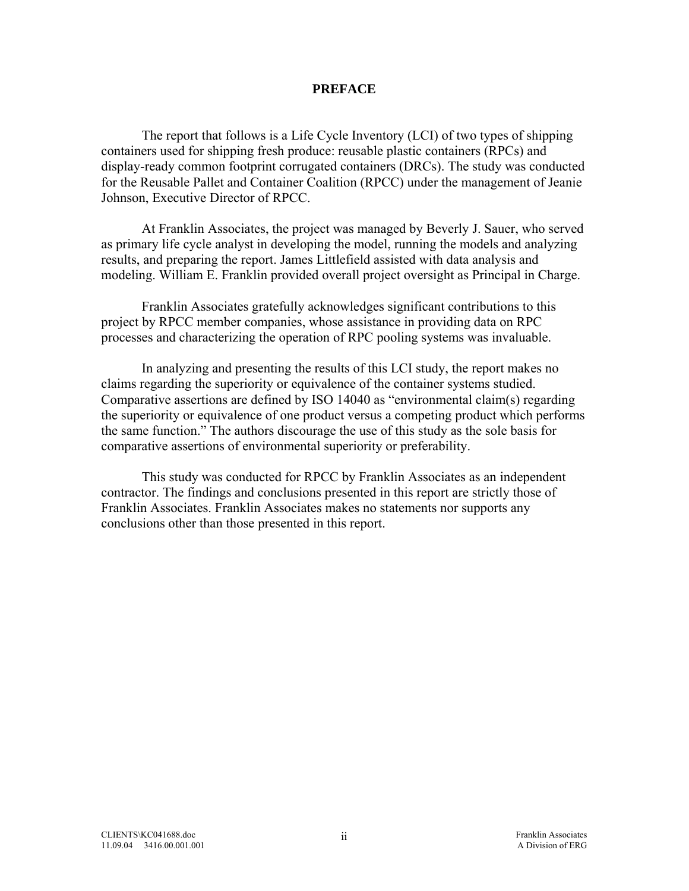#### **PREFACE**

The report that follows is a Life Cycle Inventory (LCI) of two types of shipping containers used for shipping fresh produce: reusable plastic containers (RPCs) and display-ready common footprint corrugated containers (DRCs). The study was conducted for the Reusable Pallet and Container Coalition (RPCC) under the management of Jeanie Johnson, Executive Director of RPCC.

At Franklin Associates, the project was managed by Beverly J. Sauer, who served as primary life cycle analyst in developing the model, running the models and analyzing results, and preparing the report. James Littlefield assisted with data analysis and modeling. William E. Franklin provided overall project oversight as Principal in Charge.

Franklin Associates gratefully acknowledges significant contributions to this project by RPCC member companies, whose assistance in providing data on RPC processes and characterizing the operation of RPC pooling systems was invaluable.

In analyzing and presenting the results of this LCI study, the report makes no claims regarding the superiority or equivalence of the container systems studied. Comparative assertions are defined by ISO 14040 as "environmental claim(s) regarding the superiority or equivalence of one product versus a competing product which performs the same function." The authors discourage the use of this study as the sole basis for comparative assertions of environmental superiority or preferability.

This study was conducted for RPCC by Franklin Associates as an independent contractor. The findings and conclusions presented in this report are strictly those of Franklin Associates. Franklin Associates makes no statements nor supports any conclusions other than those presented in this report.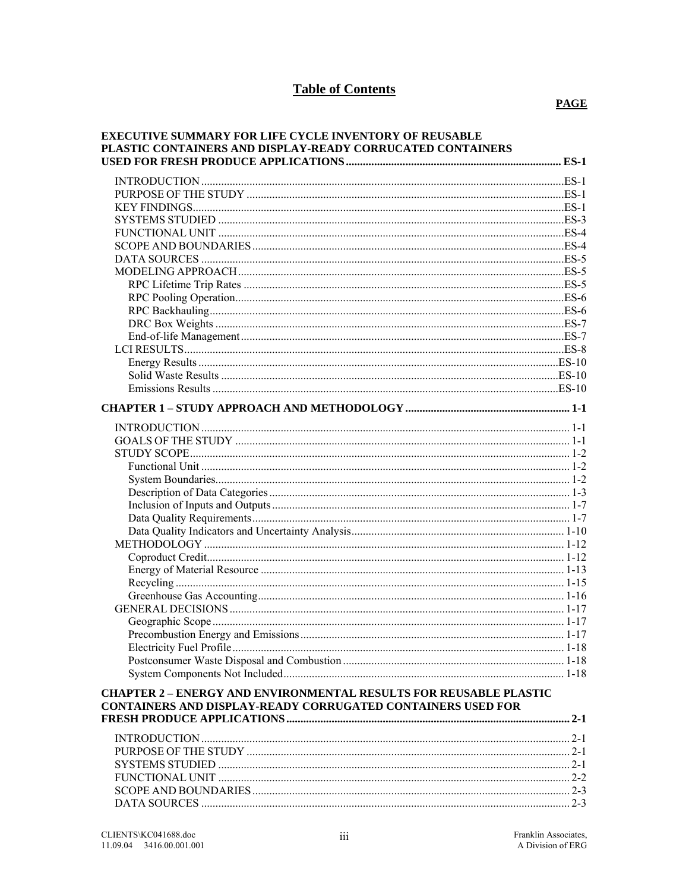# **Table of Contents**

| <b>EXECUTIVE SUMMARY FOR LIFE CYCLE INVENTORY OF REUSABLE</b><br>PLASTIC CONTAINERS AND DISPLAY-READY CORRUCATED CONTAINERS |  |
|-----------------------------------------------------------------------------------------------------------------------------|--|
|                                                                                                                             |  |
|                                                                                                                             |  |
|                                                                                                                             |  |
|                                                                                                                             |  |
|                                                                                                                             |  |
|                                                                                                                             |  |
|                                                                                                                             |  |
|                                                                                                                             |  |
|                                                                                                                             |  |
|                                                                                                                             |  |
|                                                                                                                             |  |
|                                                                                                                             |  |
|                                                                                                                             |  |
|                                                                                                                             |  |
|                                                                                                                             |  |
|                                                                                                                             |  |
|                                                                                                                             |  |
|                                                                                                                             |  |
|                                                                                                                             |  |
|                                                                                                                             |  |
|                                                                                                                             |  |
|                                                                                                                             |  |
|                                                                                                                             |  |
|                                                                                                                             |  |
|                                                                                                                             |  |
|                                                                                                                             |  |
|                                                                                                                             |  |
|                                                                                                                             |  |
|                                                                                                                             |  |
|                                                                                                                             |  |
|                                                                                                                             |  |
|                                                                                                                             |  |
|                                                                                                                             |  |
|                                                                                                                             |  |
|                                                                                                                             |  |
|                                                                                                                             |  |
|                                                                                                                             |  |
|                                                                                                                             |  |
|                                                                                                                             |  |
|                                                                                                                             |  |
| <b>CHAPTER 2 - ENERGY AND ENVIRONMENTAL RESULTS FOR REUSABLE PLASTIC</b>                                                    |  |
| CONTAINERS AND DISPLAY-READY CORRUGATED CONTAINERS USED FOR                                                                 |  |
|                                                                                                                             |  |
|                                                                                                                             |  |
|                                                                                                                             |  |
|                                                                                                                             |  |
|                                                                                                                             |  |
|                                                                                                                             |  |
|                                                                                                                             |  |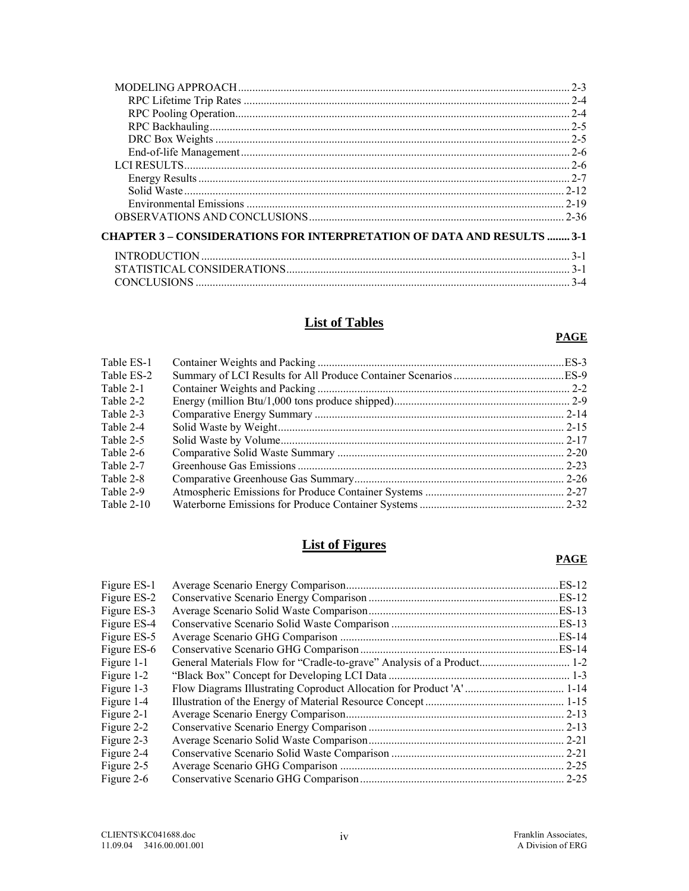|                                                                               | $2 - 3$  |
|-------------------------------------------------------------------------------|----------|
|                                                                               | $2 - 4$  |
|                                                                               | $2 - 4$  |
|                                                                               | $2 - 5$  |
|                                                                               | $2 - 5$  |
|                                                                               | $2 - 6$  |
|                                                                               |          |
|                                                                               |          |
|                                                                               | $2 - 12$ |
|                                                                               | $2 - 19$ |
|                                                                               | $2 - 36$ |
| <b>CHAPTER 3 – CONSIDERATIONS FOR INTERPRETATION OF DATA AND RESULTS  3-1</b> |          |
|                                                                               | $3 - 1$  |
|                                                                               | $3-1$    |
| <b>CONCLUSIONS</b>                                                            | $3 - 4$  |
|                                                                               |          |

# **List of Tables**

#### **PAGE**

| Table ES-1 |  |
|------------|--|
| Table ES-2 |  |
| Table 2-1  |  |
| Table 2-2  |  |
| Table 2-3  |  |
| Table 2-4  |  |
| Table 2-5  |  |
| Table 2-6  |  |
| Table 2-7  |  |
| Table 2-8  |  |
| Table 2-9  |  |
| Table 2-10 |  |
|            |  |

# **List of Figures**

#### **PAGE**

| Figure ES-1 | ES-12     |
|-------------|-----------|
| Figure ES-2 | ES-12     |
| Figure ES-3 | . ES-13   |
| Figure ES-4 | .ES-13    |
| Figure ES-5 |           |
| Figure ES-6 |           |
| Figure 1-1  |           |
| Figure 1-2  |           |
| Figure 1-3  |           |
| Figure 1-4  |           |
| Figure 2-1  |           |
| Figure 2-2  | $.2-13$   |
| Figure 2-3  | $2 - 21$  |
| Figure 2-4  | $.2 - 21$ |
| Figure 2-5  | $.2 - 25$ |
| Figure 2-6  |           |
|             |           |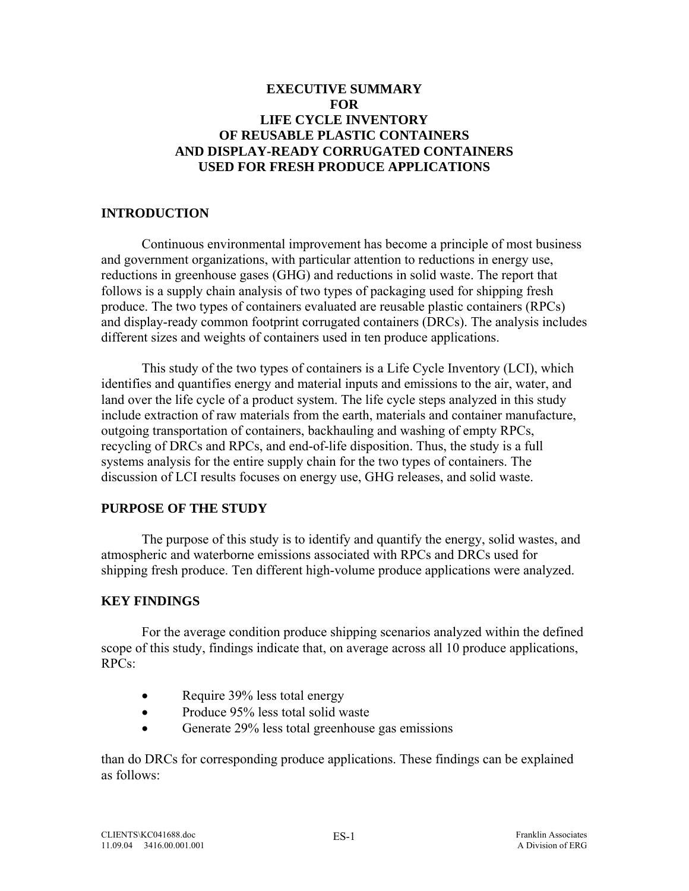## <span id="page-4-0"></span>**EXECUTIVE SUMMARY FOR LIFE CYCLE INVENTORY OF REUSABLE PLASTIC CONTAINERS AND DISPLAY-READY CORRUGATED CONTAINERS USED FOR FRESH PRODUCE APPLICATIONS**

### **INTRODUCTION**

Continuous environmental improvement has become a principle of most business and government organizations, with particular attention to reductions in energy use, reductions in greenhouse gases (GHG) and reductions in solid waste. The report that follows is a supply chain analysis of two types of packaging used for shipping fresh produce. The two types of containers evaluated are reusable plastic containers (RPCs) and display-ready common footprint corrugated containers (DRCs). The analysis includes different sizes and weights of containers used in ten produce applications.

This study of the two types of containers is a Life Cycle Inventory (LCI), which identifies and quantifies energy and material inputs and emissions to the air, water, and land over the life cycle of a product system. The life cycle steps analyzed in this study include extraction of raw materials from the earth, materials and container manufacture, outgoing transportation of containers, backhauling and washing of empty RPCs, recycling of DRCs and RPCs, and end-of-life disposition. Thus, the study is a full systems analysis for the entire supply chain for the two types of containers. The discussion of LCI results focuses on energy use, GHG releases, and solid waste.

## **PURPOSE OF THE STUDY**

 The purpose of this study is to identify and quantify the energy, solid wastes, and atmospheric and waterborne emissions associated with RPCs and DRCs used for shipping fresh produce. Ten different high-volume produce applications were analyzed.

## **KEY FINDINGS**

For the average condition produce shipping scenarios analyzed within the defined scope of this study, findings indicate that, on average across all 10 produce applications, RPCs:

- Require 39% less total energy
- Produce 95% less total solid waste
- Generate 29% less total greenhouse gas emissions

than do DRCs for corresponding produce applications. These findings can be explained as follows: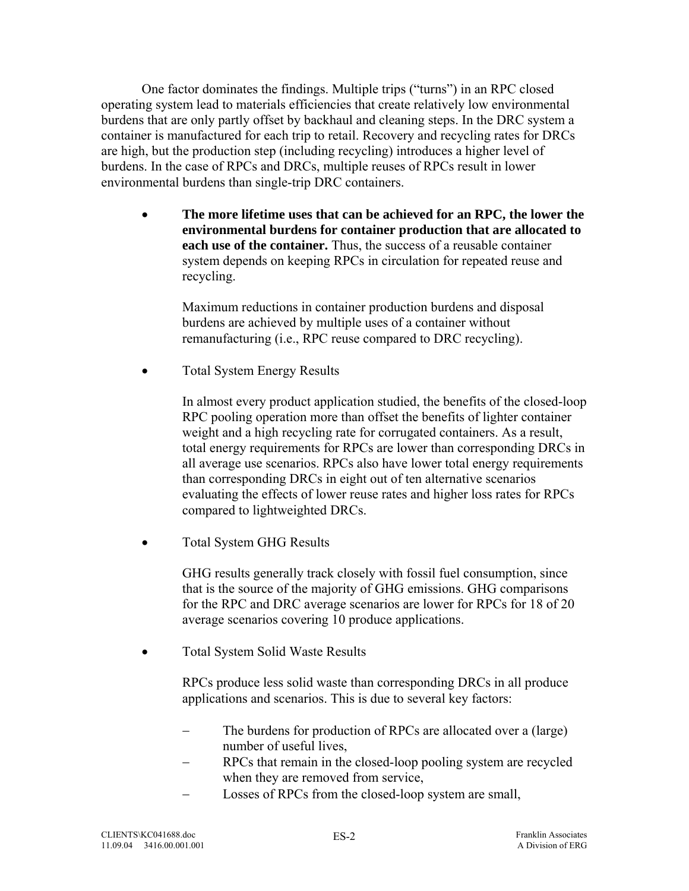One factor dominates the findings. Multiple trips ("turns") in an RPC closed operating system lead to materials efficiencies that create relatively low environmental burdens that are only partly offset by backhaul and cleaning steps. In the DRC system a container is manufactured for each trip to retail. Recovery and recycling rates for DRCs are high, but the production step (including recycling) introduces a higher level of burdens. In the case of RPCs and DRCs, multiple reuses of RPCs result in lower environmental burdens than single-trip DRC containers.

• **The more lifetime uses that can be achieved for an RPC, the lower the environmental burdens for container production that are allocated to each use of the container.** Thus, the success of a reusable container system depends on keeping RPCs in circulation for repeated reuse and recycling.

 Maximum reductions in container production burdens and disposal burdens are achieved by multiple uses of a container without remanufacturing (i.e., RPC reuse compared to DRC recycling).

• Total System Energy Results

In almost every product application studied, the benefits of the closed-loop RPC pooling operation more than offset the benefits of lighter container weight and a high recycling rate for corrugated containers. As a result, total energy requirements for RPCs are lower than corresponding DRCs in all average use scenarios. RPCs also have lower total energy requirements than corresponding DRCs in eight out of ten alternative scenarios evaluating the effects of lower reuse rates and higher loss rates for RPCs compared to lightweighted DRCs.

• Total System GHG Results

GHG results generally track closely with fossil fuel consumption, since that is the source of the majority of GHG emissions. GHG comparisons for the RPC and DRC average scenarios are lower for RPCs for 18 of 20 average scenarios covering 10 produce applications.

• Total System Solid Waste Results

RPCs produce less solid waste than corresponding DRCs in all produce applications and scenarios. This is due to several key factors:

- The burdens for production of RPCs are allocated over a (large) number of useful lives,
- RPCs that remain in the closed-loop pooling system are recycled when they are removed from service,
- Losses of RPCs from the closed-loop system are small,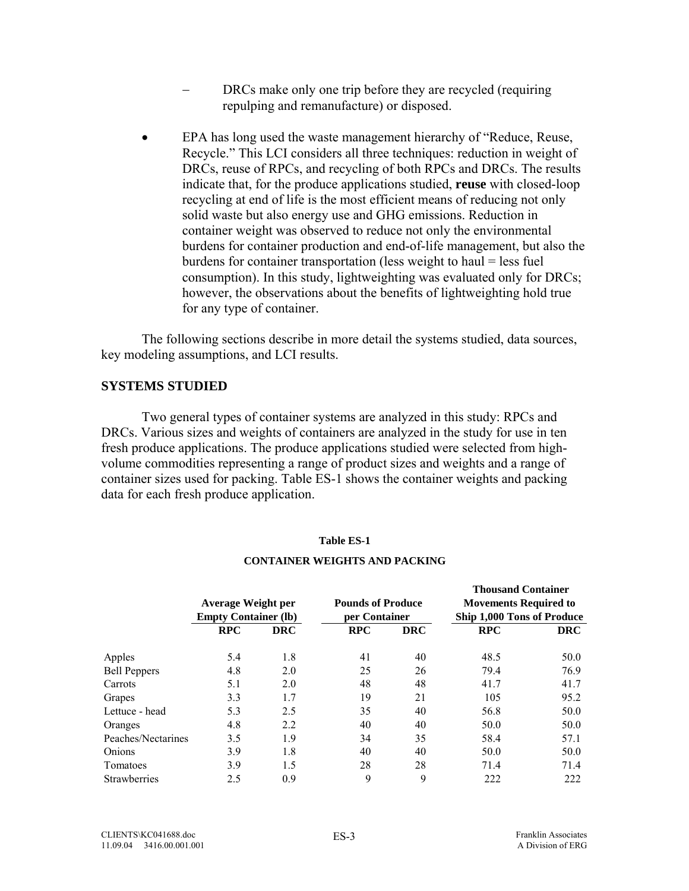- DRCs make only one trip before they are recycled (requiring repulping and remanufacture) or disposed.
- <span id="page-6-0"></span>• EPA has long used the waste management hierarchy of "Reduce, Reuse, Recycle." This LCI considers all three techniques: reduction in weight of DRCs, reuse of RPCs, and recycling of both RPCs and DRCs. The results indicate that, for the produce applications studied, **reuse** with closed-loop recycling at end of life is the most efficient means of reducing not only solid waste but also energy use and GHG emissions. Reduction in container weight was observed to reduce not only the environmental burdens for container production and end-of-life management, but also the burdens for container transportation (less weight to haul = less fuel consumption). In this study, lightweighting was evaluated only for DRCs; however, the observations about the benefits of lightweighting hold true for any type of container.

The following sections describe in more detail the systems studied, data sources, key modeling assumptions, and LCI results.

### **SYSTEMS STUDIED**

 Two general types of container systems are analyzed in this study: RPCs and DRCs. Various sizes and weights of containers are analyzed in the study for use in ten fresh produce applications. The produce applications studied were selected from highvolume commodities representing a range of product sizes and weights and a range of container sizes used for packing. Table ES-1 shows the container weights and packing data for each fresh produce application.

#### **Table ES-1**

|                     | <b>Average Weight per</b><br><b>Empty Container (lb)</b> | <b>Pounds of Produce</b><br>per Container |            |            | <b>Thousand Container</b><br><b>Movements Required to</b><br>Ship 1,000 Tons of Produce |            |  |
|---------------------|----------------------------------------------------------|-------------------------------------------|------------|------------|-----------------------------------------------------------------------------------------|------------|--|
|                     | <b>RPC</b>                                               | <b>DRC</b>                                | <b>RPC</b> | <b>DRC</b> | <b>RPC</b>                                                                              | <b>DRC</b> |  |
| Apples              | 5.4                                                      | 1.8                                       | 41         | 40         | 48.5                                                                                    | 50.0       |  |
| <b>Bell Peppers</b> | 4.8                                                      | 2.0                                       | 25         | 26         | 79.4                                                                                    | 76.9       |  |
| Carrots             | 5.1                                                      | 2.0                                       | 48         | 48         | 41.7                                                                                    | 41.7       |  |
| Grapes              | 3.3                                                      | 1.7                                       | 19         | 21         | 105                                                                                     | 95.2       |  |
| Lettuce - head      | 5.3                                                      | 2.5                                       | 35         | 40         | 56.8                                                                                    | 50.0       |  |
| Oranges             | 4.8                                                      | 2.2                                       | 40         | 40         | 50.0                                                                                    | 50.0       |  |
| Peaches/Nectarines  | 3.5                                                      | 1.9                                       | 34         | 35         | 58.4                                                                                    | 57.1       |  |
| Onions              | 3.9                                                      | 1.8                                       | 40         | 40         | 50.0                                                                                    | 50.0       |  |
| Tomatoes            | 3.9                                                      | 1.5                                       | 28         | 28         | 71.4                                                                                    | 71.4       |  |
| Strawberries        | 2.5                                                      | 0.9                                       | 9          | 9          | 222                                                                                     | 222        |  |

#### **CONTAINER WEIGHTS AND PACKING**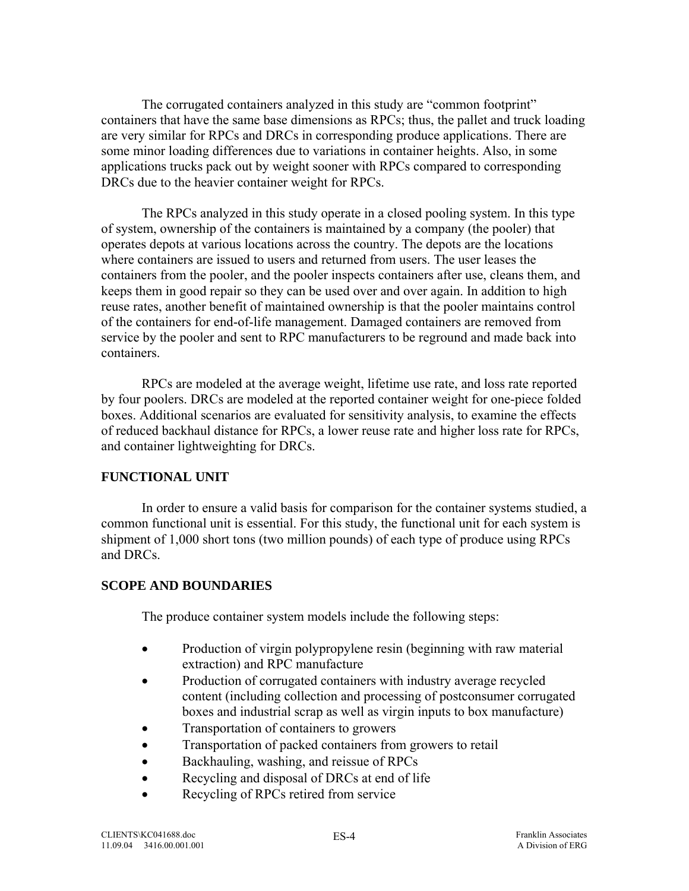<span id="page-7-0"></span>The corrugated containers analyzed in this study are "common footprint" containers that have the same base dimensions as RPCs; thus, the pallet and truck loading are very similar for RPCs and DRCs in corresponding produce applications. There are some minor loading differences due to variations in container heights. Also, in some applications trucks pack out by weight sooner with RPCs compared to corresponding DRCs due to the heavier container weight for RPCs.

The RPCs analyzed in this study operate in a closed pooling system. In this type of system, ownership of the containers is maintained by a company (the pooler) that operates depots at various locations across the country. The depots are the locations where containers are issued to users and returned from users. The user leases the containers from the pooler, and the pooler inspects containers after use, cleans them, and keeps them in good repair so they can be used over and over again. In addition to high reuse rates, another benefit of maintained ownership is that the pooler maintains control of the containers for end-of-life management. Damaged containers are removed from service by the pooler and sent to RPC manufacturers to be reground and made back into containers.

RPCs are modeled at the average weight, lifetime use rate, and loss rate reported by four poolers. DRCs are modeled at the reported container weight for one-piece folded boxes. Additional scenarios are evaluated for sensitivity analysis, to examine the effects of reduced backhaul distance for RPCs, a lower reuse rate and higher loss rate for RPCs, and container lightweighting for DRCs.

## **FUNCTIONAL UNIT**

 In order to ensure a valid basis for comparison for the container systems studied, a common functional unit is essential. For this study, the functional unit for each system is shipment of 1,000 short tons (two million pounds) of each type of produce using RPCs and DRCs.

### **SCOPE AND BOUNDARIES**

The produce container system models include the following steps:

- Production of virgin polypropylene resin (beginning with raw material extraction) and RPC manufacture
- Production of corrugated containers with industry average recycled content (including collection and processing of postconsumer corrugated boxes and industrial scrap as well as virgin inputs to box manufacture)
- Transportation of containers to growers
- Transportation of packed containers from growers to retail
- Backhauling, washing, and reissue of RPCs
- Recycling and disposal of DRCs at end of life
- Recycling of RPCs retired from service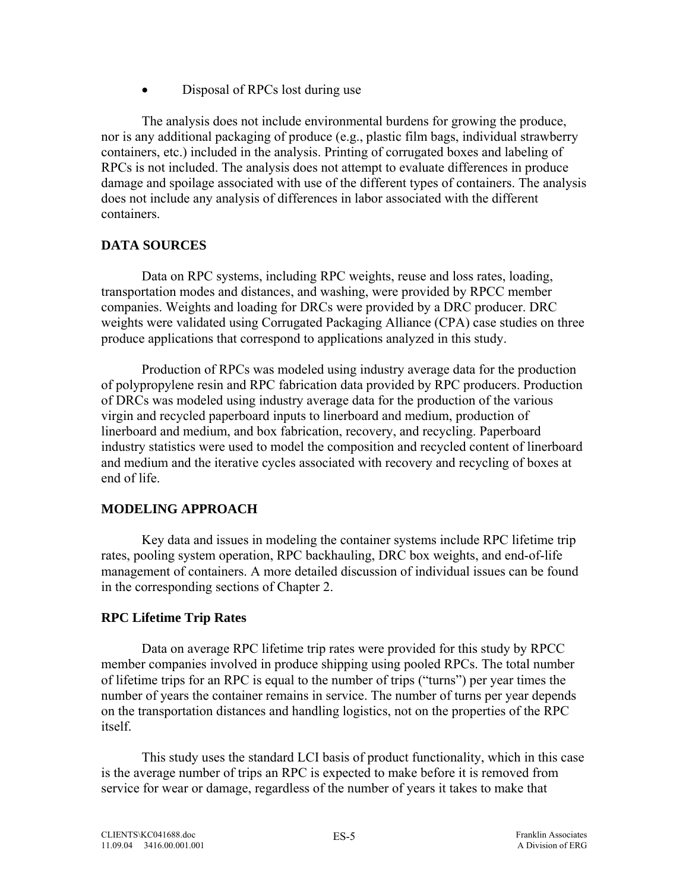• Disposal of RPCs lost during use

<span id="page-8-0"></span>The analysis does not include environmental burdens for growing the produce, nor is any additional packaging of produce (e.g., plastic film bags, individual strawberry containers, etc.) included in the analysis. Printing of corrugated boxes and labeling of RPCs is not included. The analysis does not attempt to evaluate differences in produce damage and spoilage associated with use of the different types of containers. The analysis does not include any analysis of differences in labor associated with the different containers.

## **DATA SOURCES**

Data on RPC systems, including RPC weights, reuse and loss rates, loading, transportation modes and distances, and washing, were provided by RPCC member companies. Weights and loading for DRCs were provided by a DRC producer. DRC weights were validated using Corrugated Packaging Alliance (CPA) case studies on three produce applications that correspond to applications analyzed in this study.

Production of RPCs was modeled using industry average data for the production of polypropylene resin and RPC fabrication data provided by RPC producers. Production of DRCs was modeled using industry average data for the production of the various virgin and recycled paperboard inputs to linerboard and medium, production of linerboard and medium, and box fabrication, recovery, and recycling. Paperboard industry statistics were used to model the composition and recycled content of linerboard and medium and the iterative cycles associated with recovery and recycling of boxes at end of life.

### **MODELING APPROACH**

 Key data and issues in modeling the container systems include RPC lifetime trip rates, pooling system operation, RPC backhauling, DRC box weights, and end-of-life management of containers. A more detailed discussion of individual issues can be found in the corresponding sections of Chapter 2.

## **RPC Lifetime Trip Rates**

Data on average RPC lifetime trip rates were provided for this study by RPCC member companies involved in produce shipping using pooled RPCs. The total number of lifetime trips for an RPC is equal to the number of trips ("turns") per year times the number of years the container remains in service. The number of turns per year depends on the transportation distances and handling logistics, not on the properties of the RPC itself.

This study uses the standard LCI basis of product functionality, which in this case is the average number of trips an RPC is expected to make before it is removed from service for wear or damage, regardless of the number of years it takes to make that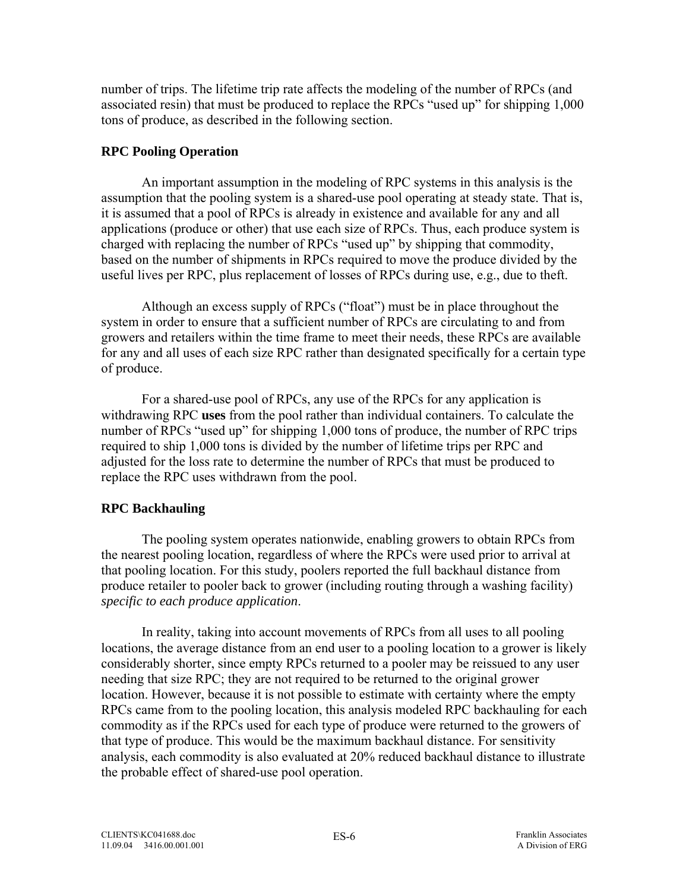<span id="page-9-0"></span>number of trips. The lifetime trip rate affects the modeling of the number of RPCs (and associated resin) that must be produced to replace the RPCs "used up" for shipping 1,000 tons of produce, as described in the following section.

### **RPC Pooling Operation**

An important assumption in the modeling of RPC systems in this analysis is the assumption that the pooling system is a shared-use pool operating at steady state. That is, it is assumed that a pool of RPCs is already in existence and available for any and all applications (produce or other) that use each size of RPCs. Thus, each produce system is charged with replacing the number of RPCs "used up" by shipping that commodity, based on the number of shipments in RPCs required to move the produce divided by the useful lives per RPC, plus replacement of losses of RPCs during use, e.g., due to theft.

Although an excess supply of RPCs ("float") must be in place throughout the system in order to ensure that a sufficient number of RPCs are circulating to and from growers and retailers within the time frame to meet their needs, these RPCs are available for any and all uses of each size RPC rather than designated specifically for a certain type of produce.

For a shared-use pool of RPCs, any use of the RPCs for any application is withdrawing RPC **uses** from the pool rather than individual containers. To calculate the number of RPCs "used up" for shipping 1,000 tons of produce, the number of RPC trips required to ship 1,000 tons is divided by the number of lifetime trips per RPC and adjusted for the loss rate to determine the number of RPCs that must be produced to replace the RPC uses withdrawn from the pool.

## **RPC Backhauling**

The pooling system operates nationwide, enabling growers to obtain RPCs from the nearest pooling location, regardless of where the RPCs were used prior to arrival at that pooling location. For this study, poolers reported the full backhaul distance from produce retailer to pooler back to grower (including routing through a washing facility) *specific to each produce application*.

In reality, taking into account movements of RPCs from all uses to all pooling locations, the average distance from an end user to a pooling location to a grower is likely considerably shorter, since empty RPCs returned to a pooler may be reissued to any user needing that size RPC; they are not required to be returned to the original grower location. However, because it is not possible to estimate with certainty where the empty RPCs came from to the pooling location, this analysis modeled RPC backhauling for each commodity as if the RPCs used for each type of produce were returned to the growers of that type of produce. This would be the maximum backhaul distance. For sensitivity analysis, each commodity is also evaluated at 20% reduced backhaul distance to illustrate the probable effect of shared-use pool operation.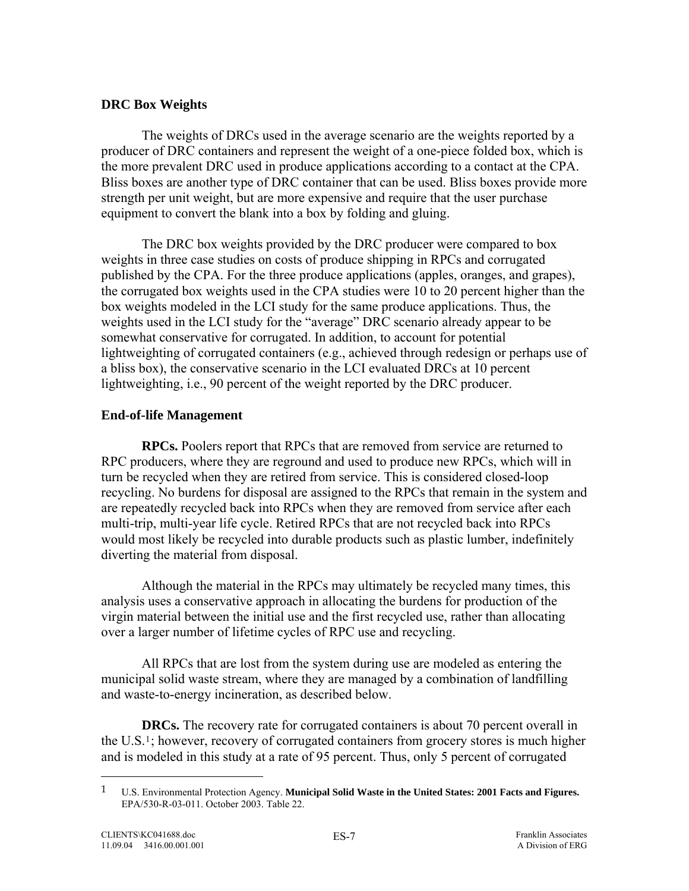### <span id="page-10-0"></span>**DRC Box Weights**

The weights of DRCs used in the average scenario are the weights reported by a producer of DRC containers and represent the weight of a one-piece folded box, which is the more prevalent DRC used in produce applications according to a contact at the CPA. Bliss boxes are another type of DRC container that can be used. Bliss boxes provide more strength per unit weight, but are more expensive and require that the user purchase equipment to convert the blank into a box by folding and gluing.

The DRC box weights provided by the DRC producer were compared to box weights in three case studies on costs of produce shipping in RPCs and corrugated published by the CPA. For the three produce applications (apples, oranges, and grapes), the corrugated box weights used in the CPA studies were 10 to 20 percent higher than the box weights modeled in the LCI study for the same produce applications. Thus, the weights used in the LCI study for the "average" DRC scenario already appear to be somewhat conservative for corrugated. In addition, to account for potential lightweighting of corrugated containers (e.g., achieved through redesign or perhaps use of a bliss box), the conservative scenario in the LCI evaluated DRCs at 10 percent lightweighting, i.e., 90 percent of the weight reported by the DRC producer.

## **End-of-life Management**

**RPCs.** Poolers report that RPCs that are removed from service are returned to RPC producers, where they are reground and used to produce new RPCs, which will in turn be recycled when they are retired from service. This is considered closed-loop recycling. No burdens for disposal are assigned to the RPCs that remain in the system and are repeatedly recycled back into RPCs when they are removed from service after each multi-trip, multi-year life cycle. Retired RPCs that are not recycled back into RPCs would most likely be recycled into durable products such as plastic lumber, indefinitely diverting the material from disposal.

Although the material in the RPCs may ultimately be recycled many times, this analysis uses a conservative approach in allocating the burdens for production of the virgin material between the initial use and the first recycled use, rather than allocating over a larger number of lifetime cycles of RPC use and recycling.

 All RPCs that are lost from the system during use are modeled as entering the municipal solid waste stream, where they are managed by a combination of landfilling and waste-to-energy incineration, as described below.

**DRCs.** The recovery rate for corrugated containers is about 70 percent overall in the U.S[.1](#page-10-0); however, recovery of corrugated containers from grocery stores is much higher and is modeled in this study at a rate of 95 percent. Thus, only 5 percent of corrugated

 $\overline{a}$ 

<sup>1</sup> U.S. Environmental Protection Agency. **Municipal Solid Waste in the United States: 2001 Facts and Figures.**  EPA/530-R-03-011. October 2003. Table 22.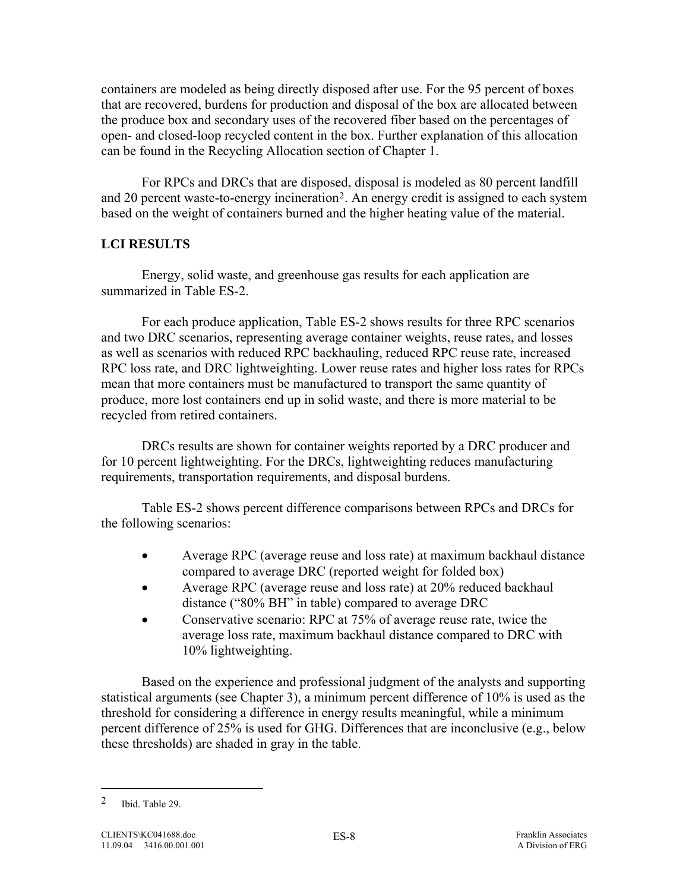<span id="page-11-0"></span>containers are modeled as being directly disposed after use. For the 95 percent of boxes that are recovered, burdens for production and disposal of the box are allocated between the produce box and secondary uses of the recovered fiber based on the percentages of open- and closed-loop recycled content in the box. Further explanation of this allocation can be found in the Recycling Allocation section of Chapter 1.

 For RPCs and DRCs that are disposed, disposal is modeled as 80 percent landfill and 20 percent waste-to-energy incineration[2](#page-11-0). An energy credit is assigned to each system based on the weight of containers burned and the higher heating value of the material.

## **LCI RESULTS**

Energy, solid waste, and greenhouse gas results for each application are summarized in Table ES-2.

For each produce application, Table ES-2 shows results for three RPC scenarios and two DRC scenarios, representing average container weights, reuse rates, and losses as well as scenarios with reduced RPC backhauling, reduced RPC reuse rate, increased RPC loss rate, and DRC lightweighting. Lower reuse rates and higher loss rates for RPCs mean that more containers must be manufactured to transport the same quantity of produce, more lost containers end up in solid waste, and there is more material to be recycled from retired containers.

DRCs results are shown for container weights reported by a DRC producer and for 10 percent lightweighting. For the DRCs, lightweighting reduces manufacturing requirements, transportation requirements, and disposal burdens.

Table ES-2 shows percent difference comparisons between RPCs and DRCs for the following scenarios:

- Average RPC (average reuse and loss rate) at maximum backhaul distance compared to average DRC (reported weight for folded box)
- Average RPC (average reuse and loss rate) at 20% reduced backhaul distance ("80% BH" in table) compared to average DRC
- Conservative scenario: RPC at 75% of average reuse rate, twice the average loss rate, maximum backhaul distance compared to DRC with 10% lightweighting.

Based on the experience and professional judgment of the analysts and supporting statistical arguments (see Chapter 3), a minimum percent difference of 10% is used as the threshold for considering a difference in energy results meaningful, while a minimum percent difference of 25% is used for GHG. Differences that are inconclusive (e.g., below these thresholds) are shaded in gray in the table.

 $\overline{a}$ 

<sup>2</sup> Ibid. Table 29.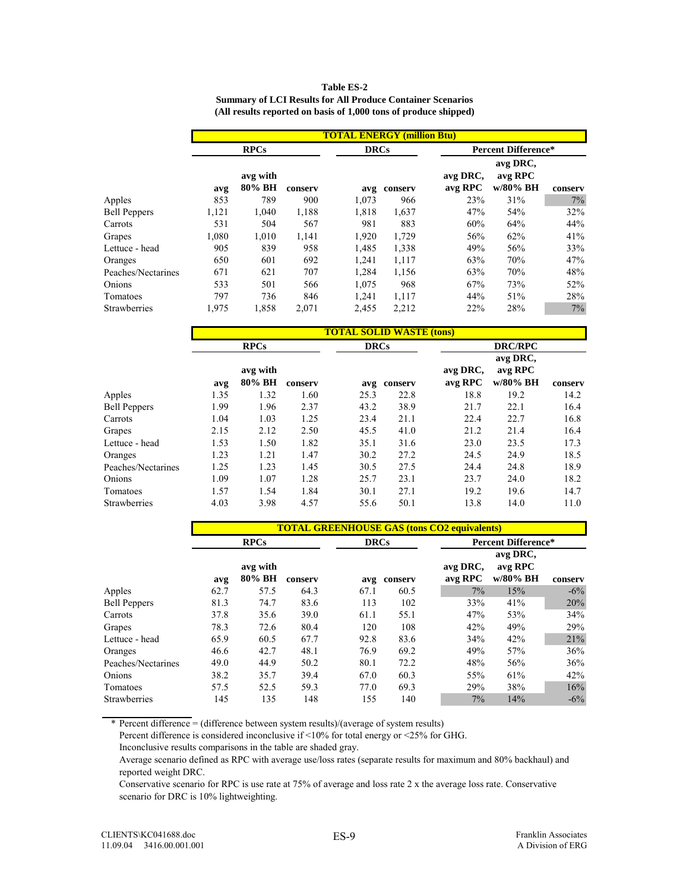|                     |                                   |                    |         | (All results reported on basis of 1,000 tons of produce shipped) |         |                            |                                 |         |  |  |
|---------------------|-----------------------------------|--------------------|---------|------------------------------------------------------------------|---------|----------------------------|---------------------------------|---------|--|--|
|                     | <b>TOTAL ENERGY (million Btu)</b> |                    |         |                                                                  |         |                            |                                 |         |  |  |
|                     |                                   | <b>RPCs</b>        |         | <b>DRCs</b>                                                      |         | <b>Percent Difference*</b> |                                 |         |  |  |
|                     | avg                               | avg with<br>80% BH | conserv | avg                                                              | conserv | avg DRC,<br>avg RPC        | avg DRC,<br>avg RPC<br>w/80% BH | conserv |  |  |
| Apples              | 853                               | 789                | 900     | 1.073                                                            | 966     | 23%                        | 31%                             | $7\%$   |  |  |
| <b>Bell Peppers</b> | 1,121                             | 1.040              | 1,188   | 1,818                                                            | 1,637   | 47%                        | 54%                             | 32%     |  |  |
| Carrots             | 531                               | 504                | 567     | 981                                                              | 883     | 60%                        | 64%                             | 44%     |  |  |
| Grapes              | 1.080                             | 1.010              | 1,141   | 1.920                                                            | 1.729   | 56%                        | 62%                             | 41%     |  |  |
| Lettuce - head      | 905                               | 839                | 958     | 1.485                                                            | 1,338   | 49%                        | 56%                             | 33%     |  |  |
| Oranges             | 650                               | 601                | 692     | 1,241                                                            | 1,117   | 63%                        | 70%                             | 47%     |  |  |
| Peaches/Nectarines  | 671                               | 621                | 707     | 1.284                                                            | 1,156   | 63%                        | 70%                             | 48%     |  |  |

Onions 533 501 566 1,075 968 67% 73% 52% Tomatoes 797 736 846 1,241 1,117 44% 51% 28% Strawberries 1,975 1,858 2,071 2,455 2,212 22% 28% 7%

| <b>Table ES-2</b>                                                 |
|-------------------------------------------------------------------|
| <b>Summary of LCI Results for All Produce Container Scenarios</b> |
| (All results reported on basis of 1,000 tons of produce shipped)  |

|                     |      |                    |         | <b>TOTAL SOLID WASTE (tons)</b> |         |                     |                                 |         |
|---------------------|------|--------------------|---------|---------------------------------|---------|---------------------|---------------------------------|---------|
|                     |      | <b>RPCs</b>        |         | <b>DRCs</b>                     |         | <b>DRC/RPC</b>      |                                 |         |
|                     | avg  | avg with<br>80% BH | conserv | avg                             | conserv | avg DRC,<br>avg RPC | avg DRC,<br>avg RPC<br>w/80% BH | conserv |
| Apples              | 1.35 | 1.32               | 1.60    | 25.3                            | 22.8    | 18.8                | 19.2                            | 14.2    |
| <b>Bell Peppers</b> | 1.99 | 1.96               | 2.37    | 43.2                            | 38.9    | 21.7                | 22.1                            | 16.4    |
| Carrots             | 1.04 | 1.03               | 1.25    | 23.4                            | 21.1    | 22.4                | 22.7                            | 16.8    |
| Grapes              | 2.15 | 2.12               | 2.50    | 45.5                            | 41.0    | 21.2                | 21.4                            | 16.4    |
| Lettuce - head      | 1.53 | 1.50               | 1.82    | 35.1                            | 31.6    | 23.0                | 23.5                            | 17.3    |
| Oranges             | 1.23 | 1.21               | 1.47    | 30.2                            | 27.2    | 24.5                | 24.9                            | 18.5    |
| Peaches/Nectarines  | 1.25 | 1.23               | 1.45    | 30.5                            | 27.5    | 24.4                | 24.8                            | 18.9    |
| Onions              | 1.09 | 1.07               | 1.28    | 25.7                            | 23.1    | 23.7                | 24.0                            | 18.2    |
| Tomatoes            | 1.57 | 1.54               | 1.84    | 30.1                            | 27.1    | 19.2                | 19.6                            | 14.7    |
| Strawberries        | 4.03 | 3.98               | 4.57    | 55.6                            | 50.1    | 13.8                | 14.0                            | 11.0    |

|                     |      |                    |         | <b>TOTAL GREENHOUSE GAS (tons CO2 equivalents)</b> |             |                     |                                 |         |  |
|---------------------|------|--------------------|---------|----------------------------------------------------|-------------|---------------------|---------------------------------|---------|--|
|                     |      | <b>RPCs</b>        |         |                                                    | <b>DRCs</b> |                     | <b>Percent Difference*</b>      |         |  |
|                     | avg  | avg with<br>80% BH | conserv | avg                                                | conserv     | avg DRC,<br>avg RPC | avg DRC,<br>avg RPC<br>w/80% BH | conserv |  |
| Apples              | 62.7 | 57.5               | 64.3    | 67.1                                               | 60.5        | 7%                  | 15%                             | $-6\%$  |  |
| <b>Bell Peppers</b> | 81.3 | 74.7               | 83.6    | 113                                                | 102         | 33%                 | 41%                             | 20%     |  |
| Carrots             | 37.8 | 35.6               | 39.0    | 61.1                                               | 55.1        | 47%                 | 53%                             | 34%     |  |
| Grapes              | 78.3 | 72.6               | 80.4    | 120                                                | 108         | 42%                 | 49%                             | 29%     |  |
| Lettuce - head      | 65.9 | 60.5               | 67.7    | 92.8                                               | 83.6        | 34%                 | 42%                             | 21%     |  |
| Oranges             | 46.6 | 42.7               | 48.1    | 76.9                                               | 69.2        | 49%                 | 57%                             | 36%     |  |
| Peaches/Nectarines  | 49.0 | 44.9               | 50.2    | 80.1                                               | 72.2        | 48%                 | 56%                             | 36%     |  |
| Onions              | 38.2 | 35.7               | 39.4    | 67.0                                               | 60.3        | 55%                 | 61%                             | 42%     |  |
| Tomatoes            | 57.5 | 52.5               | 59.3    | 77.0                                               | 69.3        | 29%                 | 38%                             | 16%     |  |
| <b>Strawberries</b> | 145  | 135                | 148     | 155                                                | 140         | 7%                  | 14%                             | $-6\%$  |  |

\* Percent difference = (difference between system results)/(average of system results)

Percent difference is considered inconclusive if <10% for total energy or <25% for GHG.

Inconclusive results comparisons in the table are shaded gray.

Average scenario defined as RPC with average use/loss rates (separate results for maximum and 80% backhaul) and reported weight DRC.

Conservative scenario for RPC is use rate at 75% of average and loss rate 2 x the average loss rate. Conservative scenario for DRC is 10% lightweighting.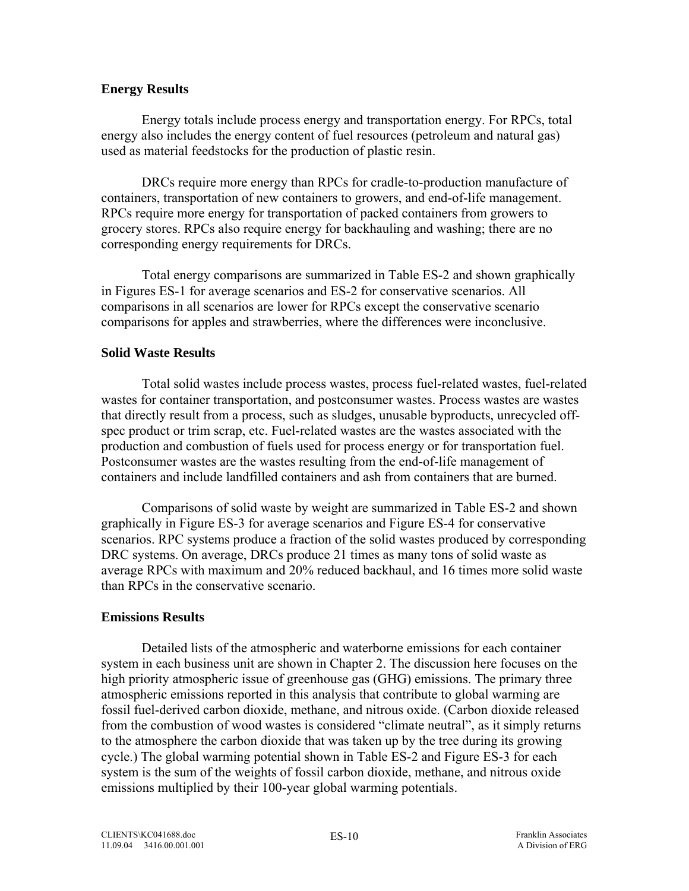### <span id="page-13-0"></span>**Energy Results**

Energy totals include process energy and transportation energy. For RPCs, total energy also includes the energy content of fuel resources (petroleum and natural gas) used as material feedstocks for the production of plastic resin.

DRCs require more energy than RPCs for cradle-to-production manufacture of containers, transportation of new containers to growers, and end-of-life management. RPCs require more energy for transportation of packed containers from growers to grocery stores. RPCs also require energy for backhauling and washing; there are no corresponding energy requirements for DRCs.

Total energy comparisons are summarized in Table ES-2 and shown graphically in Figures ES-1 for average scenarios and ES-2 for conservative scenarios. All comparisons in all scenarios are lower for RPCs except the conservative scenario comparisons for apples and strawberries, where the differences were inconclusive.

### **Solid Waste Results**

Total solid wastes include process wastes, process fuel-related wastes, fuel-related wastes for container transportation, and postconsumer wastes. Process wastes are wastes that directly result from a process, such as sludges, unusable byproducts, unrecycled offspec product or trim scrap, etc. Fuel-related wastes are the wastes associated with the production and combustion of fuels used for process energy or for transportation fuel. Postconsumer wastes are the wastes resulting from the end-of-life management of containers and include landfilled containers and ash from containers that are burned.

Comparisons of solid waste by weight are summarized in Table ES-2 and shown graphically in Figure ES-3 for average scenarios and Figure ES-4 for conservative scenarios. RPC systems produce a fraction of the solid wastes produced by corresponding DRC systems. On average, DRCs produce 21 times as many tons of solid waste as average RPCs with maximum and 20% reduced backhaul, and 16 times more solid waste than RPCs in the conservative scenario.

### **Emissions Results**

Detailed lists of the atmospheric and waterborne emissions for each container system in each business unit are shown in Chapter 2. The discussion here focuses on the high priority atmospheric issue of greenhouse gas (GHG) emissions. The primary three atmospheric emissions reported in this analysis that contribute to global warming are fossil fuel-derived carbon dioxide, methane, and nitrous oxide. (Carbon dioxide released from the combustion of wood wastes is considered "climate neutral", as it simply returns to the atmosphere the carbon dioxide that was taken up by the tree during its growing cycle.) The global warming potential shown in Table ES-2 and Figure ES-3 for each system is the sum of the weights of fossil carbon dioxide, methane, and nitrous oxide emissions multiplied by their 100-year global warming potentials.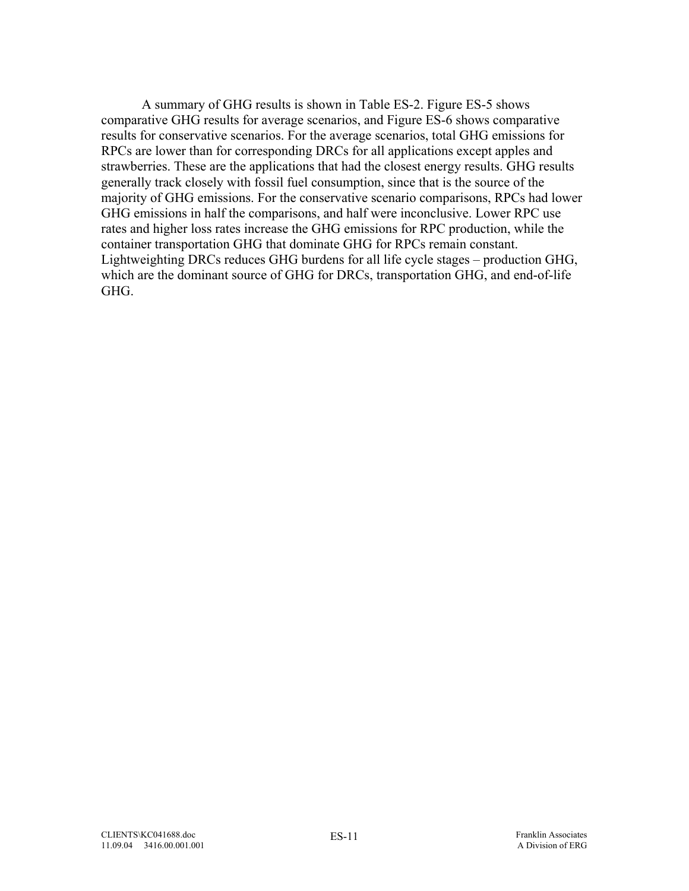A summary of GHG results is shown in Table ES-2. Figure ES-5 shows comparative GHG results for average scenarios, and Figure ES-6 shows comparative results for conservative scenarios. For the average scenarios, total GHG emissions for RPCs are lower than for corresponding DRCs for all applications except apples and strawberries. These are the applications that had the closest energy results. GHG results generally track closely with fossil fuel consumption, since that is the source of the majority of GHG emissions. For the conservative scenario comparisons, RPCs had lower GHG emissions in half the comparisons, and half were inconclusive. Lower RPC use rates and higher loss rates increase the GHG emissions for RPC production, while the container transportation GHG that dominate GHG for RPCs remain constant. Lightweighting DRCs reduces GHG burdens for all life cycle stages – production GHG, which are the dominant source of GHG for DRCs, transportation GHG, and end-of-life GHG.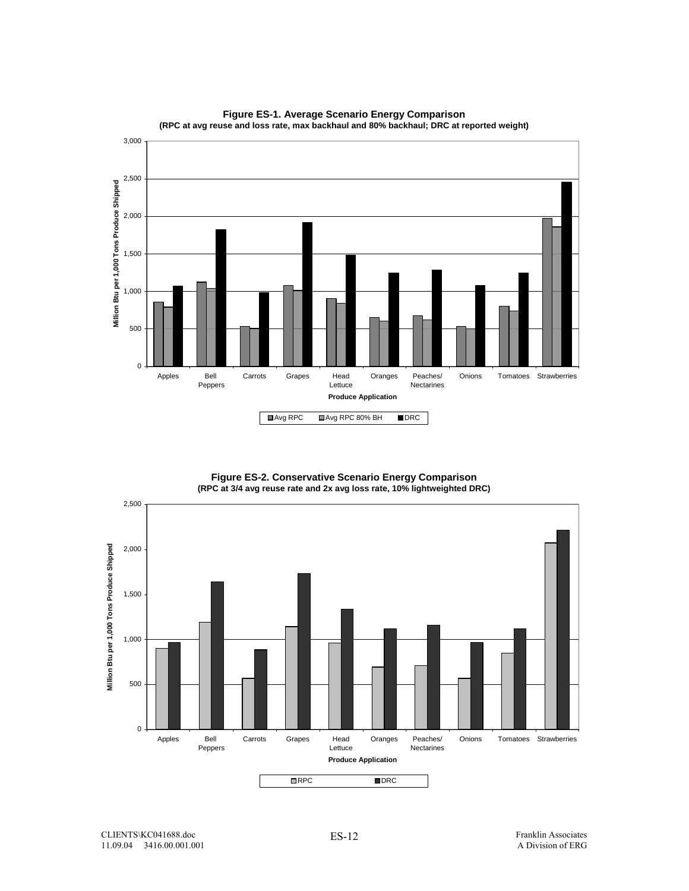

**Figure ES-1. Average Scenario Energy Comparison (RPC at avg reuse and loss rate, max backhaul and 80% backhaul; DRC at reported weight)**

> **Figure ES-2. Conservative Scenario Energy Comparison (RPC at 3/4 avg reuse rate and 2x avg loss rate, 10% lightweighted DRC)**

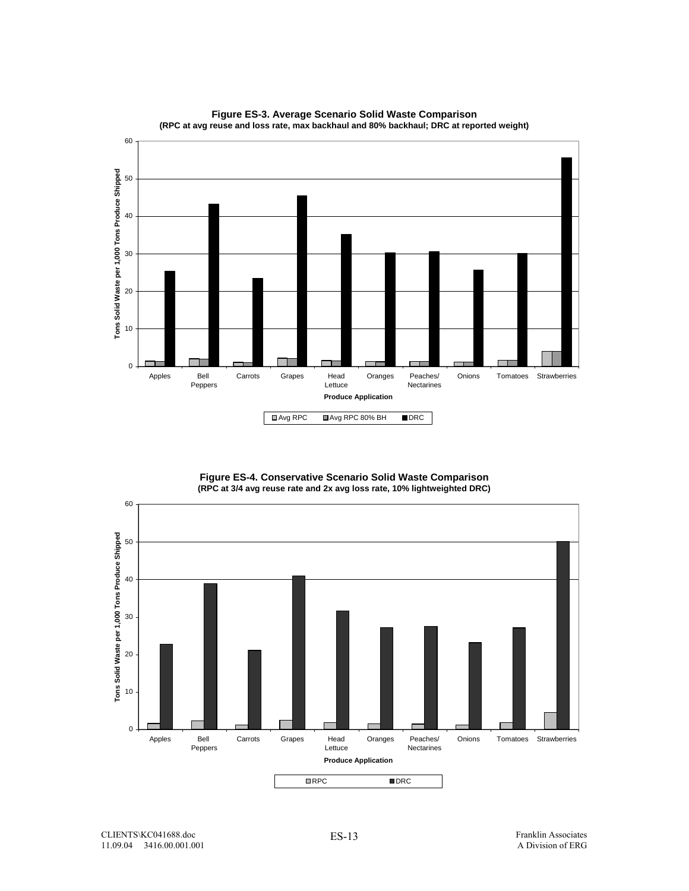

**Figure ES-3. Average Scenario Solid Waste Comparison (RPC at avg reuse and loss rate, max backhaul and 80% backhaul; DRC at reported weight)**

**Figure ES-4. Conservative Scenario Solid Waste Comparison (RPC at 3/4 avg reuse rate and 2x avg loss rate, 10% lightweighted DRC)**

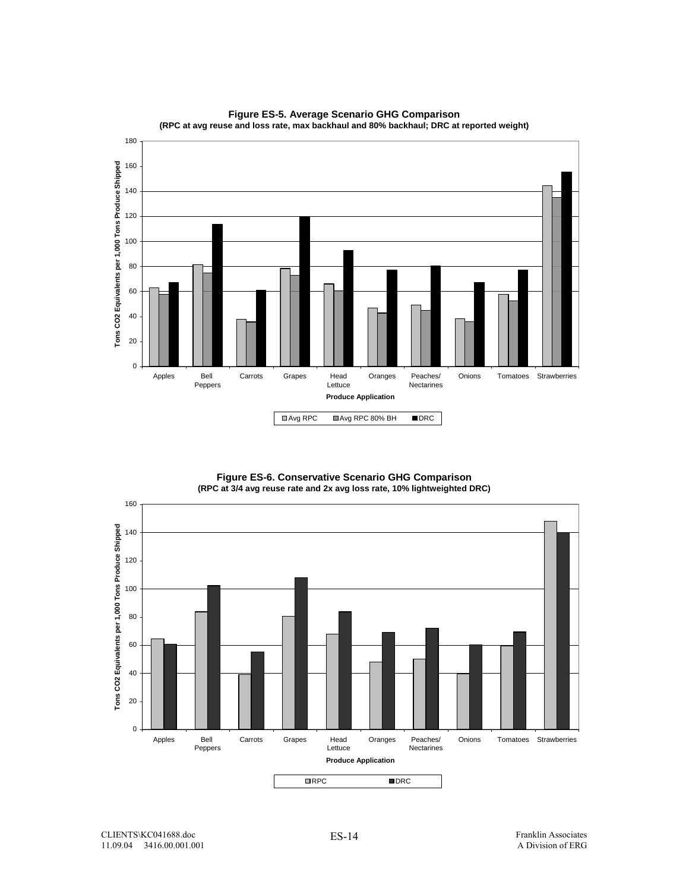

**Figure ES-5. Average Scenario GHG Comparison (RPC at avg reuse and loss rate, max backhaul and 80% backhaul; DRC at reported weight)**

> **Figure ES-6. Conservative Scenario GHG Comparison (RPC at 3/4 avg reuse rate and 2x avg loss rate, 10% lightweighted DRC)**

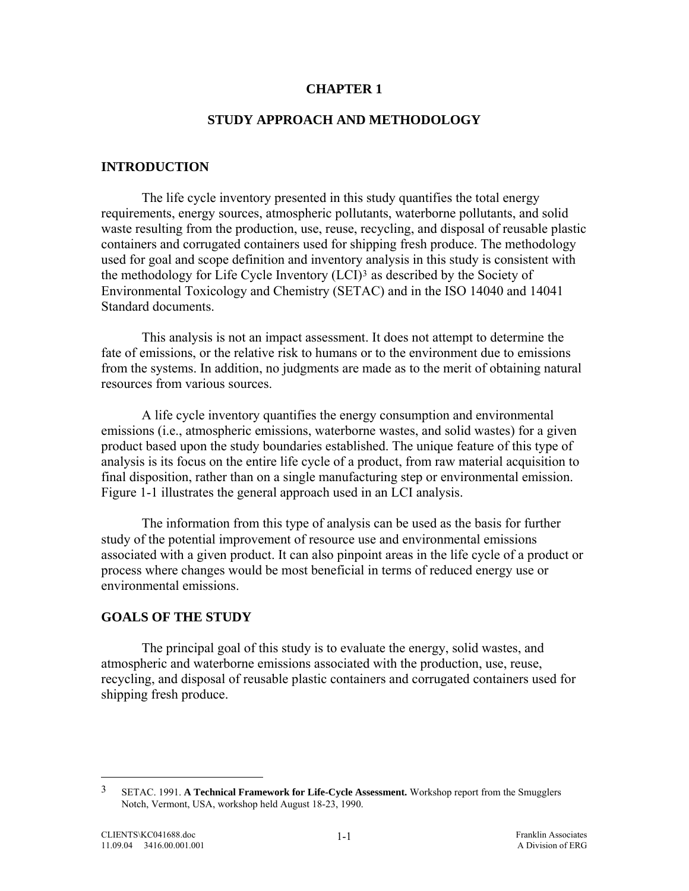#### **CHAPTER 1**

### **STUDY APPROACH AND METHODOLOGY**

### <span id="page-18-0"></span>**INTRODUCTION**

 The life cycle inventory presented in this study quantifies the total energy requirements, energy sources, atmospheric pollutants, waterborne pollutants, and solid waste resulting from the production, use, reuse, recycling, and disposal of reusable plastic containers and corrugated containers used for shipping fresh produce. The methodology used for goal and scope definition and inventory analysis in this study is consistent with the methodology for Life Cycle Inventory (LCI[\)3](#page-18-0) as described by the Society of Environmental Toxicology and Chemistry (SETAC) and in the ISO 14040 and 14041 Standard documents.

 This analysis is not an impact assessment. It does not attempt to determine the fate of emissions, or the relative risk to humans or to the environment due to emissions from the systems. In addition, no judgments are made as to the merit of obtaining natural resources from various sources.

 A life cycle inventory quantifies the energy consumption and environmental emissions (i.e., atmospheric emissions, waterborne wastes, and solid wastes) for a given product based upon the study boundaries established. The unique feature of this type of analysis is its focus on the entire life cycle of a product, from raw material acquisition to final disposition, rather than on a single manufacturing step or environmental emission. Figure 1-1 illustrates the general approach used in an LCI analysis.

 The information from this type of analysis can be used as the basis for further study of the potential improvement of resource use and environmental emissions associated with a given product. It can also pinpoint areas in the life cycle of a product or process where changes would be most beneficial in terms of reduced energy use or environmental emissions.

#### **GOALS OF THE STUDY**

 The principal goal of this study is to evaluate the energy, solid wastes, and atmospheric and waterborne emissions associated with the production, use, reuse, recycling, and disposal of reusable plastic containers and corrugated containers used for shipping fresh produce.

 $\overline{a}$ 

<sup>3</sup> SETAC. 1991. **A Technical Framework for Life-Cycle Assessment.** Workshop report from the Smugglers Notch, Vermont, USA, workshop held August 18-23, 1990.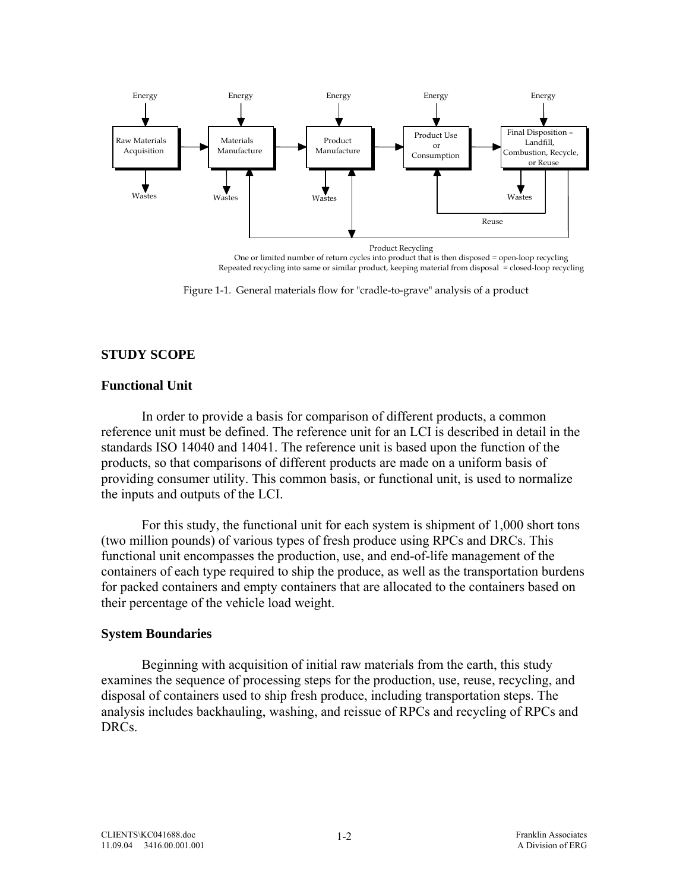<span id="page-19-0"></span>

Repeated recycling into same or similar product, keeping material from disposal = closed-loop recycling

Figure 1-1. General materials flow for "cradle-to-grave" analysis of a product

## **STUDY SCOPE**

### **Functional Unit**

In order to provide a basis for comparison of different products, a common reference unit must be defined. The reference unit for an LCI is described in detail in the standards ISO 14040 and 14041. The reference unit is based upon the function of the products, so that comparisons of different products are made on a uniform basis of providing consumer utility. This common basis, or functional unit, is used to normalize the inputs and outputs of the LCI.

For this study, the functional unit for each system is shipment of 1,000 short tons (two million pounds) of various types of fresh produce using RPCs and DRCs. This functional unit encompasses the production, use, and end-of-life management of the containers of each type required to ship the produce, as well as the transportation burdens for packed containers and empty containers that are allocated to the containers based on their percentage of the vehicle load weight.

### **System Boundaries**

Beginning with acquisition of initial raw materials from the earth, this study examines the sequence of processing steps for the production, use, reuse, recycling, and disposal of containers used to ship fresh produce, including transportation steps. The analysis includes backhauling, washing, and reissue of RPCs and recycling of RPCs and DRCs.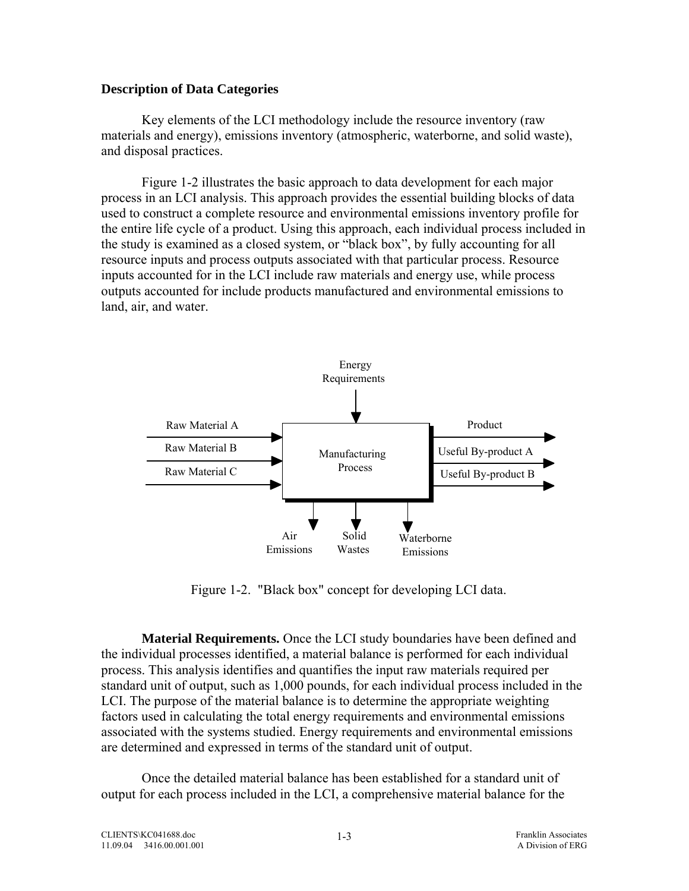#### <span id="page-20-0"></span>**Description of Data Categories**

Key elements of the LCI methodology include the resource inventory (raw materials and energy), emissions inventory (atmospheric, waterborne, and solid waste), and disposal practices.

Figure 1-2 illustrates the basic approach to data development for each major process in an LCI analysis. This approach provides the essential building blocks of data used to construct a complete resource and environmental emissions inventory profile for the entire life cycle of a product. Using this approach, each individual process included in the study is examined as a closed system, or "black box", by fully accounting for all resource inputs and process outputs associated with that particular process. Resource inputs accounted for in the LCI include raw materials and energy use, while process outputs accounted for include products manufactured and environmental emissions to land, air, and water.



Figure 1-2. "Black box" concept for developing LCI data.

**Material Requirements.** Once the LCI study boundaries have been defined and the individual processes identified, a material balance is performed for each individual process. This analysis identifies and quantifies the input raw materials required per standard unit of output, such as 1,000 pounds, for each individual process included in the LCI. The purpose of the material balance is to determine the appropriate weighting factors used in calculating the total energy requirements and environmental emissions associated with the systems studied. Energy requirements and environmental emissions are determined and expressed in terms of the standard unit of output.

 Once the detailed material balance has been established for a standard unit of output for each process included in the LCI, a comprehensive material balance for the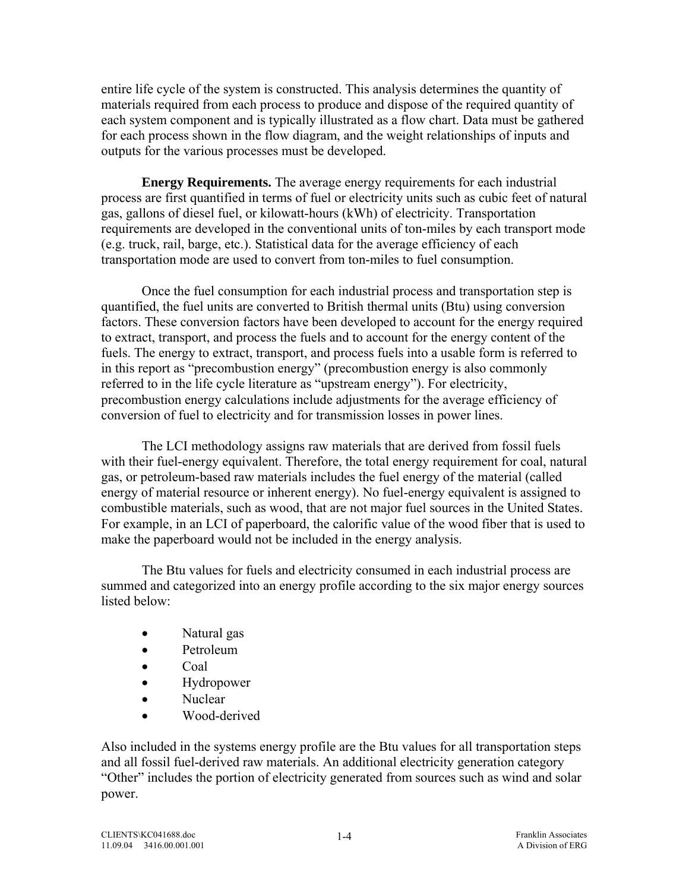entire life cycle of the system is constructed. This analysis determines the quantity of materials required from each process to produce and dispose of the required quantity of each system component and is typically illustrated as a flow chart. Data must be gathered for each process shown in the flow diagram, and the weight relationships of inputs and outputs for the various processes must be developed.

**Energy Requirements.** The average energy requirements for each industrial process are first quantified in terms of fuel or electricity units such as cubic feet of natural gas, gallons of diesel fuel, or kilowatt-hours (kWh) of electricity. Transportation requirements are developed in the conventional units of ton-miles by each transport mode (e.g. truck, rail, barge, etc.). Statistical data for the average efficiency of each transportation mode are used to convert from ton-miles to fuel consumption.

Once the fuel consumption for each industrial process and transportation step is quantified, the fuel units are converted to British thermal units (Btu) using conversion factors. These conversion factors have been developed to account for the energy required to extract, transport, and process the fuels and to account for the energy content of the fuels. The energy to extract, transport, and process fuels into a usable form is referred to in this report as "precombustion energy" (precombustion energy is also commonly referred to in the life cycle literature as "upstream energy"). For electricity, precombustion energy calculations include adjustments for the average efficiency of conversion of fuel to electricity and for transmission losses in power lines.

The LCI methodology assigns raw materials that are derived from fossil fuels with their fuel-energy equivalent. Therefore, the total energy requirement for coal, natural gas, or petroleum-based raw materials includes the fuel energy of the material (called energy of material resource or inherent energy). No fuel-energy equivalent is assigned to combustible materials, such as wood, that are not major fuel sources in the United States. For example, in an LCI of paperboard, the calorific value of the wood fiber that is used to make the paperboard would not be included in the energy analysis.

The Btu values for fuels and electricity consumed in each industrial process are summed and categorized into an energy profile according to the six major energy sources listed below:

- Natural gas
- Petroleum
- Coal
- Hydropower
- Nuclear
- Wood-derived

Also included in the systems energy profile are the Btu values for all transportation steps and all fossil fuel-derived raw materials. An additional electricity generation category "Other" includes the portion of electricity generated from sources such as wind and solar power.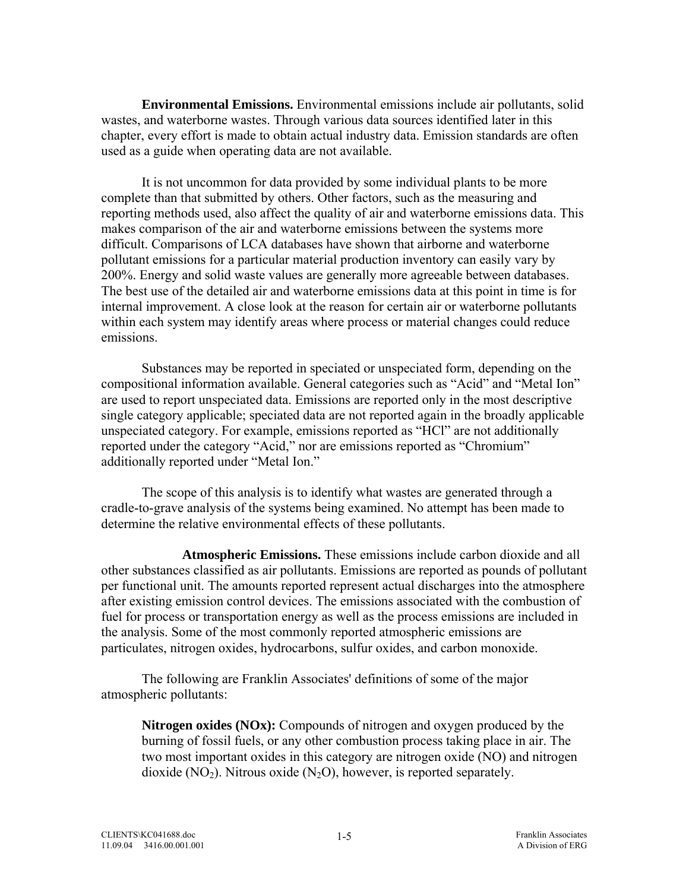**Environmental Emissions.** Environmental emissions include air pollutants, solid wastes, and waterborne wastes. Through various data sources identified later in this chapter, every effort is made to obtain actual industry data. Emission standards are often used as a guide when operating data are not available.

 It is not uncommon for data provided by some individual plants to be more complete than that submitted by others. Other factors, such as the measuring and reporting methods used, also affect the quality of air and waterborne emissions data. This makes comparison of the air and waterborne emissions between the systems more difficult. Comparisons of LCA databases have shown that airborne and waterborne pollutant emissions for a particular material production inventory can easily vary by 200%. Energy and solid waste values are generally more agreeable between databases. The best use of the detailed air and waterborne emissions data at this point in time is for internal improvement. A close look at the reason for certain air or waterborne pollutants within each system may identify areas where process or material changes could reduce emissions.

Substances may be reported in speciated or unspeciated form, depending on the compositional information available. General categories such as "Acid" and "Metal Ion" are used to report unspeciated data. Emissions are reported only in the most descriptive single category applicable; speciated data are not reported again in the broadly applicable unspeciated category. For example, emissions reported as "HCl" are not additionally reported under the category "Acid," nor are emissions reported as "Chromium" additionally reported under "Metal Ion."

The scope of this analysis is to identify what wastes are generated through a cradle-to-grave analysis of the systems being examined. No attempt has been made to determine the relative environmental effects of these pollutants.

 **Atmospheric Emissions.** These emissions include carbon dioxide and all other substances classified as air pollutants. Emissions are reported as pounds of pollutant per functional unit. The amounts reported represent actual discharges into the atmosphere after existing emission control devices. The emissions associated with the combustion of fuel for process or transportation energy as well as the process emissions are included in the analysis. Some of the most commonly reported atmospheric emissions are particulates, nitrogen oxides, hydrocarbons, sulfur oxides, and carbon monoxide.

 The following are Franklin Associates' definitions of some of the major atmospheric pollutants:

**Nitrogen oxides (NOx):** Compounds of nitrogen and oxygen produced by the burning of fossil fuels, or any other combustion process taking place in air. The two most important oxides in this category are nitrogen oxide (NO) and nitrogen dioxide (NO<sub>2</sub>). Nitrous oxide (N<sub>2</sub>O), however, is reported separately.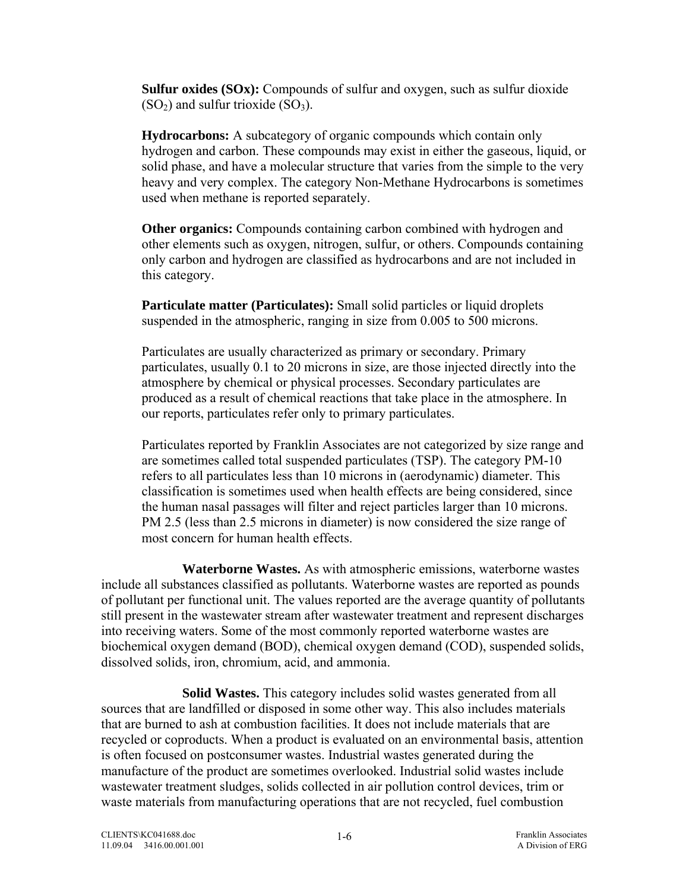**Sulfur oxides (SOx):** Compounds of sulfur and oxygen, such as sulfur dioxide  $(SO<sub>2</sub>)$  and sulfur trioxide  $(SO<sub>3</sub>)$ .

**Hydrocarbons:** A subcategory of organic compounds which contain only hydrogen and carbon. These compounds may exist in either the gaseous, liquid, or solid phase, and have a molecular structure that varies from the simple to the very heavy and very complex. The category Non-Methane Hydrocarbons is sometimes used when methane is reported separately.

**Other organics:** Compounds containing carbon combined with hydrogen and other elements such as oxygen, nitrogen, sulfur, or others. Compounds containing only carbon and hydrogen are classified as hydrocarbons and are not included in this category.

**Particulate matter (Particulates):** Small solid particles or liquid droplets suspended in the atmospheric, ranging in size from 0.005 to 500 microns.

Particulates are usually characterized as primary or secondary. Primary particulates, usually 0.1 to 20 microns in size, are those injected directly into the atmosphere by chemical or physical processes. Secondary particulates are produced as a result of chemical reactions that take place in the atmosphere. In our reports, particulates refer only to primary particulates.

Particulates reported by Franklin Associates are not categorized by size range and are sometimes called total suspended particulates (TSP). The category PM-10 refers to all particulates less than 10 microns in (aerodynamic) diameter. This classification is sometimes used when health effects are being considered, since the human nasal passages will filter and reject particles larger than 10 microns. PM 2.5 (less than 2.5 microns in diameter) is now considered the size range of most concern for human health effects.

 **Waterborne Wastes.** As with atmospheric emissions, waterborne wastes include all substances classified as pollutants. Waterborne wastes are reported as pounds of pollutant per functional unit. The values reported are the average quantity of pollutants still present in the wastewater stream after wastewater treatment and represent discharges into receiving waters. Some of the most commonly reported waterborne wastes are biochemical oxygen demand (BOD), chemical oxygen demand (COD), suspended solids, dissolved solids, iron, chromium, acid, and ammonia.

 **Solid Wastes.** This category includes solid wastes generated from all sources that are landfilled or disposed in some other way. This also includes materials that are burned to ash at combustion facilities. It does not include materials that are recycled or coproducts. When a product is evaluated on an environmental basis, attention is often focused on postconsumer wastes. Industrial wastes generated during the manufacture of the product are sometimes overlooked. Industrial solid wastes include wastewater treatment sludges, solids collected in air pollution control devices, trim or waste materials from manufacturing operations that are not recycled, fuel combustion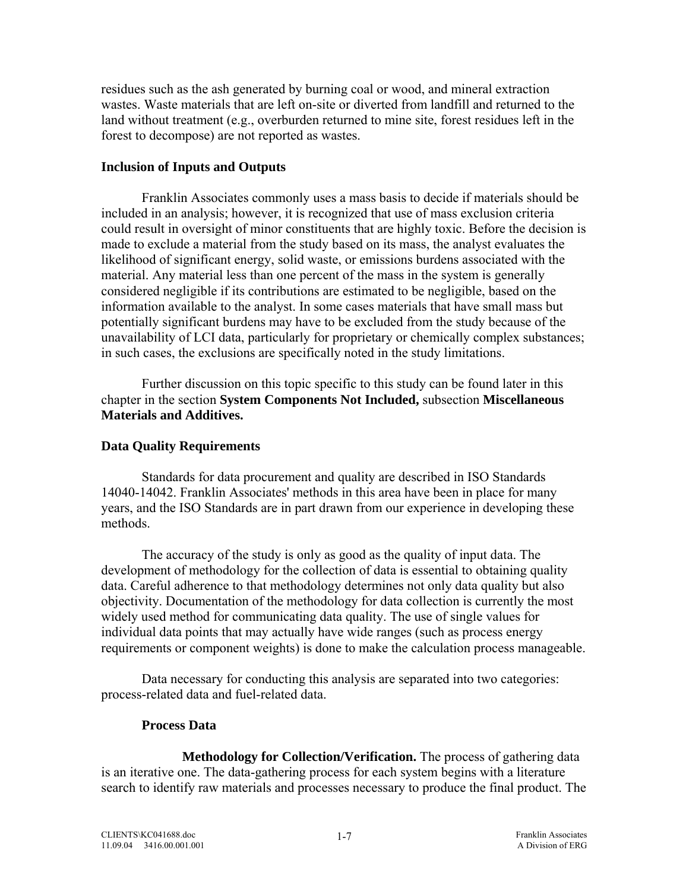<span id="page-24-0"></span>residues such as the ash generated by burning coal or wood, and mineral extraction wastes. Waste materials that are left on-site or diverted from landfill and returned to the land without treatment (e.g., overburden returned to mine site, forest residues left in the forest to decompose) are not reported as wastes.

### **Inclusion of Inputs and Outputs**

 Franklin Associates commonly uses a mass basis to decide if materials should be included in an analysis; however, it is recognized that use of mass exclusion criteria could result in oversight of minor constituents that are highly toxic. Before the decision is made to exclude a material from the study based on its mass, the analyst evaluates the likelihood of significant energy, solid waste, or emissions burdens associated with the material. Any material less than one percent of the mass in the system is generally considered negligible if its contributions are estimated to be negligible, based on the information available to the analyst. In some cases materials that have small mass but potentially significant burdens may have to be excluded from the study because of the unavailability of LCI data, particularly for proprietary or chemically complex substances; in such cases, the exclusions are specifically noted in the study limitations.

 Further discussion on this topic specific to this study can be found later in this chapter in the section **System Components Not Included,** subsection **Miscellaneous Materials and Additives.**

### **Data Quality Requirements**

 Standards for data procurement and quality are described in ISO Standards 14040-14042. Franklin Associates' methods in this area have been in place for many years, and the ISO Standards are in part drawn from our experience in developing these methods.

The accuracy of the study is only as good as the quality of input data. The development of methodology for the collection of data is essential to obtaining quality data. Careful adherence to that methodology determines not only data quality but also objectivity. Documentation of the methodology for data collection is currently the most widely used method for communicating data quality. The use of single values for individual data points that may actually have wide ranges (such as process energy requirements or component weights) is done to make the calculation process manageable.

 Data necessary for conducting this analysis are separated into two categories: process-related data and fuel-related data.

### **Process Data**

**Methodology for Collection/Verification.** The process of gathering data is an iterative one. The data-gathering process for each system begins with a literature search to identify raw materials and processes necessary to produce the final product. The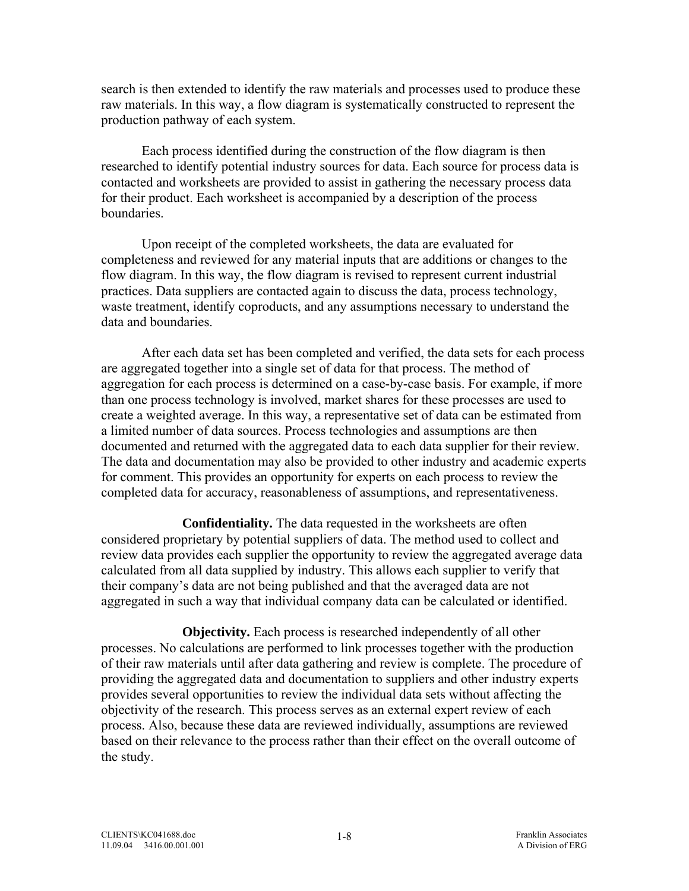search is then extended to identify the raw materials and processes used to produce these raw materials. In this way, a flow diagram is systematically constructed to represent the production pathway of each system.

 Each process identified during the construction of the flow diagram is then researched to identify potential industry sources for data. Each source for process data is contacted and worksheets are provided to assist in gathering the necessary process data for their product. Each worksheet is accompanied by a description of the process **boundaries** 

 Upon receipt of the completed worksheets, the data are evaluated for completeness and reviewed for any material inputs that are additions or changes to the flow diagram. In this way, the flow diagram is revised to represent current industrial practices. Data suppliers are contacted again to discuss the data, process technology, waste treatment, identify coproducts, and any assumptions necessary to understand the data and boundaries.

 After each data set has been completed and verified, the data sets for each process are aggregated together into a single set of data for that process. The method of aggregation for each process is determined on a case-by-case basis. For example, if more than one process technology is involved, market shares for these processes are used to create a weighted average. In this way, a representative set of data can be estimated from a limited number of data sources. Process technologies and assumptions are then documented and returned with the aggregated data to each data supplier for their review. The data and documentation may also be provided to other industry and academic experts for comment. This provides an opportunity for experts on each process to review the completed data for accuracy, reasonableness of assumptions, and representativeness.

 **Confidentiality.** The data requested in the worksheets are often considered proprietary by potential suppliers of data. The method used to collect and review data provides each supplier the opportunity to review the aggregated average data calculated from all data supplied by industry. This allows each supplier to verify that their company's data are not being published and that the averaged data are not aggregated in such a way that individual company data can be calculated or identified.

 **Objectivity.** Each process is researched independently of all other processes. No calculations are performed to link processes together with the production of their raw materials until after data gathering and review is complete. The procedure of providing the aggregated data and documentation to suppliers and other industry experts provides several opportunities to review the individual data sets without affecting the objectivity of the research. This process serves as an external expert review of each process. Also, because these data are reviewed individually, assumptions are reviewed based on their relevance to the process rather than their effect on the overall outcome of the study.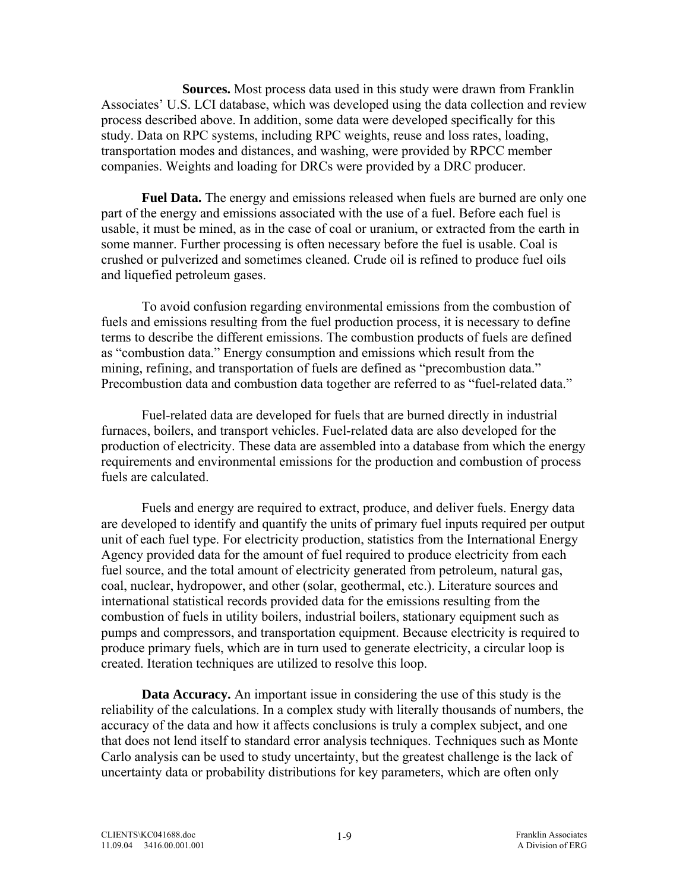**Sources.** Most process data used in this study were drawn from Franklin Associates' U.S. LCI database, which was developed using the data collection and review process described above. In addition, some data were developed specifically for this study. Data on RPC systems, including RPC weights, reuse and loss rates, loading, transportation modes and distances, and washing, were provided by RPCC member companies. Weights and loading for DRCs were provided by a DRC producer.

**Fuel Data.** The energy and emissions released when fuels are burned are only one part of the energy and emissions associated with the use of a fuel. Before each fuel is usable, it must be mined, as in the case of coal or uranium, or extracted from the earth in some manner. Further processing is often necessary before the fuel is usable. Coal is crushed or pulverized and sometimes cleaned. Crude oil is refined to produce fuel oils and liquefied petroleum gases.

 To avoid confusion regarding environmental emissions from the combustion of fuels and emissions resulting from the fuel production process, it is necessary to define terms to describe the different emissions. The combustion products of fuels are defined as "combustion data." Energy consumption and emissions which result from the mining, refining, and transportation of fuels are defined as "precombustion data." Precombustion data and combustion data together are referred to as "fuel-related data."

 Fuel-related data are developed for fuels that are burned directly in industrial furnaces, boilers, and transport vehicles. Fuel-related data are also developed for the production of electricity. These data are assembled into a database from which the energy requirements and environmental emissions for the production and combustion of process fuels are calculated.

 Fuels and energy are required to extract, produce, and deliver fuels. Energy data are developed to identify and quantify the units of primary fuel inputs required per output unit of each fuel type. For electricity production, statistics from the International Energy Agency provided data for the amount of fuel required to produce electricity from each fuel source, and the total amount of electricity generated from petroleum, natural gas, coal, nuclear, hydropower, and other (solar, geothermal, etc.). Literature sources and international statistical records provided data for the emissions resulting from the combustion of fuels in utility boilers, industrial boilers, stationary equipment such as pumps and compressors, and transportation equipment. Because electricity is required to produce primary fuels, which are in turn used to generate electricity, a circular loop is created. Iteration techniques are utilized to resolve this loop.

**Data Accuracy.** An important issue in considering the use of this study is the reliability of the calculations. In a complex study with literally thousands of numbers, the accuracy of the data and how it affects conclusions is truly a complex subject, and one that does not lend itself to standard error analysis techniques. Techniques such as Monte Carlo analysis can be used to study uncertainty, but the greatest challenge is the lack of uncertainty data or probability distributions for key parameters, which are often only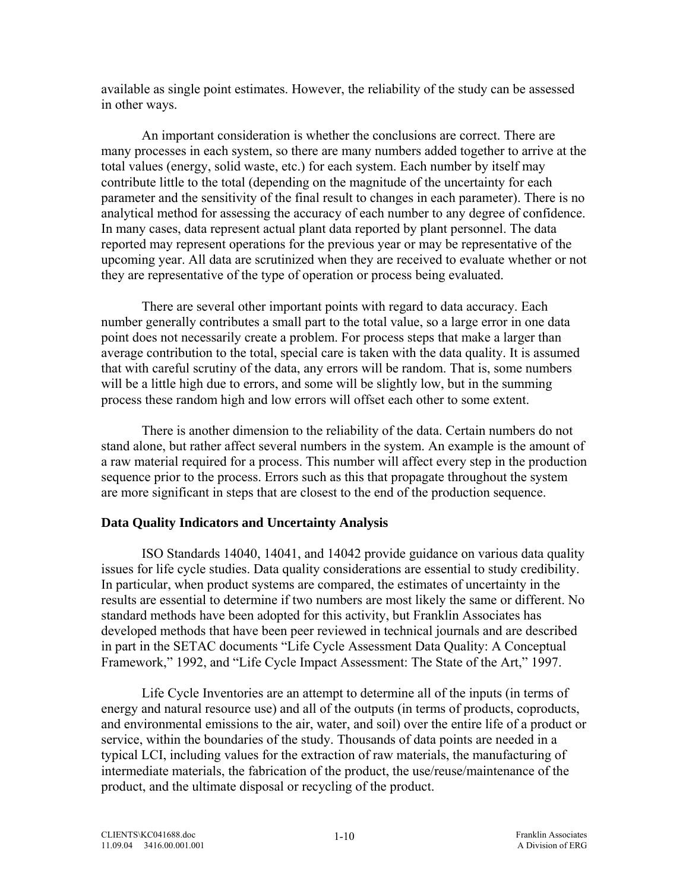<span id="page-27-0"></span>available as single point estimates. However, the reliability of the study can be assessed in other ways.

 An important consideration is whether the conclusions are correct. There are many processes in each system, so there are many numbers added together to arrive at the total values (energy, solid waste, etc.) for each system. Each number by itself may contribute little to the total (depending on the magnitude of the uncertainty for each parameter and the sensitivity of the final result to changes in each parameter). There is no analytical method for assessing the accuracy of each number to any degree of confidence. In many cases, data represent actual plant data reported by plant personnel. The data reported may represent operations for the previous year or may be representative of the upcoming year. All data are scrutinized when they are received to evaluate whether or not they are representative of the type of operation or process being evaluated.

 There are several other important points with regard to data accuracy. Each number generally contributes a small part to the total value, so a large error in one data point does not necessarily create a problem. For process steps that make a larger than average contribution to the total, special care is taken with the data quality. It is assumed that with careful scrutiny of the data, any errors will be random. That is, some numbers will be a little high due to errors, and some will be slightly low, but in the summing process these random high and low errors will offset each other to some extent.

 There is another dimension to the reliability of the data. Certain numbers do not stand alone, but rather affect several numbers in the system. An example is the amount of a raw material required for a process. This number will affect every step in the production sequence prior to the process. Errors such as this that propagate throughout the system are more significant in steps that are closest to the end of the production sequence.

## **Data Quality Indicators and Uncertainty Analysis**

ISO Standards 14040, 14041, and 14042 provide guidance on various data quality issues for life cycle studies. Data quality considerations are essential to study credibility. In particular, when product systems are compared, the estimates of uncertainty in the results are essential to determine if two numbers are most likely the same or different. No standard methods have been adopted for this activity, but Franklin Associates has developed methods that have been peer reviewed in technical journals and are described in part in the SETAC documents "Life Cycle Assessment Data Quality: A Conceptual Framework," 1992, and "Life Cycle Impact Assessment: The State of the Art," 1997.

 Life Cycle Inventories are an attempt to determine all of the inputs (in terms of energy and natural resource use) and all of the outputs (in terms of products, coproducts, and environmental emissions to the air, water, and soil) over the entire life of a product or service, within the boundaries of the study. Thousands of data points are needed in a typical LCI, including values for the extraction of raw materials, the manufacturing of intermediate materials, the fabrication of the product, the use/reuse/maintenance of the product, and the ultimate disposal or recycling of the product.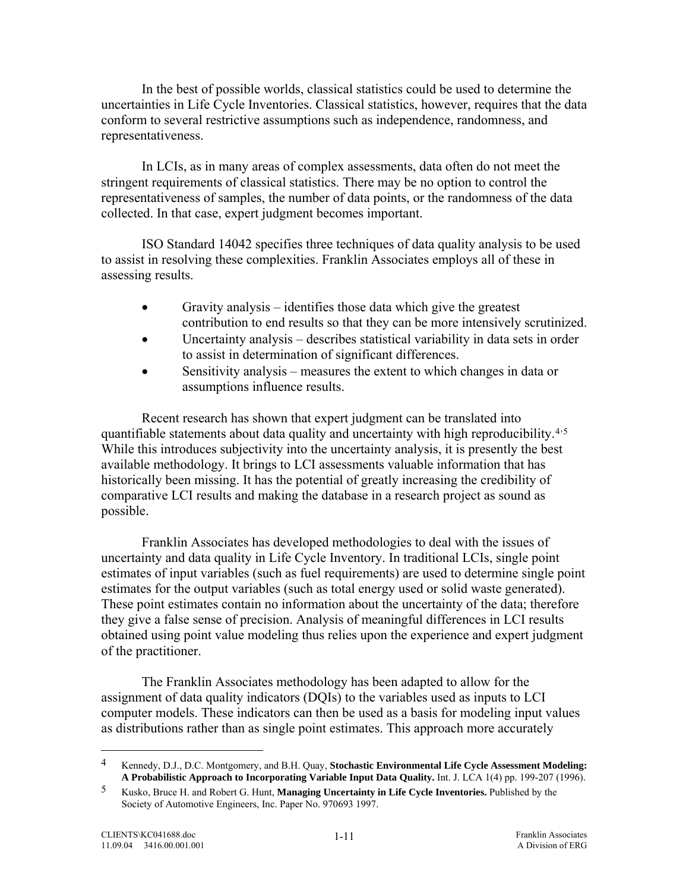<span id="page-28-0"></span> In the best of possible worlds, classical statistics could be used to determine the uncertainties in Life Cycle Inventories. Classical statistics, however, requires that the data conform to several restrictive assumptions such as independence, randomness, and representativeness.

 In LCIs, as in many areas of complex assessments, data often do not meet the stringent requirements of classical statistics. There may be no option to control the representativeness of samples, the number of data points, or the randomness of the data collected. In that case, expert judgment becomes important.

ISO Standard 14042 specifies three techniques of data quality analysis to be used to assist in resolving these complexities. Franklin Associates employs all of these in assessing results.

- Gravity analysis identifies those data which give the greatest contribution to end results so that they can be more intensively scrutinized.
- Uncertainty analysis describes statistical variability in data sets in order to assist in determination of significant differences.
- Sensitivity analysis measures the extent to which changes in data or assumptions influence results.

Recent research has shown that expert judgment can be translated into quantifiable statements about data quality and uncertainty with high reproducibility.<sup>[4](#page-28-0),[5](#page-28-0)</sup> While this introduces subjectivity into the uncertainty analysis, it is presently the best available methodology. It brings to LCI assessments valuable information that has historically been missing. It has the potential of greatly increasing the credibility of comparative LCI results and making the database in a research project as sound as possible.

 Franklin Associates has developed methodologies to deal with the issues of uncertainty and data quality in Life Cycle Inventory. In traditional LCIs, single point estimates of input variables (such as fuel requirements) are used to determine single point estimates for the output variables (such as total energy used or solid waste generated). These point estimates contain no information about the uncertainty of the data; therefore they give a false sense of precision. Analysis of meaningful differences in LCI results obtained using point value modeling thus relies upon the experience and expert judgment of the practitioner.

 The Franklin Associates methodology has been adapted to allow for the assignment of data quality indicators (DQIs) to the variables used as inputs to LCI computer models. These indicators can then be used as a basis for modeling input values as distributions rather than as single point estimates. This approach more accurately

 $\overline{a}$ 

<sup>4</sup> Kennedy, D.J., D.C. Montgomery, and B.H. Quay, **Stochastic Environmental Life Cycle Assessment Modeling: A Probabilistic Approach to Incorporating Variable Input Data Quality.** Int. J. LCA 1(4) pp. 199-207 (1996).

<sup>5</sup> Kusko, Bruce H. and Robert G. Hunt, **Managing Uncertainty in Life Cycle Inventories.** Published by the Society of Automotive Engineers, Inc. Paper No. 970693 1997.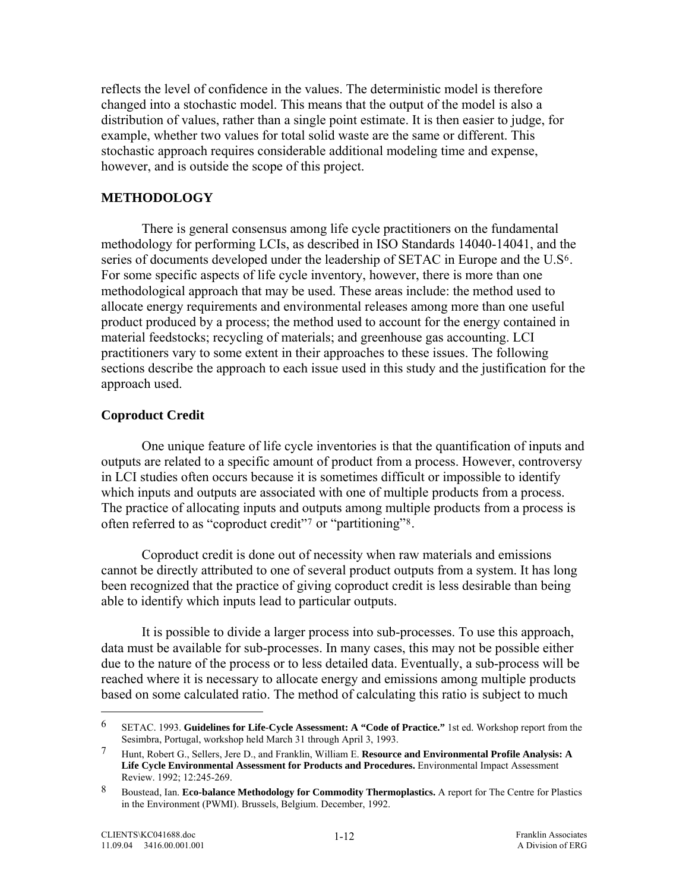<span id="page-29-0"></span>reflects the level of confidence in the values. The deterministic model is therefore changed into a stochastic model. This means that the output of the model is also a distribution of values, rather than a single point estimate. It is then easier to judge, for example, whether two values for total solid waste are the same or different. This stochastic approach requires considerable additional modeling time and expense, however, and is outside the scope of this project.

#### **METHODOLOGY**

There is general consensus among life cycle practitioners on the fundamental methodology for performing LCIs, as described in ISO Standards 14040-14041, and the series of documents developed under the leadership of SETAC in Europe and the U.S[6](#page-29-0). For some specific aspects of life cycle inventory, however, there is more than one methodological approach that may be used. These areas include: the method used to allocate energy requirements and environmental releases among more than one useful product produced by a process; the method used to account for the energy contained in material feedstocks; recycling of materials; and greenhouse gas accounting. LCI practitioners vary to some extent in their approaches to these issues. The following sections describe the approach to each issue used in this study and the justification for the approach used.

#### **Coproduct Credit**

 One unique feature of life cycle inventories is that the quantification of inputs and outputs are related to a specific amount of product from a process. However, controversy in LCI studies often occurs because it is sometimes difficult or impossible to identify which inputs and outputs are associated with one of multiple products from a process. The practice of allocating inputs and outputs among multiple products from a process is often referred to as "coproduct credit"[7](#page-29-0) or "partitioning"[8](#page-29-0).

 Coproduct credit is done out of necessity when raw materials and emissions cannot be directly attributed to one of several product outputs from a system. It has long been recognized that the practice of giving coproduct credit is less desirable than being able to identify which inputs lead to particular outputs.

 It is possible to divide a larger process into sub-processes. To use this approach, data must be available for sub-processes. In many cases, this may not be possible either due to the nature of the process or to less detailed data. Eventually, a sub-process will be reached where it is necessary to allocate energy and emissions among multiple products based on some calculated ratio. The method of calculating this ratio is subject to much

 $\overline{a}$ 

<sup>6</sup> SETAC. 1993. **Guidelines for Life-Cycle Assessment: A "Code of Practice."** 1st ed. Workshop report from the Sesimbra, Portugal, workshop held March 31 through April 3, 1993.

<sup>7</sup> Hunt, Robert G., Sellers, Jere D., and Franklin, William E. **Resource and Environmental Profile Analysis: A Life Cycle Environmental Assessment for Products and Procedures.** Environmental Impact Assessment Review. 1992; 12:245-269.

<sup>8</sup> Boustead, Ian. **Eco-balance Methodology for Commodity Thermoplastics.** A report for The Centre for Plastics in the Environment (PWMI). Brussels, Belgium. December, 1992.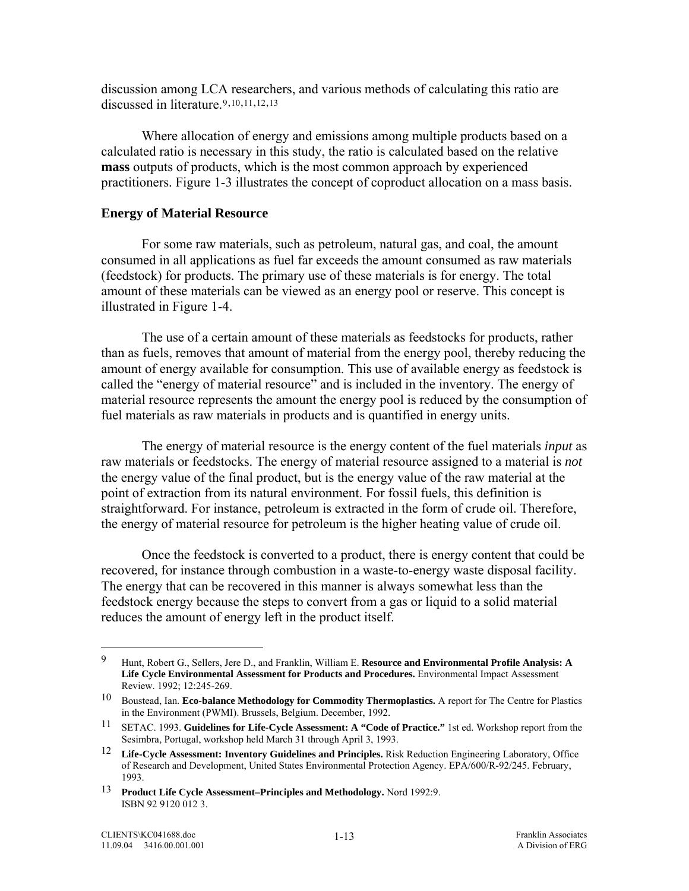<span id="page-30-0"></span>discussion among LCA researchers, and various methods of calculating this ratio are discussed in literature.<sup>[9](#page-30-0),[10](#page-30-0),[11](#page-30-0),[12](#page-30-0),[13](#page-30-0)</sup>

 Where allocation of energy and emissions among multiple products based on a calculated ratio is necessary in this study, the ratio is calculated based on the relative **mass** outputs of products, which is the most common approach by experienced practitioners. Figure 1-3 illustrates the concept of coproduct allocation on a mass basis.

#### **Energy of Material Resource**

 For some raw materials, such as petroleum, natural gas, and coal, the amount consumed in all applications as fuel far exceeds the amount consumed as raw materials (feedstock) for products. The primary use of these materials is for energy. The total amount of these materials can be viewed as an energy pool or reserve. This concept is illustrated in Figure 1-4.

 The use of a certain amount of these materials as feedstocks for products, rather than as fuels, removes that amount of material from the energy pool, thereby reducing the amount of energy available for consumption. This use of available energy as feedstock is called the "energy of material resource" and is included in the inventory. The energy of material resource represents the amount the energy pool is reduced by the consumption of fuel materials as raw materials in products and is quantified in energy units.

 The energy of material resource is the energy content of the fuel materials *input* as raw materials or feedstocks. The energy of material resource assigned to a material is *not* the energy value of the final product, but is the energy value of the raw material at the point of extraction from its natural environment. For fossil fuels, this definition is straightforward. For instance, petroleum is extracted in the form of crude oil. Therefore, the energy of material resource for petroleum is the higher heating value of crude oil.

 Once the feedstock is converted to a product, there is energy content that could be recovered, for instance through combustion in a waste-to-energy waste disposal facility. The energy that can be recovered in this manner is always somewhat less than the feedstock energy because the steps to convert from a gas or liquid to a solid material reduces the amount of energy left in the product itself.

1

<sup>9</sup> Hunt, Robert G., Sellers, Jere D., and Franklin, William E. **Resource and Environmental Profile Analysis: A Life Cycle Environmental Assessment for Products and Procedures.** Environmental Impact Assessment Review. 1992; 12:245-269.

<sup>10</sup> Boustead, Ian. **Eco-balance Methodology for Commodity Thermoplastics.** A report for The Centre for Plastics in the Environment (PWMI). Brussels, Belgium. December, 1992.

<sup>11</sup> SETAC. 1993. **Guidelines for Life-Cycle Assessment: A "Code of Practice."** 1st ed. Workshop report from the Sesimbra, Portugal, workshop held March 31 through April 3, 1993.

<sup>12</sup> **Life-Cycle Assessment: Inventory Guidelines and Principles.** Risk Reduction Engineering Laboratory, Office of Research and Development, United States Environmental Protection Agency. EPA/600/R-92/245. February, 1993.

<sup>13</sup> **Product Life Cycle Assessment–Principles and Methodology.** Nord 1992:9. ISBN 92 9120 012 3.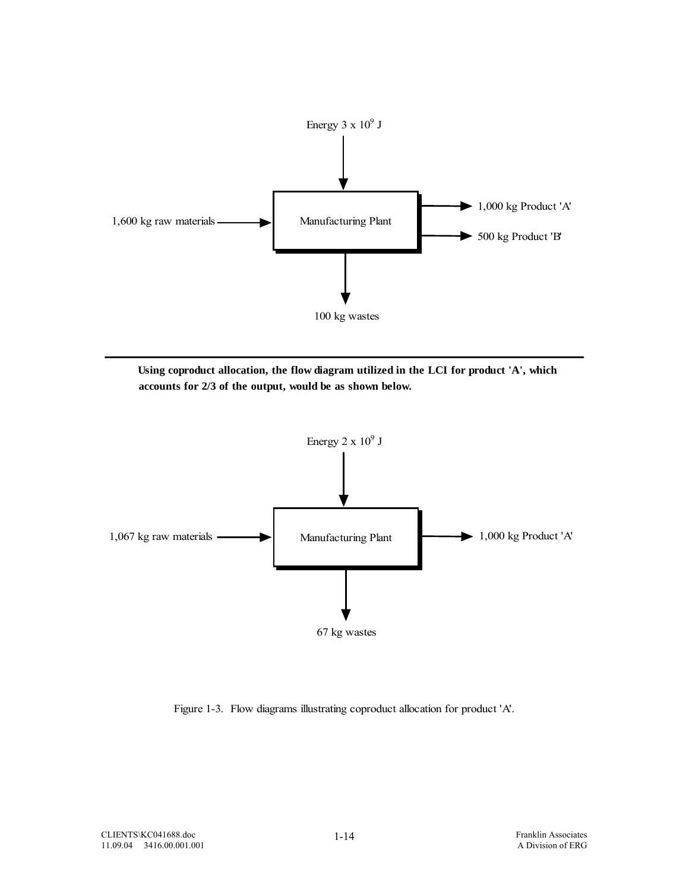

**Using coproduct allocation, the flow diagram utilized in the LCI for product 'A', which accounts for 2/3 of the output, would be as shown below.**



Figure 1-3. Flow diagrams illustrating coproduct allocation for product 'A'.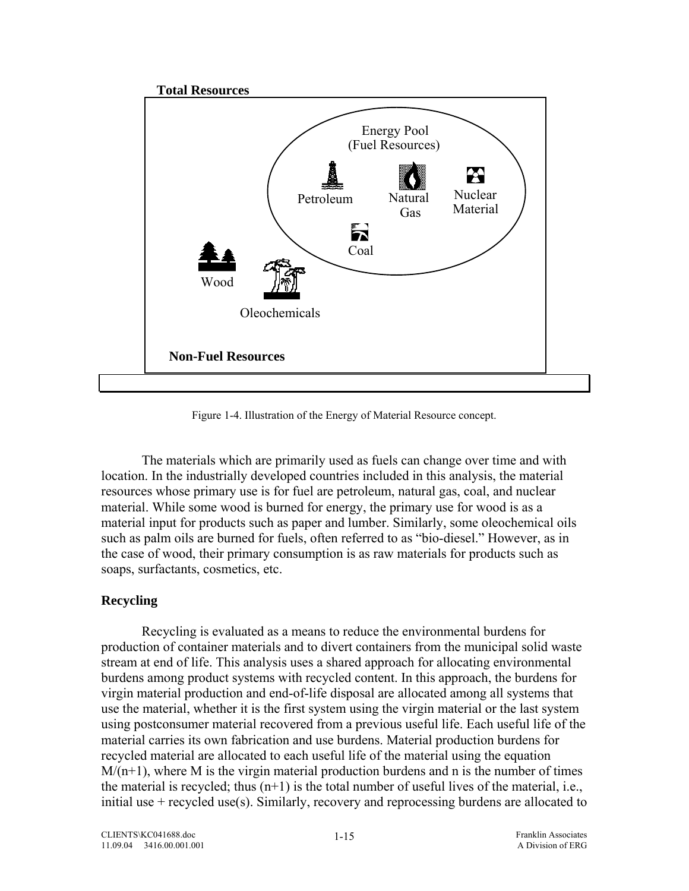<span id="page-32-0"></span>

Figure 1-4. Illustration of the Energy of Material Resource concept.

 The materials which are primarily used as fuels can change over time and with location. In the industrially developed countries included in this analysis, the material resources whose primary use is for fuel are petroleum, natural gas, coal, and nuclear material. While some wood is burned for energy, the primary use for wood is as a material input for products such as paper and lumber. Similarly, some oleochemical oils such as palm oils are burned for fuels, often referred to as "bio-diesel." However, as in the case of wood, their primary consumption is as raw materials for products such as soaps, surfactants, cosmetics, etc.

## **Recycling**

Recycling is evaluated as a means to reduce the environmental burdens for production of container materials and to divert containers from the municipal solid waste stream at end of life. This analysis uses a shared approach for allocating environmental burdens among product systems with recycled content. In this approach, the burdens for virgin material production and end-of-life disposal are allocated among all systems that use the material, whether it is the first system using the virgin material or the last system using postconsumer material recovered from a previous useful life. Each useful life of the material carries its own fabrication and use burdens. Material production burdens for recycled material are allocated to each useful life of the material using the equation  $M/(n+1)$ , where M is the virgin material production burdens and n is the number of times the material is recycled; thus  $(n+1)$  is the total number of useful lives of the material, i.e., initial use + recycled use(s). Similarly, recovery and reprocessing burdens are allocated to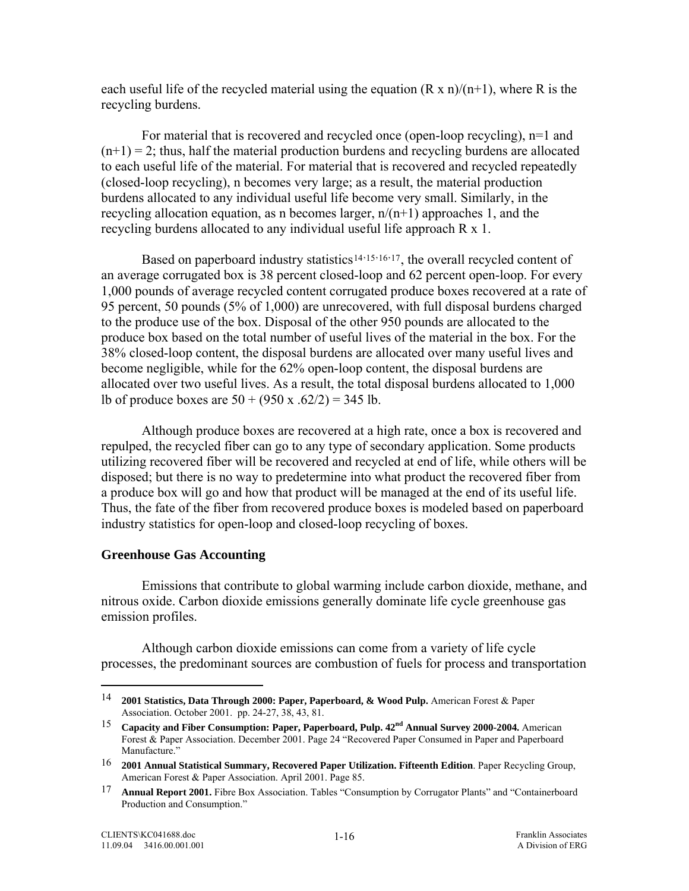<span id="page-33-0"></span>each useful life of the recycled material using the equation  $(R \times n)/(n+1)$ , where R is the recycling burdens.

For material that is recovered and recycled once (open-loop recycling), n=1 and  $(n+1) = 2$ ; thus, half the material production burdens and recycling burdens are allocated to each useful life of the material. For material that is recovered and recycled repeatedly (closed-loop recycling), n becomes very large; as a result, the material production burdens allocated to any individual useful life become very small. Similarly, in the recycling allocation equation, as n becomes larger,  $n/(n+1)$  approaches 1, and the recycling burdens allocated to any individual useful life approach R x 1.

Based on paperboard industry statistics<sup>[14](#page-33-0),[15](#page-33-0),[16](#page-33-0),[17](#page-33-0)</sup>, the overall recycled content of an average corrugated box is 38 percent closed-loop and 62 percent open-loop. For every 1,000 pounds of average recycled content corrugated produce boxes recovered at a rate of 95 percent, 50 pounds (5% of 1,000) are unrecovered, with full disposal burdens charged to the produce use of the box. Disposal of the other 950 pounds are allocated to the produce box based on the total number of useful lives of the material in the box. For the 38% closed-loop content, the disposal burdens are allocated over many useful lives and become negligible, while for the 62% open-loop content, the disposal burdens are allocated over two useful lives. As a result, the total disposal burdens allocated to 1,000 lb of produce boxes are  $50 + (950 \text{ x} \cdot 62/2) = 345 \text{ lb}$ .

Although produce boxes are recovered at a high rate, once a box is recovered and repulped, the recycled fiber can go to any type of secondary application. Some products utilizing recovered fiber will be recovered and recycled at end of life, while others will be disposed; but there is no way to predetermine into what product the recovered fiber from a produce box will go and how that product will be managed at the end of its useful life. Thus, the fate of the fiber from recovered produce boxes is modeled based on paperboard industry statistics for open-loop and closed-loop recycling of boxes.

## **Greenhouse Gas Accounting**

Emissions that contribute to global warming include carbon dioxide, methane, and nitrous oxide. Carbon dioxide emissions generally dominate life cycle greenhouse gas emission profiles.

Although carbon dioxide emissions can come from a variety of life cycle processes, the predominant sources are combustion of fuels for process and transportation

 $\overline{a}$ 

<sup>14</sup> **2001 Statistics, Data Through 2000: Paper, Paperboard, & Wood Pulp.** American Forest & Paper Association. October 2001. pp. 24-27, 38, 43, 81.

<sup>15</sup> **Capacity and Fiber Consumption: Paper, Paperboard, Pulp. 42nd Annual Survey 2000-2004.** American Forest & Paper Association. December 2001. Page 24 "Recovered Paper Consumed in Paper and Paperboard Manufacture."

<sup>16</sup> **2001 Annual Statistical Summary, Recovered Paper Utilization. Fifteenth Edition**. Paper Recycling Group, American Forest & Paper Association. April 2001. Page 85.

<sup>17</sup> **Annual Report 2001.** Fibre Box Association. Tables "Consumption by Corrugator Plants" and "Containerboard Production and Consumption."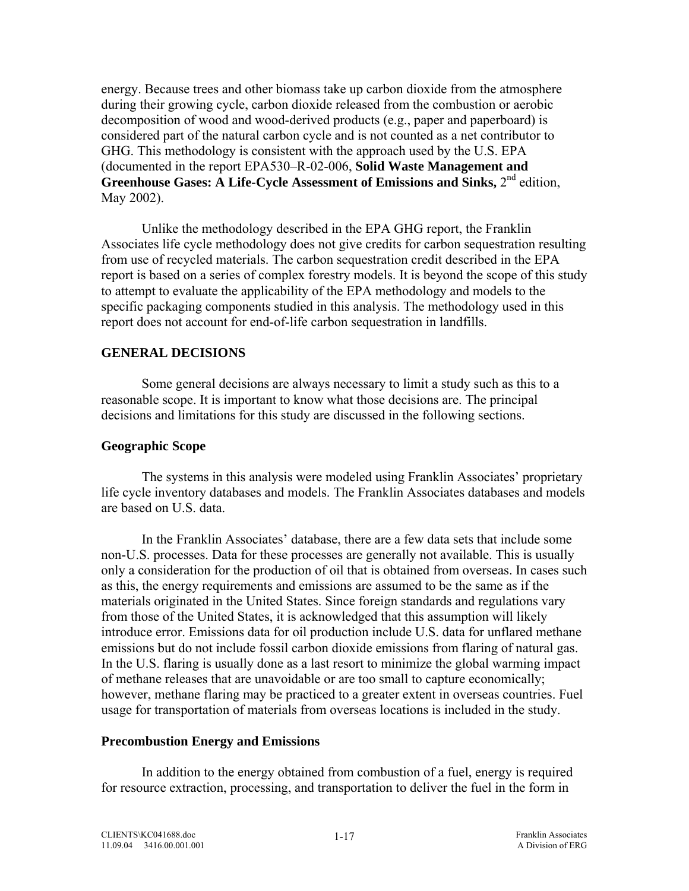<span id="page-34-0"></span>energy. Because trees and other biomass take up carbon dioxide from the atmosphere during their growing cycle, carbon dioxide released from the combustion or aerobic decomposition of wood and wood-derived products (e.g., paper and paperboard) is considered part of the natural carbon cycle and is not counted as a net contributor to GHG. This methodology is consistent with the approach used by the U.S. EPA (documented in the report EPA530–R-02-006, **Solid Waste Management and Greenhouse Gases: A Life-Cycle Assessment of Emissions and Sinks, 2<sup>nd</sup> edition,** May 2002).

Unlike the methodology described in the EPA GHG report, the Franklin Associates life cycle methodology does not give credits for carbon sequestration resulting from use of recycled materials. The carbon sequestration credit described in the EPA report is based on a series of complex forestry models. It is beyond the scope of this study to attempt to evaluate the applicability of the EPA methodology and models to the specific packaging components studied in this analysis. The methodology used in this report does not account for end-of-life carbon sequestration in landfills.

## **GENERAL DECISIONS**

Some general decisions are always necessary to limit a study such as this to a reasonable scope. It is important to know what those decisions are. The principal decisions and limitations for this study are discussed in the following sections.

### **Geographic Scope**

The systems in this analysis were modeled using Franklin Associates' proprietary life cycle inventory databases and models. The Franklin Associates databases and models are based on U.S. data.

In the Franklin Associates' database, there are a few data sets that include some non-U.S. processes. Data for these processes are generally not available. This is usually only a consideration for the production of oil that is obtained from overseas. In cases such as this, the energy requirements and emissions are assumed to be the same as if the materials originated in the United States. Since foreign standards and regulations vary from those of the United States, it is acknowledged that this assumption will likely introduce error. Emissions data for oil production include U.S. data for unflared methane emissions but do not include fossil carbon dioxide emissions from flaring of natural gas. In the U.S. flaring is usually done as a last resort to minimize the global warming impact of methane releases that are unavoidable or are too small to capture economically; however, methane flaring may be practiced to a greater extent in overseas countries. Fuel usage for transportation of materials from overseas locations is included in the study.

### **Precombustion Energy and Emissions**

In addition to the energy obtained from combustion of a fuel, energy is required for resource extraction, processing, and transportation to deliver the fuel in the form in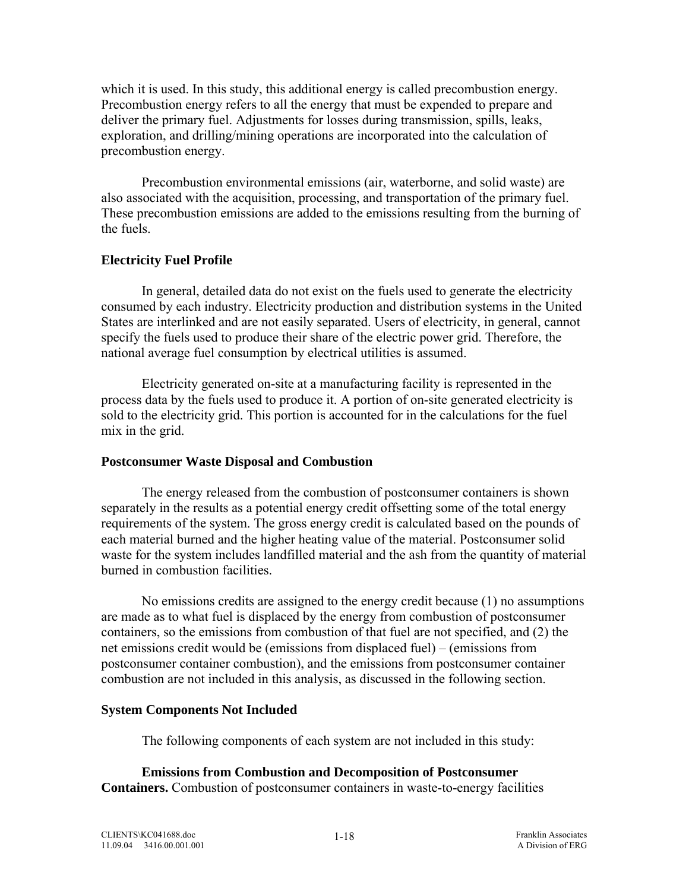<span id="page-35-0"></span>which it is used. In this study, this additional energy is called precombustion energy. Precombustion energy refers to all the energy that must be expended to prepare and deliver the primary fuel. Adjustments for losses during transmission, spills, leaks, exploration, and drilling/mining operations are incorporated into the calculation of precombustion energy.

Precombustion environmental emissions (air, waterborne, and solid waste) are also associated with the acquisition, processing, and transportation of the primary fuel. These precombustion emissions are added to the emissions resulting from the burning of the fuels.

### **Electricity Fuel Profile**

In general, detailed data do not exist on the fuels used to generate the electricity consumed by each industry. Electricity production and distribution systems in the United States are interlinked and are not easily separated. Users of electricity, in general, cannot specify the fuels used to produce their share of the electric power grid. Therefore, the national average fuel consumption by electrical utilities is assumed.

 Electricity generated on-site at a manufacturing facility is represented in the process data by the fuels used to produce it. A portion of on-site generated electricity is sold to the electricity grid. This portion is accounted for in the calculations for the fuel mix in the grid.

#### **Postconsumer Waste Disposal and Combustion**

The energy released from the combustion of postconsumer containers is shown separately in the results as a potential energy credit offsetting some of the total energy requirements of the system. The gross energy credit is calculated based on the pounds of each material burned and the higher heating value of the material. Postconsumer solid waste for the system includes landfilled material and the ash from the quantity of material burned in combustion facilities.

No emissions credits are assigned to the energy credit because (1) no assumptions are made as to what fuel is displaced by the energy from combustion of postconsumer containers, so the emissions from combustion of that fuel are not specified, and (2) the net emissions credit would be (emissions from displaced fuel) – (emissions from postconsumer container combustion), and the emissions from postconsumer container combustion are not included in this analysis, as discussed in the following section.

### **System Components Not Included**

The following components of each system are not included in this study:

 **Emissions from Combustion and Decomposition of Postconsumer Containers.** Combustion of postconsumer containers in waste-to-energy facilities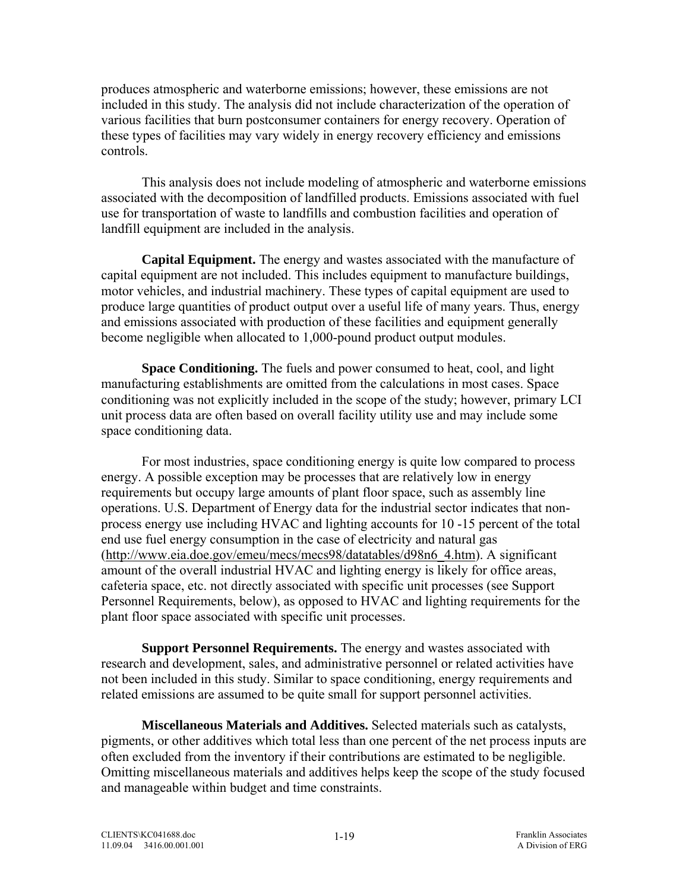produces atmospheric and waterborne emissions; however, these emissions are not included in this study. The analysis did not include characterization of the operation of various facilities that burn postconsumer containers for energy recovery. Operation of these types of facilities may vary widely in energy recovery efficiency and emissions controls.

 This analysis does not include modeling of atmospheric and waterborne emissions associated with the decomposition of landfilled products. Emissions associated with fuel use for transportation of waste to landfills and combustion facilities and operation of landfill equipment are included in the analysis.

**Capital Equipment.** The energy and wastes associated with the manufacture of capital equipment are not included. This includes equipment to manufacture buildings, motor vehicles, and industrial machinery. These types of capital equipment are used to produce large quantities of product output over a useful life of many years. Thus, energy and emissions associated with production of these facilities and equipment generally become negligible when allocated to 1,000-pound product output modules.

**Space Conditioning.** The fuels and power consumed to heat, cool, and light manufacturing establishments are omitted from the calculations in most cases. Space conditioning was not explicitly included in the scope of the study; however, primary LCI unit process data are often based on overall facility utility use and may include some space conditioning data.

For most industries, space conditioning energy is quite low compared to process energy. A possible exception may be processes that are relatively low in energy requirements but occupy large amounts of plant floor space, such as assembly line operations. U.S. Department of Energy data for the industrial sector indicates that nonprocess energy use including HVAC and lighting accounts for 10 -15 percent of the total end use fuel energy consumption in the case of electricity and natural gas ([http://www.eia.doe.gov/emeu/mecs/mecs98/datatables/d98n6\\_4.htm\)](http://www.eia.doe.gov/emeu/mecs/mecs98/datatables/d98n6_4.htm). A significant amount of the overall industrial HVAC and lighting energy is likely for office areas, cafeteria space, etc. not directly associated with specific unit processes (see Support Personnel Requirements, below), as opposed to HVAC and lighting requirements for the plant floor space associated with specific unit processes.

**Support Personnel Requirements.** The energy and wastes associated with research and development, sales, and administrative personnel or related activities have not been included in this study. Similar to space conditioning, energy requirements and related emissions are assumed to be quite small for support personnel activities.

**Miscellaneous Materials and Additives.** Selected materials such as catalysts, pigments, or other additives which total less than one percent of the net process inputs are often excluded from the inventory if their contributions are estimated to be negligible. Omitting miscellaneous materials and additives helps keep the scope of the study focused and manageable within budget and time constraints.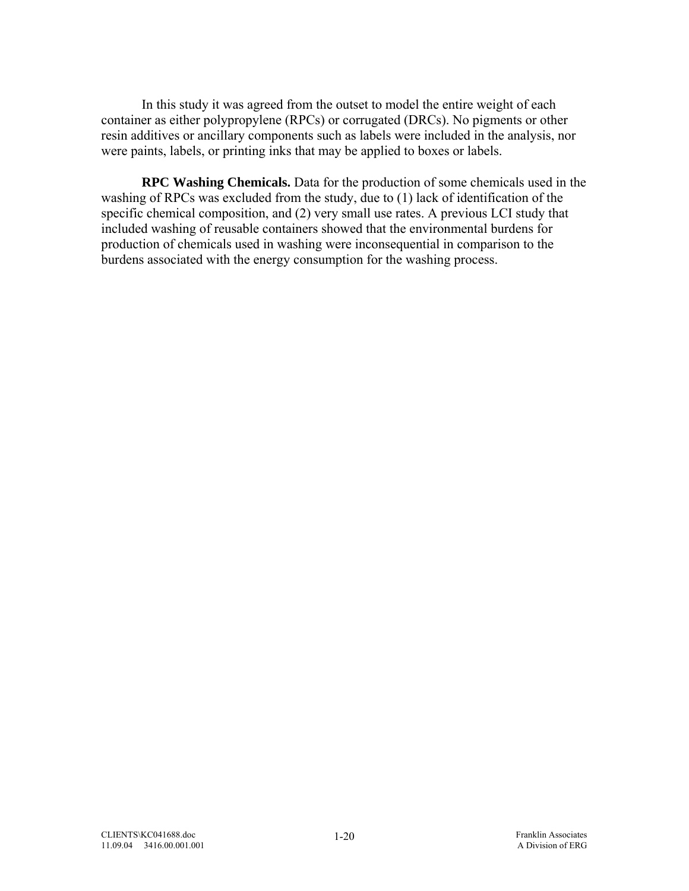In this study it was agreed from the outset to model the entire weight of each container as either polypropylene (RPCs) or corrugated (DRCs). No pigments or other resin additives or ancillary components such as labels were included in the analysis, nor were paints, labels, or printing inks that may be applied to boxes or labels.

**RPC Washing Chemicals.** Data for the production of some chemicals used in the washing of RPCs was excluded from the study, due to (1) lack of identification of the specific chemical composition, and (2) very small use rates. A previous LCI study that included washing of reusable containers showed that the environmental burdens for production of chemicals used in washing were inconsequential in comparison to the burdens associated with the energy consumption for the washing process.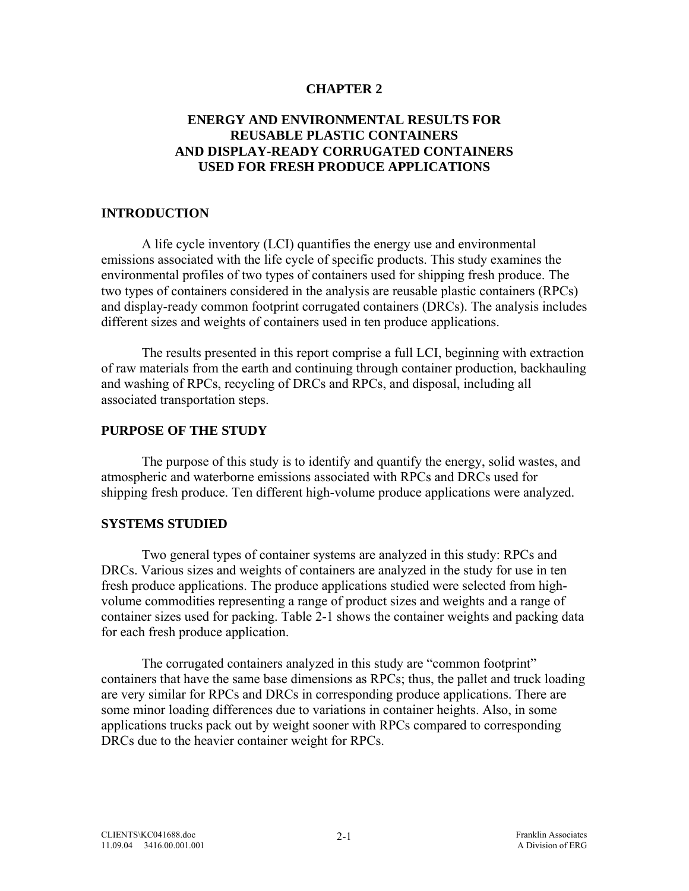## **CHAPTER 2**

# **ENERGY AND ENVIRONMENTAL RESULTS FOR REUSABLE PLASTIC CONTAINERS AND DISPLAY-READY CORRUGATED CONTAINERS USED FOR FRESH PRODUCE APPLICATIONS**

### **INTRODUCTION**

 A life cycle inventory (LCI) quantifies the energy use and environmental emissions associated with the life cycle of specific products. This study examines the environmental profiles of two types of containers used for shipping fresh produce. The two types of containers considered in the analysis are reusable plastic containers (RPCs) and display-ready common footprint corrugated containers (DRCs). The analysis includes different sizes and weights of containers used in ten produce applications.

The results presented in this report comprise a full LCI, beginning with extraction of raw materials from the earth and continuing through container production, backhauling and washing of RPCs, recycling of DRCs and RPCs, and disposal, including all associated transportation steps.

### **PURPOSE OF THE STUDY**

 The purpose of this study is to identify and quantify the energy, solid wastes, and atmospheric and waterborne emissions associated with RPCs and DRCs used for shipping fresh produce. Ten different high-volume produce applications were analyzed.

### **SYSTEMS STUDIED**

 Two general types of container systems are analyzed in this study: RPCs and DRCs. Various sizes and weights of containers are analyzed in the study for use in ten fresh produce applications. The produce applications studied were selected from highvolume commodities representing a range of product sizes and weights and a range of container sizes used for packing. Table 2-1 shows the container weights and packing data for each fresh produce application.

The corrugated containers analyzed in this study are "common footprint" containers that have the same base dimensions as RPCs; thus, the pallet and truck loading are very similar for RPCs and DRCs in corresponding produce applications. There are some minor loading differences due to variations in container heights. Also, in some applications trucks pack out by weight sooner with RPCs compared to corresponding DRCs due to the heavier container weight for RPCs.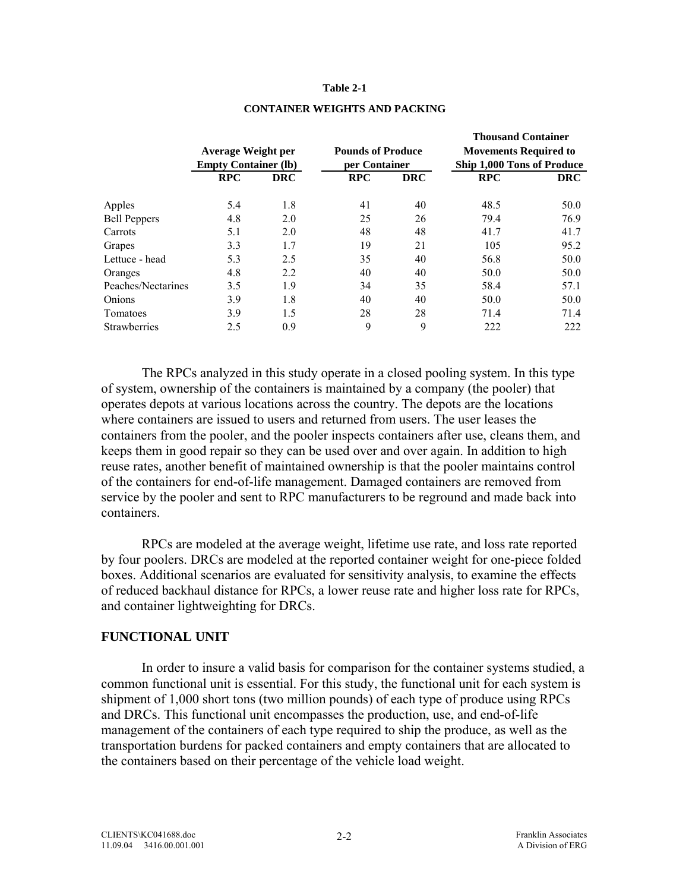### **Table 2-1**

|                     |                             |            |                          |            | Thousand Container           |            |
|---------------------|-----------------------------|------------|--------------------------|------------|------------------------------|------------|
|                     | <b>Average Weight per</b>   |            | <b>Pounds of Produce</b> |            | <b>Movements Required to</b> |            |
|                     | <b>Empty Container (lb)</b> |            | per Container            |            | Ship 1,000 Tons of Produce   |            |
|                     | <b>RPC</b>                  | <b>DRC</b> | <b>RPC</b>               | <b>DRC</b> | <b>RPC</b>                   | <b>DRC</b> |
| Apples              | 5.4                         | 1.8        | 41                       | 40         | 48.5                         | 50.0       |
| <b>Bell Peppers</b> | 4.8                         | 2.0        | 25                       | 26         | 79.4                         | 76.9       |
| Carrots             | 5.1                         | 2.0        | 48                       | 48         | 41.7                         | 41.7       |
| Grapes              | 3.3                         | 1.7        | 19                       | 21         | 105                          | 95.2       |
| Lettuce - head      | 5.3                         | 2.5        | 35                       | 40         | 56.8                         | 50.0       |
| Oranges             | 4.8                         | 2.2        | 40                       | 40         | 50.0                         | 50.0       |
| Peaches/Nectarines  | 3.5                         | 1.9        | 34                       | 35         | 58.4                         | 57.1       |
| Onions              | 3.9                         | 1.8        | 40                       | 40         | 50.0                         | 50.0       |
| Tomatoes            | 3.9                         | 1.5        | 28                       | 28         | 71.4                         | 71.4       |
| Strawberries        | 2.5                         | 0.9        | 9                        | 9          | 222                          | 222        |
|                     |                             |            |                          |            |                              |            |

### **CONTAINER WEIGHTS AND PACKING**

 **Thousand Container** 

The RPCs analyzed in this study operate in a closed pooling system. In this type of system, ownership of the containers is maintained by a company (the pooler) that operates depots at various locations across the country. The depots are the locations where containers are issued to users and returned from users. The user leases the containers from the pooler, and the pooler inspects containers after use, cleans them, and keeps them in good repair so they can be used over and over again. In addition to high reuse rates, another benefit of maintained ownership is that the pooler maintains control of the containers for end-of-life management. Damaged containers are removed from service by the pooler and sent to RPC manufacturers to be reground and made back into containers.

RPCs are modeled at the average weight, lifetime use rate, and loss rate reported by four poolers. DRCs are modeled at the reported container weight for one-piece folded boxes. Additional scenarios are evaluated for sensitivity analysis, to examine the effects of reduced backhaul distance for RPCs, a lower reuse rate and higher loss rate for RPCs, and container lightweighting for DRCs.

### **FUNCTIONAL UNIT**

 In order to insure a valid basis for comparison for the container systems studied, a common functional unit is essential. For this study, the functional unit for each system is shipment of 1,000 short tons (two million pounds) of each type of produce using RPCs and DRCs. This functional unit encompasses the production, use, and end-of-life management of the containers of each type required to ship the produce, as well as the transportation burdens for packed containers and empty containers that are allocated to the containers based on their percentage of the vehicle load weight.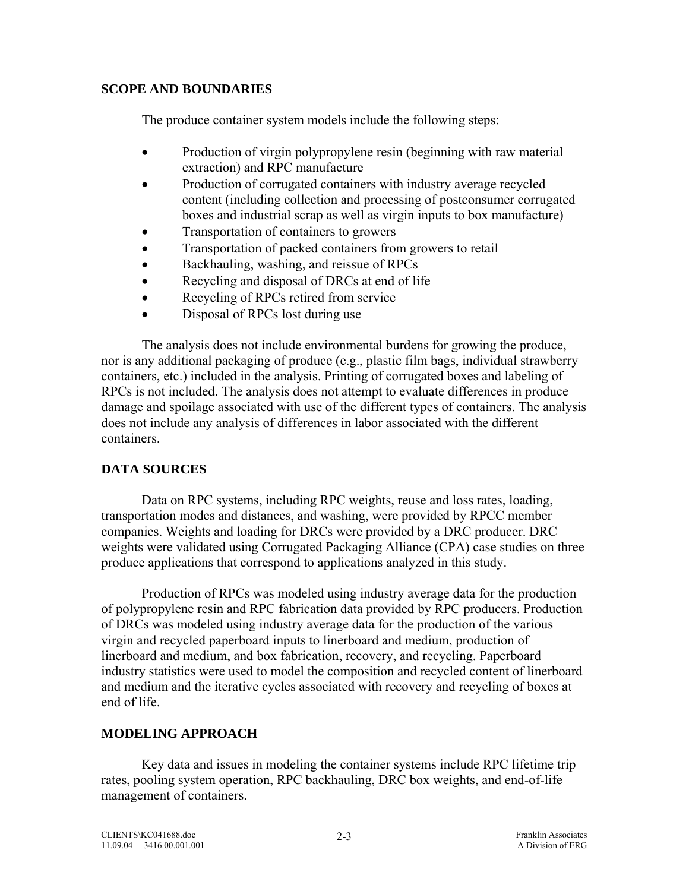## **SCOPE AND BOUNDARIES**

The produce container system models include the following steps:

- Production of virgin polypropylene resin (beginning with raw material extraction) and RPC manufacture
- Production of corrugated containers with industry average recycled content (including collection and processing of postconsumer corrugated boxes and industrial scrap as well as virgin inputs to box manufacture)
- Transportation of containers to growers
- Transportation of packed containers from growers to retail
- Backhauling, washing, and reissue of RPCs
- Recycling and disposal of DRCs at end of life
- Recycling of RPCs retired from service
- Disposal of RPCs lost during use

The analysis does not include environmental burdens for growing the produce, nor is any additional packaging of produce (e.g., plastic film bags, individual strawberry containers, etc.) included in the analysis. Printing of corrugated boxes and labeling of RPCs is not included. The analysis does not attempt to evaluate differences in produce damage and spoilage associated with use of the different types of containers. The analysis does not include any analysis of differences in labor associated with the different containers.

# **DATA SOURCES**

Data on RPC systems, including RPC weights, reuse and loss rates, loading, transportation modes and distances, and washing, were provided by RPCC member companies. Weights and loading for DRCs were provided by a DRC producer. DRC weights were validated using Corrugated Packaging Alliance (CPA) case studies on three produce applications that correspond to applications analyzed in this study.

Production of RPCs was modeled using industry average data for the production of polypropylene resin and RPC fabrication data provided by RPC producers. Production of DRCs was modeled using industry average data for the production of the various virgin and recycled paperboard inputs to linerboard and medium, production of linerboard and medium, and box fabrication, recovery, and recycling. Paperboard industry statistics were used to model the composition and recycled content of linerboard and medium and the iterative cycles associated with recovery and recycling of boxes at end of life.

# **MODELING APPROACH**

 Key data and issues in modeling the container systems include RPC lifetime trip rates, pooling system operation, RPC backhauling, DRC box weights, and end-of-life management of containers.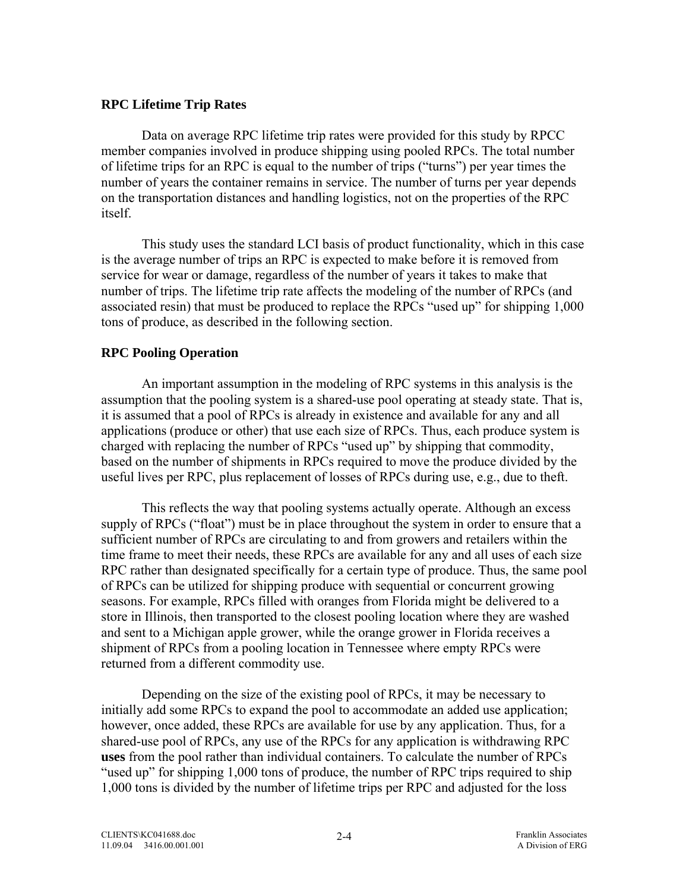## **RPC Lifetime Trip Rates**

Data on average RPC lifetime trip rates were provided for this study by RPCC member companies involved in produce shipping using pooled RPCs. The total number of lifetime trips for an RPC is equal to the number of trips ("turns") per year times the number of years the container remains in service. The number of turns per year depends on the transportation distances and handling logistics, not on the properties of the RPC itself.

This study uses the standard LCI basis of product functionality, which in this case is the average number of trips an RPC is expected to make before it is removed from service for wear or damage, regardless of the number of years it takes to make that number of trips. The lifetime trip rate affects the modeling of the number of RPCs (and associated resin) that must be produced to replace the RPCs "used up" for shipping 1,000 tons of produce, as described in the following section.

# **RPC Pooling Operation**

An important assumption in the modeling of RPC systems in this analysis is the assumption that the pooling system is a shared-use pool operating at steady state. That is, it is assumed that a pool of RPCs is already in existence and available for any and all applications (produce or other) that use each size of RPCs. Thus, each produce system is charged with replacing the number of RPCs "used up" by shipping that commodity, based on the number of shipments in RPCs required to move the produce divided by the useful lives per RPC, plus replacement of losses of RPCs during use, e.g., due to theft.

This reflects the way that pooling systems actually operate. Although an excess supply of RPCs ("float") must be in place throughout the system in order to ensure that a sufficient number of RPCs are circulating to and from growers and retailers within the time frame to meet their needs, these RPCs are available for any and all uses of each size RPC rather than designated specifically for a certain type of produce. Thus, the same pool of RPCs can be utilized for shipping produce with sequential or concurrent growing seasons. For example, RPCs filled with oranges from Florida might be delivered to a store in Illinois, then transported to the closest pooling location where they are washed and sent to a Michigan apple grower, while the orange grower in Florida receives a shipment of RPCs from a pooling location in Tennessee where empty RPCs were returned from a different commodity use.

Depending on the size of the existing pool of RPCs, it may be necessary to initially add some RPCs to expand the pool to accommodate an added use application; however, once added, these RPCs are available for use by any application. Thus, for a shared-use pool of RPCs, any use of the RPCs for any application is withdrawing RPC **uses** from the pool rather than individual containers. To calculate the number of RPCs "used up" for shipping 1,000 tons of produce, the number of RPC trips required to ship 1,000 tons is divided by the number of lifetime trips per RPC and adjusted for the loss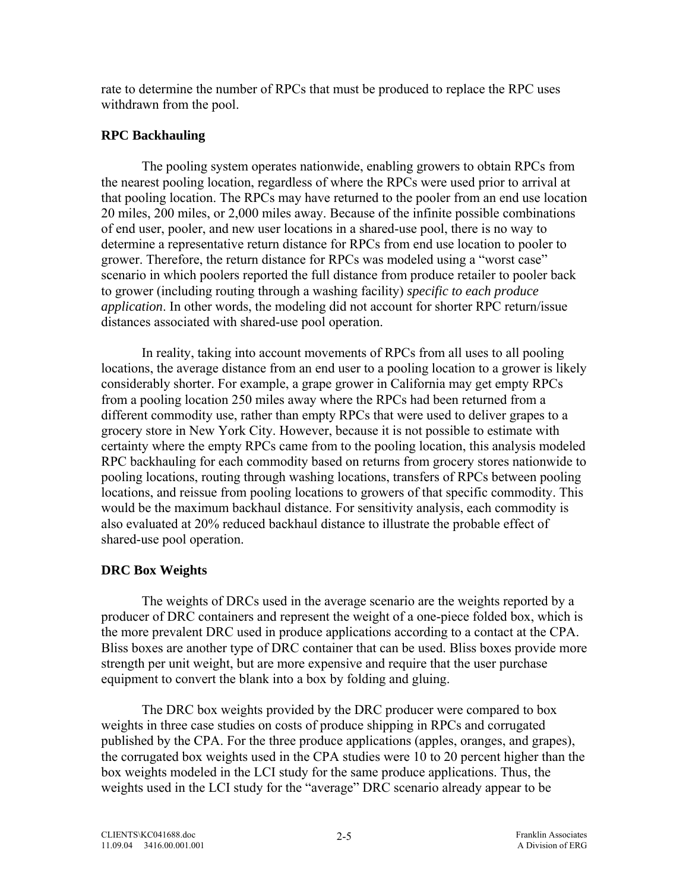rate to determine the number of RPCs that must be produced to replace the RPC uses withdrawn from the pool.

## **RPC Backhauling**

The pooling system operates nationwide, enabling growers to obtain RPCs from the nearest pooling location, regardless of where the RPCs were used prior to arrival at that pooling location. The RPCs may have returned to the pooler from an end use location 20 miles, 200 miles, or 2,000 miles away. Because of the infinite possible combinations of end user, pooler, and new user locations in a shared-use pool, there is no way to determine a representative return distance for RPCs from end use location to pooler to grower. Therefore, the return distance for RPCs was modeled using a "worst case" scenario in which poolers reported the full distance from produce retailer to pooler back to grower (including routing through a washing facility) *specific to each produce application*. In other words, the modeling did not account for shorter RPC return/issue distances associated with shared-use pool operation.

In reality, taking into account movements of RPCs from all uses to all pooling locations, the average distance from an end user to a pooling location to a grower is likely considerably shorter. For example, a grape grower in California may get empty RPCs from a pooling location 250 miles away where the RPCs had been returned from a different commodity use, rather than empty RPCs that were used to deliver grapes to a grocery store in New York City. However, because it is not possible to estimate with certainty where the empty RPCs came from to the pooling location, this analysis modeled RPC backhauling for each commodity based on returns from grocery stores nationwide to pooling locations, routing through washing locations, transfers of RPCs between pooling locations, and reissue from pooling locations to growers of that specific commodity. This would be the maximum backhaul distance. For sensitivity analysis, each commodity is also evaluated at 20% reduced backhaul distance to illustrate the probable effect of shared-use pool operation.

# **DRC Box Weights**

The weights of DRCs used in the average scenario are the weights reported by a producer of DRC containers and represent the weight of a one-piece folded box, which is the more prevalent DRC used in produce applications according to a contact at the CPA. Bliss boxes are another type of DRC container that can be used. Bliss boxes provide more strength per unit weight, but are more expensive and require that the user purchase equipment to convert the blank into a box by folding and gluing.

The DRC box weights provided by the DRC producer were compared to box weights in three case studies on costs of produce shipping in RPCs and corrugated published by the CPA. For the three produce applications (apples, oranges, and grapes), the corrugated box weights used in the CPA studies were 10 to 20 percent higher than the box weights modeled in the LCI study for the same produce applications. Thus, the weights used in the LCI study for the "average" DRC scenario already appear to be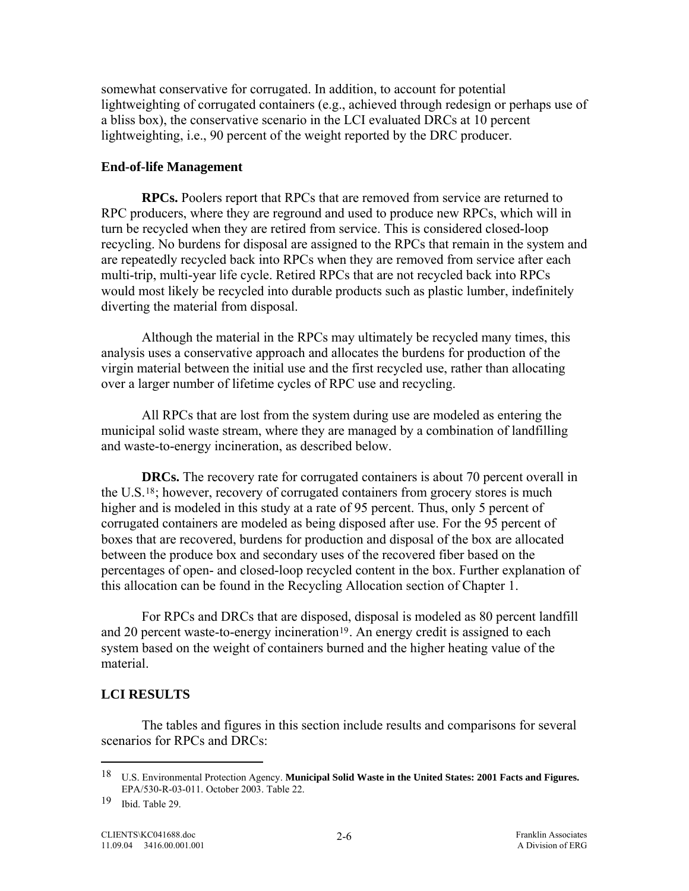<span id="page-43-0"></span>somewhat conservative for corrugated. In addition, to account for potential lightweighting of corrugated containers (e.g., achieved through redesign or perhaps use of a bliss box), the conservative scenario in the LCI evaluated DRCs at 10 percent lightweighting, i.e., 90 percent of the weight reported by the DRC producer.

## **End-of-life Management**

**RPCs.** Poolers report that RPCs that are removed from service are returned to RPC producers, where they are reground and used to produce new RPCs, which will in turn be recycled when they are retired from service. This is considered closed-loop recycling. No burdens for disposal are assigned to the RPCs that remain in the system and are repeatedly recycled back into RPCs when they are removed from service after each multi-trip, multi-year life cycle. Retired RPCs that are not recycled back into RPCs would most likely be recycled into durable products such as plastic lumber, indefinitely diverting the material from disposal.

Although the material in the RPCs may ultimately be recycled many times, this analysis uses a conservative approach and allocates the burdens for production of the virgin material between the initial use and the first recycled use, rather than allocating over a larger number of lifetime cycles of RPC use and recycling.

 All RPCs that are lost from the system during use are modeled as entering the municipal solid waste stream, where they are managed by a combination of landfilling and waste-to-energy incineration, as described below.

**DRCs.** The recovery rate for corrugated containers is about 70 percent overall in the U.S[.18](#page-43-0); however, recovery of corrugated containers from grocery stores is much higher and is modeled in this study at a rate of 95 percent. Thus, only 5 percent of corrugated containers are modeled as being disposed after use. For the 95 percent of boxes that are recovered, burdens for production and disposal of the box are allocated between the produce box and secondary uses of the recovered fiber based on the percentages of open- and closed-loop recycled content in the box. Further explanation of this allocation can be found in the Recycling Allocation section of Chapter 1.

 For RPCs and DRCs that are disposed, disposal is modeled as 80 percent landfill and 20 percent waste-to-energy incineration<sup>[19](#page-43-0)</sup>. An energy credit is assigned to each system based on the weight of containers burned and the higher heating value of the material.

# **LCI RESULTS**

 The tables and figures in this section include results and comparisons for several scenarios for RPCs and DRCs:

 $\overline{a}$ 

<sup>18</sup> U.S. Environmental Protection Agency. **Municipal Solid Waste in the United States: 2001 Facts and Figures.**  EPA/530-R-03-011. October 2003. Table 22.

<sup>19</sup> Ibid. Table 29.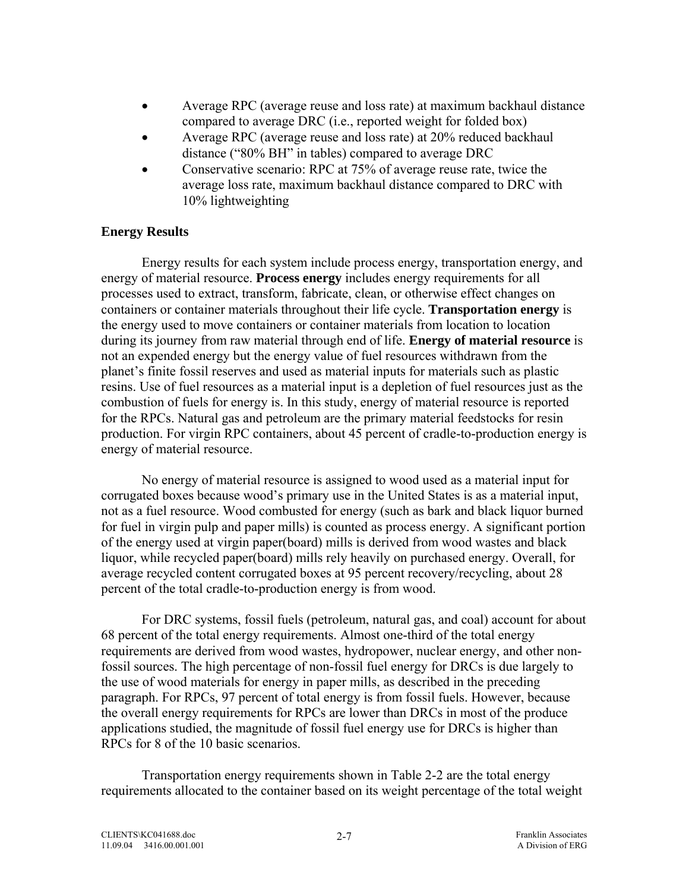- Average RPC (average reuse and loss rate) at maximum backhaul distance compared to average DRC (i.e., reported weight for folded box)
- Average RPC (average reuse and loss rate) at 20% reduced backhaul distance ("80% BH" in tables) compared to average DRC
- Conservative scenario: RPC at 75% of average reuse rate, twice the average loss rate, maximum backhaul distance compared to DRC with 10% lightweighting

## **Energy Results**

Energy results for each system include process energy, transportation energy, and energy of material resource. **Process energy** includes energy requirements for all processes used to extract, transform, fabricate, clean, or otherwise effect changes on containers or container materials throughout their life cycle. **Transportation energy** is the energy used to move containers or container materials from location to location during its journey from raw material through end of life. **Energy of material resource** is not an expended energy but the energy value of fuel resources withdrawn from the planet's finite fossil reserves and used as material inputs for materials such as plastic resins. Use of fuel resources as a material input is a depletion of fuel resources just as the combustion of fuels for energy is. In this study, energy of material resource is reported for the RPCs. Natural gas and petroleum are the primary material feedstocks for resin production. For virgin RPC containers, about 45 percent of cradle-to-production energy is energy of material resource.

No energy of material resource is assigned to wood used as a material input for corrugated boxes because wood's primary use in the United States is as a material input, not as a fuel resource. Wood combusted for energy (such as bark and black liquor burned for fuel in virgin pulp and paper mills) is counted as process energy. A significant portion of the energy used at virgin paper(board) mills is derived from wood wastes and black liquor, while recycled paper(board) mills rely heavily on purchased energy. Overall, for average recycled content corrugated boxes at 95 percent recovery/recycling, about 28 percent of the total cradle-to-production energy is from wood.

For DRC systems, fossil fuels (petroleum, natural gas, and coal) account for about 68 percent of the total energy requirements. Almost one-third of the total energy requirements are derived from wood wastes, hydropower, nuclear energy, and other nonfossil sources. The high percentage of non-fossil fuel energy for DRCs is due largely to the use of wood materials for energy in paper mills, as described in the preceding paragraph. For RPCs, 97 percent of total energy is from fossil fuels. However, because the overall energy requirements for RPCs are lower than DRCs in most of the produce applications studied, the magnitude of fossil fuel energy use for DRCs is higher than RPCs for 8 of the 10 basic scenarios.

Transportation energy requirements shown in Table 2-2 are the total energy requirements allocated to the container based on its weight percentage of the total weight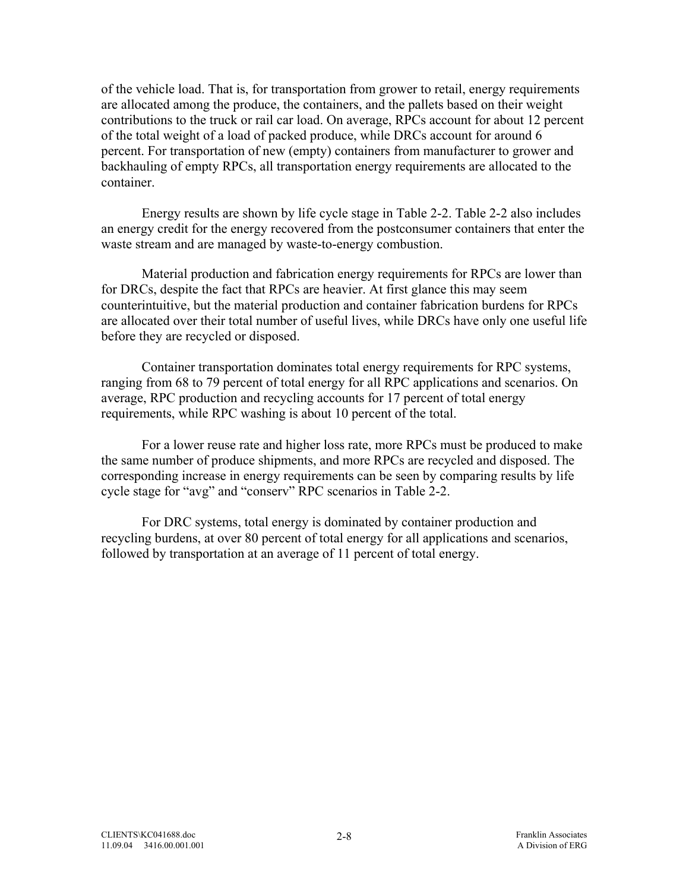of the vehicle load. That is, for transportation from grower to retail, energy requirements are allocated among the produce, the containers, and the pallets based on their weight contributions to the truck or rail car load. On average, RPCs account for about 12 percent of the total weight of a load of packed produce, while DRCs account for around 6 percent. For transportation of new (empty) containers from manufacturer to grower and backhauling of empty RPCs, all transportation energy requirements are allocated to the container.

 Energy results are shown by life cycle stage in Table 2-2. Table 2-2 also includes an energy credit for the energy recovered from the postconsumer containers that enter the waste stream and are managed by waste-to-energy combustion.

Material production and fabrication energy requirements for RPCs are lower than for DRCs, despite the fact that RPCs are heavier. At first glance this may seem counterintuitive, but the material production and container fabrication burdens for RPCs are allocated over their total number of useful lives, while DRCs have only one useful life before they are recycled or disposed.

Container transportation dominates total energy requirements for RPC systems, ranging from 68 to 79 percent of total energy for all RPC applications and scenarios. On average, RPC production and recycling accounts for 17 percent of total energy requirements, while RPC washing is about 10 percent of the total.

For a lower reuse rate and higher loss rate, more RPCs must be produced to make the same number of produce shipments, and more RPCs are recycled and disposed. The corresponding increase in energy requirements can be seen by comparing results by life cycle stage for "avg" and "conserv" RPC scenarios in Table 2-2.

For DRC systems, total energy is dominated by container production and recycling burdens, at over 80 percent of total energy for all applications and scenarios, followed by transportation at an average of 11 percent of total energy.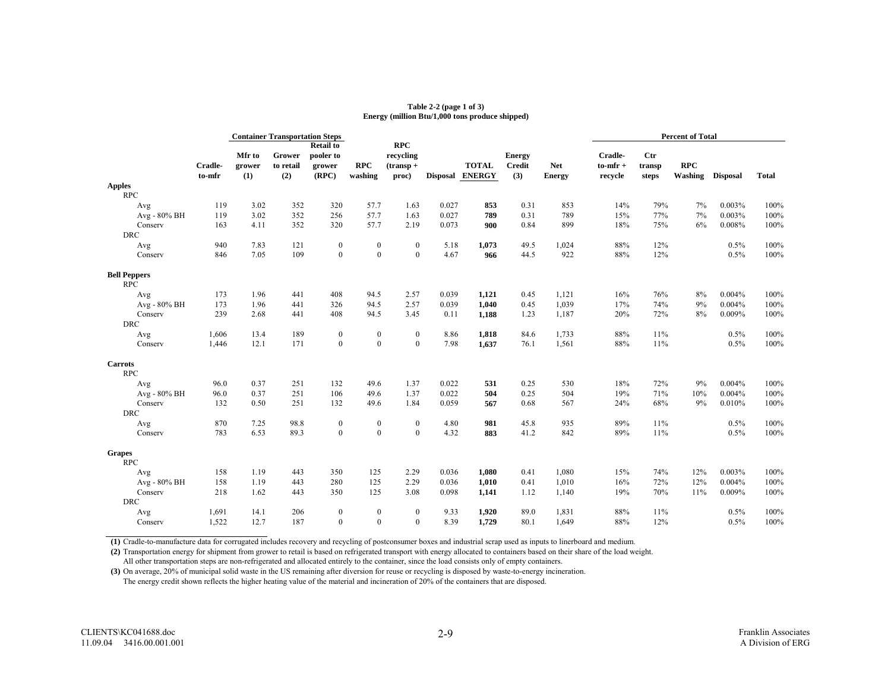#### **Table 2-2 (page 1 of 3) Energy (million Btu/1,000 tons produce shipped)**

|                             |                   | <b>Container Transportation Steps</b> |                            |                                                  |                       |                                                  |       | <b>Percent of Total</b>         |                                       |                             |                                     |                        |                       |                 |              |
|-----------------------------|-------------------|---------------------------------------|----------------------------|--------------------------------------------------|-----------------------|--------------------------------------------------|-------|---------------------------------|---------------------------------------|-----------------------------|-------------------------------------|------------------------|-----------------------|-----------------|--------------|
|                             | Cradle-<br>to-mfr | Mfr to<br>grower<br>(1)               | Grower<br>to retail<br>(2) | <b>Retail to</b><br>pooler to<br>grower<br>(RPC) | <b>RPC</b><br>washing | <b>RPC</b><br>recycling<br>$($ transp +<br>proc) |       | <b>TOTAL</b><br>Disposal ENERGY | <b>Energy</b><br><b>Credit</b><br>(3) | <b>Net</b><br><b>Energy</b> | Cradle-<br>$to$ -mfr $+$<br>recycle | Ctr<br>transp<br>steps | <b>RPC</b><br>Washing | <b>Disposal</b> | <b>Total</b> |
| <b>Apples</b><br><b>RPC</b> |                   |                                       |                            |                                                  |                       |                                                  |       |                                 |                                       |                             |                                     |                        |                       |                 |              |
| Avg                         | 119               | 3.02                                  | 352                        | 320                                              | 57.7                  | 1.63                                             | 0.027 | 853                             | 0.31                                  | 853                         | 14%                                 | 79%                    | 7%                    | 0.003%          | 100%         |
| Avg - 80% BH                | 119               | 3.02                                  | 352                        | 256                                              | 57.7                  | 1.63                                             | 0.027 | 789                             | 0.31                                  | 789                         | 15%                                 | 77%                    | 7%                    | 0.003%          | 100%         |
| Conserv                     | 163               | 4.11                                  | 352                        | 320                                              | 57.7                  | 2.19                                             | 0.073 | 900                             | 0.84                                  | 899                         | 18%                                 | 75%                    | 6%                    | 0.008%          | 100%         |
| <b>DRC</b>                  |                   |                                       |                            |                                                  |                       |                                                  |       |                                 |                                       |                             |                                     |                        |                       |                 |              |
| Avg                         | 940               | 7.83                                  | 121                        | $\bf{0}$                                         | $\boldsymbol{0}$      | $\boldsymbol{0}$                                 | 5.18  | 1,073                           | 49.5                                  | 1,024                       | 88%                                 | 12%                    |                       | 0.5%            | 100%         |
| Conserv                     | 846               | 7.05                                  | 109                        | $\mathbf{0}$                                     | $\mathbf{0}$          | $\mathbf{0}$                                     | 4.67  | 966                             | 44.5                                  | 922                         | 88%                                 | 12%                    |                       | 0.5%            | 100%         |
| <b>Bell Peppers</b>         |                   |                                       |                            |                                                  |                       |                                                  |       |                                 |                                       |                             |                                     |                        |                       |                 |              |
| <b>RPC</b>                  |                   |                                       |                            |                                                  |                       |                                                  |       |                                 |                                       |                             |                                     |                        |                       |                 |              |
| Avg                         | 173               | 1.96                                  | 441                        | 408                                              | 94.5                  | 2.57                                             | 0.039 | 1,121                           | 0.45                                  | 1,121                       | 16%                                 | 76%                    | 8%                    | 0.004%          | 100%         |
| Avg - 80% BH                | 173               | 1.96                                  | 441                        | 326                                              | 94.5                  | 2.57                                             | 0.039 | 1.040                           | 0.45                                  | 1,039                       | 17%                                 | 74%                    | 9%                    | 0.004%          | 100%         |
| Conserv                     | 239               | 2.68                                  | 441                        | 408                                              | 94.5                  | 3.45                                             | 0.11  | 1,188                           | 1.23                                  | 1,187                       | 20%                                 | 72%                    | 8%                    | 0.009%          | 100%         |
| <b>DRC</b>                  |                   |                                       |                            |                                                  |                       |                                                  |       |                                 |                                       |                             |                                     |                        |                       |                 |              |
| Avg                         | 1,606             | 13.4                                  | 189                        | $\bf{0}$                                         | $\bf{0}$              | $\bf{0}$                                         | 8.86  | 1,818                           | 84.6                                  | 1,733                       | 88%                                 | 11%                    |                       | 0.5%            | 100%         |
| Conserv                     | 1,446             | 12.1                                  | 171                        | $\mathbf{0}$                                     | $\mathbf{0}$          | $\boldsymbol{0}$                                 | 7.98  | 1,637                           | 76.1                                  | 1,561                       | 88%                                 | 11%                    |                       | 0.5%            | 100%         |
| <b>Carrots</b>              |                   |                                       |                            |                                                  |                       |                                                  |       |                                 |                                       |                             |                                     |                        |                       |                 |              |
| <b>RPC</b>                  |                   |                                       |                            |                                                  |                       |                                                  |       |                                 |                                       |                             |                                     |                        |                       |                 |              |
| Avg                         | 96.0              | 0.37                                  | 251                        | 132                                              | 49.6                  | 1.37                                             | 0.022 | 531                             | 0.25                                  | 530                         | 18%                                 | 72%                    | 9%                    | 0.004%          | 100%         |
| Avg - 80% BH                | 96.0              | 0.37                                  | 251                        | 106                                              | 49.6                  | 1.37                                             | 0.022 | 504                             | 0.25                                  | 504                         | 19%                                 | 71%                    | 10%                   | 0.004%          | 100%         |
| Conserv                     | 132               | 0.50                                  | 251                        | 132                                              | 49.6                  | 1.84                                             | 0.059 | 567                             | 0.68                                  | 567                         | 24%                                 | 68%                    | 9%                    | 0.010%          | 100%         |
| <b>DRC</b>                  |                   |                                       |                            |                                                  |                       |                                                  |       |                                 |                                       |                             |                                     |                        |                       |                 |              |
| Avg                         | 870               | 7.25                                  | 98.8                       | $\boldsymbol{0}$                                 | $\boldsymbol{0}$      | $\boldsymbol{0}$                                 | 4.80  | 981                             | 45.8                                  | 935                         | 89%                                 | 11%                    |                       | 0.5%            | 100%         |
| Conserv                     | 783               | 6.53                                  | 89.3                       | $\mathbf{0}$                                     | $\mathbf{0}$          | $\mathbf{0}$                                     | 4.32  | 883                             | 41.2                                  | 842                         | 89%                                 | 11%                    |                       | 0.5%            | 100%         |
| <b>Grapes</b>               |                   |                                       |                            |                                                  |                       |                                                  |       |                                 |                                       |                             |                                     |                        |                       |                 |              |
| <b>RPC</b>                  |                   |                                       |                            |                                                  |                       |                                                  |       |                                 |                                       |                             |                                     |                        |                       |                 |              |
| Avg                         | 158               | 1.19                                  | 443                        | 350                                              | 125                   | 2.29                                             | 0.036 | 1,080                           | 0.41                                  | 1,080                       | 15%                                 | 74%                    | 12%                   | 0.003%          | 100%         |
| Avg - 80% BH                | 158               | 1.19                                  | 443                        | 280                                              | 125                   | 2.29                                             | 0.036 | 1,010                           | 0.41                                  | 1,010                       | 16%                                 | 72%                    | 12%                   | 0.004%          | 100%         |
| Conserv                     | 218               | 1.62                                  | 443                        | 350                                              | 125                   | 3.08                                             | 0.098 | 1,141                           | 1.12                                  | 1,140                       | 19%                                 | 70%                    | 11%                   | 0.009%          | 100%         |
| <b>DRC</b>                  |                   |                                       |                            |                                                  |                       |                                                  |       |                                 |                                       |                             |                                     |                        |                       |                 |              |
| Avg                         | 1,691             | 14.1                                  | 206                        | $\bf{0}$                                         | $\bf{0}$              | $\boldsymbol{0}$                                 | 9.33  | 1,920                           | 89.0                                  | 1,831                       | 88%                                 | 11%                    |                       | 0.5%            | 100%         |
| Conserv                     | 1,522             | 12.7                                  | 187                        | $\mathbf{0}$                                     | $\theta$              | $\mathbf{0}$                                     | 8.39  | 1,729                           | 80.1                                  | 1,649                       | 88%                                 | 12%                    |                       | 0.5%            | 100%         |

**(1)** Cradle-to-manufacture data for corrugated includes recovery and recycling of postconsumer boxes and industrial scrap used as inputs to linerboard and medium.

**(2)** Transportation energy for shipment from grower to retail is based on refrigerated transport with energy allocated to containers based on their share of the load weight.

All other transportation steps are non-refrigerated and allocated entirely to the container, since the load consists only of empty containers.

**(3)** On average, 20% of municipal solid waste in the US remaining after diversion for reuse or recycling is disposed by waste-to-energy incineration.

The energy credit shown reflects the higher heating value of the material and incineration of 20% of the containers that are disposed.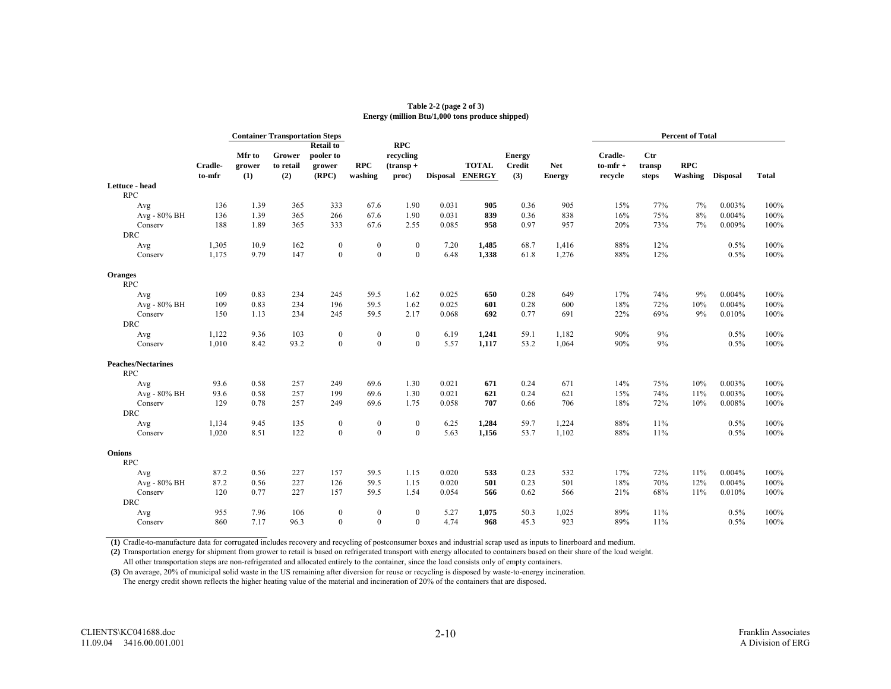#### **Table 2-2 (page 2 of 3) Energy (million Btu/1,000 tons produce shipped)**

|                                         |                   | <b>Container Transportation Steps</b> |                            |                                                  |                       |                                                  |       |                                 |                                       |                             | <b>Percent of Total</b>           |                        |                       |                 |              |
|-----------------------------------------|-------------------|---------------------------------------|----------------------------|--------------------------------------------------|-----------------------|--------------------------------------------------|-------|---------------------------------|---------------------------------------|-----------------------------|-----------------------------------|------------------------|-----------------------|-----------------|--------------|
|                                         | Cradle-<br>to-mfr | Mfr to<br>grower<br>(1)               | Grower<br>to retail<br>(2) | <b>Retail to</b><br>pooler to<br>grower<br>(RPC) | <b>RPC</b><br>washing | <b>RPC</b><br>recycling<br>$($ transp +<br>proc) |       | <b>TOTAL</b><br>Disposal ENERGY | <b>Energy</b><br><b>Credit</b><br>(3) | <b>Net</b><br><b>Energy</b> | Cradle-<br>$to$ -mfr +<br>recycle | Ctr<br>transp<br>steps | <b>RPC</b><br>Washing | <b>Disposal</b> | <b>Total</b> |
| Lettuce - head<br><b>RPC</b>            |                   |                                       |                            |                                                  |                       |                                                  |       |                                 |                                       |                             |                                   |                        |                       |                 |              |
| Avg                                     | 136               | 1.39                                  | 365                        | 333                                              | 67.6                  | 1.90                                             | 0.031 | 905                             | 0.36                                  | 905                         | 15%                               | 77%                    | 7%                    | 0.003%          | 100%         |
| Avg - 80% BH                            | 136               | 1.39                                  | 365                        | 266                                              | 67.6                  | 1.90                                             | 0.031 | 839                             | 0.36                                  | 838                         | 16%                               | 75%                    | 8%                    | 0.004%          | 100%         |
| Conserv<br><b>DRC</b>                   | 188               | 1.89                                  | 365                        | 333                                              | 67.6                  | 2.55                                             | 0.085 | 958                             | 0.97                                  | 957                         | 20%                               | 73%                    | 7%                    | 0.009%          | 100%         |
| Avg                                     | 1,305             | 10.9                                  | 162                        | $\bf{0}$                                         | $\boldsymbol{0}$      | $\boldsymbol{0}$                                 | 7.20  | 1,485                           | 68.7                                  | 1,416                       | 88%                               | 12%                    |                       | 0.5%            | 100%         |
| Conserv                                 | 1,175             | 9.79                                  | 147                        | $\mathbf{0}$                                     | $\mathbf{0}$          | $\mathbf{0}$                                     | 6.48  | 1,338                           | 61.8                                  | 1,276                       | 88%                               | 12%                    |                       | 0.5%            | 100%         |
| <b>Oranges</b><br><b>RPC</b>            |                   |                                       |                            |                                                  |                       |                                                  |       |                                 |                                       |                             |                                   |                        |                       |                 |              |
| Avg                                     | 109               | 0.83                                  | 234                        | 245                                              | 59.5                  | 1.62                                             | 0.025 | 650                             | 0.28                                  | 649                         | 17%                               | 74%                    | 9%                    | 0.004%          | 100%         |
| Avg - 80% BH                            | 109               | 0.83                                  | 234                        | 196                                              | 59.5                  | 1.62                                             | 0.025 | 601                             | 0.28                                  | 600                         | 18%                               | 72%                    | 10%                   | 0.004%          | 100%         |
| Conserv                                 | 150               | 1.13                                  | 234                        | 245                                              | 59.5                  | 2.17                                             | 0.068 | 692                             | 0.77                                  | 691                         | 22%                               | 69%                    | 9%                    | 0.010%          | 100%         |
| <b>DRC</b>                              |                   |                                       |                            |                                                  |                       |                                                  |       |                                 |                                       |                             |                                   |                        |                       |                 |              |
| Avg                                     | 1,122             | 9.36                                  | 103                        | $\bf{0}$                                         | $\boldsymbol{0}$      | $\boldsymbol{0}$                                 | 6.19  | 1,241                           | 59.1                                  | 1,182                       | 90%                               | 9%                     |                       | 0.5%            | 100%         |
| Conserv                                 | 1,010             | 8.42                                  | 93.2                       | $\mathbf{0}$                                     | $\mathbf{0}$          | $\mathbf{0}$                                     | 5.57  | 1,117                           | 53.2                                  | 1,064                       | 90%                               | 9%                     |                       | 0.5%            | 100%         |
| <b>Peaches/Nectarines</b><br><b>RPC</b> |                   |                                       |                            |                                                  |                       |                                                  |       |                                 |                                       |                             |                                   |                        |                       |                 |              |
| Avg                                     | 93.6              | 0.58                                  | 257                        | 249                                              | 69.6                  | 1.30                                             | 0.021 | 671                             | 0.24                                  | 671                         | 14%                               | 75%                    | 10%                   | 0.003%          | 100%         |
| Avg - 80% BH                            | 93.6              | 0.58                                  | 257                        | 199                                              | 69.6                  | 1.30                                             | 0.021 | 621                             | 0.24                                  | 621                         | 15%                               | 74%                    | 11%                   | 0.003%          | 100%         |
| Conserv<br><b>DRC</b>                   | 129               | 0.78                                  | 257                        | 249                                              | 69.6                  | 1.75                                             | 0.058 | 707                             | 0.66                                  | 706                         | 18%                               | 72%                    | 10%                   | 0.008%          | 100%         |
| Avg                                     | 1,134             | 9.45                                  | 135                        | $\boldsymbol{0}$                                 | $\boldsymbol{0}$      | $\boldsymbol{0}$                                 | 6.25  | 1,284                           | 59.7                                  | 1,224                       | 88%                               | 11%                    |                       | 0.5%            | 100%         |
| Conserv                                 | 1,020             | 8.51                                  | 122                        | $\mathbf{0}$                                     | $\mathbf{0}$          | $\mathbf{0}$                                     | 5.63  | 1,156                           | 53.7                                  | 1,102                       | 88%                               | 11%                    |                       | 0.5%            | 100%         |
| Onions<br><b>RPC</b>                    |                   |                                       |                            |                                                  |                       |                                                  |       |                                 |                                       |                             |                                   |                        |                       |                 |              |
| Avg                                     | 87.2              | 0.56                                  | 227                        | 157                                              | 59.5                  | 1.15                                             | 0.020 | 533                             | 0.23                                  | 532                         | 17%                               | 72%                    | 11%                   | 0.004%          | 100%         |
| Avg - 80% BH                            | 87.2              | 0.56                                  | 227                        | 126                                              | 59.5                  | 1.15                                             | 0.020 | 501                             | 0.23                                  | 501                         | 18%                               | 70%                    | 12%                   | 0.004%          | 100%         |
| Conserv                                 | 120               | 0.77                                  | 227                        | 157                                              | 59.5                  | 1.54                                             | 0.054 | 566                             | 0.62                                  | 566                         | 21%                               | 68%                    | 11%                   | 0.010%          | 100%         |
| <b>DRC</b>                              |                   |                                       |                            |                                                  |                       |                                                  |       |                                 |                                       |                             |                                   |                        |                       |                 |              |
| Avg                                     | 955               | 7.96                                  | 106                        | $\bf{0}$                                         | $\bf{0}$              | $\bf{0}$                                         | 5.27  | 1,075                           | 50.3                                  | 1,025                       | 89%                               | 11%                    |                       | 0.5%            | 100%         |
| Conserv                                 | 860               | 7.17                                  | 96.3                       | $\mathbf{0}$                                     | $\mathbf{0}$          | $\mathbf{0}$                                     | 4.74  | 968                             | 45.3                                  | 923                         | 89%                               | 11%                    |                       | 0.5%            | 100%         |

**(1)** Cradle-to-manufacture data for corrugated includes recovery and recycling of postconsumer boxes and industrial scrap used as inputs to linerboard and medium.

**(2)** Transportation energy for shipment from grower to retail is based on refrigerated transport with energy allocated to containers based on their share of the load weight.

All other transportation steps are non-refrigerated and allocated entirely to the container, since the load consists only of empty containers.

**(3)** On average, 20% of municipal solid waste in the US remaining after diversion for reuse or recycling is disposed by waste-to-energy incineration.

The energy credit shown reflects the higher heating value of the material and incineration of 20% of the containers that are disposed.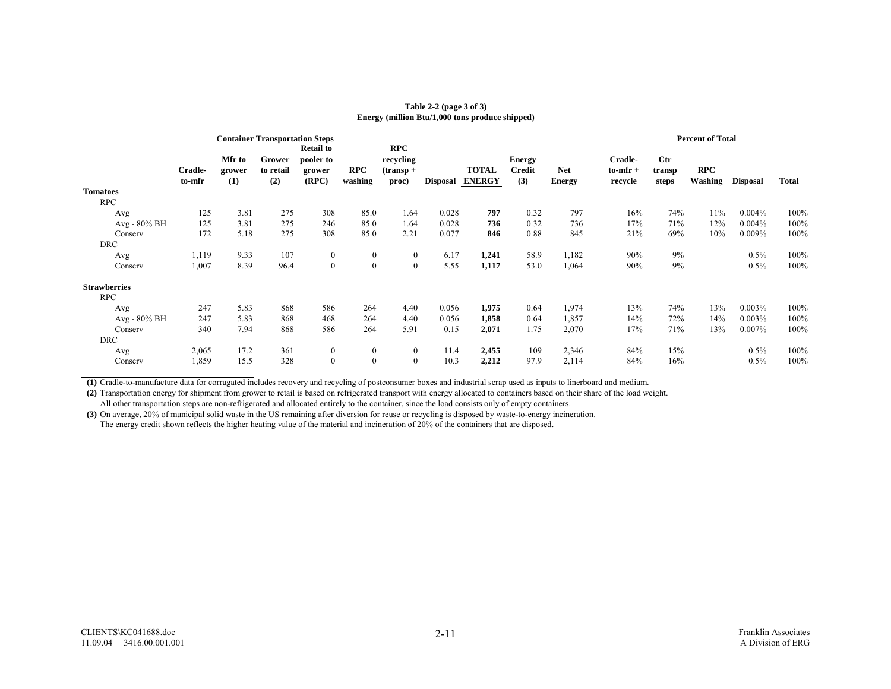#### **Energy (million Btu/1,000 tons produce shipped) Table 2-2 (page 3 of 3)**

|                     |                   |                         | <b>Container Transportation Steps</b> |                                                  |                       |                                                  |                 |                               |                                       |                             | <b>Percent of Total</b>             |                                 |                       |                 |       |
|---------------------|-------------------|-------------------------|---------------------------------------|--------------------------------------------------|-----------------------|--------------------------------------------------|-----------------|-------------------------------|---------------------------------------|-----------------------------|-------------------------------------|---------------------------------|-----------------------|-----------------|-------|
|                     | Cradle-<br>to-mfr | Mfr to<br>grower<br>(1) | Grower<br>to retail<br>(2)            | <b>Retail to</b><br>pooler to<br>grower<br>(RPC) | <b>RPC</b><br>washing | <b>RPC</b><br>recycling<br>$($ transp +<br>proc) | <b>Disposal</b> | <b>TOTAL</b><br><b>ENERGY</b> | <b>Energy</b><br><b>Credit</b><br>(3) | <b>Net</b><br><b>Energy</b> | Cradle-<br>$to$ -mfr $+$<br>recycle | $_{\rm Ctr}$<br>transp<br>steps | <b>RPC</b><br>Washing | <b>Disposal</b> | Total |
| <b>Tomatoes</b>     |                   |                         |                                       |                                                  |                       |                                                  |                 |                               |                                       |                             |                                     |                                 |                       |                 |       |
| <b>RPC</b>          |                   |                         |                                       |                                                  |                       |                                                  |                 |                               |                                       |                             |                                     |                                 |                       |                 |       |
| Avg                 | 125               | 3.81                    | 275                                   | 308                                              | 85.0                  | 1.64                                             | 0.028           | 797                           | 0.32                                  | 797                         | 16%                                 | 74%                             | 11%                   | $0.004\%$       | 100%  |
| Avg - 80% BH        | 125               | 3.81                    | 275                                   | 246                                              | 85.0                  | 1.64                                             | 0.028           | 736                           | 0.32                                  | 736                         | 17%                                 | 71%                             | 12%                   | $0.004\%$       | 100%  |
| Conserv             | 172               | 5.18                    | 275                                   | 308                                              | 85.0                  | 2.21                                             | 0.077           | 846                           | 0.88                                  | 845                         | 21%                                 | 69%                             | 10%                   | $0.009\%$       | 100%  |
| <b>DRC</b>          |                   |                         |                                       |                                                  |                       |                                                  |                 |                               |                                       |                             |                                     |                                 |                       |                 |       |
| Avg                 | 1,119             | 9.33                    | 107                                   | $\bf{0}$                                         | $\boldsymbol{0}$      | $\boldsymbol{0}$                                 | 6.17            | 1,241                         | 58.9                                  | 1,182                       | 90%                                 | 9%                              |                       | $0.5\%$         | 100%  |
| Conserv             | 1,007             | 8.39                    | 96.4                                  | $\mathbf{0}$                                     | $\mathbf{0}$          | $\mathbf{0}$                                     | 5.55            | 1,117                         | 53.0                                  | 1,064                       | 90%                                 | 9%                              |                       | $0.5\%$         | 100%  |
| <b>Strawberries</b> |                   |                         |                                       |                                                  |                       |                                                  |                 |                               |                                       |                             |                                     |                                 |                       |                 |       |
| <b>RPC</b>          |                   |                         |                                       |                                                  |                       |                                                  |                 |                               |                                       |                             |                                     |                                 |                       |                 |       |
| Avg                 | 247               | 5.83                    | 868                                   | 586                                              | 264                   | 4.40                                             | 0.056           | 1,975                         | 0.64                                  | 1,974                       | 13%                                 | 74%                             | 13%                   | $0.003\%$       | 100%  |
| Avg - 80% BH        | 247               | 5.83                    | 868                                   | 468                                              | 264                   | 4.40                                             | 0.056           | 1,858                         | 0.64                                  | 1,857                       | 14%                                 | 72%                             | 14%                   | $0.003\%$       | 100%  |
| Conserv             | 340               | 7.94                    | 868                                   | 586                                              | 264                   | 5.91                                             | 0.15            | 2,071                         | 1.75                                  | 2,070                       | 17%                                 | 71%                             | 13%                   | $0.007\%$       | 100%  |
| <b>DRC</b>          |                   |                         |                                       |                                                  |                       |                                                  |                 |                               |                                       |                             |                                     |                                 |                       |                 |       |
| Avg                 | 2,065             | 17.2                    | 361                                   | $\bf{0}$                                         | $\mathbf{0}$          | $\boldsymbol{0}$                                 | 11.4            | 2,455                         | 109                                   | 2,346                       | 84%                                 | 15%                             |                       | $0.5\%$         | 100%  |
| Conserv             | 1,859             | 15.5                    | 328                                   | $\mathbf{0}$                                     | $\mathbf{0}$          | $\mathbf{0}$                                     | 10.3            | 2,212                         | 97.9                                  | 2,114                       | 84%                                 | 16%                             |                       | 0.5%            | 100%  |

**(1)** Cradle-to-manufacture data for corrugated includes recovery and recycling of postconsumer boxes and industrial scrap used as inputs to linerboard and medium.

**(2)** Transportation energy for shipment from grower to retail is based on refrigerated transport with energy allocated to containers based on their share of the load weight.

All other transportation steps are non-refrigerated and allocated entirely to the container, since the load consists only of empty containers.

**(3)** On average, 20% of municipal solid waste in the US remaining after diversion for reuse or recycling is disposed by waste-to-energy incineration.

The energy credit shown reflects the higher heating value of the material and incineration of 20% of the containers that are disposed.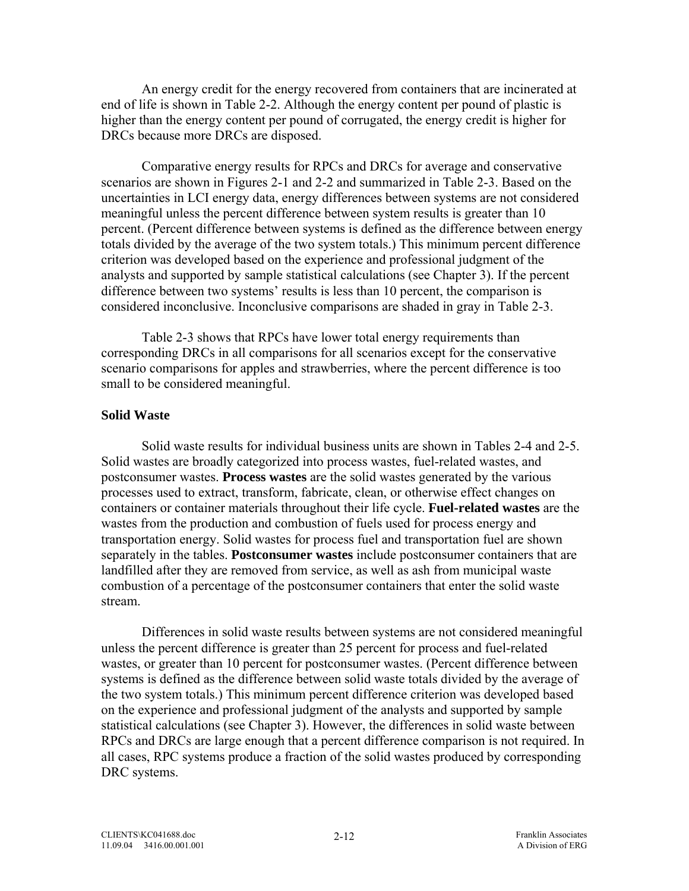An energy credit for the energy recovered from containers that are incinerated at end of life is shown in Table 2-2. Although the energy content per pound of plastic is higher than the energy content per pound of corrugated, the energy credit is higher for DRCs because more DRCs are disposed.

 Comparative energy results for RPCs and DRCs for average and conservative scenarios are shown in Figures 2-1 and 2-2 and summarized in Table 2-3. Based on the uncertainties in LCI energy data, energy differences between systems are not considered meaningful unless the percent difference between system results is greater than 10 percent. (Percent difference between systems is defined as the difference between energy totals divided by the average of the two system totals.) This minimum percent difference criterion was developed based on the experience and professional judgment of the analysts and supported by sample statistical calculations (see Chapter 3). If the percent difference between two systems' results is less than 10 percent, the comparison is considered inconclusive. Inconclusive comparisons are shaded in gray in Table 2-3.

Table 2-3 shows that RPCs have lower total energy requirements than corresponding DRCs in all comparisons for all scenarios except for the conservative scenario comparisons for apples and strawberries, where the percent difference is too small to be considered meaningful.

### **Solid Waste**

Solid waste results for individual business units are shown in Tables 2-4 and 2-5. Solid wastes are broadly categorized into process wastes, fuel-related wastes, and postconsumer wastes. **Process wastes** are the solid wastes generated by the various processes used to extract, transform, fabricate, clean, or otherwise effect changes on containers or container materials throughout their life cycle. **Fuel-related wastes** are the wastes from the production and combustion of fuels used for process energy and transportation energy. Solid wastes for process fuel and transportation fuel are shown separately in the tables. **Postconsumer wastes** include postconsumer containers that are landfilled after they are removed from service, as well as ash from municipal waste combustion of a percentage of the postconsumer containers that enter the solid waste stream.

Differences in solid waste results between systems are not considered meaningful unless the percent difference is greater than 25 percent for process and fuel-related wastes, or greater than 10 percent for postconsumer wastes. (Percent difference between systems is defined as the difference between solid waste totals divided by the average of the two system totals.) This minimum percent difference criterion was developed based on the experience and professional judgment of the analysts and supported by sample statistical calculations (see Chapter 3). However, the differences in solid waste between RPCs and DRCs are large enough that a percent difference comparison is not required. In all cases, RPC systems produce a fraction of the solid wastes produced by corresponding DRC systems.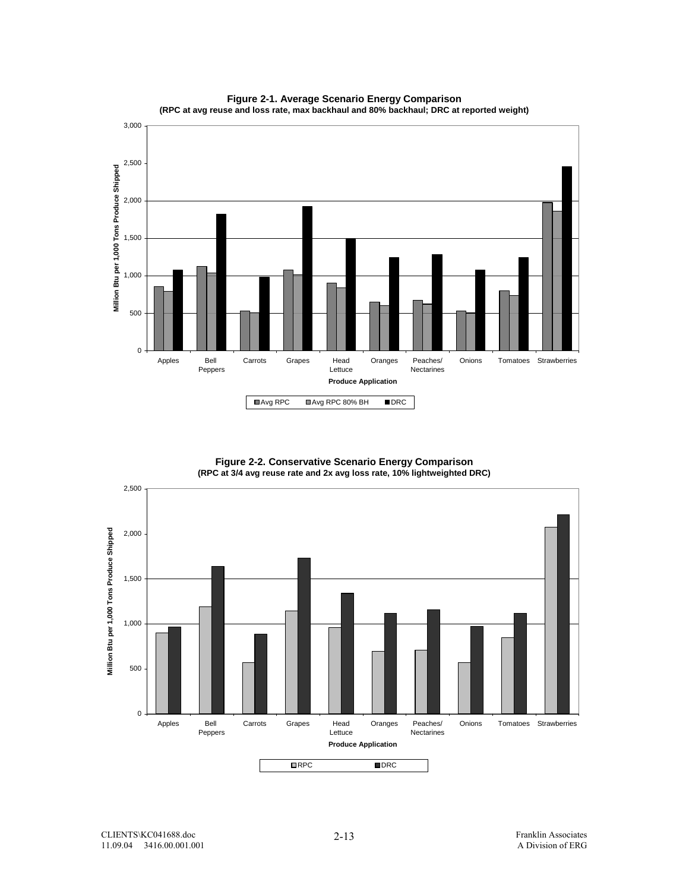



**Figure 2-2. Conservative Scenario Energy Comparison (RPC at 3/4 avg reuse rate and 2x avg loss rate, 10% lightweighted DRC)**

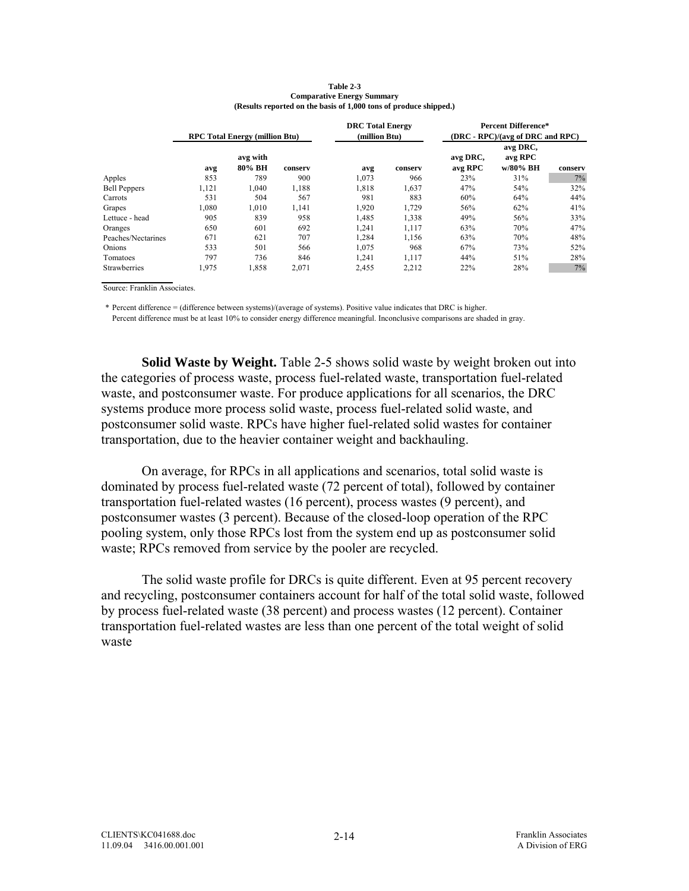|                     |       | <b>RPC Total Energy (million Btu)</b> |         | <b>DRC</b> Total Energy<br>(million Btu) |         | <b>Percent Difference*</b><br>(DRC - RPC)/(avg of DRC and RPC) |                                 |         |  |
|---------------------|-------|---------------------------------------|---------|------------------------------------------|---------|----------------------------------------------------------------|---------------------------------|---------|--|
|                     | avg   | avg with<br>80% BH                    | conserv | avg                                      | conserv | avg DRC,<br>avg RPC                                            | avg DRC,<br>avg RPC<br>w/80% BH | conserv |  |
| Apples              | 853   | 789                                   | 900     | 1.073                                    | 966     | 23%                                                            | 31%                             | 7%      |  |
| <b>Bell Peppers</b> | 1,121 | 1.040                                 | 1,188   | 1,818                                    | 1,637   | 47%                                                            | 54%                             | 32%     |  |
| Carrots             | 531   | 504                                   | 567     | 981                                      | 883     | 60%                                                            | 64%                             | 44%     |  |
| Grapes              | 1.080 | 1.010                                 | 1,141   | 1,920                                    | 1,729   | 56%                                                            | 62%                             | 41%     |  |
| Lettuce - head      | 905   | 839                                   | 958     | 1,485                                    | 1,338   | 49%                                                            | 56%                             | 33%     |  |
| Oranges             | 650   | 601                                   | 692     | 1.241                                    | 1,117   | 63%                                                            | 70%                             | 47%     |  |
| Peaches/Nectarines  | 671   | 621                                   | 707     | 1,284                                    | 1,156   | 63%                                                            | 70%                             | 48%     |  |
| Onions              | 533   | 501                                   | 566     | 1,075                                    | 968     | 67%                                                            | 73%                             | 52%     |  |
| Tomatoes            | 797   | 736                                   | 846     | 1.241                                    | 1.117   | 44%                                                            | 51%                             | 28%     |  |
| Strawberries        | 1,975 | 1,858                                 | 2,071   | 2,455                                    | 2,212   | 22%                                                            | 28%                             | 7%      |  |

#### **Table 2-3 Comparative Energy Summary (Results reported on the basis of 1,000 tons of produce shipped.)**

Source: Franklin Associates.

\* Percent difference = (difference between systems)/(average of systems). Positive value indicates that DRC is higher.

Percent difference must be at least 10% to consider energy difference meaningful. Inconclusive comparisons are shaded in gray.

**Solid Waste by Weight.** Table 2-5 shows solid waste by weight broken out into the categories of process waste, process fuel-related waste, transportation fuel-related waste, and postconsumer waste. For produce applications for all scenarios, the DRC systems produce more process solid waste, process fuel-related solid waste, and postconsumer solid waste. RPCs have higher fuel-related solid wastes for container transportation, due to the heavier container weight and backhauling.

 On average, for RPCs in all applications and scenarios, total solid waste is dominated by process fuel-related waste (72 percent of total), followed by container transportation fuel-related wastes (16 percent), process wastes (9 percent), and postconsumer wastes (3 percent). Because of the closed-loop operation of the RPC pooling system, only those RPCs lost from the system end up as postconsumer solid waste; RPCs removed from service by the pooler are recycled.

 The solid waste profile for DRCs is quite different. Even at 95 percent recovery and recycling, postconsumer containers account for half of the total solid waste, followed by process fuel-related waste (38 percent) and process wastes (12 percent). Container transportation fuel-related wastes are less than one percent of the total weight of solid waste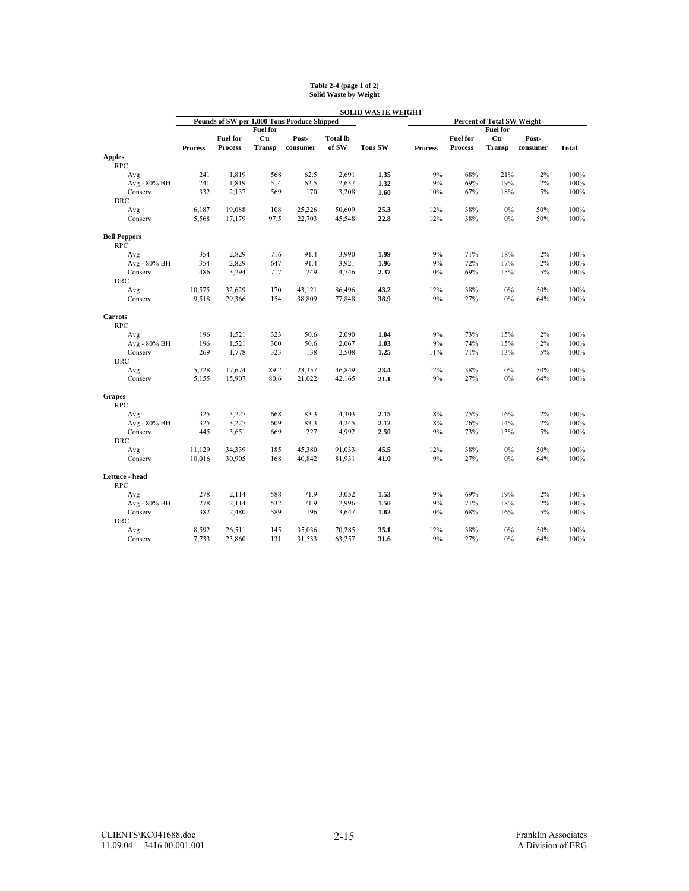|                              |                |                 |                 |                                             |                 | <b>SOLID WASTE WEIGHT</b> |                |                 |                                   |          |              |
|------------------------------|----------------|-----------------|-----------------|---------------------------------------------|-----------------|---------------------------|----------------|-----------------|-----------------------------------|----------|--------------|
|                              |                |                 |                 | Pounds of SW per 1,000 Tons Produce Shipped |                 |                           |                |                 | <b>Percent of Total SW Weight</b> |          |              |
|                              |                |                 | <b>Fuel for</b> |                                             |                 |                           |                |                 | <b>Fuel for</b>                   |          |              |
|                              |                | <b>Fuel for</b> | <b>Ctr</b>      | Post-                                       | <b>Total lb</b> |                           |                | <b>Fuel for</b> | <b>Ctr</b>                        | Post-    |              |
|                              | <b>Process</b> | <b>Process</b>  | <b>Transp</b>   | consumer                                    | of SW           | <b>Tons SW</b>            | <b>Process</b> | <b>Process</b>  | Transp                            | consumer | <b>Total</b> |
| <b>Apples</b><br><b>RPC</b>  |                |                 |                 |                                             |                 |                           |                |                 |                                   |          |              |
| Avg                          | 241            | 1,819           | 568             | 62.5                                        | 2,691           | 1.35                      | 9%             | 68%             | 21%                               | 2%       | 100%         |
| Avg - 80% BH                 | 241            | 1,819           | 514             | 62.5                                        | 2,637           | 1.32                      | 9%             | 69%             | 19%                               | 2%       | 100%         |
| Conserv                      | 332            | 2,137           | 569             | 170                                         | 3,208           | 1.60                      | 10%            | 67%             | 18%                               | $5\%$    | 100%         |
| <b>DRC</b>                   |                |                 |                 |                                             |                 |                           |                |                 |                                   |          |              |
| Avg                          | 6,187          | 19,088          | 108             | 25,226                                      | 50,609          | 25.3                      | 12%            | 38%             | $0\%$                             | 50%      | 100%         |
| Conserv                      | 5,568          | 17,179          | 97.5            | 22,703                                      | 45,548          | 22.8                      | 12%            | 38%             | $0\%$                             | 50%      | 100%         |
|                              |                |                 |                 |                                             |                 |                           |                |                 |                                   |          |              |
| <b>Bell Peppers</b>          |                |                 |                 |                                             |                 |                           |                |                 |                                   |          |              |
| <b>RPC</b>                   |                |                 |                 |                                             |                 |                           |                |                 |                                   |          |              |
| Avg                          | 354            | 2,829           | 716             | 91.4                                        | 3,990           | 1.99                      | 9%             | 71%             | 18%                               | 2%       | 100%         |
| Avg - 80% BH                 | 354            | 2,829           | 647             | 91.4                                        | 3,921           | 1.96                      | 9%             | 72%             | 17%                               | 2%       | 100%         |
| Conserv                      | 486            | 3,294           | 717             | 249                                         | 4,746           | 2.37                      | 10%            | 69%             | 15%                               | $5\%$    | 100%         |
| <b>DRC</b>                   |                |                 |                 |                                             |                 |                           |                |                 |                                   |          |              |
| Avg                          | 10,575         | 32,629          | 170             | 43,121                                      | 86,496          | 43.2                      | 12%            | 38%             | 0%                                | 50%      | 100%         |
| Conserv                      | 9,518          | 29,366          | 154             | 38,809                                      | 77,848          | 38.9                      | 9%             | 27%             | $0\%$                             | 64%      | 100%         |
| <b>Carrots</b>               |                |                 |                 |                                             |                 |                           |                |                 |                                   |          |              |
| <b>RPC</b>                   |                |                 |                 |                                             |                 |                           |                |                 |                                   |          |              |
| Avg                          | 196            | 1,521           | 323             | 50.6                                        | 2,090           | 1.04                      | 9%             | 73%             | 15%                               | 2%       | 100%         |
| Avg - 80% BH                 | 196            | 1,521           | 300             | 50.6                                        | 2,067           | 1.03                      | 9%             | 74%             | 15%                               | 2%       | 100%         |
| Conserv                      | 269            | 1,778           | 323             | 138                                         | 2,508           | 1.25                      | 11%            | 71%             | 13%                               | 5%       | 100%         |
| <b>DRC</b>                   |                |                 |                 |                                             |                 |                           |                |                 |                                   |          |              |
| Avg                          | 5,728          | 17,674          | 89.2            | 23,357                                      | 46,849          | 23.4                      | 12%            | 38%             | $0\%$                             | 50%      | 100%         |
| Conserv                      | 5,155          | 15,907          | 80.6            | 21,022                                      | 42,165          | 21.1                      | 9%             | 27%             | 0%                                | 64%      | 100%         |
| Grapes                       |                |                 |                 |                                             |                 |                           |                |                 |                                   |          |              |
| <b>RPC</b>                   |                |                 |                 |                                             |                 |                           |                |                 |                                   |          |              |
| Avg                          | 325            | 3,227           | 668             | 83.3                                        | 4,303           | 2.15                      | 8%             | 75%             | 16%                               | 2%       | 100%         |
| Avg - 80% BH                 | 325            | 3,227           | 609             | 83.3                                        | 4,245           | 2.12                      | $8\%$          | 76%             | 14%                               | $2\%$    | 100%         |
| Conserv                      | 445            | 3,651           | 669             | 227                                         | 4,992           | 2.50                      | 9%             | 73%             | 13%                               | 5%       | 100%         |
| <b>DRC</b>                   |                |                 |                 |                                             |                 |                           |                |                 |                                   |          |              |
| Avg                          | 11,129         | 34,339          | 185             | 45,380                                      | 91.033          | 45.5                      | 12%            | 38%             | $0\%$                             | 50%      | 100%         |
| Conserv                      | 10,016         | 30,905          | 168             | 40,842                                      | 81,931          | 41.0                      | 9%             | 27%             | $0\%$                             | 64%      | 100%         |
|                              |                |                 |                 |                                             |                 |                           |                |                 |                                   |          |              |
| Lettuce - head<br><b>RPC</b> |                |                 |                 |                                             |                 |                           |                |                 |                                   |          |              |
| Avg                          | 278            | 2,114           | 588             | 71.9                                        | 3,052           | 1.53                      | 9%             | 69%             | 19%                               | 2%       | 100%         |
| Avg - 80% BH                 | 278            | 2,114           | 532             | 71.9                                        | 2,996           | 1.50                      | $9\%$          | 71%             | 18%                               | 2%       | 100%         |
| Conserv                      | 382            | 2,480           | 589             | 196                                         | 3,647           | 1.82                      | 10%            | 68%             | 16%                               | $5\%$    | 100%         |
| <b>DRC</b>                   |                |                 |                 |                                             |                 |                           |                |                 |                                   |          |              |
| Avg                          | 8,592          | 26,511          | 145             | 35,036                                      | 70,285          | 35.1                      | 12%            | 38%             | 0%                                | 50%      | 100%         |
| Conserv                      | 7,733          | 23,860          | 131             | 31,533                                      | 63,257          | 31.6                      | 9%             | 27%             | 0%                                | 64%      | 100%         |

# **Table 2-4 (page 1 of 2) Solid Waste by Weight**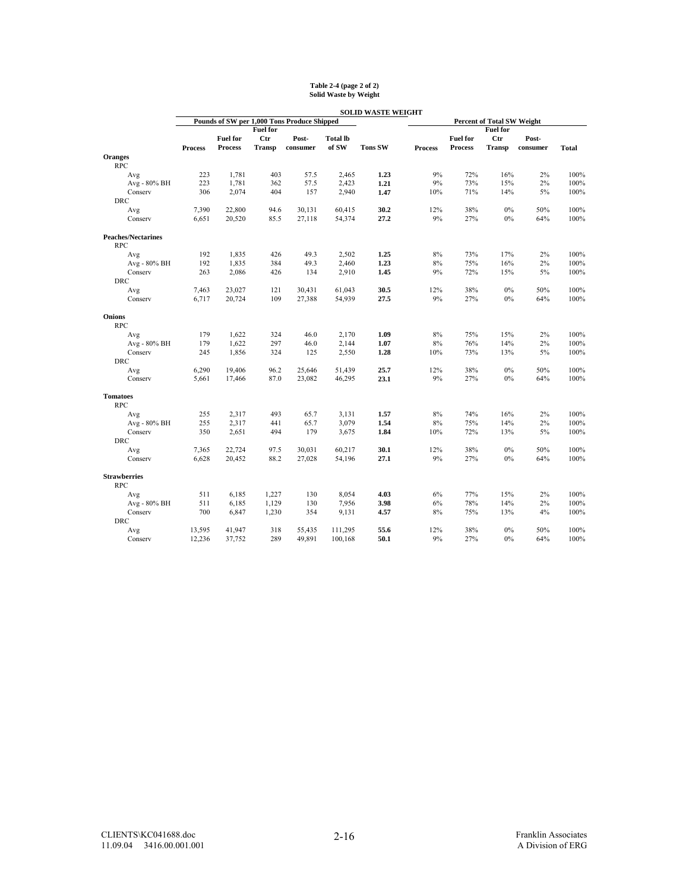|                                         |                |                                   |                 |                                             |                          | <b>SOLID WASTE WEIGHT</b> |                |                            |                                   |          |              |
|-----------------------------------------|----------------|-----------------------------------|-----------------|---------------------------------------------|--------------------------|---------------------------|----------------|----------------------------|-----------------------------------|----------|--------------|
|                                         |                |                                   |                 | Pounds of SW per 1,000 Tons Produce Shipped |                          |                           |                |                            | <b>Percent of Total SW Weight</b> |          |              |
|                                         |                |                                   | <b>Fuel for</b> |                                             |                          |                           |                |                            | <b>Fuel for</b>                   |          |              |
|                                         |                | <b>Fuel for</b><br><b>Process</b> | Ctr             | Post-                                       | <b>Total lb</b><br>of SW | <b>Tons SW</b>            |                | <b>Fuel for</b><br>Process | <b>Ctr</b><br>Transp              | Post-    |              |
| <b>Oranges</b>                          | <b>Process</b> |                                   | <b>Transp</b>   | consumer                                    |                          |                           | <b>Process</b> |                            |                                   | consumer | <b>Total</b> |
| <b>RPC</b>                              |                |                                   |                 |                                             |                          |                           |                |                            |                                   |          |              |
|                                         | 223            | 1,781                             | 403             | 57.5                                        | 2,465                    | 1.23                      | 9%             | 72%                        | 16%                               | 2%       | 100%         |
| Avg<br>Avg - 80% BH                     | 223            | 1,781                             | 362             | 57.5                                        | 2,423                    | 1.21                      | 9%             | 73%                        | 15%                               | 2%       | 100%         |
| Conserv                                 | 306            | 2,074                             | 404             | 157                                         | 2,940                    | 1.47                      | 10%            | 71%                        | 14%                               | $5\%$    | 100%         |
| <b>DRC</b>                              |                |                                   |                 |                                             |                          |                           |                |                            |                                   |          |              |
| Avg                                     | 7,390          | 22,800                            | 94.6            | 30,131                                      | 60,415                   | 30.2                      | 12%            | 38%                        | $0\%$                             | 50%      | 100%         |
| Conserv                                 | 6,651          | 20,520                            | 85.5            | 27,118                                      | 54,374                   | 27.2                      | 9%             | 27%                        | $0\%$                             | 64%      | 100%         |
|                                         |                |                                   |                 |                                             |                          |                           |                |                            |                                   |          |              |
| <b>Peaches/Nectarines</b><br><b>RPC</b> |                |                                   |                 |                                             |                          |                           |                |                            |                                   |          |              |
| Avg                                     | 192            | 1,835                             | 426             | 49.3                                        | 2,502                    | 1.25                      | $8\%$          | 73%                        | 17%                               | 2%       | 100%         |
| Avg - 80% BH                            | 192            | 1,835                             | 384             | 49.3                                        | 2,460                    | 1.23                      | $8\%$          | 75%                        | 16%                               | 2%       | 100%         |
| Conserv                                 | 263            | 2,086                             | 426             | 134                                         | 2,910                    | 1.45                      | 9%             | 72%                        | 15%                               | 5%       | 100%         |
| <b>DRC</b>                              |                |                                   |                 |                                             |                          |                           |                |                            |                                   |          |              |
| Avg                                     | 7,463          | 23,027                            | 121             | 30,431                                      | 61,043                   | 30.5                      | 12%            | 38%                        | 0%                                | 50%      | 100%         |
| Conserv                                 | 6,717          | 20,724                            | 109             | 27,388                                      | 54,939                   | 27.5                      | 9%             | 27%                        | $0\%$                             | 64%      | 100%         |
| <b>Onions</b><br><b>RPC</b>             |                |                                   |                 |                                             |                          |                           |                |                            |                                   |          |              |
| Avg                                     | 179            | 1,622                             | 324             | 46.0                                        | 2,170                    | 1.09                      | $8\%$          | 75%                        | 15%                               | 2%       | 100%         |
| Avg - 80% BH                            | 179            | 1,622                             | 297             | 46.0                                        | 2,144                    | 1.07                      | $8\%$          | 76%                        | 14%                               | 2%       | 100%         |
| Conserv                                 | 245            | 1,856                             | 324             | 125                                         | 2,550                    | 1.28                      | 10%            | 73%                        | 13%                               | 5%       | 100%         |
| <b>DRC</b>                              |                |                                   |                 |                                             |                          |                           |                |                            |                                   |          |              |
| Avg                                     | 6,290          | 19,406                            | 96.2            | 25,646                                      | 51,439                   | 25.7                      | 12%            | 38%                        | $0\%$                             | 50%      | 100%         |
| Conserv                                 | 5,661          | 17,466                            | 87.0            | 23,082                                      | 46,295                   | 23.1                      | 9%             | 27%                        | $0\%$                             | 64%      | 100%         |
| <b>Tomatoes</b><br><b>RPC</b>           |                |                                   |                 |                                             |                          |                           |                |                            |                                   |          |              |
| Avg                                     | 255            | 2,317                             | 493             | 65.7                                        | 3,131                    | 1.57                      | 8%             | 74%                        | 16%                               | 2%       | 100%         |
| Avg - 80% BH                            | 255            | 2,317                             | 441             | 65.7                                        | 3,079                    | 1.54                      | $8\%$          | 75%                        | 14%                               | $2\%$    | 100%         |
| Conserv                                 | 350            | 2,651                             | 494             | 179                                         | 3,675                    | 1.84                      | 10%            | 72%                        | 13%                               | 5%       | 100%         |
| <b>DRC</b>                              |                |                                   |                 |                                             |                          |                           |                |                            |                                   |          |              |
| Avg                                     | 7,365          | 22,724                            | 97.5            | 30,031                                      | 60,217                   | 30.1                      | 12%            | 38%                        | 0%                                | 50%      | 100%         |
| Conserv                                 | 6,628          | 20,452                            | 88.2            | 27,028                                      | 54,196                   | 27.1                      | 9%             | 27%                        | $0\%$                             | 64%      | 100%         |
| <b>Strawberries</b><br><b>RPC</b>       |                |                                   |                 |                                             |                          |                           |                |                            |                                   |          |              |
| Avg                                     | 511            | 6,185                             | 1,227           | 130                                         | 8,054                    | 4.03                      | 6%             | 77%                        | 15%                               | 2%       | 100%         |
| Avg - 80% BH                            | 511            | 6,185                             | 1,129           | 130                                         | 7,956                    | 3.98                      | 6%             | 78%                        | 14%                               | 2%       | 100%         |
| Conserv                                 | 700            | 6,847                             | 1,230           | 354                                         | 9,131                    | 4.57                      | 8%             | 75%                        | 13%                               | 4%       | 100%         |
| <b>DRC</b>                              |                |                                   |                 |                                             |                          |                           |                |                            |                                   |          |              |
| Avg                                     | 13,595         | 41,947                            | 318             | 55,435                                      | 111,295                  | 55.6                      | 12%            | 38%                        | $0\%$                             | 50%      | 100%         |
| Conserv                                 | 12,236         | 37,752                            | 289             | 49,891                                      | 100,168                  | 50.1                      | 9%             | 27%                        | $0\%$                             | 64%      | 100%         |

# **Table 2-4 (page 2 of 2) Solid Waste by Weight**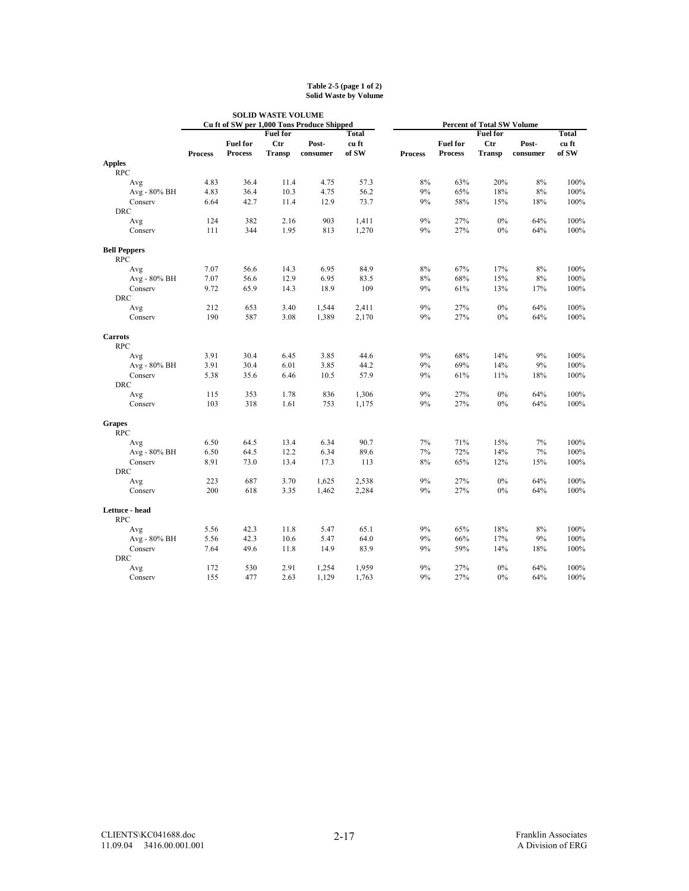#### **Table 2-5 (page 1 of 2) Solid Waste by Volume**

|                              |                |                 |                 | <b>SOLID WASTE VOLUME</b>                  |       |                |                 |                                   |          |              |
|------------------------------|----------------|-----------------|-----------------|--------------------------------------------|-------|----------------|-----------------|-----------------------------------|----------|--------------|
|                              |                |                 |                 | Cu ft of SW per 1,000 Tons Produce Shipped |       |                |                 | <b>Percent of Total SW Volume</b> |          |              |
|                              |                |                 | <b>Fuel for</b> |                                            | Total |                |                 | <b>Fuel for</b>                   |          | <b>Total</b> |
|                              |                | <b>Fuel for</b> | <b>Ctr</b>      | Post-                                      | cu ft |                | <b>Fuel for</b> | <b>Ctr</b>                        | Post-    | cu ft        |
|                              | <b>Process</b> | <b>Process</b>  | <b>Transp</b>   | consumer                                   | of SW | <b>Process</b> | <b>Process</b>  | <b>Transp</b>                     | consumer | of SW        |
| <b>Apples</b>                |                |                 |                 |                                            |       |                |                 |                                   |          |              |
| <b>RPC</b>                   |                |                 |                 |                                            |       |                |                 |                                   |          |              |
| Avg                          | 4.83           | 36.4            | 11.4            | 4.75                                       | 57.3  | 8%             | 63%             | 20%                               | 8%       | 100%         |
| Avg - 80% BH                 | 4.83           | 36.4            | 10.3            | 4.75                                       | 56.2  | 9%             | 65%             | 18%                               | $8\%$    | 100%         |
| Conserv                      | 6.64           | 42.7            | 11.4            | 12.9                                       | 73.7  | 9%             | 58%             | 15%                               | 18%      | 100%         |
| <b>DRC</b>                   |                |                 |                 |                                            |       |                |                 |                                   |          |              |
| Avg                          | 124            | 382             | 2.16            | 903                                        | 1,411 | 9%             | 27%             | $0\%$                             | 64%      | 100%         |
| Conserv                      | 111            | 344             | 1.95            | 813                                        | 1,270 | 9%             | 27%             | $0\%$                             | 64%      | 100%         |
| <b>Bell Peppers</b>          |                |                 |                 |                                            |       |                |                 |                                   |          |              |
| <b>RPC</b>                   |                |                 |                 |                                            |       |                |                 |                                   |          |              |
| Avg                          | 7.07           | 56.6            | 14.3            | 6.95                                       | 84.9  | 8%             | 67%             | 17%                               | 8%       | 100%         |
| Avg - 80% BH                 | 7.07           | 56.6            | 12.9            | 6.95                                       | 83.5  | 8%             | 68%             | 15%                               | 8%       | 100%         |
| Conserv                      | 9.72           | 65.9            | 14.3            | 18.9                                       | 109   | 9%             | 61%             | 13%                               | 17%      | 100%         |
| <b>DRC</b>                   |                |                 |                 |                                            |       |                |                 |                                   |          |              |
| Avg                          | 212            | 653             | 3.40            | 1,544                                      | 2,411 | 9%             | 27%             | 0%                                | 64%      | 100%         |
| Conserv                      | 190            | 587             | 3.08            | 1,389                                      | 2,170 | 9%             | 27%             | $0\%$                             | 64%      | 100%         |
| <b>Carrots</b>               |                |                 |                 |                                            |       |                |                 |                                   |          |              |
| <b>RPC</b>                   |                |                 |                 |                                            |       |                |                 |                                   |          |              |
| Avg                          | 3.91           | 30.4            | 6.45            | 3.85                                       | 44.6  | 9%             | 68%             | 14%                               | 9%       | 100%         |
| Avg - 80% BH                 | 3.91           | 30.4            | 6.01            | 3.85                                       | 44.2  | 9%             | 69%             | 14%                               | 9%       | 100%         |
| Conserv                      | 5.38           | 35.6            | 6.46            | 10.5                                       | 57.9  | 9%             | 61%             | 11%                               | 18%      | 100%         |
| <b>DRC</b>                   |                |                 |                 |                                            |       |                |                 |                                   |          |              |
| Avg                          | 115            | 353             | 1.78            | 836                                        | 1,306 | 9%             | 27%             | $0\%$                             | 64%      | 100%         |
| Conserv                      | 103            | 318             | 1.61            | 753                                        | 1,175 | 9%             | 27%             | $0\%$                             | 64%      | 100%         |
| <b>Grapes</b>                |                |                 |                 |                                            |       |                |                 |                                   |          |              |
| <b>RPC</b>                   |                |                 |                 |                                            |       |                |                 |                                   |          |              |
| Avg                          | 6.50           | 64.5            | 13.4            | 6.34                                       | 90.7  | 7%             | 71%             | 15%                               | 7%       | 100%         |
| Avg - 80% BH                 | 6.50           | 64.5            | 12.2            | 6.34                                       | 89.6  | 7%             | 72%             | 14%                               | 7%       | 100%         |
| Conserv                      | 8.91           | 73.0            | 13.4            | 17.3                                       | 113   | 8%             | 65%             | 12%                               | 15%      | 100%         |
| <b>DRC</b>                   |                |                 |                 |                                            |       |                |                 |                                   |          |              |
| Avg                          | 223            | 687             | 3.70            | 1,625                                      | 2,538 | 9%             | 27%             | $0\%$                             | 64%      | 100%         |
| Conserv                      | 200            | 618             | 3.35            | 1,462                                      | 2,284 | 9%             | 27%             | $0\%$                             | 64%      | 100%         |
| Lettuce - head<br><b>RPC</b> |                |                 |                 |                                            |       |                |                 |                                   |          |              |
| Avg                          | 5.56           | 42.3            | 11.8            | 5.47                                       | 65.1  | 9%             | 65%             | 18%                               | 8%       | 100%         |
| Avg - 80% BH                 | 5.56           | 42.3            | 10.6            | 5.47                                       | 64.0  | 9%             | 66%             | 17%                               | 9%       | 100%         |
| Conserv                      | 7.64           | 49.6            | 11.8            | 14.9                                       | 83.9  | 9%             | 59%             | 14%                               | 18%      | 100%         |
| <b>DRC</b>                   |                |                 |                 |                                            |       |                |                 |                                   |          |              |
| Avg                          | 172            | 530             | 2.91            | 1,254                                      | 1,959 | 9%             | 27%             | 0%                                | 64%      | 100%         |
| Conserv                      | 155            | 477             | 2.63            | 1,129                                      | 1,763 | 9%             | 27%             | 0%                                | 64%      | 100%         |
|                              |                |                 |                 |                                            |       |                |                 |                                   |          |              |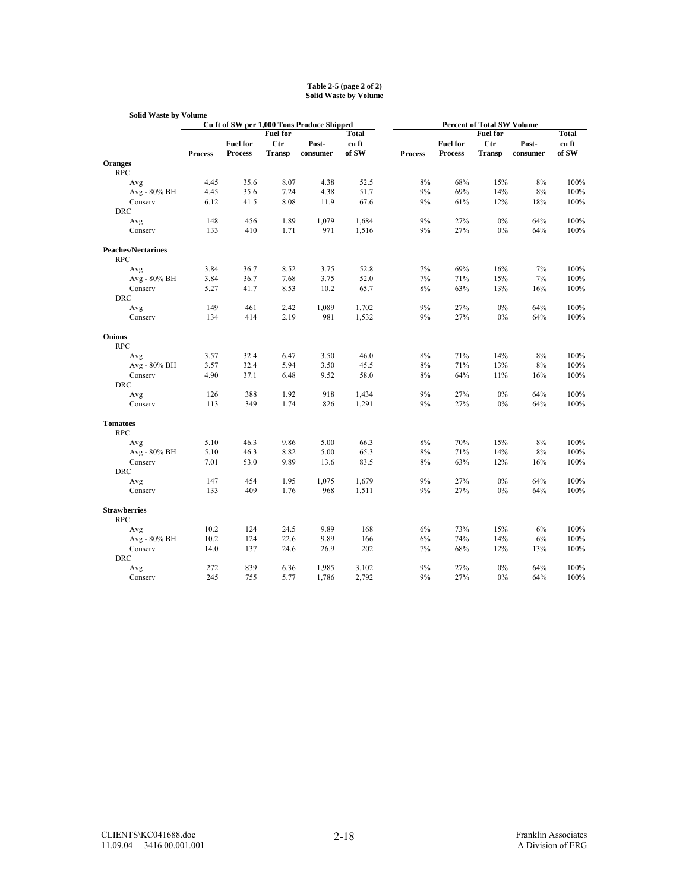#### **Table 2-5 (page 2 of 2) Solid Waste by Volume**

| <b>Solid Waste by Volume</b>            |                |                 |                 |                                            |       |                |                 |                                                      |          |       |
|-----------------------------------------|----------------|-----------------|-----------------|--------------------------------------------|-------|----------------|-----------------|------------------------------------------------------|----------|-------|
|                                         |                |                 | <b>Fuel for</b> | Cu ft of SW per 1,000 Tons Produce Shipped | Total |                |                 | <b>Percent of Total SW Volume</b><br><b>Fuel for</b> |          | Total |
|                                         |                | <b>Fuel for</b> | <b>Ctr</b>      | Post-                                      | cu ft |                | <b>Fuel for</b> | <b>Ctr</b>                                           | Post-    | cu ft |
|                                         | <b>Process</b> | <b>Process</b>  | <b>Transp</b>   | consumer                                   | of SW | <b>Process</b> | <b>Process</b>  | <b>Transp</b>                                        | consumer | of SW |
| <b>Oranges</b>                          |                |                 |                 |                                            |       |                |                 |                                                      |          |       |
| <b>RPC</b>                              |                |                 |                 |                                            |       |                |                 |                                                      |          |       |
| Avg                                     | 4.45           | 35.6            | 8.07            | 4.38                                       | 52.5  | 8%             | 68%             | 15%                                                  | 8%       | 100%  |
| Avg - 80% BH                            | 4.45           | 35.6            | 7.24            | 4.38                                       | 51.7  | 9%             | 69%             | 14%                                                  | 8%       | 100%  |
| Conserv                                 | 6.12           | 41.5            | 8.08            | 11.9                                       | 67.6  | 9%             | 61%             | 12%                                                  | 18%      | 100%  |
| <b>DRC</b>                              |                |                 |                 |                                            |       |                |                 |                                                      |          |       |
| Avg                                     | 148            | 456             | 1.89            | 1,079                                      | 1,684 | 9%             | 27%             | 0%                                                   | 64%      | 100%  |
| Conserv                                 | 133            | 410             | 1.71            | 971                                        | 1,516 | 9%             | 27%             | 0%                                                   | 64%      | 100%  |
| <b>Peaches/Nectarines</b><br><b>RPC</b> |                |                 |                 |                                            |       |                |                 |                                                      |          |       |
| Avg                                     | 3.84           | 36.7            | 8.52            | 3.75                                       | 52.8  | 7%             | 69%             | 16%                                                  | 7%       | 100%  |
| Avg - 80% BH                            | 3.84           | 36.7            | 7.68            | 3.75                                       | 52.0  | 7%             | 71%             | 15%                                                  | 7%       | 100%  |
| Conserv                                 | 5.27           | 41.7            | 8.53            | 10.2                                       | 65.7  | 8%             | 63%             | 13%                                                  | 16%      | 100%  |
| <b>DRC</b>                              |                |                 |                 |                                            |       |                |                 |                                                      |          |       |
| Avg                                     | 149            | 461             | 2.42            | 1,089                                      | 1,702 | 9%             | 27%             | 0%                                                   | 64%      | 100%  |
| Conserv                                 | 134            | 414             | 2.19            | 981                                        | 1,532 | 9%             | 27%             | 0%                                                   | 64%      | 100%  |
| <b>Onions</b><br><b>RPC</b>             |                |                 |                 |                                            |       |                |                 |                                                      |          |       |
| Avg                                     | 3.57           | 32.4            | 6.47            | 3.50                                       | 46.0  | 8%             | 71%             | 14%                                                  | 8%       | 100%  |
| Avg - 80% BH                            | 3.57           | 32.4            | 5.94            | 3.50                                       | 45.5  | 8%             | 71%             | 13%                                                  | 8%       | 100%  |
| Conserv                                 | 4.90           | 37.1            | 6.48            | 9.52                                       | 58.0  | 8%             | 64%             | 11%                                                  | 16%      | 100%  |
| <b>DRC</b>                              |                |                 |                 |                                            |       |                |                 |                                                      |          |       |
| Avg                                     | 126            | 388             | 1.92            | 918                                        | 1,434 | 9%             | 27%             | 0%                                                   | 64%      | 100%  |
| Conserv                                 | 113            | 349             | 1.74            | 826                                        | 1,291 | 9%             | 27%             | 0%                                                   | 64%      | 100%  |
| <b>Tomatoes</b><br><b>RPC</b>           |                |                 |                 |                                            |       |                |                 |                                                      |          |       |
| Avg                                     | 5.10           | 46.3            | 9.86            | 5.00                                       | 66.3  | 8%             | 70%             | 15%                                                  | 8%       | 100%  |
| Avg - 80% BH                            | 5.10           | 46.3            | 8.82            | 5.00                                       | 65.3  | 8%             | 71%             | 14%                                                  | 8%       | 100%  |
| Conserv                                 | 7.01           | 53.0            | 9.89            | 13.6                                       | 83.5  | 8%             | 63%             | 12%                                                  | 16%      | 100%  |
| <b>DRC</b>                              |                |                 |                 |                                            |       |                |                 |                                                      |          |       |
| Avg                                     | 147            | 454             | 1.95            | 1,075                                      | 1,679 | 9%             | 27%             | 0%                                                   | 64%      | 100%  |
| Conserv                                 | 133            | 409             | 1.76            | 968                                        | 1,511 | 9%             | 27%             | 0%                                                   | 64%      | 100%  |
| <b>Strawberries</b><br><b>RPC</b>       |                |                 |                 |                                            |       |                |                 |                                                      |          |       |
| Avg                                     | 10.2           | 124             | 24.5            | 9.89                                       | 168   | 6%             | 73%             | 15%                                                  | 6%       | 100%  |
| Avg - 80% BH                            | 10.2           | 124             | 22.6            | 9.89                                       | 166   | 6%             | 74%             | 14%                                                  | 6%       | 100%  |
| Conserv                                 | 14.0           | 137             | 24.6            | 26.9                                       | 202   | 7%             | 68%             | 12%                                                  | 13%      | 100%  |
| <b>DRC</b>                              |                |                 |                 |                                            |       |                |                 |                                                      |          |       |
| Avg                                     | 272            | 839             | 6.36            | 1,985                                      | 3,102 | 9%             | 27%             | 0%                                                   | 64%      | 100%  |
| Conserv                                 | 245            | 755             | 5.77            | 1,786                                      | 2,792 | 9%             | 27%             | 0%                                                   | 64%      | 100%  |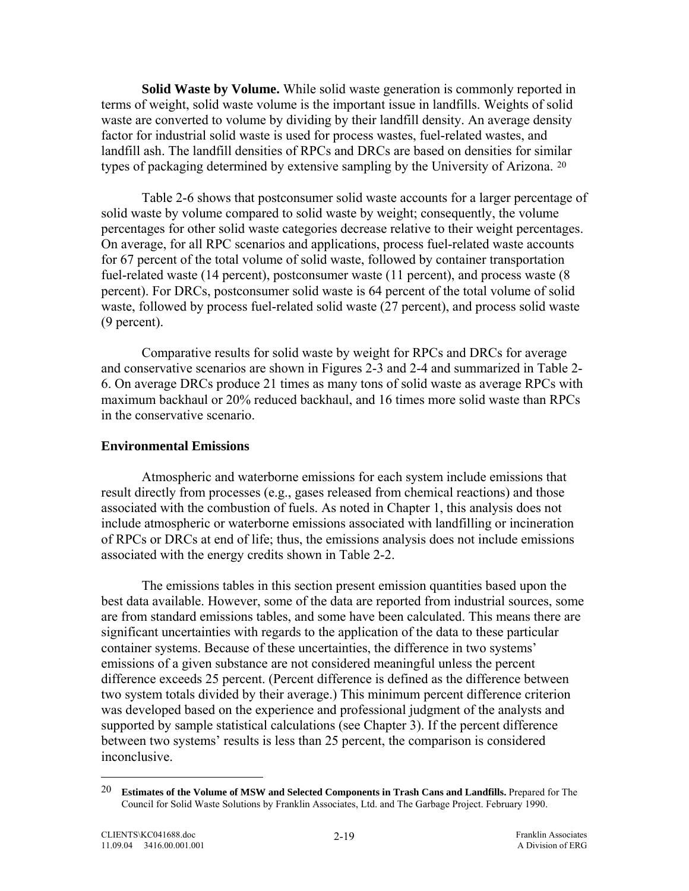<span id="page-56-0"></span>**Solid Waste by Volume.** While solid waste generation is commonly reported in terms of weight, solid waste volume is the important issue in landfills. Weights of solid waste are converted to volume by dividing by their landfill density. An average density factor for industrial solid waste is used for process wastes, fuel-related wastes, and landfill ash. The landfill densities of RPCs and DRCs are based on densities for similar types of packaging determined by extensive sampling by the University of Arizona. [20](#page-56-0)

Table 2-6 shows that postconsumer solid waste accounts for a larger percentage of solid waste by volume compared to solid waste by weight; consequently, the volume percentages for other solid waste categories decrease relative to their weight percentages. On average, for all RPC scenarios and applications, process fuel-related waste accounts for 67 percent of the total volume of solid waste, followed by container transportation fuel-related waste (14 percent), postconsumer waste (11 percent), and process waste (8 percent). For DRCs, postconsumer solid waste is 64 percent of the total volume of solid waste, followed by process fuel-related solid waste (27 percent), and process solid waste (9 percent).

Comparative results for solid waste by weight for RPCs and DRCs for average and conservative scenarios are shown in Figures 2-3 and 2-4 and summarized in Table 2- 6. On average DRCs produce 21 times as many tons of solid waste as average RPCs with maximum backhaul or 20% reduced backhaul, and 16 times more solid waste than RPCs in the conservative scenario.

## **Environmental Emissions**

 Atmospheric and waterborne emissions for each system include emissions that result directly from processes (e.g., gases released from chemical reactions) and those associated with the combustion of fuels. As noted in Chapter 1, this analysis does not include atmospheric or waterborne emissions associated with landfilling or incineration of RPCs or DRCs at end of life; thus, the emissions analysis does not include emissions associated with the energy credits shown in Table 2-2.

The emissions tables in this section present emission quantities based upon the best data available. However, some of the data are reported from industrial sources, some are from standard emissions tables, and some have been calculated. This means there are significant uncertainties with regards to the application of the data to these particular container systems. Because of these uncertainties, the difference in two systems' emissions of a given substance are not considered meaningful unless the percent difference exceeds 25 percent. (Percent difference is defined as the difference between two system totals divided by their average.) This minimum percent difference criterion was developed based on the experience and professional judgment of the analysts and supported by sample statistical calculations (see Chapter 3). If the percent difference between two systems' results is less than 25 percent, the comparison is considered inconclusive.

1

<sup>20</sup> **Estimates of the Volume of MSW and Selected Components in Trash Cans and Landfills.** Prepared for The Council for Solid Waste Solutions by Franklin Associates, Ltd. and The Garbage Project. February 1990.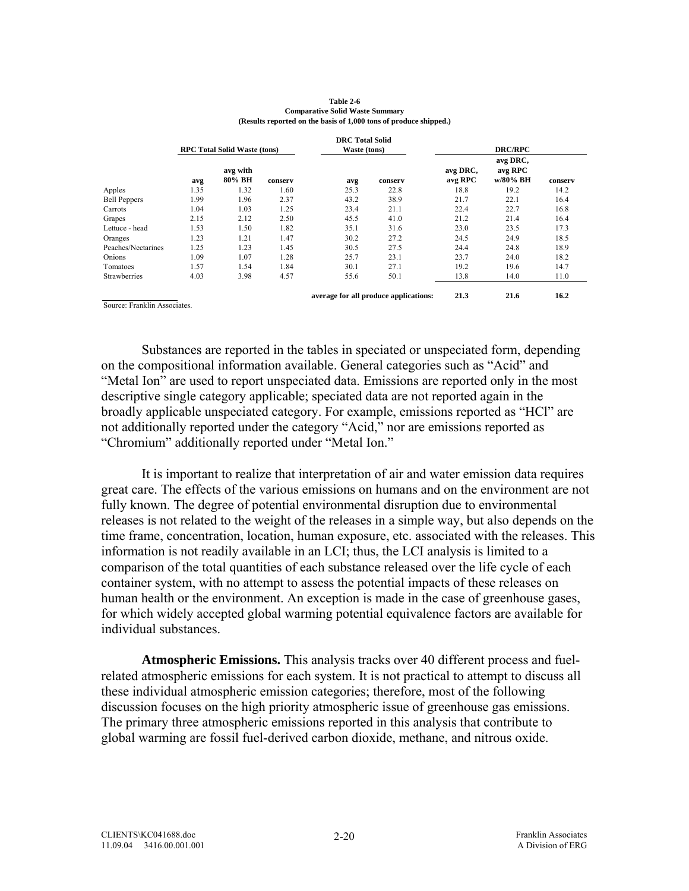|                             |      |                                     |         | <b>DRC</b> Total Solid |                                       |                     |                                 |         |
|-----------------------------|------|-------------------------------------|---------|------------------------|---------------------------------------|---------------------|---------------------------------|---------|
|                             |      | <b>RPC Total Solid Waste (tons)</b> |         | Waste (tons)           |                                       |                     | <b>DRC/RPC</b>                  |         |
|                             | avg  | avg with<br>80% BH                  | conserv | avg                    | conserv                               | avg DRC,<br>avg RPC | avg DRC,<br>avg RPC<br>w/80% BH | conserv |
| Apples                      | 1.35 | 1.32                                | 1.60    | 25.3                   | 22.8                                  | 18.8                | 19.2                            | 14.2    |
| <b>Bell Peppers</b>         | 1.99 | 1.96                                | 2.37    | 43.2                   | 38.9                                  | 21.7                | 22.1                            | 16.4    |
| Carrots                     | 1.04 | 1.03                                | 1.25    | 23.4                   | 21.1                                  | 22.4                | 22.7                            | 16.8    |
| Grapes                      | 2.15 | 2.12                                | 2.50    | 45.5                   | 41.0                                  | 21.2                | 21.4                            | 16.4    |
| Lettuce - head              | 1.53 | 1.50                                | 1.82    | 35.1                   | 31.6                                  | 23.0                | 23.5                            | 17.3    |
| Oranges                     | 1.23 | 1.21                                | 1.47    | 30.2                   | 27.2                                  | 24.5                | 24.9                            | 18.5    |
| Peaches/Nectarines          | 1.25 | 1.23                                | 1.45    | 30.5                   | 27.5                                  | 24.4                | 24.8                            | 18.9    |
| Onions                      | 1.09 | 1.07                                | 1.28    | 25.7                   | 23.1                                  | 23.7                | 24.0                            | 18.2    |
| Tomatoes                    | 1.57 | 1.54                                | 1.84    | 30.1                   | 27.1                                  | 19.2                | 19.6                            | 14.7    |
| <b>Strawberries</b>         | 4.03 | 3.98                                | 4.57    | 55.6                   | 50.1                                  | 13.8                | 14.0                            | 11.0    |
| Source: Franklin Associates |      |                                     |         |                        | average for all produce applications: | 21.3                | 21.6                            | 16.2    |

| Table 2-6                                                         |
|-------------------------------------------------------------------|
| <b>Comparative Solid Waste Summary</b>                            |
| (Results reported on the basis of 1,000 tons of produce shipped.) |

Substances are reported in the tables in speciated or unspeciated form, depending on the compositional information available. General categories such as "Acid" and "Metal Ion" are used to report unspeciated data. Emissions are reported only in the most descriptive single category applicable; speciated data are not reported again in the broadly applicable unspeciated category. For example, emissions reported as "HCl" are not additionally reported under the category "Acid," nor are emissions reported as "Chromium" additionally reported under "Metal Ion."

 It is important to realize that interpretation of air and water emission data requires great care. The effects of the various emissions on humans and on the environment are not fully known. The degree of potential environmental disruption due to environmental releases is not related to the weight of the releases in a simple way, but also depends on the time frame, concentration, location, human exposure, etc. associated with the releases. This information is not readily available in an LCI; thus, the LCI analysis is limited to a comparison of the total quantities of each substance released over the life cycle of each container system, with no attempt to assess the potential impacts of these releases on human health or the environment. An exception is made in the case of greenhouse gases, for which widely accepted global warming potential equivalence factors are available for individual substances.

**Atmospheric Emissions.** This analysis tracks over 40 different process and fuelrelated atmospheric emissions for each system. It is not practical to attempt to discuss all these individual atmospheric emission categories; therefore, most of the following discussion focuses on the high priority atmospheric issue of greenhouse gas emissions. The primary three atmospheric emissions reported in this analysis that contribute to global warming are fossil fuel-derived carbon dioxide, methane, and nitrous oxide.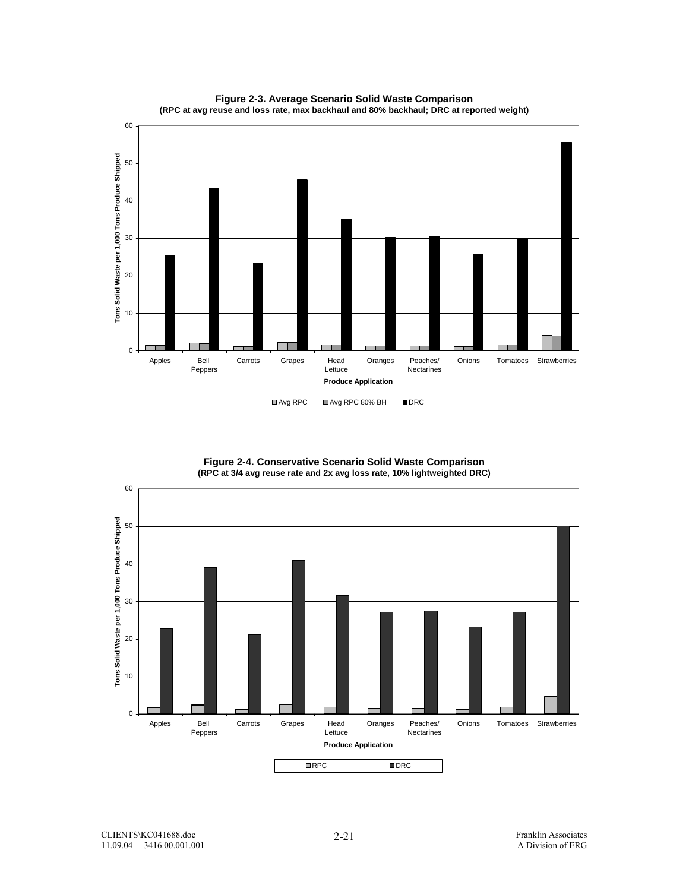

**Figure 2-3. Average Scenario Solid Waste Comparison (RPC at avg reuse and loss rate, max backhaul and 80% backhaul; DRC at reported weight)**

**Figure 2-4. Conservative Scenario Solid Waste Comparison (RPC at 3/4 avg reuse rate and 2x avg loss rate, 10% lightweighted DRC)**

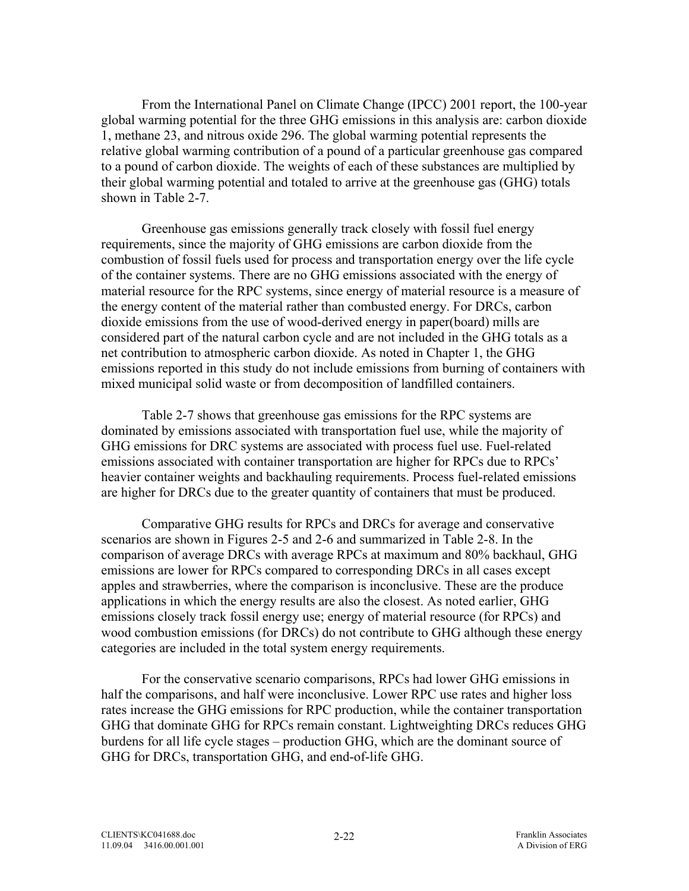From the International Panel on Climate Change (IPCC) 2001 report, the 100-year global warming potential for the three GHG emissions in this analysis are: carbon dioxide 1, methane 23, and nitrous oxide 296. The global warming potential represents the relative global warming contribution of a pound of a particular greenhouse gas compared to a pound of carbon dioxide. The weights of each of these substances are multiplied by their global warming potential and totaled to arrive at the greenhouse gas (GHG) totals shown in Table 2-7.

Greenhouse gas emissions generally track closely with fossil fuel energy requirements, since the majority of GHG emissions are carbon dioxide from the combustion of fossil fuels used for process and transportation energy over the life cycle of the container systems. There are no GHG emissions associated with the energy of material resource for the RPC systems, since energy of material resource is a measure of the energy content of the material rather than combusted energy. For DRCs, carbon dioxide emissions from the use of wood-derived energy in paper(board) mills are considered part of the natural carbon cycle and are not included in the GHG totals as a net contribution to atmospheric carbon dioxide. As noted in Chapter 1, the GHG emissions reported in this study do not include emissions from burning of containers with mixed municipal solid waste or from decomposition of landfilled containers.

Table 2-7 shows that greenhouse gas emissions for the RPC systems are dominated by emissions associated with transportation fuel use, while the majority of GHG emissions for DRC systems are associated with process fuel use. Fuel-related emissions associated with container transportation are higher for RPCs due to RPCs' heavier container weights and backhauling requirements. Process fuel-related emissions are higher for DRCs due to the greater quantity of containers that must be produced.

Comparative GHG results for RPCs and DRCs for average and conservative scenarios are shown in Figures 2-5 and 2-6 and summarized in Table 2-8. In the comparison of average DRCs with average RPCs at maximum and 80% backhaul, GHG emissions are lower for RPCs compared to corresponding DRCs in all cases except apples and strawberries, where the comparison is inconclusive. These are the produce applications in which the energy results are also the closest. As noted earlier, GHG emissions closely track fossil energy use; energy of material resource (for RPCs) and wood combustion emissions (for DRCs) do not contribute to GHG although these energy categories are included in the total system energy requirements.

For the conservative scenario comparisons, RPCs had lower GHG emissions in half the comparisons, and half were inconclusive. Lower RPC use rates and higher loss rates increase the GHG emissions for RPC production, while the container transportation GHG that dominate GHG for RPCs remain constant. Lightweighting DRCs reduces GHG burdens for all life cycle stages – production GHG, which are the dominant source of GHG for DRCs, transportation GHG, and end-of-life GHG.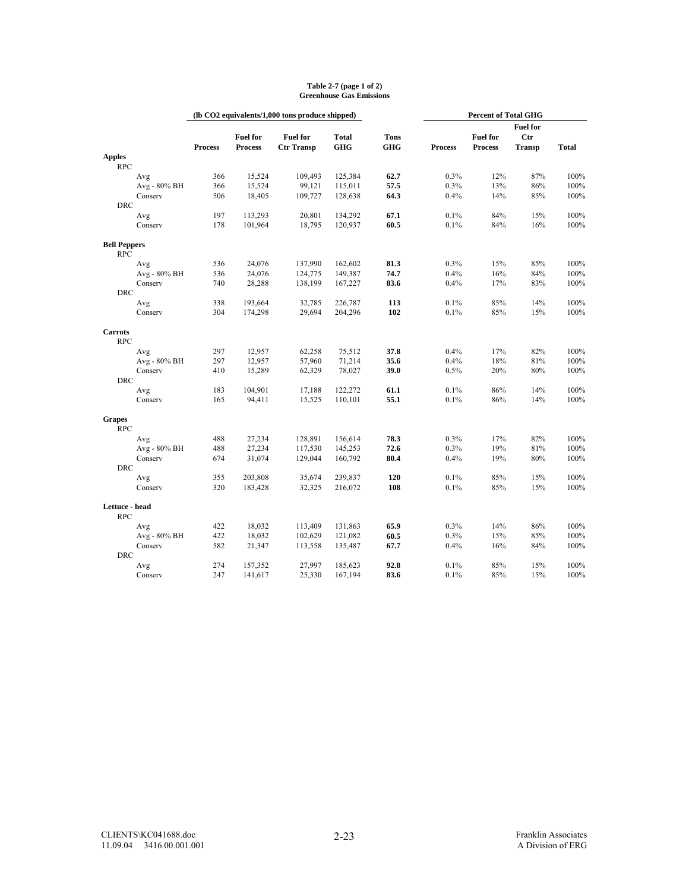|                     |                     |                |                 | (lb CO2 equivalents/1,000 tons produce shipped) |              |             | <b>Percent of Total GHG</b> |                 |                 |              |
|---------------------|---------------------|----------------|-----------------|-------------------------------------------------|--------------|-------------|-----------------------------|-----------------|-----------------|--------------|
|                     |                     |                |                 |                                                 |              |             |                             |                 | <b>Fuel for</b> |              |
|                     |                     |                | <b>Fuel for</b> | <b>Fuel for</b>                                 | <b>Total</b> | <b>Tons</b> |                             | <b>Fuel for</b> | Ctr             |              |
| <b>Apples</b>       |                     | <b>Process</b> | <b>Process</b>  | <b>Ctr Transp</b>                               | <b>GHG</b>   | <b>GHG</b>  | <b>Process</b>              | <b>Process</b>  | <b>Transp</b>   | <b>Total</b> |
| <b>RPC</b>          |                     |                |                 |                                                 |              |             |                             |                 |                 |              |
|                     | Avg                 | 366            | 15,524          | 109,493                                         | 125,384      | 62.7        | 0.3%                        | 12%             | 87%             | 100%         |
|                     | Avg - 80% BH        | 366            | 15,524          | 99,121                                          | 115,011      | 57.5        | 0.3%                        | 13%             | 86%             | 100%         |
|                     | Conserv             | 506            | 18,405          | 109,727                                         | 128,638      | 64.3        | 0.4%                        | 14%             | 85%             | 100%         |
| <b>DRC</b>          |                     |                |                 |                                                 |              |             |                             |                 |                 |              |
|                     | Avg                 | 197            | 113,293         | 20,801                                          | 134,292      | 67.1        | 0.1%                        | 84%             | 15%             | 100%         |
|                     | Conserv             | 178            | 101,964         | 18,795                                          | 120,937      | 60.5        | 0.1%                        | 84%             | 16%             | 100%         |
| <b>Bell Peppers</b> |                     |                |                 |                                                 |              |             |                             |                 |                 |              |
| <b>RPC</b>          |                     |                |                 |                                                 |              |             |                             |                 |                 |              |
|                     | Avg                 | 536            | 24,076          | 137,990                                         | 162,602      | 81.3        | 0.3%                        | 15%             | 85%             | 100%         |
|                     | Avg - 80% BH        | 536            | 24,076          | 124,775                                         | 149,387      | 74.7        | 0.4%                        | 16%             | 84%             | 100%         |
|                     | Conserv             | 740            | 28,288          | 138,199                                         | 167,227      | 83.6        | 0.4%                        | 17%             | 83%             | 100%         |
| <b>DRC</b>          |                     |                |                 |                                                 |              |             |                             |                 |                 |              |
|                     | Avg                 | 338            | 193,664         | 32,785                                          | 226,787      | 113         | 0.1%                        | 85%             | 14%             | 100%         |
|                     | Conserv             | 304            | 174,298         | 29,694                                          | 204,296      | 102         | 0.1%                        | 85%             | 15%             | 100%         |
| <b>Carrots</b>      |                     |                |                 |                                                 |              |             |                             |                 |                 |              |
| <b>RPC</b>          |                     |                |                 |                                                 |              |             |                             |                 |                 |              |
|                     | Avg                 | 297            | 12,957          | 62,258                                          | 75,512       | 37.8        | 0.4%                        | 17%             | 82%             | 100%         |
|                     | Avg - 80% BH        | 297            | 12,957          | 57,960                                          | 71,214       | 35.6        | 0.4%                        | 18%             | 81%             | 100%         |
|                     | Conserv             | 410            | 15,289          | 62,329                                          | 78,027       | 39.0        | 0.5%                        | 20%             | 80%             | 100%         |
| <b>DRC</b>          |                     |                |                 |                                                 |              |             |                             |                 |                 |              |
|                     | Avg                 | 183            | 104,901         | 17,188                                          | 122,272      | 61.1        | 0.1%                        | 86%             | 14%             | 100%<br>100% |
|                     | Conserv             | 165            | 94,411          | 15,525                                          | 110,101      | 55.1        | 0.1%                        | 86%             | 14%             |              |
| <b>Grapes</b>       |                     |                |                 |                                                 |              |             |                             |                 |                 |              |
| <b>RPC</b>          |                     | 488            | 27,234          | 128,891                                         | 156,614      | 78.3        | 0.3%                        | 17%             | 82%             | 100%         |
|                     | Avg<br>Avg - 80% BH | 488            | 27,234          | 117,530                                         | 145,253      | 72.6        | 0.3%                        | 19%             | 81%             | 100%         |
|                     | Conserv             | 674            | 31,074          | 129,044                                         | 160,792      | 80.4        | 0.4%                        | 19%             | 80%             | 100%         |
| <b>DRC</b>          |                     |                |                 |                                                 |              |             |                             |                 |                 |              |
|                     | Avg                 | 355            | 203,808         | 35,674                                          | 239,837      | 120         | 0.1%                        | 85%             | 15%             | 100%         |
|                     | Conserv             | 320            | 183,428         | 32,325                                          | 216,072      | 108         | 0.1%                        | 85%             | 15%             | 100%         |
| Lettuce - head      |                     |                |                 |                                                 |              |             |                             |                 |                 |              |
| <b>RPC</b>          |                     |                |                 |                                                 |              |             |                             |                 |                 |              |
|                     | Avg                 | 422            | 18,032          | 113,409                                         | 131,863      | 65.9        | 0.3%                        | 14%             | 86%             | 100%         |
|                     | Avg - 80% BH        | 422            | 18,032          | 102,629                                         | 121,082      | 60.5        | 0.3%                        | 15%             | 85%             | 100%         |
|                     | Conserv             | 582            | 21,347          | 113,558                                         | 135,487      | 67.7        | 0.4%                        | 16%             | 84%             | 100%         |
| <b>DRC</b>          |                     |                |                 |                                                 |              |             |                             |                 |                 |              |
|                     | Avg                 | 274            | 157,352         | 27,997                                          | 185,623      | 92.8        | 0.1%                        | 85%             | 15%             | 100%         |
|                     | Conserv             | 247            | 141,617         | 25,330                                          | 167,194      | 83.6        | 0.1%                        | 85%             | 15%             | 100%         |

#### **Table 2-7 (page 1 of 2) Greenhouse Gas Emissions**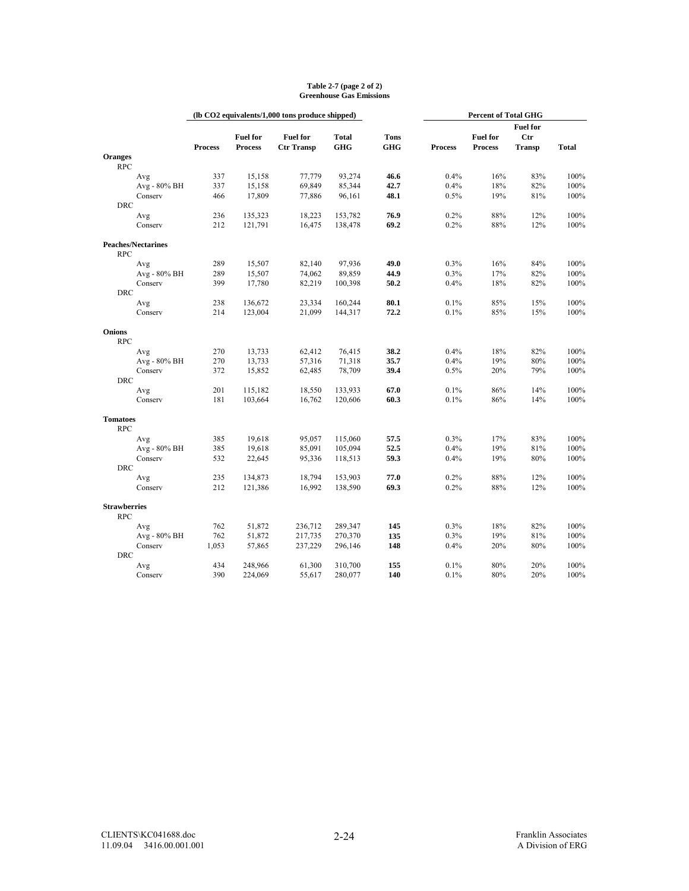|                                   |                |                 | (lb CO2 equivalents/1,000 tons produce shipped) |              |             |                |                 |                 |              |
|-----------------------------------|----------------|-----------------|-------------------------------------------------|--------------|-------------|----------------|-----------------|-----------------|--------------|
|                                   |                |                 |                                                 |              |             |                |                 | <b>Fuel for</b> |              |
|                                   |                | <b>Fuel for</b> | <b>Fuel for</b>                                 | <b>Total</b> | <b>Tons</b> |                | <b>Fuel for</b> | <b>Ctr</b>      |              |
|                                   | <b>Process</b> | <b>Process</b>  | <b>Ctr Transp</b>                               | <b>GHG</b>   | <b>GHG</b>  | <b>Process</b> | <b>Process</b>  | <b>Transp</b>   | <b>Total</b> |
| <b>Oranges</b>                    |                |                 |                                                 |              |             |                |                 |                 |              |
| <b>RPC</b>                        |                |                 |                                                 |              |             |                |                 |                 |              |
| Avg                               | 337            | 15,158          | 77,779                                          | 93,274       | 46.6        | 0.4%           | 16%             | 83%             | 100%         |
| Avg - 80% BH                      | 337            | 15,158          | 69,849                                          | 85,344       | 42.7        | 0.4%           | 18%             | 82%             | 100%         |
| Conserv                           | 466            | 17,809          | 77,886                                          | 96,161       | 48.1        | 0.5%           | 19%             | 81%             | 100%         |
| <b>DRC</b>                        |                |                 |                                                 |              |             |                |                 |                 |              |
| Avg                               | 236            | 135,323         | 18,223                                          | 153,782      | 76.9        | 0.2%           | 88%             | 12%             | 100%         |
| Conserv                           | 212            | 121,791         | 16,475                                          | 138,478      | 69.2        | 0.2%           | 88%             | 12%             | 100%         |
| <b>Peaches/Nectarines</b>         |                |                 |                                                 |              |             |                |                 |                 |              |
| <b>RPC</b>                        |                |                 |                                                 |              |             |                |                 |                 |              |
| Avg                               | 289            | 15,507          | 82,140                                          | 97.936       | 49.0        | 0.3%           | 16%             | 84%             | 100%         |
| Avg - 80% BH                      | 289            | 15,507          | 74,062                                          | 89,859       | 44.9        | 0.3%           | 17%             | 82%             | 100%         |
| Conserv                           | 399            | 17,780          | 82,219                                          | 100,398      | 50.2        | 0.4%           | 18%             | 82%             | 100%         |
| <b>DRC</b>                        |                |                 |                                                 |              |             |                |                 |                 |              |
| Avg                               | 238            | 136,672         | 23,334                                          | 160,244      | 80.1        | 0.1%           | 85%             | 15%             | 100%         |
| Conserv                           | 214            | 123,004         | 21,099                                          | 144,317      | 72.2        | 0.1%           | 85%             | 15%             | 100%         |
| <b>Onions</b>                     |                |                 |                                                 |              |             |                |                 |                 |              |
| <b>RPC</b>                        |                |                 |                                                 |              |             |                |                 |                 |              |
| Avg                               | 270            | 13,733          | 62,412                                          | 76,415       | 38.2        | 0.4%           | 18%             | 82%             | 100%         |
| Avg - 80% BH                      | 270            | 13,733          | 57,316                                          | 71,318       | 35.7        | 0.4%           | 19%             | 80%             | 100%         |
| Conserv                           | 372            | 15,852          | 62,485                                          | 78,709       | 39.4        | 0.5%           | 20%             | 79%             | 100%         |
| <b>DRC</b>                        |                |                 |                                                 |              |             |                |                 |                 |              |
| Avg                               | 201            | 115,182         | 18,550                                          | 133,933      | 67.0        | 0.1%           | 86%             | 14%             | 100%         |
| Conserv                           | 181            | 103,664         | 16,762                                          | 120,606      | 60.3        | 0.1%           | 86%             | 14%             | 100%         |
| <b>Tomatoes</b>                   |                |                 |                                                 |              |             |                |                 |                 |              |
| <b>RPC</b>                        |                |                 |                                                 |              |             |                |                 |                 |              |
| Avg                               | 385            | 19,618          | 95,057                                          | 115,060      | 57.5        | 0.3%           | 17%             | 83%             | 100%         |
| Avg - 80% BH                      | 385            | 19,618          | 85,091                                          | 105,094      | 52.5        | 0.4%           | 19%             | 81%             | 100%         |
| Conserv                           | 532            | 22,645          | 95,336                                          | 118,513      | 59.3        | 0.4%           | 19%             | 80%             | 100%         |
| <b>DRC</b>                        |                |                 |                                                 |              |             |                |                 |                 |              |
| Avg                               | 235            | 134,873         | 18,794                                          | 153,903      | 77.0        | 0.2%           | 88%             | 12%             | 100%         |
| Conserv                           | 212            | 121,386         | 16,992                                          | 138,590      | 69.3        | 0.2%           | 88%             | 12%             | 100%         |
|                                   |                |                 |                                                 |              |             |                |                 |                 |              |
| <b>Strawberries</b><br><b>RPC</b> |                |                 |                                                 |              |             |                |                 |                 |              |
| Avg                               | 762            | 51,872          | 236,712                                         | 289,347      | 145         | 0.3%           | 18%             | 82%             | 100%         |
| Avg - 80% BH                      | 762            | 51,872          | 217,735                                         | 270,370      | 135         | 0.3%           | 19%             | 81%             | 100%         |
| Conserv                           | 1,053          | 57,865          | 237,229                                         | 296,146      | 148         | 0.4%           | 20%             | 80%             | 100%         |
| <b>DRC</b>                        |                |                 |                                                 |              |             |                |                 |                 |              |
| Avg                               | 434            | 248,966         | 61,300                                          | 310,700      | 155         | 0.1%           | 80%             | 20%             | 100%         |
| Conserv                           | 390            | 224,069         | 55,617                                          | 280,077      | 140         | 0.1%           | 80%             | 20%             | 100%         |
|                                   |                |                 |                                                 |              |             |                |                 |                 |              |

#### **Table 2-7 (page 2 of 2) Greenhouse Gas Emissions**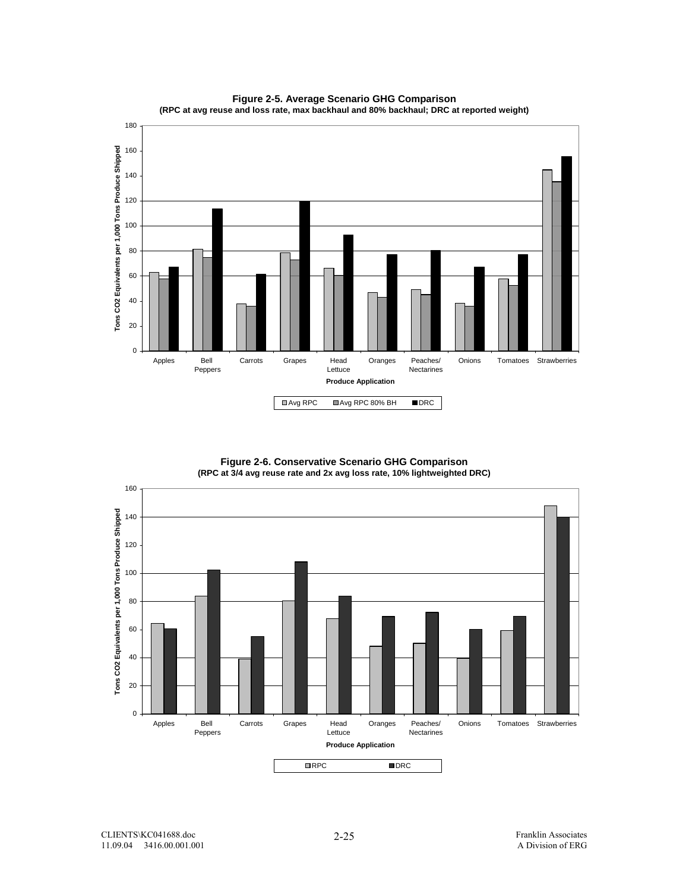

**Figure 2-5. Average Scenario GHG Comparison (RPC at avg reuse and loss rate, max backhaul and 80% backhaul; DRC at reported weight)**

> **Figure 2-6. Conservative Scenario GHG Comparison (RPC at 3/4 avg reuse rate and 2x avg loss rate, 10% lightweighted DRC)**

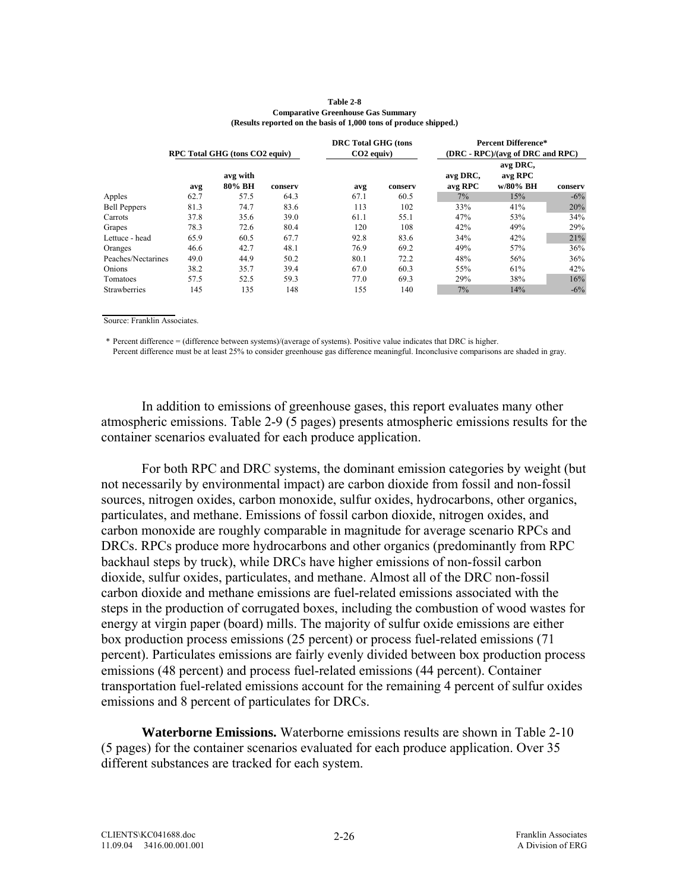|                     |      | RPC Total GHG (tons CO2 equiv) |         | <b>DRC</b> Total GHG (tons<br>$CO2$ equiv) |         |                     | <b>Percent Difference*</b><br>(DRC - RPC)/(avg of DRC and RPC) |         |
|---------------------|------|--------------------------------|---------|--------------------------------------------|---------|---------------------|----------------------------------------------------------------|---------|
|                     | avg  | avg with<br>80% BH             | conserv | avg                                        | conserv | avg DRC,<br>avg RPC | avg DRC,<br>avg RPC<br>w/80% BH                                | conserv |
| Apples              | 62.7 | 57.5                           | 64.3    | 67.1                                       | 60.5    | $7\%$               | 15%                                                            | $-6\%$  |
| <b>Bell Peppers</b> | 81.3 | 74.7                           | 83.6    | 113                                        | 102     | 33%                 | 41%                                                            | 20%     |
| Carrots             | 37.8 | 35.6                           | 39.0    | 61.1                                       | 55.1    | 47%                 | 53%                                                            | 34%     |
| Grapes              | 78.3 | 72.6                           | 80.4    | 120                                        | 108     | 42%                 | 49%                                                            | 29%     |
| Lettuce - head      | 65.9 | 60.5                           | 67.7    | 92.8                                       | 83.6    | 34%                 | 42%                                                            | 21%     |
| Oranges             | 46.6 | 42.7                           | 48.1    | 76.9                                       | 69.2    | 49%                 | 57%                                                            | 36%     |
| Peaches/Nectarines  | 49.0 | 44.9                           | 50.2    | 80.1                                       | 72.2    | 48%                 | 56%                                                            | 36%     |
| Onions              | 38.2 | 35.7                           | 39.4    | 67.0                                       | 60.3    | 55%                 | 61%                                                            | 42%     |
| Tomatoes            | 57.5 | 52.5                           | 59.3    | 77.0                                       | 69.3    | 29%                 | 38%                                                            | 16%     |
| Strawberries        | 145  | 135                            | 148     | 155                                        | 140     | 7%                  | 14%                                                            | $-6\%$  |
|                     |      |                                |         |                                            |         |                     |                                                                |         |

#### **Table 2-8 Comparative Greenhouse Gas Summary (Results reported on the basis of 1,000 tons of produce shipped.)**

Source: Franklin Associates.

\* Percent difference = (difference between systems)/(average of systems). Positive value indicates that DRC is higher. Percent difference must be at least 25% to consider greenhouse gas difference meaningful. Inconclusive comparisons are shaded in gray.

In addition to emissions of greenhouse gases, this report evaluates many other atmospheric emissions. Table 2-9 (5 pages) presents atmospheric emissions results for the container scenarios evaluated for each produce application.

For both RPC and DRC systems, the dominant emission categories by weight (but not necessarily by environmental impact) are carbon dioxide from fossil and non-fossil sources, nitrogen oxides, carbon monoxide, sulfur oxides, hydrocarbons, other organics, particulates, and methane. Emissions of fossil carbon dioxide, nitrogen oxides, and carbon monoxide are roughly comparable in magnitude for average scenario RPCs and DRCs. RPCs produce more hydrocarbons and other organics (predominantly from RPC backhaul steps by truck), while DRCs have higher emissions of non-fossil carbon dioxide, sulfur oxides, particulates, and methane. Almost all of the DRC non-fossil carbon dioxide and methane emissions are fuel-related emissions associated with the steps in the production of corrugated boxes, including the combustion of wood wastes for energy at virgin paper (board) mills. The majority of sulfur oxide emissions are either box production process emissions (25 percent) or process fuel-related emissions (71 percent). Particulates emissions are fairly evenly divided between box production process emissions (48 percent) and process fuel-related emissions (44 percent). Container transportation fuel-related emissions account for the remaining 4 percent of sulfur oxides emissions and 8 percent of particulates for DRCs.

**Waterborne Emissions.** Waterborne emissions results are shown in Table 2-10 (5 pages) for the container scenarios evaluated for each produce application. Over 35 different substances are tracked for each system.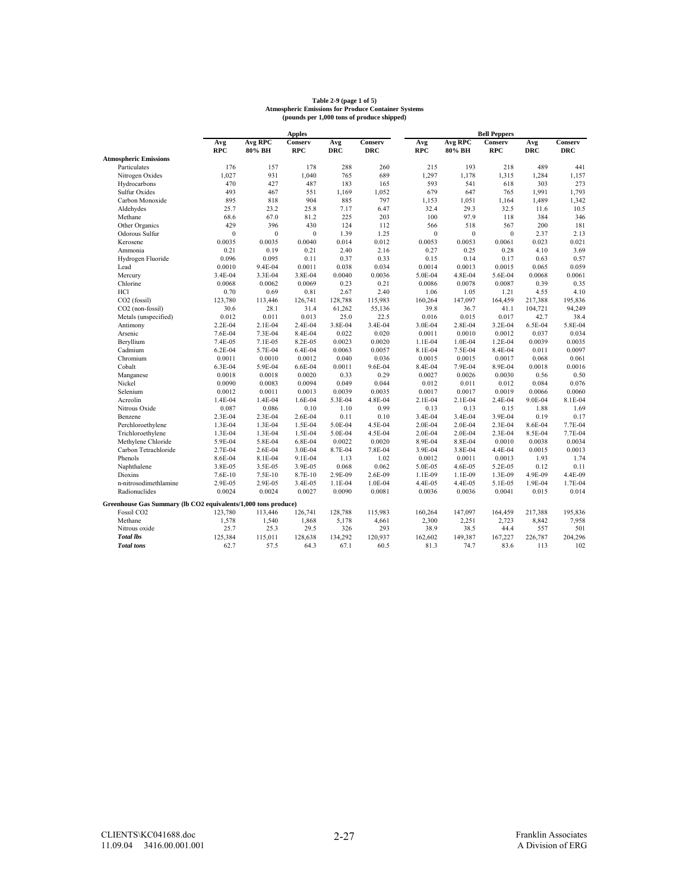|                                                                |              |              | <b>Apples</b> |            |            |              |              | <b>Bell Peppers</b> |            |            |
|----------------------------------------------------------------|--------------|--------------|---------------|------------|------------|--------------|--------------|---------------------|------------|------------|
|                                                                | Avg          | Avg RPC      | Conserv       | Avg        | Conserv    | Avg          | Avg RPC      | Conserv             | Avg        | Conserv    |
|                                                                | <b>RPC</b>   | 80% BH       | $_{\rm RPC}$  | <b>DRC</b> | <b>DRC</b> | <b>RPC</b>   | 80% BH       | $_{\rm RPC}$        | <b>DRC</b> | <b>DRC</b> |
| <b>Atmospheric Emissions</b>                                   |              |              |               |            |            |              |              |                     |            |            |
| Particulates                                                   | 176          | 157          | 178           | 288        | 260        | 215          | 193          | 218                 | 489        | 441        |
| Nitrogen Oxides                                                | 1,027        | 931          | 1,040         | 765        | 689        | 1,297        | 1,178        | 1,315               | 1,284      | 1,157      |
| Hydrocarbons                                                   | 470          | 427          | 487           | 183        | 165        | 593          | 541          | 618                 | 303        | 273        |
| <b>Sulfur Oxides</b>                                           | 493          | 467          | 551           | 1,169      | 1,052      | 679          | 647          | 765                 | 1,991      | 1,793      |
| Carbon Monoxide                                                | 895          | 818          | 904           | 885        | 797        | 1,153        | 1,051        | 1,164               | 1,489      | 1,342      |
| Aldehydes                                                      | 25.7         | 23.2         | 25.8          | 7.17       | 6.47       | 32.4         | 29.3         | 32.5                | 11.6       | 10.5       |
| Methane                                                        | 68.6         | 67.0         | 81.2          | 225        | 203        | 100          | 97.9         | 118                 | 384        | 346        |
| Other Organics                                                 | 429          | 396          | 430           | 124        | 112        | 566          | 518          | 567                 | 200        | 181        |
| Odorous Sulfur                                                 | $\mathbf{0}$ | $\mathbf{0}$ | $\mathbf{0}$  | 1.39       | 1.25       | $\mathbf{0}$ | $\mathbf{0}$ | $\mathbf{0}$        | 2.37       | 2.13       |
| Kerosene                                                       | 0.0035       | 0.0035       | 0.0040        | 0.014      | 0.012      | 0.0053       | 0.0053       | 0.0061              | 0.023      | 0.021      |
| Ammonia                                                        | 0.21         | 0.19         | 0.21          | 2.40       | 2.16       | 0.27         | 0.25         | 0.28                | 4.10       | 3.69       |
| Hydrogen Fluoride                                              | 0.096        | 0.095        | 0.11          | 0.37       | 0.33       | 0.15         | 0.14         | 0.17                | 0.63       | 0.57       |
| Lead                                                           | 0.0010       | 9.4E-04      | 0.0011        | 0.038      | 0.034      | 0.0014       | 0.0013       | 0.0015              | 0.065      | 0.059      |
| Mercury                                                        | 3.4E-04      | 3.3E-04      | 3.8E-04       | 0.0040     | 0.0036     | 5.0E-04      | 4.8E-04      | 5.6E-04             | 0.0068     | 0.0061     |
| Chlorine                                                       | 0.0068       | 0.0062       | 0.0069        | 0.23       | 0.21       | 0.0086       | 0.0078       | 0.0087              | 0.39       | 0.35       |
| <b>HCl</b>                                                     | 0.70         | 0.69         | 0.81          | 2.67       | 2.40       | 1.06         | 1.05         | 1.21                | 4.55       | 4.10       |
| CO2 (fossil)                                                   | 123,780      | 113,446      | 126,741       | 128,788    | 115,983    | 160,264      | 147,097      | 164,459             | 217,388    | 195,836    |
| CO2 (non-fossil)                                               | 30.6         | 28.1         | 31.4          | 61,262     | 55,136     | 39.8         | 36.7         | 41.1                | 104,721    | 94,249     |
| Metals (unspecified)                                           | 0.012        | 0.011        | 0.013         | 25.0       | 22.5       | 0.016        | 0.015        | 0.017               | 42.7       | 38.4       |
| Antimony                                                       | 2.2E-04      | 2.1E-04      | 2.4E-04       | 3.8E-04    | 3.4E-04    | 3.0E-04      | 2.8E-04      | 3.2E-04             | 6.5E-04    | 5.8E-04    |
| Arsenic                                                        | 7.6E-04      | 7.3E-04      | 8.4E-04       | 0.022      | 0.020      | 0.0011       | 0.0010       | 0.0012              | 0.037      | 0.034      |
| Beryllium                                                      | 7.4E-05      | 7.1E-05      | 8.2E-05       | 0.0023     | 0.0020     | 1.1E-04      | 1.0E-04      | 1.2E-04             | 0.0039     | 0.0035     |
| Cadmium                                                        | $6.2E-04$    | 5.7E-04      | 6.4E-04       | 0.0063     | 0.0057     | 8.1E-04      | 7.5E-04      | 8.4E-04             | 0.011      | 0.0097     |
| Chromium                                                       | 0.0011       | 0.0010       | 0.0012        | 0.040      | 0.036      | 0.0015       | 0.0015       | 0.0017              | 0.068      | 0.061      |
| Cobalt                                                         | 6.3E-04      | 5.9E-04      | 6.6E-04       | 0.0011     | 9.6E-04    | 8.4E-04      | 7.9E-04      | 8.9E-04             | 0.0018     | 0.0016     |
| Manganese                                                      | 0.0018       | 0.0018       | 0.0020        | 0.33       | 0.29       | 0.0027       | 0.0026       | 0.0030              | 0.56       | 0.50       |
| Nickel                                                         | 0.0090       | 0.0083       | 0.0094        | 0.049      | 0.044      | 0.012        | 0.011        | 0.012               | 0.084      | 0.076      |
| Selenium                                                       | 0.0012       | 0.0011       | 0.0013        | 0.0039     | 0.0035     | 0.0017       | 0.0017       | 0.0019              | 0.0066     | 0.0060     |
| Acreolin                                                       | 1.4E-04      | 1.4E-04      | 1.6E-04       | 5.3E-04    | 4.8E-04    | 2.1E-04      | 2.1E-04      | 2.4E-04             | 9.0E-04    | 8.1E-04    |
| Nitrous Oxide                                                  | 0.087        | 0.086        | 0.10          | 1.10       | 0.99       | 0.13         | 0.13         | 0.15                | 1.88       | 1.69       |
| Benzene                                                        | 2.3E-04      | 2.3E-04      | 2.6E-04       | 0.11       | 0.10       | 3.4E-04      | 3.4E-04      | 3.9E-04             | 0.19       | 0.17       |
| Perchloroethylene                                              | 1.3E-04      | 1.3E-04      | 1.5E-04       | 5.0E-04    | 4.5E-04    | 2.0E-04      | 2.0E-04      | 2.3E-04             | 8.6E-04    | 7.7E-04    |
| Trichloroethylene                                              | 1.3E-04      | 1.3E-04      | 1.5E-04       | 5.0E-04    | 4.5E-04    | 2.0E-04      | 2.0E-04      | 2.3E-04             | 8.5E-04    | 7.7E-04    |
| Methylene Chloride                                             | 5.9E-04      | 5.8E-04      | 6.8E-04       | 0.0022     | 0.0020     | 8.9E-04      | 8.8E-04      | 0.0010              | 0.0038     | 0.0034     |
| Carbon Tetrachloride                                           | 2.7E-04      | 2.6E-04      | 3.0E-04       | 8.7E-04    | 7.8E-04    | 3.9E-04      | 3.8E-04      | 4.4E-04             | 0.0015     | 0.0013     |
| Phenols                                                        | 8.6E-04      | 8.1E-04      | 9.1E-04       | 1.13       | 1.02       | 0.0012       | 0.0011       | 0.0013              | 1.93       | 1.74       |
| Naphthalene                                                    | 3.8E-05      | 3.5E-05      | 3.9E-05       | 0.068      | 0.062      | 5.0E-05      | 4.6E-05      | 5.2E-05             | 0.12       | 0.11       |
| Dioxins                                                        | 7.6E-10      | 7.5E-10      | 8.7E-10       | 2.9E-09    | 2.6E-09    | 1.1E-09      | 1.1E-09      | 1.3E-09             | 4.9E-09    | 4.4E-09    |
| n-nitrosodimethlamine                                          | 2.9E-05      | 2.9E-05      | 3.4E-05       | 1.1E-04    | 1.0E-04    | 4.4E-05      | 4.4E-05      | 5.1E-05             | 1.9E-04    | 1.7E-04    |
| Radionuclides                                                  | 0.0024       | 0.0024       | 0.0027        | 0.0090     | 0.0081     | 0.0036       | 0.0036       | 0.0041              | 0.015      | 0.014      |
|                                                                |              |              |               |            |            |              |              |                     |            |            |
| Greenhouse Gas Summary (lb CO2 equivalents/1,000 tons produce) |              |              |               |            |            |              |              |                     |            |            |
| Fossil CO <sub>2</sub>                                         | 123,780      | 113,446      | 126,741       | 128,788    | 115,983    | 160,264      | 147,097      | 164,459             | 217,388    | 195,836    |
| Methane                                                        | 1,578        | 1,540        | 1,868         | 5,178      | 4,661      | 2,300        | 2,251        | 2,723               | 8,842      | 7,958      |
| Nitrous oxide                                                  | 25.7         | 25.3         | 29.5          | 326        | 293        | 38.9         | 38.5         | 44.4                | 557        | 501        |
| <b>Total lbs</b>                                               | 125,384      | 115,011      | 128,638       | 134,292    | 120,937    | 162,602      | 149,387      | 167,227             | 226,787    | 204,296    |
| <b>Total</b> tons                                              | 62.7         | 57.5         | 64.3          | 67.1       | 60.5       | 81.3         | 74.7         | 83.6                | 113        | 102        |

# **Table 2-9 (page 1 of 5) Atmospheric Emissions for Produce Container Systems (pounds per 1,000 tons of produce shipped)**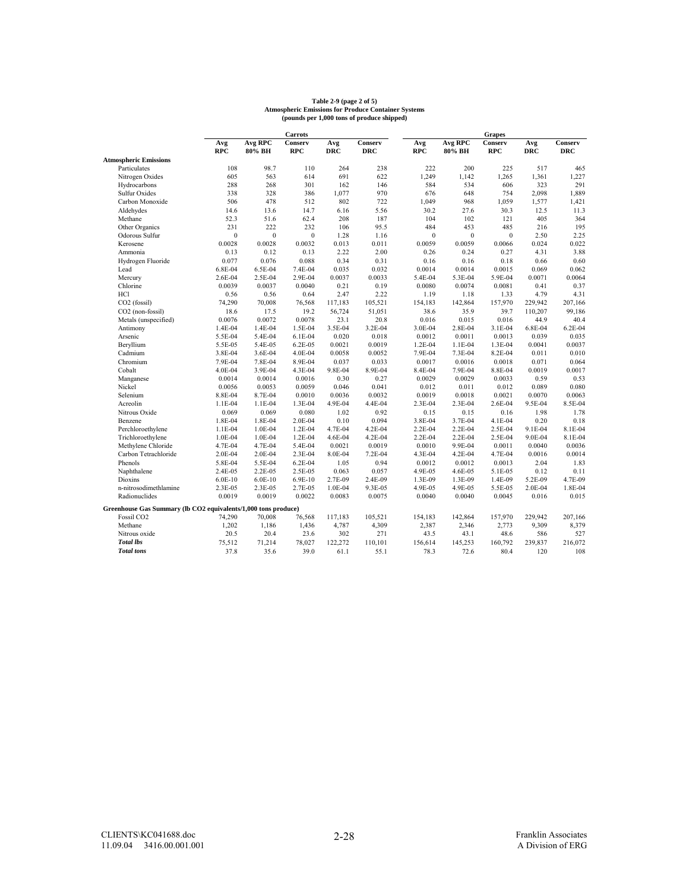# **Table 2-9 (page 2 of 5) Atmospheric Emissions for Produce Container Systems (pounds per 1,000 tons of produce shipped)**

|                                                                |              |                | Carrots          |            |            |              |                | <b>Grapes</b> |            |            |
|----------------------------------------------------------------|--------------|----------------|------------------|------------|------------|--------------|----------------|---------------|------------|------------|
|                                                                | Avg          | <b>Avg RPC</b> | Conserv          | Avg        | Conserv    | Avg          | <b>Avg RPC</b> | Conserv       | Avg        | Conserv    |
|                                                                | <b>RPC</b>   | 80% BH         | <b>RPC</b>       | <b>DRC</b> | <b>DRC</b> | <b>RPC</b>   | 80% BH         | <b>RPC</b>    | <b>DRC</b> | <b>DRC</b> |
| <b>Atmospheric Emissions</b>                                   |              |                |                  |            |            |              |                |               |            |            |
| Particulates                                                   | 108          | 98.7           | 110              | 264        | 238        | 222          | 200            | 225           | 517        | 465        |
| Nitrogen Oxides                                                | 605          | 563            | 614              | 691        | 622        | 1,249        | 1,142          | 1,265         | 1,361      | 1,227      |
| Hydrocarbons                                                   | 288          | 268            | 301              | 162        | 146        | 584          | 534            | 606           | 323        | 291        |
| <b>Sulfur Oxides</b>                                           | 338          | 328            | 386              | 1,077      | 970        | 676          | 648            | 754           | 2,098      | 1,889      |
| Carbon Monoxide                                                | 506          | 478            | 512              | 802        | 722        | 1,049        | 968            | 1,059         | 1,577      | 1,421      |
| Aldehydes                                                      | 14.6         | 13.6           | 14.7             | 6.16       | 5.56       | 30.2         | 27.6           | 30.3          | 12.5       | 11.3       |
| Methane                                                        | 52.3         | 51.6           | 62.4             | 208        | 187        | 104          | 102            | 121           | 405        | 364        |
| Other Organics                                                 | 231          | 222            | 232              | 106        | 95.5       | 484          | 453            | 485           | 216        | 195        |
| Odorous Sulfur                                                 | $\mathbf{0}$ | $\mathbf{0}$   | $\boldsymbol{0}$ | 1.28       | 1.16       | $\mathbf{0}$ | $\mathbf{0}$   | $\mathbf{0}$  | 2.50       | 2.25       |
| Kerosene                                                       | 0.0028       | 0.0028         | 0.0032           | 0.013      | 0.011      | 0.0059       | 0.0059         | 0.0066        | 0.024      | 0.022      |
| Ammonia                                                        | 0.13         | 0.12           | 0.13             | 2.22       | 2.00       | 0.26         | 0.24           | 0.27          | 4.31       | 3.88       |
| Hydrogen Fluoride                                              | 0.077        | 0.076          | 0.088            | 0.34       | 0.31       | 0.16         | 0.16           | 0.18          | 0.66       | 0.60       |
| Lead                                                           | 6.8E-04      | 6.5E-04        | 7.4E-04          | 0.035      | 0.032      | 0.0014       | 0.0014         | 0.0015        | 0.069      | 0.062      |
| Mercury                                                        | 2.6E-04      | 2.5E-04        | 2.9E-04          | 0.0037     | 0.0033     | 5.4E-04      | 5.3E-04        | 5.9E-04       | 0.0071     | 0.0064     |
| Chlorine                                                       | 0.0039       | 0.0037         | 0.0040           | 0.21       | 0.19       | 0.0080       | 0.0074         | 0.0081        | 0.41       | 0.37       |
| <b>HCl</b>                                                     | 0.56         | 0.56           | 0.64             | 2.47       | 2.22       | 1.19         | 1.18           | 1.33          | 4.79       | 4.31       |
| CO <sub>2</sub> (fossil)                                       | 74,290       | 70,008         | 76,568           | 117,183    | 105,521    | 154,183      | 142,864        | 157,970       | 229,942    | 207,166    |
| CO2 (non-fossil)                                               | 18.6         | 17.5           | 19.2             | 56,724     | 51,051     | 38.6         | 35.9           | 39.7          | 110.207    | 99,186     |
| Metals (unspecified)                                           | 0.0076       | 0.0072         | 0.0078           | 23.1       | 20.8       | 0.016        | 0.015          | 0.016         | 44.9       | 40.4       |
| Antimony                                                       | 1.4E-04      | 1.4E-04        | 1.5E-04          | 3.5E-04    | 3.2E-04    | 3.0E-04      | 2.8E-04        | 3.1E-04       | 6.8E-04    | 6.2E-04    |
| Arsenic                                                        | 5.5E-04      | 5.4E-04        | 6.1E-04          | 0.020      | 0.018      | 0.0012       | 0.0011         | 0.0013        | 0.039      | 0.035      |
| Beryllium                                                      | 5.5E-05      | 5.4E-05        | 6.2E-05          | 0.0021     | 0.0019     | 1.2E-04      | 1.1E-04        | 1.3E-04       | 0.0041     | 0.0037     |
| Cadmium                                                        | 3.8E-04      | 3.6E-04        | 4.0E-04          | 0.0058     | 0.0052     | 7.9E-04      | 7.3E-04        | 8.2E-04       | 0.011      | 0.010      |
| Chromium                                                       | 7.9E-04      | 7.8E-04        | 8.9E-04          | 0.037      | 0.033      | 0.0017       | 0.0016         | 0.0018        | 0.071      | 0.064      |
| Cobalt                                                         | 4.0E-04      | 3.9E-04        | 4.3E-04          | 9.8E-04    | 8.9E-04    | 8.4E-04      | 7.9E-04        | 8.8E-04       | 0.0019     | 0.0017     |
| Manganese                                                      | 0.0014       | 0.0014         | 0.0016           | 0.30       | 0.27       | 0.0029       | 0.0029         | 0.0033        | 0.59       | 0.53       |
| Nickel                                                         | 0.0056       | 0.0053         | 0.0059           | 0.046      | 0.041      | 0.012        | 0.011          | 0.012         | 0.089      | 0.080      |
| Selenium                                                       | 8.8E-04      | 8.7E-04        | 0.0010           | 0.0036     | 0.0032     | 0.0019       | 0.0018         | 0.0021        | 0.0070     | 0.0063     |
| Acreolin                                                       | 1.1E-04      | 1.1E-04        | 1.3E-04          | 4.9E-04    | 4.4E-04    | 2.3E-04      | 2.3E-04        | 2.6E-04       | 9.5E-04    | 8.5E-04    |
| Nitrous Oxide                                                  | 0.069        | 0.069          | 0.080            | 1.02       | 0.92       | 0.15         | 0.15           | 0.16          | 1.98       | 1.78       |
| Benzene                                                        | 1.8E-04      | 1.8E-04        | 2.0E-04          | 0.10       | 0.094      | 3.8E-04      | 3.7E-04        | 4.1E-04       | 0.20       | 0.18       |
| Perchloroethylene                                              | 1.1E-04      | 1.0E-04        | 1.2E-04          | 4.7E-04    | 4.2E-04    | 2.2E-04      | 2.2E-04        | 2.5E-04       | 9.1E-04    | 8.1E-04    |
| Trichloroethylene                                              | 1.0E-04      | 1.0E-04        | 1.2E-04          | 4.6E-04    | 4.2E-04    | 2.2E-04      | 2.2E-04        | 2.5E-04       | 9.0E-04    | 8.1E-04    |
| Methylene Chloride                                             | 4.7E-04      | 4.7E-04        | 5.4E-04          | 0.0021     | 0.0019     | 0.0010       | 9.9E-04        | 0.0011        | 0.0040     | 0.0036     |
| Carbon Tetrachloride                                           | 2.0E-04      | 2.0E-04        | 2.3E-04          | 8.0E-04    | 7.2E-04    | 4.3E-04      | 4.2E-04        | 4.7E-04       | 0.0016     | 0.0014     |
| Phenols                                                        | 5.8E-04      | 5.5E-04        | 6.2E-04          | 1.05       | 0.94       | 0.0012       | 0.0012         | 0.0013        | 2.04       | 1.83       |
| Naphthalene                                                    | 2.4E-05      | 2.2E-05        | 2.5E-05          | 0.063      | 0.057      | 4.9E-05      | 4.6E-05        | 5.1E-05       | 0.12       | 0.11       |
| <b>Dioxins</b>                                                 | $6.0E-10$    | $6.0E-10$      | 6.9E-10          | 2.7E-09    | 2.4E-09    | 1.3E-09      | 1.3E-09        | 1.4E-09       | 5.2E-09    | 4.7E-09    |
| n-nitrosodimethlamine                                          | 2.3E-05      | 2.3E-05        | 2.7E-05          | 1.0E-04    | 9.3E-05    | 4.9E-05      | 4.9E-05        | 5.5E-05       | 2.0E-04    | 1.8E-04    |
| Radionuclides                                                  | 0.0019       | 0.0019         | 0.0022           | 0.0083     | 0.0075     | 0.0040       | 0.0040         | 0.0045        | 0.016      | 0.015      |
|                                                                |              |                |                  |            |            |              |                |               |            |            |
| Greenhouse Gas Summary (lb CO2 equivalents/1,000 tons produce) |              |                |                  |            |            |              |                |               |            |            |
| Fossil CO <sub>2</sub>                                         | 74,290       | 70,008         | 76,568           | 117,183    | 105,521    | 154,183      | 142,864        | 157,970       | 229,942    | 207,166    |
| Methane                                                        | 1,202        | 1,186          | 1,436            | 4,787      | 4,309      | 2,387        | 2,346          | 2,773         | 9,309      | 8,379      |
| Nitrous oxide                                                  | 20.5         | 20.4           | 23.6             | 302        | 271        | 43.5         | 43.1           | 48.6          | 586        | 527        |
| <b>Total lbs</b>                                               | 75,512       | 71,214         | 78,027           | 122,272    | 110,101    | 156,614      | 145,253        | 160,792       | 239,837    | 216,072    |
| <b>Total</b> tons                                              | 37.8         | 35.6           | 39.0             | 61.1       | 55.1       | 78.3         | 72.6           | 80.4          | 120        | 108        |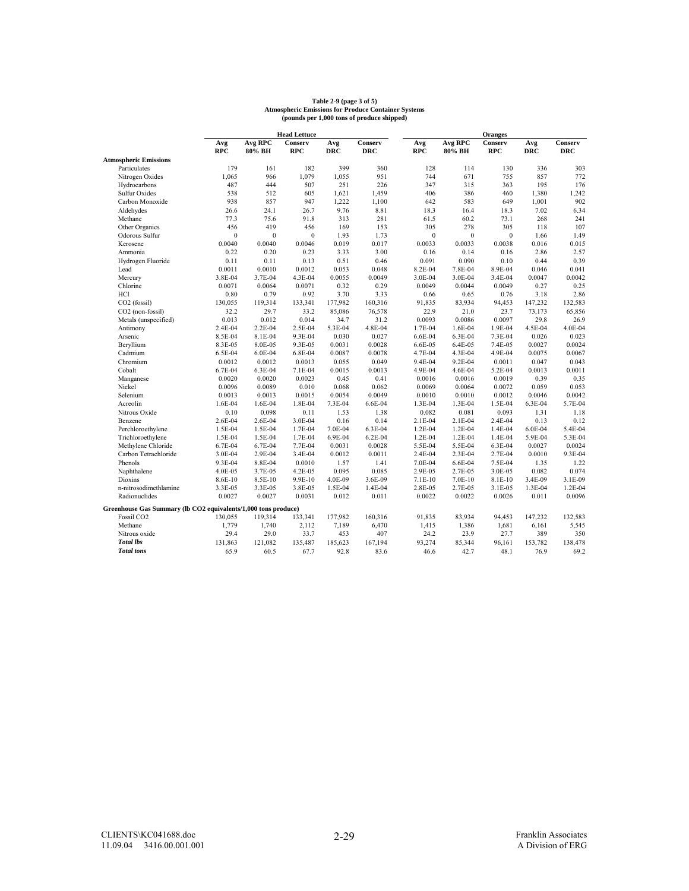# **Table 2-9 (page 3 of 5) Atmospheric Emissions for Produce Container Systems (pounds per 1,000 tons of produce shipped)**

|                                                                |              |                  | <b>Head Lettuce</b> |            |            |              |                | <b>Oranges</b> |            |            |
|----------------------------------------------------------------|--------------|------------------|---------------------|------------|------------|--------------|----------------|----------------|------------|------------|
|                                                                | Avg          | <b>Avg RPC</b>   | Conserv             | Avg        | Conserv    | Avg          | <b>Avg RPC</b> | Conserv        | Avg        | Conserv    |
|                                                                | <b>RPC</b>   | 80% BH           | <b>RPC</b>          | <b>DRC</b> | <b>DRC</b> | <b>RPC</b>   | 80% BH         | <b>RPC</b>     | <b>DRC</b> | <b>DRC</b> |
| <b>Atmospheric Emissions</b>                                   |              |                  |                     |            |            |              |                |                |            |            |
| Particulates                                                   | 179          | 161              | 182                 | 399        | 360        | 128          | 114            | 130            | 336        | 303        |
| Nitrogen Oxides                                                | 1,065        | 966              | 1,079               | 1,055      | 951        | 744          | 671            | 755            | 857        | 772        |
| Hydrocarbons                                                   | 487          | 444              | 507                 | 251        | 226        | 347          | 315            | 363            | 195        | 176        |
| <b>Sulfur Oxides</b>                                           | 538          | 512              | 605                 | 1,621      | 1,459      | 406          | 386            | 460            | 1.380      | 1,242      |
| Carbon Monoxide                                                | 938          | 857              | 947                 | 1,222      | 1,100      | 642          | 583            | 649            | 1,001      | 902        |
| Aldehydes                                                      | 26.6         | 24.1             | 26.7                | 9.76       | 8.81       | 18.3         | 16.4           | 18.3           | 7.02       | 6.34       |
| Methane                                                        | 77.3         | 75.6             | 91.8                | 313        | 281        | 61.5         | 60.2           | 73.1           | 268        | 241        |
| Other Organics                                                 | 456          | 419              | 456                 | 169        | 153        | 305          | 278            | 305            | 118        | 107        |
| Odorous Sulfur                                                 | $\mathbf{0}$ | $\boldsymbol{0}$ | $\boldsymbol{0}$    | 1.93       | 1.73       | $\mathbf{0}$ | $\mathbf{0}$   | $\mathbf{0}$   | 1.66       | 1.49       |
| Kerosene                                                       | 0.0040       | 0.0040           | 0.0046              | 0.019      | 0.017      | 0.0033       | 0.0033         | 0.0038         | 0.016      | 0.015      |
| Ammonia                                                        | 0.22         | 0.20             | 0.23                | 3.33       | 3.00       | 0.16         | 0.14           | 0.16           | 2.86       | 2.57       |
| Hydrogen Fluoride                                              | 0.11         | 0.11             | 0.13                | 0.51       | 0.46       | 0.091        | 0.090          | 0.10           | 0.44       | 0.39       |
| Lead                                                           | 0.0011       | 0.0010           | 0.0012              | 0.053      | 0.048      | 8.2E-04      | 7.8E-04        | 8.9E-04        | 0.046      | 0.041      |
| Mercury                                                        | 3.8E-04      | 3.7E-04          | 4.3E-04             | 0.0055     | 0.0049     | 3.0E-04      | 3.0E-04        | 3.4E-04        | 0.0047     | 0.0042     |
| Chlorine                                                       | 0.0071       | 0.0064           | 0.0071              | 0.32       | 0.29       | 0.0049       | 0.0044         | 0.0049         | 0.27       | 0.25       |
| <b>HCl</b>                                                     | 0.80         | 0.79             | 0.92                | 3.70       | 3.33       | 0.66         | 0.65           | 0.76           | 3.18       | 2.86       |
| CO <sub>2</sub> (fossil)                                       | 130,055      | 119,314          | 133,341             | 177,982    | 160,316    | 91,835       | 83,934         | 94,453         | 147,232    | 132,583    |
| CO <sub>2</sub> (non-fossil)                                   | 32.2         | 29.7             | 33.2                | 85,086     | 76,578     | 22.9         | 21.0           | 23.7           | 73,173     | 65,856     |
| Metals (unspecified)                                           | 0.013        | 0.012            | 0.014               | 34.7       | 31.2       | 0.0093       | 0.0086         | 0.0097         | 29.8       | 26.9       |
| Antimony                                                       | 2.4E-04      | 2.2E-04          | 2.5E-04             | 5.3E-04    | 4.8E-04    | 1.7E-04      | 1.6E-04        | 1.9E-04        | 4.5E-04    | 4.0E-04    |
| Arsenic                                                        | 8.5E-04      | 8.1E-04          | 9.3E-04             | 0.030      | 0.027      | 6.6E-04      | 6.3E-04        | 7.3E-04        | 0.026      | 0.023      |
| Beryllium                                                      | 8.3E-05      | 8.0E-05          | 9.3E-05             | 0.0031     | 0.0028     | 6.6E-05      | 6.4E-05        | 7.4E-05        | 0.0027     | 0.0024     |
| Cadmium                                                        | 6.5E-04      | 6.0E-04          | 6.8E-04             | 0.0087     | 0.0078     | 4.7E-04      | 4.3E-04        | 4.9E-04        | 0.0075     | 0.0067     |
| Chromium                                                       | 0.0012       | 0.0012           | 0.0013              | 0.055      | 0.049      | 9.4E-04      | 9.2E-04        | 0.0011         | 0.047      | 0.043      |
| Cobalt                                                         | 6.7E-04      | 6.3E-04          | 7.1E-04             | 0.0015     | 0.0013     | 4.9E-04      | 4.6E-04        | 5.2E-04        | 0.0013     | 0.0011     |
| Manganese                                                      | 0.0020       | 0.0020           | 0.0023              | 0.45       | 0.41       | 0.0016       | 0.0016         | 0.0019         | 0.39       | 0.35       |
| Nickel                                                         | 0.0096       | 0.0089           | 0.010               | 0.068      | 0.062      | 0.0069       | 0.0064         | 0.0072         | 0.059      | 0.053      |
| Selenium                                                       | 0.0013       | 0.0013           | 0.0015              | 0.0054     | 0.0049     | 0.0010       | 0.0010         | 0.0012         | 0.0046     | 0.0042     |
| Acreolin                                                       | 1.6E-04      | 1.6E-04          | 1.8E-04             | 7.3E-04    | 6.6E-04    | 1.3E-04      | 1.3E-04        | 1.5E-04        | 6.3E-04    | 5.7E-04    |
| Nitrous Oxide                                                  | 0.10         | 0.098            | 0.11                | 1.53       | 1.38       | 0.082        | 0.081          | 0.093          | 1.31       | 1.18       |
| Benzene                                                        | 2.6E-04      | 2.6E-04          | 3.0E-04             | 0.16       | 0.14       | 2.1E-04      | 2.1E-04        | 2.4E-04        | 0.13       | 0.12       |
| Perchloroethylene                                              | 1.5E-04      | 1.5E-04          | 1.7E-04             | 7.0E-04    | 6.3E-04    | 1.2E-04      | 1.2E-04        | 1.4E-04        | 6.0E-04    | 5.4E-04    |
| Trichloroethylene                                              | 1.5E-04      | 1.5E-04          | 1.7E-04             | 6.9E-04    | 6.2E-04    | 1.2E-04      | 1.2E-04        | 1.4E-04        | 5.9E-04    | 5.3E-04    |
| Methylene Chloride                                             | 6.7E-04      | 6.7E-04          | 7.7E-04             | 0.0031     | 0.0028     | 5.5E-04      | 5.5E-04        | 6.3E-04        | 0.0027     | 0.0024     |
| Carbon Tetrachloride                                           | 3.0E-04      | 2.9E-04          | 3.4E-04             | 0.0012     | 0.0011     | 2.4E-04      | 2.3E-04        | 2.7E-04        | 0.0010     | 9.3E-04    |
| Phenols                                                        | 9.3E-04      | 8.8E-04          | 0.0010              | 1.57       | 1.41       | 7.0E-04      | 6.6E-04        | 7.5E-04        | 1.35       | 1.22       |
| Naphthalene                                                    | 4.0E-05      | 3.7E-05          | 4.2E-05             | 0.095      | 0.085      | 2.9E-05      | 2.7E-05        | 3.0E-05        | 0.082      | 0.074      |
| <b>Dioxins</b>                                                 |              | 8.5E-10          | 9.9E-10             | 4.0E-09    | 3.6E-09    | 7.1E-10      | 7.0E-10        | 8.1E-10        | 3.4E-09    | 3.1E-09    |
|                                                                | 8.6E-10      |                  |                     |            |            |              |                |                |            | 1.2E-04    |
| n-nitrosodimethlamine                                          | 3.3E-05      | 3.3E-05          | 3.8E-05             | 1.5E-04    | 1.4E-04    | 2.8E-05      | 2.7E-05        | 3.1E-05        | 1.3E-04    |            |
| Radionuclides                                                  | 0.0027       | 0.0027           | 0.0031              | 0.012      | 0.011      | 0.0022       | 0.0022         | 0.0026         | 0.011      | 0.0096     |
| Greenhouse Gas Summary (lb CO2 equivalents/1,000 tons produce) |              |                  |                     |            |            |              |                |                |            |            |
| Fossil CO <sub>2</sub>                                         | 130,055      | 119,314          | 133,341             | 177,982    | 160,316    | 91,835       | 83,934         | 94,453         | 147,232    | 132,583    |
| Methane                                                        | 1,779        | 1,740            | 2,112               | 7,189      | 6,470      | 1,415        | 1,386          | 1,681          | 6,161      | 5,545      |
| Nitrous oxide                                                  | 29.4         | 29.0             | 33.7                | 453        | 407        | 24.2         | 23.9           | 27.7           | 389        | 350        |
| <b>Total lbs</b>                                               | 131,863      | 121,082          | 135,487             | 185,623    | 167,194    | 93,274       | 85,344         | 96,161         | 153,782    | 138,478    |
| <b>Total</b> tons                                              | 65.9         | 60.5             | 67.7                | 92.8       | 83.6       | 46.6         | 42.7           | 48.1           | 76.9       | 69.2       |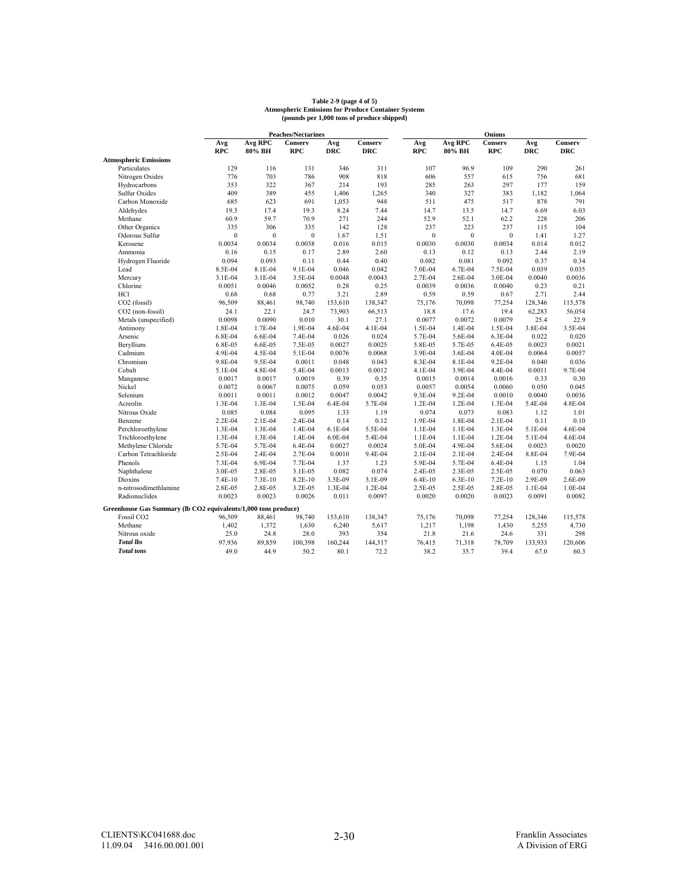#### **Atmospheric Emissions for Produce Container Systems (pounds per 1,000 tons of produce shipped) Table 2-9 (page 4 of 5)**

|                                                                |              |                  | <b>Peaches/Nectarines</b> |            |            |              |                | Onions       |            |            |
|----------------------------------------------------------------|--------------|------------------|---------------------------|------------|------------|--------------|----------------|--------------|------------|------------|
|                                                                | Avg          | <b>Avg RPC</b>   | Conserv                   | Avg        | Conserv    | Avg          | <b>Avg RPC</b> | Conserv      | Avg        | Conserv    |
|                                                                | <b>RPC</b>   | 80% BH           | <b>RPC</b>                | <b>DRC</b> | <b>DRC</b> | <b>RPC</b>   | 80% BH         | <b>RPC</b>   | <b>DRC</b> | <b>DRC</b> |
| <b>Atmospheric Emissions</b>                                   |              |                  |                           |            |            |              |                |              |            |            |
| Particulates                                                   | 129          | 116              | 131                       | 346        | 311        | 107          | 96.9           | 109          | 290        | 261        |
| Nitrogen Oxides                                                | 776          | 703              | 786                       | 908        | 818        | 606          | 557            | 615          | 756        | 681        |
| Hydrocarbons                                                   | 353          | 322              | 367                       | 214        | 193        | 285          | 263            | 297          | 177        | 159        |
| <b>Sulfur Oxides</b>                                           | 409          | 389              | 455                       | 1,406      | 1,265      | 340          | 327            | 383          | 1,182      | 1,064      |
| Carbon Monoxide                                                | 685          | 623              | 691                       | 1,053      | 948        | 511          | 475            | 517          | 878        | 791        |
| Aldehydes                                                      | 19.3         | 17.4             | 19.3                      | 8.24       | 7.44       | 14.7         | 13.5           | 14.7         | 6.69       | 6.03       |
| Methane                                                        | 60.9         | 59.7             | 70.9                      | 271        | 244        | 52.9         | 52.1           | 62.2         | 228        | 206        |
| Other Organics                                                 | 335          | 306              | 335                       | 142        | 128        | 237          | 223            | 237          | 115        | 104        |
| Odorous Sulfur                                                 | $\mathbf{0}$ | $\boldsymbol{0}$ | $\boldsymbol{0}$          | 1.67       | 1.51       | $\mathbf{0}$ | $\mathbf{0}$   | $\mathbf{0}$ | 1.41       | 1.27       |
| Kerosene                                                       | 0.0034       | 0.0034           | 0.0038                    | 0.016      | 0.015      | 0.0030       | 0.0030         | 0.0034       | 0.014      | 0.012      |
| Ammonia                                                        | 0.16         | 0.15             | 0.17                      | 2.89       | 2.60       | 0.13         | 0.12           | 0.13         | 2.44       | 2.19       |
| Hydrogen Fluoride                                              | 0.094        | 0.093            | 0.11                      | 0.44       | 0.40       | 0.082        | 0.081          | 0.092        | 0.37       | 0.34       |
| Lead                                                           | 8.5E-04      | 8.1E-04          | 9.1E-04                   | 0.046      | 0.042      | 7.0E-04      | 6.7E-04        | 7.5E-04      | 0.039      | 0.035      |
| Mercury                                                        | 3.1E-04      | 3.1E-04          | 3.5E-04                   | 0.0048     | 0.0043     | 2.7E-04      | 2.6E-04        | 3.0E-04      | 0.0040     | 0.0036     |
| Chlorine                                                       | 0.0051       | 0.0046           | 0.0052                    | 0.28       | 0.25       | 0.0039       | 0.0036         | 0.0040       | 0.23       | 0.21       |
| <b>HCl</b>                                                     | 0.68         | 0.68             | 0.77                      | 3.21       | 2.89       | 0.59         | 0.59           | 0.67         | 2.71       | 2.44       |
| CO <sub>2</sub> (fossil)                                       | 96,509       | 88,461           | 98,740                    | 153,610    | 138,347    | 75,176       | 70,098         | 77,254       | 128,346    | 115,578    |
| CO2 (non-fossil)                                               | 24.1         | 22.1             | 24.7                      | 73,903     | 66,513     | 18.8         | 17.6           | 19.4         | 62,283     | 56,054     |
| Metals (unspecified)                                           | 0.0098       | 0.0090           | 0.010                     | 30.1       | 27.1       | 0.0077       | 0.0072         | 0.0079       | 25.4       | 22.9       |
| Antimony                                                       | 1.8E-04      | 1.7E-04          | 1.9E-04                   | 4.6E-04    | 4.1E-04    | 1.5E-04      | 1.4E-04        | 1.5E-04      | 3.8E-04    | 3.5E-04    |
| Arsenic                                                        | 6.8E-04      | 6.6E-04          | 7.4E-04                   | 0.026      | 0.024      | 5.7E-04      | 5.6E-04        | 6.3E-04      | 0.022      | 0.020      |
| Beryllium                                                      | 6.8E-05      | 6.6E-05          | 7.5E-05                   | 0.0027     | 0.0025     | 5.8E-05      | 5.7E-05        | 6.4E-05      | 0.0023     | 0.0021     |
| Cadmium                                                        | 4.9E-04      | 4.5E-04          | 5.1E-04                   | 0.0076     | 0.0068     | 3.9E-04      | 3.6E-04        | 4.0E-04      | 0.0064     | 0.0057     |
| Chromium                                                       | 9.8E-04      | 9.5E-04          | 0.0011                    | 0.048      | 0.043      | 8.3E-04      | 8.1E-04        | 9.2E-04      | 0.040      | 0.036      |
| Cobalt                                                         | 5.1E-04      | 4.8E-04          | 5.4E-04                   | 0.0013     | 0.0012     | 4.1E-04      | 3.9E-04        | 4.4E-04      | 0.0011     | 9.7E-04    |
| Manganese                                                      | 0.0017       | 0.0017           | 0.0019                    | 0.39       | 0.35       | 0.0015       | 0.0014         | 0.0016       | 0.33       | 0.30       |
| Nickel                                                         | 0.0072       | 0.0067           | 0.0075                    | 0.059      | 0.053      | 0.0057       | 0.0054         | 0.0060       | 0.050      | 0.045      |
| Selenium                                                       | 0.0011       | 0.0011           | 0.0012                    | 0.0047     | 0.0042     | 9.3E-04      | 9.2E-04        | 0.0010       | 0.0040     | 0.0036     |
| Acreolin                                                       | 1.3E-04      | 1.3E-04          | 1.5E-04                   | 6.4E-04    | 5.7E-04    | 1.2E-04      | 1.2E-04        | 1.3E-04      | 5.4E-04    | 4.8E-04    |
| Nitrous Oxide                                                  | 0.085        | 0.084            | 0.095                     | 1.33       | 1.19       | 0.074        | 0.073          | 0.083        | 1.12       | 1.01       |
| Benzene                                                        | 2.2E-04      | 2.1E-04          | 2.4E-04                   | 0.14       | 0.12       | 1.9E-04      | 1.8E-04        | 2.1E-04      | 0.11       | 0.10       |
| Perchloroethylene                                              | 1.3E-04      | 1.3E-04          | 1.4E-04                   | 6.1E-04    | 5.5E-04    | 1.1E-04      | 1.1E-04        | 1.3E-04      | 5.1E-04    | 4.6E-04    |
| Trichloroethylene                                              | 1.3E-04      | 1.3E-04          | 1.4E-04                   | $6.0E-04$  | 5.4E-04    | 1.1E-04      | 1.1E-04        | 1.2E-04      | 5.1E-04    | 4.6E-04    |
| Methylene Chloride                                             | 5.7E-04      | 5.7E-04          | 6.4E-04                   | 0.0027     | 0.0024     | 5.0E-04      | 4.9E-04        | 5.6E-04      | 0.0023     | 0.0020     |
| Carbon Tetrachloride                                           | 2.5E-04      | 2.4E-04          | 2.7E-04                   | 0.0010     | 9.4E-04    | 2.1E-04      | 2.1E-04        | 2.4E-04      | 8.8E-04    | 7.9E-04    |
| Phenols                                                        | 7.3E-04      | 6.9E-04          | 7.7E-04                   | 1.37       | 1.23       | 5.9E-04      | 5.7E-04        | 6.4E-04      | 1.15       | 1.04       |
| Naphthalene                                                    | 3.0E-05      | 2.8E-05          | 3.1E-05                   | 0.082      | 0.074      | 2.4E-05      | 2.3E-05        | 2.5E-05      | 0.070      | 0.063      |
| <b>Dioxins</b>                                                 | 7.4E-10      | 7.3E-10          | 8.2E-10                   | 3.5E-09    | 3.1E-09    | $6.4E-10$    | $6.3E-10$      | 7.2E-10      | 2.9E-09    | 2.6E-09    |
| n-nitrosodimethlamine                                          | 2.8E-05      | 2.8E-05          | 3.2E-05                   | 1.3E-04    | 1.2E-04    | 2.5E-05      | 2.5E-05        | 2.8E-05      | 1.1E-04    | 1.0E-04    |
| Radionuclides                                                  | 0.0023       | 0.0023           | 0.0026                    | 0.011      | 0.0097     | 0.0020       | 0.0020         | 0.0023       | 0.0091     | 0.0082     |
|                                                                |              |                  |                           |            |            |              |                |              |            |            |
| Greenhouse Gas Summary (lb CO2 equivalents/1,000 tons produce) |              |                  |                           |            |            |              |                |              |            |            |
| Fossil CO <sub>2</sub>                                         | 96,509       | 88,461           | 98,740                    | 153,610    | 138,347    | 75,176       | 70,098         | 77,254       | 128,346    | 115,578    |
| Methane                                                        | 1,402        | 1,372            | 1,630                     | 6,240      | 5,617      | 1,217        | 1,198          | 1,430        | 5,255      | 4,730      |
| Nitrous oxide                                                  | 25.0         | 24.8             | 28.0                      | 393        | 354        | 21.8         | 21.6           | 24.6         | 331        | 298        |
| <b>Total lbs</b>                                               | 97,936       | 89,859           | 100,398                   | 160,244    | 144,317    | 76,415       | 71,318         | 78,709       | 133,933    | 120,606    |
| <b>Total</b> tons                                              | 49.0         | 44.9             | 50.2                      | 80.1       | 72.2       | 38.2         | 35.7           | 39.4         | 67.0       | 60.3       |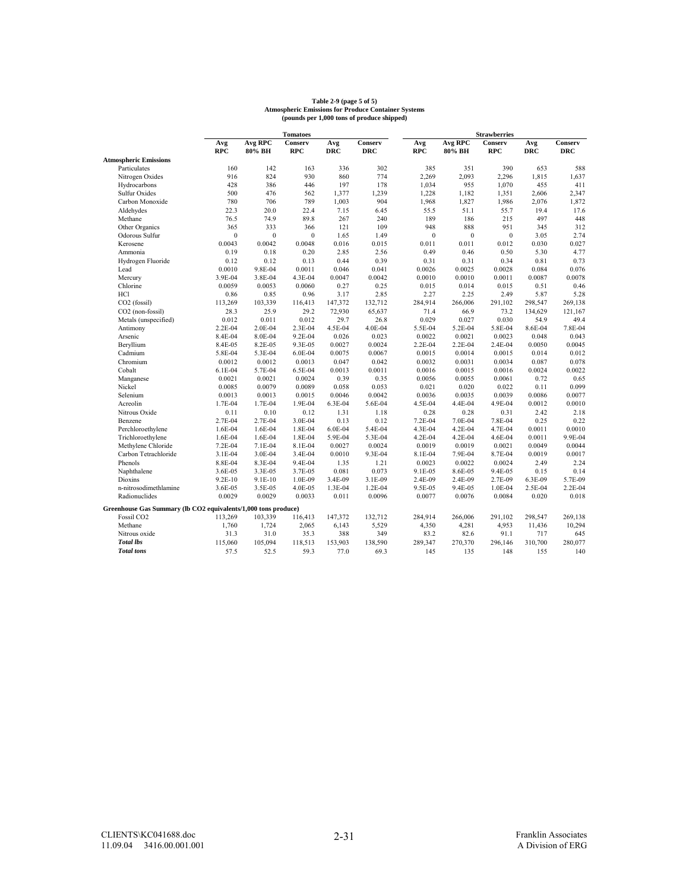# **Table 2-9 (page 5 of 5) Atmospheric Emissions for Produce Container Systems (pounds per 1,000 tons of produce shipped)**

|                                                                |                |                  | <b>Tomatoes</b> |            |            |              |                | <b>Strawberries</b> |            |            |
|----------------------------------------------------------------|----------------|------------------|-----------------|------------|------------|--------------|----------------|---------------------|------------|------------|
|                                                                | Avg            | <b>Avg RPC</b>   | Conserv         | Avg        | Conserv    | Avg          | <b>Avg RPC</b> | Conserv             | Avg        | Conserv    |
|                                                                | <b>RPC</b>     | 80% BH           | <b>RPC</b>      | <b>DRC</b> | <b>DRC</b> | <b>RPC</b>   | 80% BH         | <b>RPC</b>          | <b>DRC</b> | <b>DRC</b> |
| <b>Atmospheric Emissions</b>                                   |                |                  |                 |            |            |              |                |                     |            |            |
| Particulates                                                   | 160            | 142              | 163             | 336        | 302        | 385          | 351            | 390                 | 653        | 588        |
| Nitrogen Oxides                                                | 916            | 824              | 930             | 860        | 774        | 2,269        | 2,093          | 2,296               | 1,815      | 1,637      |
| Hydrocarbons                                                   | 428            | 386              | 446             | 197        | 178        | 1,034        | 955            | 1,070               | 455        | 411        |
| <b>Sulfur Oxides</b>                                           | 500            | 476              | 562             | 1,377      | 1,239      | 1,228        | 1,182          | 1,351               | 2,606      | 2,347      |
| Carbon Monoxide                                                | 780            | 706              | 789             | 1,003      | 904        | 1,968        | 1,827          | 1,986               | 2,076      | 1,872      |
| Aldehydes                                                      | 22.3           | 20.0             | 22.4            | 7.15       | 6.45       | 55.5         | 51.1           | 55.7                | 19.4       | 17.6       |
| Methane                                                        | 76.5           | 74.9             | 89.8            | 267        | 240        | 189          | 186            | 215                 | 497        | 448        |
| Other Organics                                                 | 365            | 333              | 366             | 121        | 109        | 948          | 888            | 951                 | 345        | 312        |
| Odorous Sulfur                                                 | $\overline{0}$ | $\boldsymbol{0}$ | $\mathbf{0}$    | 1.65       | 1.49       | $\mathbf{0}$ | $\mathbf{0}$   | $\mathbf{0}$        | 3.05       | 2.74       |
| Kerosene                                                       | 0.0043         | 0.0042           | 0.0048          | 0.016      | 0.015      | 0.011        | 0.011          | 0.012               | 0.030      | 0.027      |
| Ammonia                                                        | 0.19           | 0.18             | 0.20            | 2.85       | 2.56       | 0.49         | 0.46           | 0.50                | 5.30       | 4.77       |
| Hydrogen Fluoride                                              | 0.12           | 0.12             | 0.13            | 0.44       | 0.39       | 0.31         | 0.31           | 0.34                | 0.81       | 0.73       |
| Lead                                                           | 0.0010         | 9.8E-04          | 0.0011          | 0.046      | 0.041      | 0.0026       | 0.0025         | 0.0028              | 0.084      | 0.076      |
| Mercury                                                        | 3.9E-04        | 3.8E-04          | 4.3E-04         | 0.0047     | 0.0042     | 0.0010       | 0.0010         | 0.0011              | 0.0087     | 0.0078     |
| Chlorine                                                       | 0.0059         | 0.0053           | 0.0060          | 0.27       | 0.25       | 0.015        | 0.014          | 0.015               | 0.51       | 0.46       |
| <b>HCl</b>                                                     | 0.86           | 0.85             | 0.96            | 3.17       | 2.85       | 2.27         | 2.25           | 2.49                | 5.87       | 5.28       |
| CO <sub>2</sub> (fossil)                                       | 113,269        | 103,339          | 116,413         | 147,372    | 132,712    | 284,914      | 266,006        | 291,102             | 298,547    | 269,138    |
| CO2 (non-fossil)                                               | 28.3           | 25.9             | 29.2            | 72,930     | 65,637     | 71.4         | 66.9           | 73.2                | 134.629    | 121,167    |
| Metals (unspecified)                                           | 0.012          | 0.011            | 0.012           | 29.7       | 26.8       | 0.029        | 0.027          | 0.030               | 54.9       | 49.4       |
| Antimony                                                       | 2.2E-04        | 2.0E-04          | 2.3E-04         | 4.5E-04    | 4.0E-04    | 5.5E-04      | 5.2E-04        | 5.8E-04             | 8.6E-04    | 7.8E-04    |
| Arsenic                                                        | 8.4E-04        | 8.0E-04          | 9.2E-04         | 0.026      | 0.023      | 0.0022       | 0.0021         | 0.0023              | 0.048      | 0.043      |
| Beryllium                                                      | 8.4E-05        | 8.2E-05          | 9.3E-05         | 0.0027     | 0.0024     | 2.2E-04      | 2.2E-04        | 2.4E-04             | 0.0050     | 0.0045     |
| Cadmium                                                        | 5.8E-04        | 5.3E-04          | 6.0E-04         | 0.0075     | 0.0067     | 0.0015       | 0.0014         | 0.0015              | 0.014      | 0.012      |
| Chromium                                                       | 0.0012         | 0.0012           | 0.0013          | 0.047      | 0.042      | 0.0032       | 0.0031         | 0.0034              | 0.087      | 0.078      |
| Cobalt                                                         | $6.1E-04$      | 5.7E-04          | 6.5E-04         | 0.0013     | 0.0011     | 0.0016       | 0.0015         | 0.0016              | 0.0024     | 0.0022     |
| Manganese                                                      | 0.0021         | 0.0021           | 0.0024          | 0.39       | 0.35       | 0.0056       | 0.0055         | 0.0061              | 0.72       | 0.65       |
| Nickel                                                         | 0.0085         | 0.0079           | 0.0089          | 0.058      | 0.053      | 0.021        | 0.020          | 0.022               | 0.11       | 0.099      |
| Selenium                                                       | 0.0013         | 0.0013           | 0.0015          | 0.0046     | 0.0042     | 0.0036       | 0.0035         | 0.0039              | 0.0086     | 0.0077     |
| Acreolin                                                       | 1.7E-04        | 1.7E-04          | 1.9E-04         | 6.3E-04    | 5.6E-04    | 4.5E-04      | 4.4E-04        | 4.9E-04             | 0.0012     | 0.0010     |
| Nitrous Oxide                                                  | 0.11           | 0.10             | 0.12            | 1.31       | 1.18       | 0.28         | 0.28           | 0.31                | 2.42       | 2.18       |
| Benzene                                                        | 2.7E-04        | 2.7E-04          | 3.0E-04         | 0.13       | 0.12       | 7.2E-04      | 7.0E-04        | 7.8E-04             | 0.25       | 0.22       |
| Perchloroethylene                                              | 1.6E-04        | 1.6E-04          | 1.8E-04         | 6.0E-04    | 5.4E-04    | 4.3E-04      | 4.2E-04        | 4.7E-04             | 0.0011     | 0.0010     |
| Trichloroethylene                                              | 1.6E-04        | 1.6E-04          | 1.8E-04         | 5.9E-04    | 5.3E-04    | 4.2E-04      | 4.2E-04        | 4.6E-04             | 0.0011     | 9.9E-04    |
| Methylene Chloride                                             | 7.2E-04        | 7.1E-04          | 8.1E-04         | 0.0027     | 0.0024     | 0.0019       | 0.0019         | 0.0021              | 0.0049     | 0.0044     |
| Carbon Tetrachloride                                           | 3.1E-04        | 3.0E-04          | 3.4E-04         | 0.0010     | 9.3E-04    | 8.1E-04      | 7.9E-04        | 8.7E-04             | 0.0019     | 0.0017     |
| Phenols                                                        | 8.8E-04        | 8.3E-04          | 9.4E-04         | 1.35       | 1.21       | 0.0023       | 0.0022         | 0.0024              | 2.49       | 2.24       |
| Naphthalene                                                    | 3.6E-05        | 3.3E-05          | 3.7E-05         | 0.081      | 0.073      | 9.1E-05      | 8.6E-05        | 9.4E-05             | 0.15       | 0.14       |
| <b>Dioxins</b>                                                 | $9.2E - 10$    | 9.1E-10          | 1.0E-09         | 3.4E-09    | 3.1E-09    | 2.4E-09      | 2.4E-09        | 2.7E-09             | 6.3E-09    | 5.7E-09    |
| n-nitrosodimethlamine                                          | 3.6E-05        | 3.5E-05          | 4.0E-05         | 1.3E-04    | 1.2E-04    | 9.5E-05      | 9.4E-05        | 1.0E-04             | 2.5E-04    | 2.2E-04    |
| Radionuclides                                                  | 0.0029         | 0.0029           | 0.0033          | 0.011      | 0.0096     | 0.0077       | 0.0076         | 0.0084              | 0.020      | 0.018      |
|                                                                |                |                  |                 |            |            |              |                |                     |            |            |
| Greenhouse Gas Summary (lb CO2 equivalents/1,000 tons produce) |                |                  |                 |            |            |              |                |                     |            |            |
| Fossil CO <sub>2</sub>                                         | 113,269        | 103,339          | 116,413         | 147,372    | 132,712    | 284,914      | 266,006        | 291,102             | 298,547    | 269,138    |
| Methane                                                        | 1,760          | 1,724            | 2,065           | 6,143      | 5,529      | 4,350        | 4,281          | 4,953               | 11,436     | 10,294     |
| Nitrous oxide                                                  | 31.3           | 31.0             | 35.3            | 388        | 349        | 83.2         | 82.6           | 91.1                | 717        | 645        |
| <b>Total lbs</b>                                               | 115,060        | 105,094          | 118,513         | 153,903    | 138,590    | 289,347      | 270,370        | 296,146             | 310,700    | 280,077    |
| <b>Total</b> tons                                              | 57.5           | 52.5             | 59.3            | 77.0       | 69.3       | 145          | 135            | 148                 | 155        | 140        |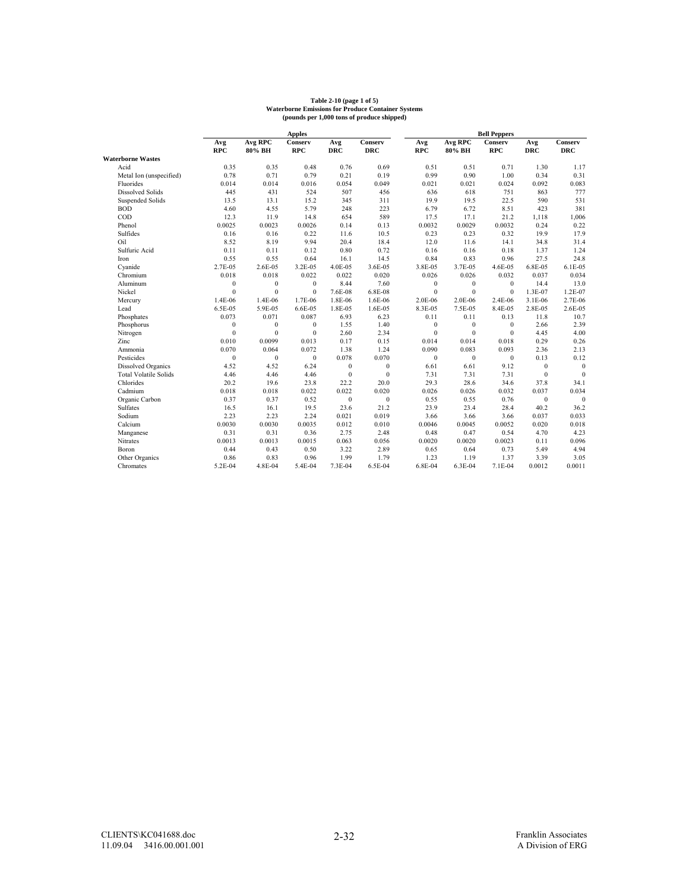|                              |                  |              | <b>Apples</b>  |                  |                  |              |              | <b>Bell Peppers</b> |              |              |
|------------------------------|------------------|--------------|----------------|------------------|------------------|--------------|--------------|---------------------|--------------|--------------|
|                              | Avg              | Avg RPC      | <b>Conserv</b> | Avg              | Conserv          | Avg          | Avg RPC      | Conserv             | Avg          | Conserv      |
|                              | <b>RPC</b>       | 80% BH       | <b>RPC</b>     | <b>DRC</b>       | <b>DRC</b>       | <b>RPC</b>   | 80% BH       | <b>RPC</b>          | <b>DRC</b>   | <b>DRC</b>   |
| <b>Waterborne Wastes</b>     |                  |              |                |                  |                  |              |              |                     |              |              |
| Acid                         | 0.35             | 0.35         | 0.48           | 0.76             | 0.69             | 0.51         | 0.51         | 0.71                | 1.30         | 1.17         |
| Metal Ion (unspecified)      | 0.78             | 0.71         | 0.79           | 0.21             | 0.19             | 0.99         | 0.90         | 1.00                | 0.34         | 0.31         |
| Fluorides                    | 0.014            | 0.014        | 0.016          | 0.054            | 0.049            | 0.021        | 0.021        | 0.024               | 0.092        | 0.083        |
| <b>Dissolved Solids</b>      | 445              | 431          | 524            | 507              | 456              | 636          | 618          | 751                 | 863          | 777          |
| Suspended Solids             | 13.5             | 13.1         | 15.2           | 345              | 311              | 19.9         | 19.5         | 22.5                | 590          | 531          |
| <b>BOD</b>                   | 4.60             | 4.55         | 5.79           | 248              | 223              | 6.79         | 6.72         | 8.51                | 423          | 381          |
| $\rm{COD}$                   | 12.3             | 11.9         | 14.8           | 654              | 589              | 17.5         | 17.1         | 21.2                | 1,118        | 1,006        |
| Phenol                       | 0.0025           | 0.0023       | 0.0026         | 0.14             | 0.13             | 0.0032       | 0.0029       | 0.0032              | 0.24         | 0.22         |
| Sulfides                     | 0.16             | 0.16         | 0.22           | 11.6             | 10.5             | 0.23         | 0.23         | 0.32                | 19.9         | 17.9         |
| Oil                          | 8.52             | 8.19         | 9.94           | 20.4             | 18.4             | 12.0         | 11.6         | 14.1                | 34.8         | 31.4         |
| Sulfuric Acid                | 0.11             | 0.11         | 0.12           | 0.80             | 0.72             | 0.16         | 0.16         | 0.18                | 1.37         | 1.24         |
| Iron                         | 0.55             | 0.55         | 0.64           | 16.1             | 14.5             | 0.84         | 0.83         | 0.96                | 27.5         | 24.8         |
| Cyanide                      | 2.7E-05          | 2.6E-05      | 3.2E-05        | 4.0E-05          | 3.6E-05          | 3.8E-05      | 3.7E-05      | 4.6E-05             | 6.8E-05      | 6.1E-05      |
| Chromium                     | 0.018            | 0.018        | 0.022          | 0.022            | 0.020            | 0.026        | 0.026        | 0.032               | 0.037        | 0.034        |
| Aluminum                     | $\mathbf{0}$     | $\mathbf{0}$ | $\mathbf{0}$   | 8.44             | 7.60             | $\mathbf{0}$ | $\mathbf{0}$ | $\mathbf{0}$        | 14.4         | 13.0         |
| Nickel                       | $\theta$         | $\theta$     | $\theta$       | 7.6E-08          | 6.8E-08          | $\theta$     | $\theta$     | $\mathbf{0}$        | 1.3E-07      | 1.2E-07      |
| Mercury                      | 1.4E-06          | 1.4E-06      | 1.7E-06        | 1.8E-06          | 1.6E-06          | 2.0E-06      | 2.0E-06      | 2.4E-06             | 3.1E-06      | 2.7E-06      |
| Lead                         | 6.5E-05          | 5.9E-05      | 6.6E-05        | 1.8E-05          | 1.6E-05          | 8.3E-05      | 7.5E-05      | 8.4E-05             | 2.8E-05      | 2.6E-05      |
| Phosphates                   | 0.073            | 0.071        | 0.087          | 6.93             | 6.23             | 0.11         | 0.11         | 0.13                | 11.8         | 10.7         |
| Phosphorus                   | $\boldsymbol{0}$ | $\mathbf{0}$ | $\mathbf{0}$   | 1.55             | 1.40             | $\mathbf{0}$ | $\mathbf{0}$ | $\mathbf{0}$        | 2.66         | 2.39         |
| Nitrogen                     | $\mathbf{0}$     | $\theta$     | $\mathbf{0}$   | 2.60             | 2.34             | $\theta$     | $\theta$     | $\theta$            | 4.45         | 4.00         |
| Zinc                         | 0.010            | 0.0099       | 0.013          | 0.17             | 0.15             | 0.014        | 0.014        | 0.018               | 0.29         | 0.26         |
| Ammonia                      | 0.070            | 0.064        | 0.072          | 1.38             | 1.24             | 0.090        | 0.083        | 0.093               | 2.36         | 2.13         |
| Pesticides                   | $\mathbf{0}$     | $\mathbf{0}$ | $\mathbf{0}$   | 0.078            | 0.070            | $\mathbf{0}$ | $\mathbf{0}$ | $\bf{0}$            | 0.13         | 0.12         |
| <b>Dissolved Organics</b>    | 4.52             | 4.52         | 6.24           | $\boldsymbol{0}$ | $\boldsymbol{0}$ | 6.61         | 6.61         | 9.12                | $\mathbf{0}$ | $\mathbf{0}$ |
| <b>Total Volatile Solids</b> | 4.46             | 4.46         | 4.46           | $\mathbf{0}$     | $\mathbf{0}$     | 7.31         | 7.31         | 7.31                | $\mathbf{0}$ | $\theta$     |
| Chlorides                    | 20.2             | 19.6         | 23.8           | 22.2             | 20.0             | 29.3         | 28.6         | 34.6                | 37.8         | 34.1         |
| Cadmium                      | 0.018            | 0.018        | 0.022          | 0.022            | 0.020            | 0.026        | 0.026        | 0.032               | 0.037        | 0.034        |
| Organic Carbon               | 0.37             | 0.37         | 0.52           | $\mathbf{0}$     | $\mathbf{0}$     | 0.55         | 0.55         | 0.76                | $\mathbf{0}$ | $\mathbf{0}$ |
| <b>Sulfates</b>              | 16.5             | 16.1         | 19.5           | 23.6             | 21.2             | 23.9         | 23.4         | 28.4                | 40.2         | 36.2         |
| Sodium                       | 2.23             | 2.23         | 2.24           | 0.021            | 0.019            | 3.66         | 3.66         | 3.66                | 0.037        | 0.033        |
| Calcium                      | 0.0030           | 0.0030       | 0.0035         | 0.012            | 0.010            | 0.0046       | 0.0045       | 0.0052              | 0.020        | 0.018        |
| Manganese                    | 0.31             | 0.31         | 0.36           | 2.75             | 2.48             | 0.48         | 0.47         | 0.54                | 4.70         | 4.23         |
| Nitrates                     | 0.0013           | 0.0013       | 0.0015         | 0.063            | 0.056            | 0.0020       | 0.0020       | 0.0023              | 0.11         | 0.096        |
| Boron                        | 0.44             | 0.43         | 0.50           | 3.22             | 2.89             | 0.65         | 0.64         | 0.73                | 5.49         | 4.94         |
| Other Organics               | 0.86             | 0.83         | 0.96           | 1.99             | 1.79             | 1.23         | 1.19         | 1.37                | 3.39         | 3.05         |
| Chromates                    | 5.2E-04          | 4.8E-04      | 5.4E-04        | 7.3E-04          | 6.5E-04          | 6.8E-04      | 6.3E-04      | 7.1E-04             | 0.0012       | 0.0011       |

# **Table 2-10 (page 1 of 5) Waterborne Emissions for Produce Container Systems (pounds per 1,000 tons of produce shipped)**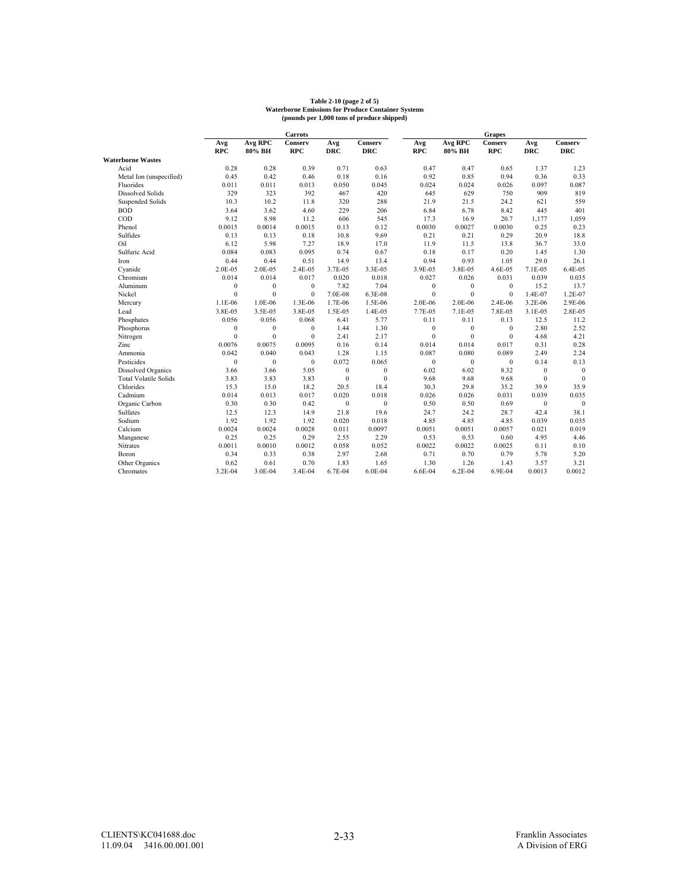# **Table 2-10 (page 2 of 5) Waterborne Emissions for Produce Container Systems (pounds per 1,000 tons of produce shipped)**

|                              |                  |                  | <b>Carrots</b> |              |              |              |                | <b>Grapes</b> |              |                |
|------------------------------|------------------|------------------|----------------|--------------|--------------|--------------|----------------|---------------|--------------|----------------|
|                              | Avg              | <b>Avg RPC</b>   | Conserv        | Avg          | Conserv      | Avg          | <b>Avg RPC</b> | Conserv       | Avg          | <b>Conserv</b> |
|                              | <b>RPC</b>       | 80% BH           | <b>RPC</b>     | <b>DRC</b>   | <b>DRC</b>   | <b>RPC</b>   | 80% BH         | <b>RPC</b>    | <b>DRC</b>   | <b>DRC</b>     |
| <b>Waterborne Wastes</b>     |                  |                  |                |              |              |              |                |               |              |                |
| Acid                         | 0.28             | 0.28             | 0.39           | 0.71         | 0.63         | 0.47         | 0.47           | 0.65          | 1.37         | 1.23           |
| Metal Ion (unspecified)      | 0.45             | 0.42             | 0.46           | 0.18         | 0.16         | 0.92         | 0.85           | 0.94          | 0.36         | 0.33           |
| Fluorides                    | 0.011            | 0.011            | 0.013          | 0.050        | 0.045        | 0.024        | 0.024          | 0.026         | 0.097        | 0.087          |
| <b>Dissolved Solids</b>      | 329              | 323              | 392            | 467          | 420          | 645          | 629            | 750           | 909          | 819            |
| Suspended Solids             | 10.3             | 10.2             | 11.8           | 320          | 288          | 21.9         | 21.5           | 24.2          | 621          | 559            |
| <b>BOD</b>                   | 3.64             | 3.62             | 4.60           | 229          | 206          | 6.84         | 6.78           | 8.42          | 445          | 401            |
| COD                          | 9.12             | 8.98             | 11.2           | 606          | 545          | 17.3         | 16.9           | 20.7          | 1,177        | 1,059          |
| Phenol                       | 0.0015           | 0.0014           | 0.0015         | 0.13         | 0.12         | 0.0030       | 0.0027         | 0.0030        | 0.25         | 0.23           |
| Sulfides                     | 0.13             | 0.13             | 0.18           | 10.8         | 9.69         | 0.21         | 0.21           | 0.29          | 20.9         | 18.8           |
| Oil                          | 6.12             | 5.98             | 7.27           | 18.9         | 17.0         | 11.9         | 11.5           | 13.8          | 36.7         | 33.0           |
| Sulfuric Acid                | 0.084            | 0.083            | 0.095          | 0.74         | 0.67         | 0.18         | 0.17           | 0.20          | 1.45         | 1.30           |
| Iron                         | 0.44             | 0.44             | 0.51           | 14.9         | 13.4         | 0.94         | 0.93           | 1.05          | 29.0         | 26.1           |
| Cyanide                      | 2.0E-05          | 2.0E-05          | 2.4E-05        | 3.7E-05      | 3.3E-05      | 3.9E-05      | 3.8E-05        | 4.6E-05       | 7.1E-05      | 6.4E-05        |
| Chromium                     | 0.014            | 0.014            | 0.017          | 0.020        | 0.018        | 0.027        | 0.026          | 0.031         | 0.039        | 0.035          |
| Aluminum                     | $\boldsymbol{0}$ | $\boldsymbol{0}$ | $\mathbf{0}$   | 7.82         | 7.04         | $\mathbf{0}$ | $\mathbf{0}$   | $\mathbf{0}$  | 15.2         | 13.7           |
| Nickel                       | $\mathbf{0}$     | $\mathbf{0}$     | $\mathbf{0}$   | 7.0E-08      | 6.3E-08      | $\mathbf{0}$ | $\mathbf{0}$   | $\mathbf{0}$  | 1.4E-07      | 1.2E-07        |
| Mercury                      | 1.1E-06          | 1.0E-06          | 1.3E-06        | 1.7E-06      | 1.5E-06      | 2.0E-06      | 2.0E-06        | 2.4E-06       | 3.2E-06      | 2.9E-06        |
| Lead                         | 3.8E-05          | 3.5E-05          | 3.8E-05        | 1.5E-05      | 1.4E-05      | 7.7E-05      | 7.1E-05        | 7.8E-05       | 3.1E-05      | 2.8E-05        |
| Phosphates                   | 0.056            | 0.056            | 0.068          | 6.41         | 5.77         | 0.11         | 0.11           | 0.13          | 12.5         | 11.2           |
| Phosphorus                   | $\boldsymbol{0}$ | $\boldsymbol{0}$ | $\bf{0}$       | 1.44         | 1.30         | $\mathbf{0}$ | $\mathbf{0}$   | $\Omega$      | 2.80         | 2.52           |
| Nitrogen                     | $\mathbf{0}$     | $\mathbf{0}$     | $\mathbf{0}$   | 2.41         | 2.17         | $\mathbf{0}$ | $\mathbf{0}$   | $\mathbf{0}$  | 4.68         | 4.21           |
| Zinc                         | 0.0076           | 0.0075           | 0.0095         | 0.16         | 0.14         | 0.014        | 0.014          | 0.017         | 0.31         | 0.28           |
| Ammonia                      | 0.042            | 0.040            | 0.043          | 1.28         | 1.15         | 0.087        | 0.080          | 0.089         | 2.49         | 2.24           |
| Pesticides                   | $\boldsymbol{0}$ | $\boldsymbol{0}$ | $\mathbf{0}$   | 0.072        | 0.065        | $\mathbf{0}$ | $\mathbf{0}$   | $\mathbf{0}$  | 0.14         | 0.13           |
| Dissolved Organics           | 3.66             | 3.66             | 5.05           | $\mathbf{0}$ | $\mathbf{0}$ | 6.02         | 6.02           | 8.32          | $\mathbf{0}$ | $\mathbf{0}$   |
| <b>Total Volatile Solids</b> | 3.83             | 3.83             | 3.83           | $\mathbf{0}$ | $\mathbf{0}$ | 9.68         | 9.68           | 9.68          | $\Omega$     | $\theta$       |
| Chlorides                    | 15.3             | 15.0             | 18.2           | 20.5         | 18.4         | 30.3         | 29.8           | 35.2          | 39.9         | 35.9           |
| Cadmium                      | 0.014            | 0.013            | 0.017          | 0.020        | 0.018        | 0.026        | 0.026          | 0.031         | 0.039        | 0.035          |
| Organic Carbon               | 0.30             | 0.30             | 0.42           | $\mathbf{0}$ | $\mathbf{0}$ | 0.50         | 0.50           | 0.69          | $\mathbf{0}$ | $\mathbf{0}$   |
| Sulfates                     | 12.5             | 12.3             | 14.9           | 21.8         | 19.6         | 24.7         | 24.2           | 28.7          | 42.4         | 38.1           |
| Sodium                       | 1.92             | 1.92             | 1.92           | 0.020        | 0.018        | 4.85         | 4.85           | 4.85          | 0.039        | 0.035          |
| Calcium                      | 0.0024           | 0.0024           | 0.0028         | 0.011        | 0.0097       | 0.0051       | 0.0051         | 0.0057        | 0.021        | 0.019          |
| Manganese                    | 0.25             | 0.25             | 0.29           | 2.55         | 2.29         | 0.53         | 0.53           | 0.60          | 4.95         | 4.46           |
| Nitrates                     | 0.0011           | 0.0010           | 0.0012         | 0.058        | 0.052        | 0.0022       | 0.0022         | 0.0025        | 0.11         | 0.10           |
| Boron                        | 0.34             | 0.33             | 0.38           | 2.97         | 2.68         | 0.71         | 0.70           | 0.79          | 5.78         | 5.20           |
| Other Organics               | 0.62             | 0.61             | 0.70           | 1.83         | 1.65         | 1.30         | 1.26           | 1.43          | 3.57         | 3.21           |
| Chromates                    | 3.2E-04          | 3.0E-04          | 3.4E-04        | 6.7E-04      | 6.0E-04      | 6.6E-04      | 6.2E-04        | 6.9E-04       | 0.0013       | 0.0012         |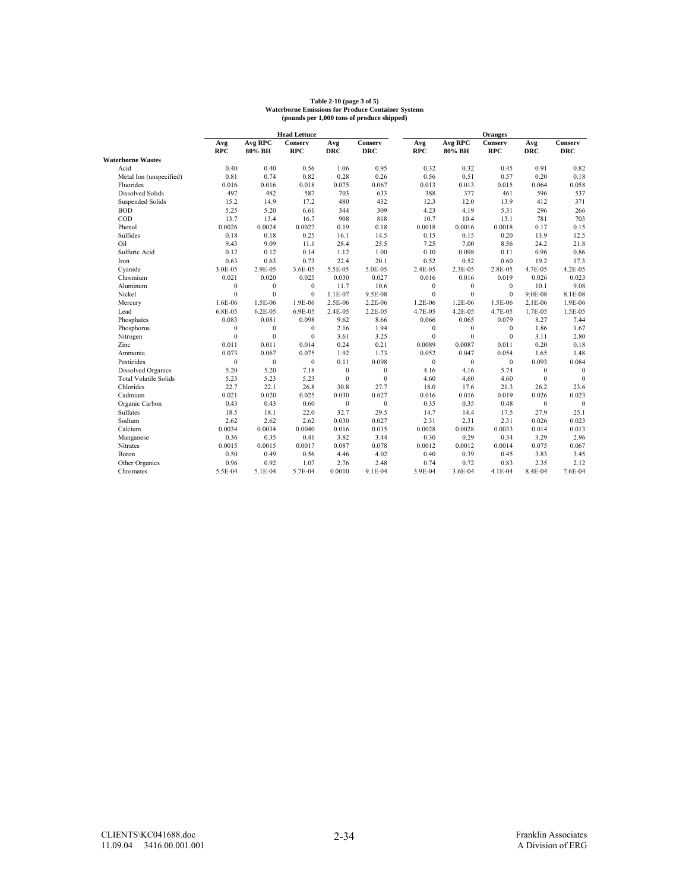# **Table 2-10 (page 3 of 5) Waterborne Emissions for Produce Container Systems (pounds per 1,000 tons of produce shipped)**

|                              |                  |                  | <b>Head Lettuce</b> |              |              |              |                | <b>Oranges</b> |              |                |
|------------------------------|------------------|------------------|---------------------|--------------|--------------|--------------|----------------|----------------|--------------|----------------|
|                              | Avg              | Avg RPC          | Conserv             | Avg          | Conserv      | Avg          | <b>Avg RPC</b> | Conserv        | Avg          | <b>Conserv</b> |
|                              | <b>RPC</b>       | 80% BH           | <b>RPC</b>          | <b>DRC</b>   | <b>DRC</b>   | <b>RPC</b>   | 80% BH         | <b>RPC</b>     | <b>DRC</b>   | <b>DRC</b>     |
| <b>Waterborne Wastes</b>     |                  |                  |                     |              |              |              |                |                |              |                |
| Acid                         | 0.40             | 0.40             | 0.56                | 1.06         | 0.95         | 0.32         | 0.32           | 0.45           | 0.91         | 0.82           |
| Metal Ion (unspecified)      | 0.81             | 0.74             | 0.82                | 0.28         | 0.26         | 0.56         | 0.51           | 0.57           | 0.20         | 0.18           |
| Fluorides                    | 0.016            | 0.016            | 0.018               | 0.075        | 0.067        | 0.013        | 0.013          | 0.015          | 0.064        | 0.058          |
| <b>Dissolved Solids</b>      | 497              | 482              | 587                 | 703          | 633          | 388          | 377            | 461            | 596          | 537            |
| Suspended Solids             | 15.2             | 14.9             | 17.2                | 480          | 432          | 12.3         | 12.0           | 13.9           | 412          | 371            |
| <b>BOD</b>                   | 5.25             | 5.20             | 6.61                | 344          | 309          | 4.23         | 4.19           | 5.31           | 296          | 266            |
| COD                          | 13.7             | 13.4             | 16.7                | 908          | 818          | 10.7         | 10.4           | 13.1           | 781          | 703            |
| Phenol                       | 0.0026           | 0.0024           | 0.0027              | 0.19         | 0.18         | 0.0018       | 0.0016         | 0.0018         | 0.17         | 0.15           |
| Sulfides                     | 0.18             | 0.18             | 0.25                | 16.1         | 14.5         | 0.15         | 0.15           | 0.20           | 13.9         | 12.5           |
| Oil                          | 9.43             | 9.09             | 11.1                | 28.4         | 25.5         | 7.25         | 7.00           | 8.56           | 24.2         | 21.8           |
| Sulfuric Acid                | 0.12             | 0.12             | 0.14                | 1.12         | 1.00         | 0.10         | 0.098          | 0.11           | 0.96         | 0.86           |
| Iron                         | 0.63             | 0.63             | 0.73                | 22.4         | 20.1         | 0.52         | 0.52           | 0.60           | 19.2         | 17.3           |
| Cyanide                      | 3.0E-05          | 2.9E-05          | 3.6E-05             | 5.5E-05      | 5.0E-05      | 2.4E-05      | 2.3E-05        | 2.8E-05        | 4.7E-05      | 4.2E-05        |
| Chromium                     | 0.021            | 0.020            | 0.025               | 0.030        | 0.027        | 0.016        | 0.016          | 0.019          | 0.026        | 0.023          |
| Aluminum                     | $\boldsymbol{0}$ | $\boldsymbol{0}$ | $\mathbf{0}$        | 11.7         | 10.6         | $\mathbf{0}$ | $\mathbf{0}$   | $\mathbf{0}$   | 10.1         | 9.08           |
| Nickel                       | $\mathbf{0}$     | $\mathbf{0}$     | $\mathbf{0}$        | 1.1E-07      | 9.5E-08      | $\mathbf{0}$ | $\mathbf{0}$   | $\mathbf{0}$   | 9.0E-08      | 8.1E-08        |
| Mercury                      | 1.6E-06          | 1.5E-06          | 1.9E-06             | 2.5E-06      | 2.2E-06      | 1.2E-06      | 1.2E-06        | 1.5E-06        | 2.1E-06      | 1.9E-06        |
| Lead                         | 6.8E-05          | 6.2E-05          | 6.9E-05             | 2.4E-05      | 2.2E-05      | 4.7E-05      | 4.2E-05        | 4.7E-05        | 1.7E-05      | 1.5E-05        |
| Phosphates                   | 0.083            | 0.081            | 0.098               | 9.62         | 8.66         | 0.066        | 0.065          | 0.079          | 8.27         | 7.44           |
| Phosphorus                   | $\boldsymbol{0}$ | $\boldsymbol{0}$ | $\mathbf{0}$        | 2.16         | 1.94         | $\mathbf{0}$ | $\mathbf{0}$   | $\mathbf{0}$   | 1.86         | 1.67           |
| Nitrogen                     | $\mathbf{0}$     | $\mathbf{0}$     | $\mathbf{0}$        | 3.61         | 3.25         | $\mathbf{0}$ | $\mathbf{0}$   | $\mathbf{0}$   | 3.11         | 2.80           |
| Zinc                         | 0.011            | 0.011            | 0.014               | 0.24         | 0.21         | 0.0089       | 0.0087         | 0.011          | 0.20         | 0.18           |
| Ammonia                      | 0.073            | 0.067            | 0.075               | 1.92         | 1.73         | 0.052        | 0.047          | 0.054          | 1.65         | 1.48           |
| Pesticides                   | $\boldsymbol{0}$ | $\boldsymbol{0}$ | $\bf{0}$            | 0.11         | 0.098        | $\mathbf{0}$ | $\mathbf{0}$   | $\mathbf{0}$   | 0.093        | 0.084          |
| Dissolved Organics           | 5.20             | 5.20             | 7.18                | $\mathbf{0}$ | $\mathbf{0}$ | 4.16         | 4.16           | 5.74           | $\mathbf{0}$ | $\mathbf{0}$   |
| <b>Total Volatile Solids</b> | 5.23             | 5.23             | 5.23                | $\mathbf{0}$ | $\mathbf{0}$ | 4.60         | 4.60           | 4.60           | $\mathbf{0}$ | $\mathbf{0}$   |
| Chlorides                    | 22.7             | 22.1             | 26.8                | 30.8         | 27.7         | 18.0         | 17.6           | 21.3           | 26.2         | 23.6           |
| Cadmium                      | 0.021            | 0.020            | 0.025               | 0.030        | 0.027        | 0.016        | 0.016          | 0.019          | 0.026        | 0.023          |
| Organic Carbon               | 0.43             | 0.43             | 0.60                | $\mathbf{0}$ | $\mathbf{0}$ | 0.35         | 0.35           | 0.48           | $\mathbf{0}$ | $\mathbf{0}$   |
| Sulfates                     | 18.5             | 18.1             | 22.0                | 32.7         | 29.5         | 14.7         | 14.4           | 17.5           | 27.9         | 25.1           |
| Sodium                       | 2.62             | 2.62             | 2.62                | 0.030        | 0.027        | 2.31         | 2.31           | 2.31           | 0.026        | 0.023          |
| Calcium                      | 0.0034           | 0.0034           | 0.0040              | 0.016        | 0.015        | 0.0028       | 0.0028         | 0.0033         | 0.014        | 0.013          |
| Manganese                    | 0.36             | 0.35             | 0.41                | 3.82         | 3.44         | 0.30         | 0.29           | 0.34           | 3.29         | 2.96           |
| Nitrates                     | 0.0015           | 0.0015           | 0.0017              | 0.087        | 0.078        | 0.0012       | 0.0012         | 0.0014         | 0.075        | 0.067          |
| Boron                        | 0.50             | 0.49             | 0.56                | 4.46         | 4.02         | 0.40         | 0.39           | 0.45           | 3.83         | 3.45           |
| Other Organics               | 0.96             | 0.92             | 1.07                | 2.76         | 2.48         | 0.74         | 0.72           | 0.83           | 2.35         | 2.12           |
| Chromates                    | 5.5E-04          | 5.1E-04          | 5.7E-04             | 0.0010       | 9.1E-04      | 3.9E-04      | 3.6E-04        | 4.1E-04        | 8.4E-04      | 7.6E-04        |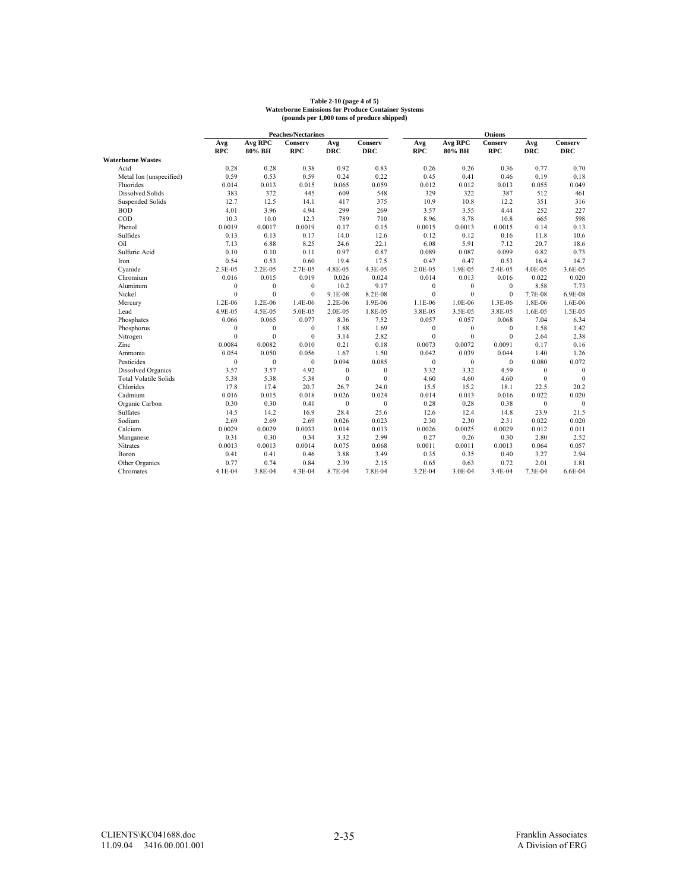# **Table 2-10 (page 4 of 5) Waterborne Emissions for Produce Container Systems (pounds per 1,000 tons of produce shipped)**

|                              |              | <b>Peaches/Nectarines</b> |              |                  |              |              | <b>Onions</b> |              |                  |                  |  |
|------------------------------|--------------|---------------------------|--------------|------------------|--------------|--------------|---------------|--------------|------------------|------------------|--|
|                              | Avg          | Avg RPC                   | Conserv      | Avg              | Conserv      | Avg          | Avg RPC       | Conserv      | Avg              | Conserv          |  |
|                              | <b>RPC</b>   | 80% BH                    | <b>RPC</b>   | <b>DRC</b>       | <b>DRC</b>   | <b>RPC</b>   | 80% BH        | <b>RPC</b>   | <b>DRC</b>       | <b>DRC</b>       |  |
| <b>Waterborne Wastes</b>     |              |                           |              |                  |              |              |               |              |                  |                  |  |
| Acid                         | 0.28         | 0.28                      | 0.38         | 0.92             | 0.83         | 0.26         | 0.26          | 0.36         | 0.77             | 0.70             |  |
| Metal Ion (unspecified)      | 0.59         | 0.53                      | 0.59         | 0.24             | 0.22         | 0.45         | 0.41          | 0.46         | 0.19             | 0.18             |  |
| Fluorides                    | 0.014        | 0.013                     | 0.015        | 0.065            | 0.059        | 0.012        | 0.012         | 0.013        | 0.055            | 0.049            |  |
| <b>Dissolved Solids</b>      | 383          | 372                       | 445          | 609              | 548          | 329          | 322           | 387          | 512              | 461              |  |
| Suspended Solids             | 12.7         | 12.5                      | 14.1         | 417              | 375          | 10.9         | 10.8          | 12.2         | 351              | 316              |  |
| <b>BOD</b>                   | 4.01         | 3.96                      | 4.94         | 299              | 269          | 3.57         | 3.55          | 4.44         | 252              | 227              |  |
| COD                          | 10.3         | 10.0                      | 12.3         | 789              | 710          | 8.96         | 8.78          | 10.8         | 665              | 598              |  |
| Phenol                       | 0.0019       | 0.0017                    | 0.0019       | 0.17             | 0.15         | 0.0015       | 0.0013        | 0.0015       | 0.14             | 0.13             |  |
| Sulfides                     | 0.13         | 0.13                      | 0.17         | 14.0             | 12.6         | 0.12         | 0.12          | 0.16         | 11.8             | 10.6             |  |
| Oil                          | 7.13         | 6.88                      | 8.25         | 24.6             | 22.1         | 6.08         | 5.91          | 7.12         | 20.7             | 18.6             |  |
| Sulfuric Acid                | 0.10         | 0.10                      | 0.11         | 0.97             | 0.87         | 0.089        | 0.087         | 0.099        | 0.82             | 0.73             |  |
| Iron                         | 0.54         | 0.53                      | 0.60         | 19.4             | 17.5         | 0.47         | 0.47          | 0.53         | 16.4             | 14.7             |  |
| Cyanide                      | 2.3E-05      | 2.2E-05                   | 2.7E-05      | 4.8E-05          | 4.3E-05      | 2.0E-05      | 1.9E-05       | 2.4E-05      | 4.0E-05          | 3.6E-05          |  |
| Chromium                     | 0.016        | 0.015                     | 0.019        | 0.026            | 0.024        | 0.014        | 0.013         | 0.016        | 0.022            | 0.020            |  |
| Aluminum                     | $\mathbf{0}$ | $\mathbf{0}$              | $\mathbf{0}$ | 10.2             | 9.17         | $\bf{0}$     | $\mathbf{0}$  | $\mathbf{0}$ | 8.58             | 7.73             |  |
| Nickel                       | $\mathbf{0}$ | $\mathbf{0}$              | $\mathbf{0}$ | 9.1E-08          | 8.2E-08      | $\mathbf{0}$ | $\mathbf{0}$  | $\mathbf{0}$ | 7.7E-08          | 6.9E-08          |  |
| Mercury                      | 1.2E-06      | 1.2E-06                   | 1.4E-06      | 2.2E-06          | 1.9E-06      | 1.1E-06      | 1.0E-06       | 1.3E-06      | 1.8E-06          | 1.6E-06          |  |
| Lead                         | 4.9E-05      | 4.5E-05                   | 5.0E-05      | 2.0E-05          | 1.8E-05      | 3.8E-05      | 3.5E-05       | 3.8E-05      | 1.6E-05          | 1.5E-05          |  |
| Phosphates                   | 0.066        | 0.065                     | 0.077        | 8.36             | 7.52         | 0.057        | 0.057         | 0.068        | 7.04             | 6.34             |  |
| Phosphorus                   | $\mathbf{0}$ | $\mathbf{0}$              | $\mathbf{0}$ | 1.88             | 1.69         | $\bf{0}$     | $\mathbf{0}$  | $\theta$     | 1.58             | 1.42             |  |
| Nitrogen                     | $\theta$     | $\mathbf{0}$              | $\mathbf{0}$ | 3.14             | 2.82         | $\Omega$     | $\Omega$      | $\Omega$     | 2.64             | 2.38             |  |
| Zinc                         | 0.0084       | 0.0082                    | 0.010        | 0.21             | 0.18         | 0.0073       | 0.0072        | 0.0091       | 0.17             | 0.16             |  |
| Ammonia                      | 0.054        | 0.050                     | 0.056        | 1.67             | 1.50         | 0.042        | 0.039         | 0.044        | 1.40             | 1.26             |  |
| Pesticides                   | $\mathbf{0}$ | $\mathbf{0}$              | $\mathbf{0}$ | 0.094            | 0.085        | $\mathbf{0}$ | $\mathbf{0}$  | $\mathbf{0}$ | 0.080            | 0.072            |  |
| Dissolved Organics           | 3.57         | 3.57                      | 4.92         | $\mathbf{0}$     | $\mathbf{0}$ | 3.32         | 3.32          | 4.59         | $\mathbf{0}$     | $\boldsymbol{0}$ |  |
| <b>Total Volatile Solids</b> | 5.38         | 5.38                      | 5.38         | $\mathbf{0}$     | $\mathbf{0}$ | 4.60         | 4.60          | 4.60         | $\mathbf{0}$     | $\mathbf{0}$     |  |
| Chlorides                    | 17.8         | 17.4                      | 20.7         | 26.7             | 24.0         | 15.5         | 15.2          | 18.1         | 22.5             | 20.2             |  |
| Cadmium                      | 0.016        | 0.015                     | 0.018        | 0.026            | 0.024        | 0.014        | 0.013         | 0.016        | 0.022            | 0.020            |  |
| Organic Carbon               | 0.30         | 0.30                      | 0.41         | $\boldsymbol{0}$ | $\bf{0}$     | 0.28         | 0.28          | 0.38         | $\boldsymbol{0}$ | $\boldsymbol{0}$ |  |
| Sulfates                     | 14.5         | 14.2                      | 16.9         | 28.4             | 25.6         | 12.6         | 12.4          | 14.8         | 23.9             | 21.5             |  |
| Sodium                       | 2.69         | 2.69                      | 2.69         | 0.026            | 0.023        | 2.30         | 2.30          | 2.31         | 0.022            | 0.020            |  |
| Calcium                      | 0.0029       | 0.0029                    | 0.0033       | 0.014            | 0.013        | 0.0026       | 0.0025        | 0.0029       | 0.012            | 0.011            |  |
| Manganese                    | 0.31         | 0.30                      | 0.34         | 3.32             | 2.99         | 0.27         | 0.26          | 0.30         | 2.80             | 2.52             |  |
| <b>Nitrates</b>              | 0.0013       | 0.0013                    | 0.0014       | 0.075            | 0.068        | 0.0011       | 0.0011        | 0.0013       | 0.064            | 0.057            |  |
| Boron                        | 0.41         | 0.41                      | 0.46         | 3.88             | 3.49         | 0.35         | 0.35          | 0.40         | 3.27             | 2.94             |  |
| Other Organics               | 0.77         | 0.74                      | 0.84         | 2.39             | 2.15         | 0.65         | 0.63          | 0.72         | 2.01             | 1.81             |  |
| Chromates                    | 4.1E-04      | 3.8E-04                   | 4.3E-04      | 8.7E-04          | 7.8E-04      | 3.2E-04      | 3.0E-04       | 3.4E-04      | 7.3E-04          | 6.6E-04          |  |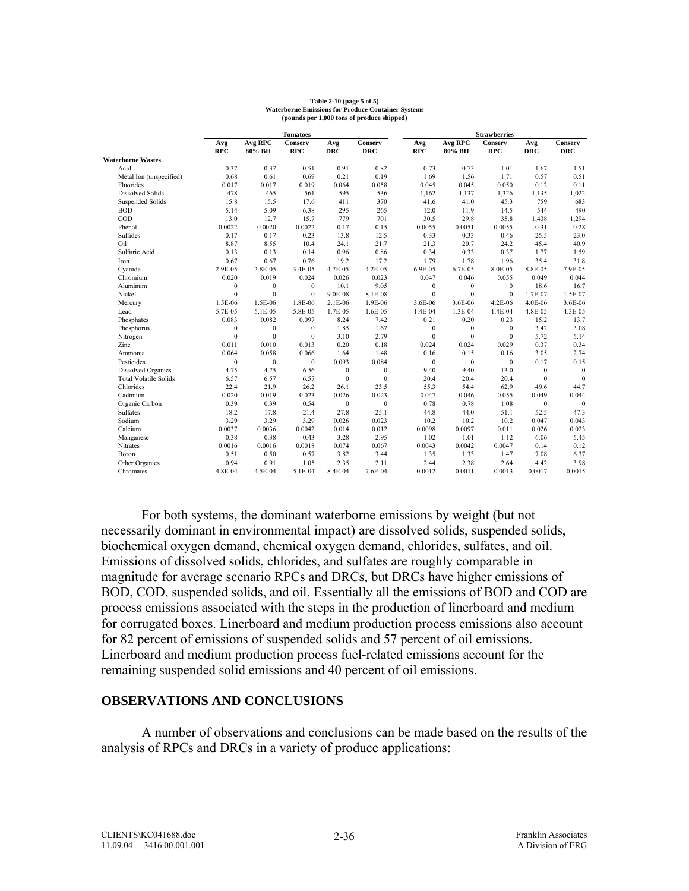#### **Table 2-10 (page 5 of 5) Waterborne Emissions for Produce Container Systems (pounds per 1,000 tons of produce shipped)**

|                              | <b>Tomatoes</b>  |              |              |              |              | <b>Strawberries</b> |              |                |                  |              |
|------------------------------|------------------|--------------|--------------|--------------|--------------|---------------------|--------------|----------------|------------------|--------------|
|                              | Avg              | Avg RPC      | Conserv      | Avg          | Conserv      | Avg                 | Avg RPC      | <b>Conserv</b> | Avg              | Conserv      |
|                              | <b>RPC</b>       | 80% BH       | <b>RPC</b>   | <b>DRC</b>   | <b>DRC</b>   | <b>RPC</b>          | 80% BH       | <b>RPC</b>     | <b>DRC</b>       | <b>DRC</b>   |
| <b>Waterborne Wastes</b>     |                  |              |              |              |              |                     |              |                |                  |              |
| Acid                         | 0.37             | 0.37         | 0.51         | 0.91         | 0.82         | 0.73                | 0.73         | 1.01           | 1.67             | 1.51         |
| Metal Ion (unspecified)      | 0.68             | 0.61         | 0.69         | 0.21         | 0.19         | 1.69                | 1.56         | 1.71           | 0.57             | 0.51         |
| Fluorides                    | 0.017            | 0.017        | 0.019        | 0.064        | 0.058        | 0.045               | 0.045        | 0.050          | 0.12             | 0.11         |
| <b>Dissolved Solids</b>      | 478              | 465          | 561          | 595          | 536          | 1,162               | 1,137        | 1,326          | 1,135            | 1,022        |
| Suspended Solids             | 15.8             | 15.5         | 17.6         | 411          | 370          | 41.6                | 41.0         | 45.3           | 759              | 683          |
| <b>BOD</b>                   | 5.14             | 5.09         | 6.38         | 295          | 265          | 12.0                | 11.9         | 14.5           | 544              | 490          |
| COD                          | 13.0             | 12.7         | 15.7         | 779          | 701          | 30.5                | 29.8         | 35.8           | 1,438            | 1,294        |
| Phenol                       | 0.0022           | 0.0020       | 0.0022       | 0.17         | 0.15         | 0.0055              | 0.0051       | 0.0055         | 0.31             | 0.28         |
| Sulfides                     | 0.17             | 0.17         | 0.23         | 13.8         | 12.5         | 0.33                | 0.33         | 0.46           | 25.5             | 23.0         |
| Oil                          | 8.87             | 8.55         | 10.4         | 24.1         | 21.7         | 21.3                | 20.7         | 24.2           | 45.4             | 40.9         |
| Sulfuric Acid                | 0.13             | 0.13         | 0.14         | 0.96         | 0.86         | 0.34                | 0.33         | 0.37           | 1.77             | 1.59         |
| Iron                         | 0.67             | 0.67         | 0.76         | 19.2         | 17.2         | 1.79                | 1.78         | 1.96           | 35.4             | 31.8         |
| Cyanide                      | 2.9E-05          | 2.8E-05      | 3.4E-05      | 4.7E-05      | 4.2E-05      | 6.9E-05             | 6.7E-05      | 8.0E-05        | 8.8E-05          | 7.9E-05      |
| Chromium                     | 0.020            | 0.019        | 0.024        | 0.026        | 0.023        | 0.047               | 0.046        | 0.055          | 0.049            | 0.044        |
| Aluminum                     | $\boldsymbol{0}$ | $\mathbf{0}$ | $\mathbf{0}$ | 10.1         | 9.05         | $\mathbf{0}$        | $\mathbf{0}$ | $\bf{0}$       | 18.6             | 16.7         |
| Nickel                       | $\mathbf{0}$     | $\mathbf{0}$ | $\mathbf{0}$ | 9.0E-08      | 8.1E-08      | $\Omega$            | $\Omega$     | $\bf{0}$       | 1.7E-07          | 1.5E-07      |
| Mercury                      | 1.5E-06          | 1.5E-06      | 1.8E-06      | 2.1E-06      | 1.9E-06      | 3.6E-06             | 3.6E-06      | 4.2E-06        | 4.0E-06          | 3.6E-06      |
| Lead                         | 5.7E-05          | 5.1E-05      | 5.8E-05      | 1.7E-05      | 1.6E-05      | 1.4E-04             | 1.3E-04      | $1.4E-04$      | 4.8E-05          | 4.3E-05      |
| Phosphates                   | 0.083            | 0.082        | 0.097        | 8.24         | 7.42         | 0.21                | 0.20         | 0.23           | 15.2             | 13.7         |
| Phosphorus                   | $\boldsymbol{0}$ | $\mathbf{0}$ | $\mathbf{0}$ | 1.85         | 1.67         | $\mathbf{0}$        | $\mathbf{0}$ | $\mathbf{0}$   | 3.42             | 3.08         |
| Nitrogen                     | $\mathbf{0}$     | $\mathbf{0}$ | $\mathbf{0}$ | 3.10         | 2.79         | $\mathbf{0}$        | $\mathbf{0}$ | $\theta$       | 5.72             | 5.14         |
| Zinc                         | 0.011            | 0.010        | 0.013        | 0.20         | 0.18         | 0.024               | 0.024        | 0.029          | 0.37             | 0.34         |
| Ammonia                      | 0.064            | 0.058        | 0.066        | 1.64         | 1.48         | 0.16                | 0.15         | 0.16           | 3.05             | 2.74         |
| Pesticides                   | $\mathbf{0}$     | $\mathbf{0}$ | $\mathbf{0}$ | 0.093        | 0.084        | $\mathbf{0}$        | $\mathbf{0}$ | $\mathbf{0}$   | 0.17             | 0.15         |
| Dissolved Organics           | 4.75             | 4.75         | 6.56         | $\mathbf{0}$ | $\bf{0}$     | 9.40                | 9.40         | 13.0           | $\boldsymbol{0}$ | $\mathbf{0}$ |
| <b>Total Volatile Solids</b> | 6.57             | 6.57         | 6.57         | $\mathbf{0}$ | $\mathbf{0}$ | 20.4                | 20.4         | 20.4           | $\mathbf{0}$     | $\theta$     |
| Chlorides                    | 22.4             | 21.9         | 26.2         | 26.1         | 23.5         | 55.3                | 54.4         | 62.9           | 49.6             | 44.7         |
| Cadmium                      | 0.020            | 0.019        | 0.023        | 0.026        | 0.023        | 0.047               | 0.046        | 0.055          | 0.049            | 0.044        |
| Organic Carbon               | 0.39             | 0.39         | 0.54         | $\mathbf{0}$ | $\mathbf{0}$ | 0.78                | 0.78         | 1.08           | $\mathbf{0}$     | $\mathbf{0}$ |
| Sulfates                     | 18.2             | 17.8         | 21.4         | 27.8         | 25.1         | 44.8                | 44.0         | 51.1           | 52.5             | 47.3         |
| Sodium                       | 3.29             | 3.29         | 3.29         | 0.026        | 0.023        | 10.2                | 10.2         | 10.2           | 0.047            | 0.043        |
| Calcium                      | 0.0037           | 0.0036       | 0.0042       | 0.014        | 0.012        | 0.0098              | 0.0097       | 0.011          | 0.026            | 0.023        |
| Manganese                    | 0.38             | 0.38         | 0.43         | 3.28         | 2.95         | 1.02                | 1.01         | 1.12           | 6.06             | 5.45         |
| Nitrates                     | 0.0016           | 0.0016       | 0.0018       | 0.074        | 0.067        | 0.0043              | 0.0042       | 0.0047         | 0.14             | 0.12         |
| Boron                        | 0.51             | 0.50         | 0.57         | 3.82         | 3.44         | 1.35                | 1.33         | 1.47           | 7.08             | 6.37         |
| Other Organics               | 0.94             | 0.91         | 1.05         | 2.35         | 2.11         | 2.44                | 2.38         | 2.64           | 4.42             | 3.98         |
| Chromates                    | 4.8E-04          | 4.5E-04      | 5.1E-04      | 8.4E-04      | 7.6E-04      | 0.0012              | 0.0011       | 0.0013         | 0.0017           | 0.0015       |

For both systems, the dominant waterborne emissions by weight (but not necessarily dominant in environmental impact) are dissolved solids, suspended solids, biochemical oxygen demand, chemical oxygen demand, chlorides, sulfates, and oil. Emissions of dissolved solids, chlorides, and sulfates are roughly comparable in magnitude for average scenario RPCs and DRCs, but DRCs have higher emissions of BOD, COD, suspended solids, and oil. Essentially all the emissions of BOD and COD are process emissions associated with the steps in the production of linerboard and medium for corrugated boxes. Linerboard and medium production process emissions also account for 82 percent of emissions of suspended solids and 57 percent of oil emissions. Linerboard and medium production process fuel-related emissions account for the remaining suspended solid emissions and 40 percent of oil emissions.

#### **OBSERVATIONS AND CONCLUSIONS**

 A number of observations and conclusions can be made based on the results of the analysis of RPCs and DRCs in a variety of produce applications: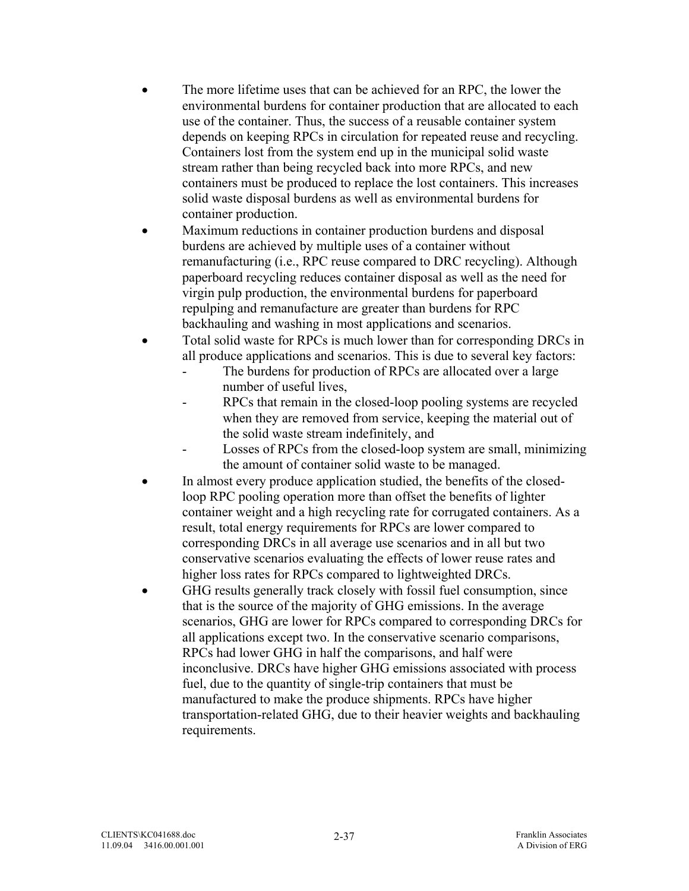- The more lifetime uses that can be achieved for an RPC, the lower the environmental burdens for container production that are allocated to each use of the container. Thus, the success of a reusable container system depends on keeping RPCs in circulation for repeated reuse and recycling. Containers lost from the system end up in the municipal solid waste stream rather than being recycled back into more RPCs, and new containers must be produced to replace the lost containers. This increases solid waste disposal burdens as well as environmental burdens for container production.
- Maximum reductions in container production burdens and disposal burdens are achieved by multiple uses of a container without remanufacturing (i.e., RPC reuse compared to DRC recycling). Although paperboard recycling reduces container disposal as well as the need for virgin pulp production, the environmental burdens for paperboard repulping and remanufacture are greater than burdens for RPC backhauling and washing in most applications and scenarios.
- Total solid waste for RPCs is much lower than for corresponding DRCs in all produce applications and scenarios. This is due to several key factors:
	- The burdens for production of RPCs are allocated over a large number of useful lives,
	- RPCs that remain in the closed-loop pooling systems are recycled when they are removed from service, keeping the material out of the solid waste stream indefinitely, and
	- Losses of RPCs from the closed-loop system are small, minimizing the amount of container solid waste to be managed.
- In almost every produce application studied, the benefits of the closedloop RPC pooling operation more than offset the benefits of lighter container weight and a high recycling rate for corrugated containers. As a result, total energy requirements for RPCs are lower compared to corresponding DRCs in all average use scenarios and in all but two conservative scenarios evaluating the effects of lower reuse rates and higher loss rates for RPCs compared to lightweighted DRCs.
- GHG results generally track closely with fossil fuel consumption, since that is the source of the majority of GHG emissions. In the average scenarios, GHG are lower for RPCs compared to corresponding DRCs for all applications except two. In the conservative scenario comparisons, RPCs had lower GHG in half the comparisons, and half were inconclusive. DRCs have higher GHG emissions associated with process fuel, due to the quantity of single-trip containers that must be manufactured to make the produce shipments. RPCs have higher transportation-related GHG, due to their heavier weights and backhauling requirements.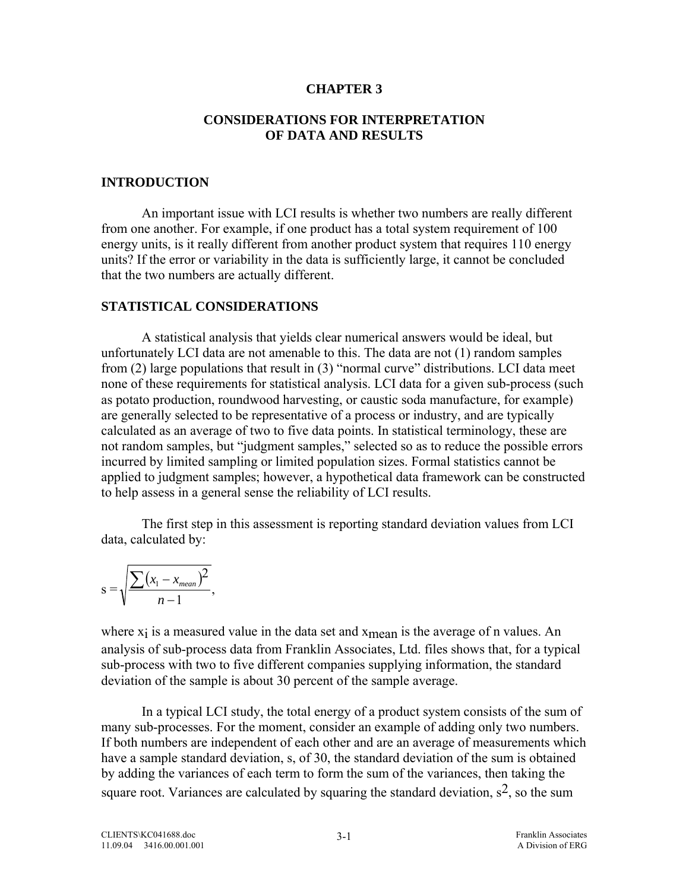#### **CHAPTER 3**

#### **CONSIDERATIONS FOR INTERPRETATION OF DATA AND RESULTS**

#### **INTRODUCTION**

 An important issue with LCI results is whether two numbers are really different from one another. For example, if one product has a total system requirement of 100 energy units, is it really different from another product system that requires 110 energy units? If the error or variability in the data is sufficiently large, it cannot be concluded that the two numbers are actually different.

### **STATISTICAL CONSIDERATIONS**

 A statistical analysis that yields clear numerical answers would be ideal, but unfortunately LCI data are not amenable to this. The data are not (1) random samples from (2) large populations that result in (3) "normal curve" distributions. LCI data meet none of these requirements for statistical analysis. LCI data for a given sub-process (such as potato production, roundwood harvesting, or caustic soda manufacture, for example) are generally selected to be representative of a process or industry, and are typically calculated as an average of two to five data points. In statistical terminology, these are not random samples, but "judgment samples," selected so as to reduce the possible errors incurred by limited sampling or limited population sizes. Formal statistics cannot be applied to judgment samples; however, a hypothetical data framework can be constructed to help assess in a general sense the reliability of LCI results.

 The first step in this assessment is reporting standard deviation values from LCI data, calculated by:

$$
s = \sqrt{\frac{\sum (x_1 - x_{mean})^2}{n - 1}},
$$

where  $x_i$  is a measured value in the data set and  $x_{\text{mean}}$  is the average of n values. An analysis of sub-process data from Franklin Associates, Ltd. files shows that, for a typical sub-process with two to five different companies supplying information, the standard deviation of the sample is about 30 percent of the sample average.

 In a typical LCI study, the total energy of a product system consists of the sum of many sub-processes. For the moment, consider an example of adding only two numbers. If both numbers are independent of each other and are an average of measurements which have a sample standard deviation, s, of 30, the standard deviation of the sum is obtained by adding the variances of each term to form the sum of the variances, then taking the square root. Variances are calculated by squaring the standard deviation,  $s^2$ , so the sum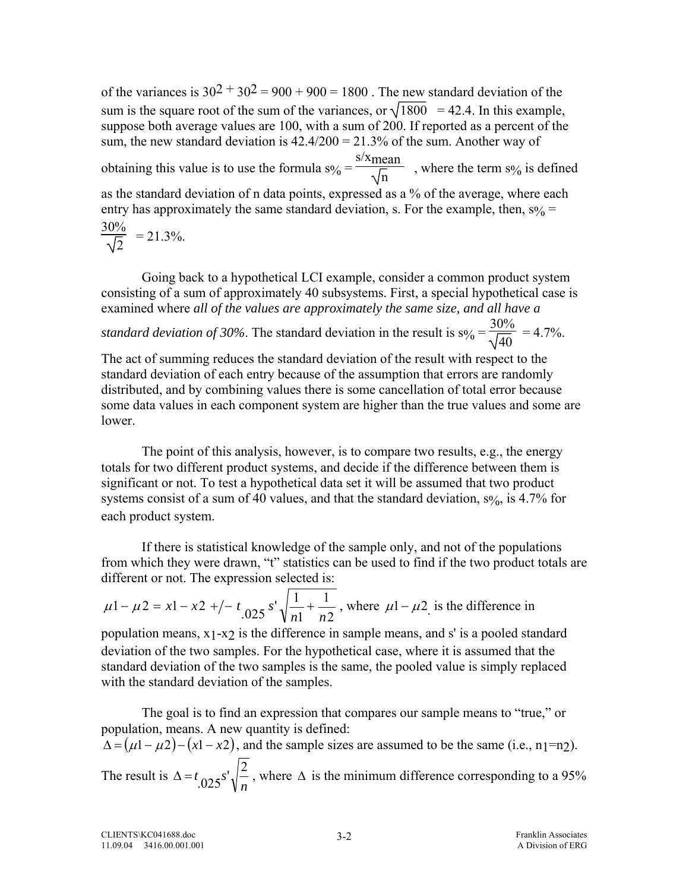of the variances is  $30^2 + 30^2 = 900 + 900 = 1800$ . The new standard deviation of the sum is the square root of the sum of the variances, or  $\sqrt{1800}$  = 42.4. In this example, suppose both average values are 100, with a sum of 200. If reported as a percent of the sum, the new standard deviation is  $42.4/200 = 21.3\%$  of the sum. Another way of obtaining this value is to use the formula  $s\% =$ s/x<sub>mean</sub>  $\frac{\text{cm}}{\text{m}}$ , where the term s% is defined as the standard deviation of n data points, expressed as a % of the average, where each entry has approximately the same standard deviation, s. For the example, then,  $s\%$  = 30%  $\frac{20}{2}$  = 21.3%.

 Going back to a hypothetical LCI example, consider a common product system consisting of a sum of approximately 40 subsystems. First, a special hypothetical case is examined where *all of the values are approximately the same size, and all have a* 

*standard deviation of 30%*. The standard deviation in the result is  $s\% = \frac{1}{s}$ 30%  $\frac{376}{40}$  = 4.7%.

The act of summing reduces the standard deviation of the result with respect to the standard deviation of each entry because of the assumption that errors are randomly distributed, and by combining values there is some cancellation of total error because some data values in each component system are higher than the true values and some are lower.

 The point of this analysis, however, is to compare two results, e.g., the energy totals for two different product systems, and decide if the difference between them is significant or not. To test a hypothetical data set it will be assumed that two product systems consist of a sum of 40 values, and that the standard deviation,  $s\frac{6}{10}$ , is 4.7% for each product system.

 If there is statistical knowledge of the sample only, and not of the populations from which they were drawn, "t" statistics can be used to find if the two product totals are different or not. The expression selected is:

$$
\mu
$$
1 -  $\mu$ 2 = x1 - x2 +/- t<sub>.025</sub> s'  $\sqrt{\frac{1}{n1} + \frac{1}{n2}}$ , where  $\mu$ 1 -  $\mu$ 2 is the difference in

population means, x1-x2 is the difference in sample means, and s' is a pooled standard deviation of the two samples. For the hypothetical case, where it is assumed that the standard deviation of the two samples is the same, the pooled value is simply replaced with the standard deviation of the samples.

 The goal is to find an expression that compares our sample means to "true," or population, means. A new quantity is defined:  $\Delta = (\mu 1 - \mu 2) - (x1 - x2)$ , and the sample sizes are assumed to be the same (i.e., n<sub>1</sub>=n<sub>2</sub>). The result is *n*  $\Delta = t_{0.025} s' \sqrt{\frac{2}{n}}$ , where  $\Delta$  is the minimum difference corresponding to a 95%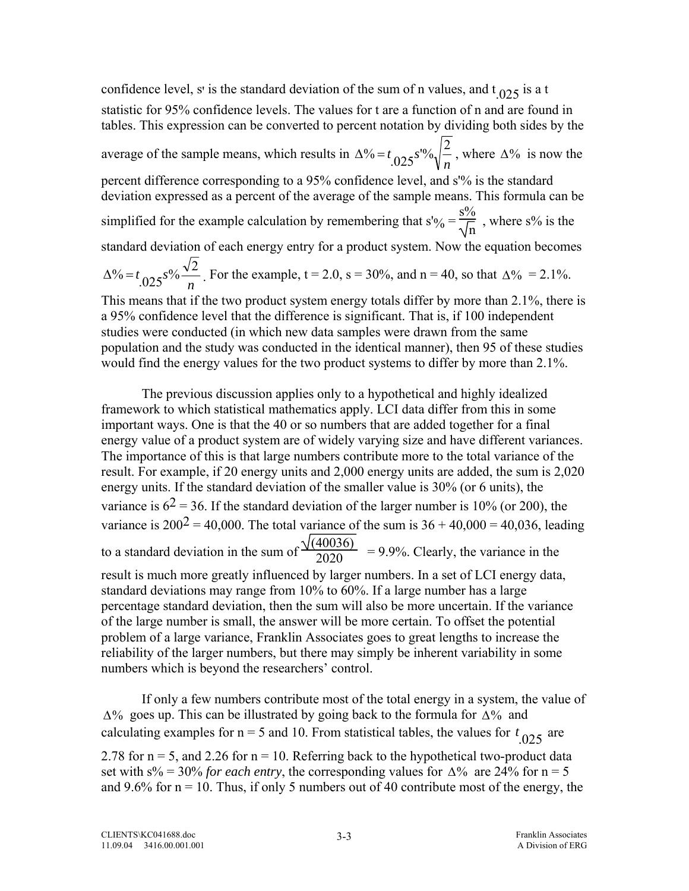confidence level, s' is the standard deviation of the sum of n values, and  $t_{.025}$  is a t statistic for 95% confidence levels. The values for t are a function of n and are found in tables. This expression can be converted to percent notation by dividing both sides by the average of the sample means, which results in *n*  $\Delta^{0}\leftarrow t_{.025} s^{10}\sqrt{\frac{2}{n}}$ , where  $\Delta^{0}\left(\right)$  is now the percent difference corresponding to a 95% confidence level, and s'% is the standard deviation expressed as a percent of the average of the sample means. This formula can be simplified for the example calculation by remembering that  $s'$ % =  $s\%$ n , where s% is the standard deviation of each energy entry for a product system. Now the equation becomes *n*  $\Delta^{0.06} = t \cdot 0.025 s^{0.06} \frac{\sqrt{2}}{n}$ . For the example, t = 2.0, s = 30%, and n = 40, so that  $\Delta^{0.06} = 2.1\%$ . This means that if the two product system energy totals differ by more than 2.1%, there is

a 95% confidence level that the difference is significant. That is, if 100 independent studies were conducted (in which new data samples were drawn from the same population and the study was conducted in the identical manner), then 95 of these studies would find the energy values for the two product systems to differ by more than 2.1%.

 The previous discussion applies only to a hypothetical and highly idealized framework to which statistical mathematics apply. LCI data differ from this in some important ways. One is that the 40 or so numbers that are added together for a final energy value of a product system are of widely varying size and have different variances. The importance of this is that large numbers contribute more to the total variance of the result. For example, if 20 energy units and 2,000 energy units are added, the sum is 2,020 energy units. If the standard deviation of the smaller value is 30% (or 6 units), the variance is  $6^2$  = 36. If the standard deviation of the larger number is 10% (or 200), the variance is  $200^2 = 40,000$ . The total variance of the sum is  $36 + 40,000 = 40,036$ , leading to a standard deviation in the sum of  $\frac{\sqrt{(40036)}}{2020}$  = 9.9%. Clearly, the variance in the result is much more greatly influenced by larger numbers. In a set of LCI energy data, standard deviations may range from 10% to 60%. If a large number has a large percentage standard deviation, then the sum will also be more uncertain. If the variance of the large number is small, the answer will be more certain. To offset the potential problem of a large variance, Franklin Associates goes to great lengths to increase the reliability of the larger numbers, but there may simply be inherent variability in some numbers which is beyond the researchers' control.

 If only a few numbers contribute most of the total energy in a system, the value of Δ% goes up. This can be illustrated by going back to the formula for Δ% and calculating examples for  $n = 5$  and 10. From statistical tables, the values for  $t_{.025}$  are 2.78 for  $n = 5$ , and 2.26 for  $n = 10$ . Referring back to the hypothetical two-product data set with  $s\% = 30\%$  *for each entry*, the corresponding values for  $\Delta\%$  are 24% for n = 5 and 9.6% for  $n = 10$ . Thus, if only 5 numbers out of 40 contribute most of the energy, the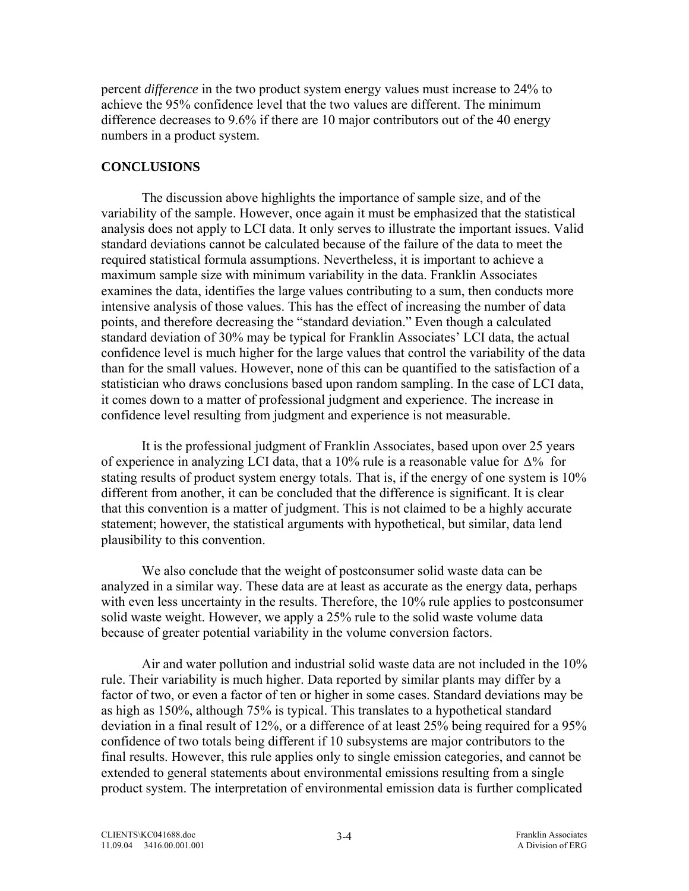percent *difference* in the two product system energy values must increase to 24% to achieve the 95% confidence level that the two values are different. The minimum difference decreases to 9.6% if there are 10 major contributors out of the 40 energy numbers in a product system.

## **CONCLUSIONS**

 The discussion above highlights the importance of sample size, and of the variability of the sample. However, once again it must be emphasized that the statistical analysis does not apply to LCI data. It only serves to illustrate the important issues. Valid standard deviations cannot be calculated because of the failure of the data to meet the required statistical formula assumptions. Nevertheless, it is important to achieve a maximum sample size with minimum variability in the data. Franklin Associates examines the data, identifies the large values contributing to a sum, then conducts more intensive analysis of those values. This has the effect of increasing the number of data points, and therefore decreasing the "standard deviation." Even though a calculated standard deviation of 30% may be typical for Franklin Associates' LCI data, the actual confidence level is much higher for the large values that control the variability of the data than for the small values. However, none of this can be quantified to the satisfaction of a statistician who draws conclusions based upon random sampling. In the case of LCI data, it comes down to a matter of professional judgment and experience. The increase in confidence level resulting from judgment and experience is not measurable.

 It is the professional judgment of Franklin Associates, based upon over 25 years of experience in analyzing LCI data, that a 10% rule is a reasonable value for  $\Delta\%$  for stating results of product system energy totals. That is, if the energy of one system is 10% different from another, it can be concluded that the difference is significant. It is clear that this convention is a matter of judgment. This is not claimed to be a highly accurate statement; however, the statistical arguments with hypothetical, but similar, data lend plausibility to this convention.

 We also conclude that the weight of postconsumer solid waste data can be analyzed in a similar way. These data are at least as accurate as the energy data, perhaps with even less uncertainty in the results. Therefore, the 10% rule applies to postconsumer solid waste weight. However, we apply a 25% rule to the solid waste volume data because of greater potential variability in the volume conversion factors.

 Air and water pollution and industrial solid waste data are not included in the 10% rule. Their variability is much higher. Data reported by similar plants may differ by a factor of two, or even a factor of ten or higher in some cases. Standard deviations may be as high as 150%, although 75% is typical. This translates to a hypothetical standard deviation in a final result of 12%, or a difference of at least 25% being required for a 95% confidence of two totals being different if 10 subsystems are major contributors to the final results. However, this rule applies only to single emission categories, and cannot be extended to general statements about environmental emissions resulting from a single product system. The interpretation of environmental emission data is further complicated